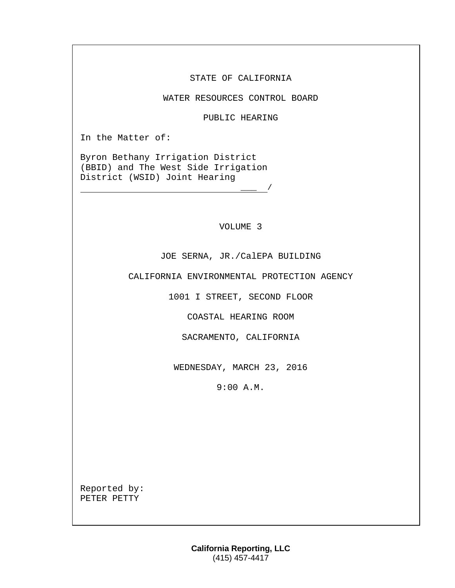STATE OF CALIFORNIA

WATER RESOURCES CONTROL BOARD

PUBLIC HEARING

In the Matter of:

Byron Bethany Irrigation District (BBID) and The West Side Irrigation District (WSID) Joint Hearing

VOLUME 3

 $\frac{\ }{\ }$  /

JOE SERNA, JR./CalEPA BUILDING

CALIFORNIA ENVIRONMENTAL PROTECTION AGENCY

1001 I STREET, SECOND FLOOR

COASTAL HEARING ROOM

SACRAMENTO, CALIFORNIA

WEDNESDAY, MARCH 23, 2016

9:00 A.M.

Reported by: PETER PETTY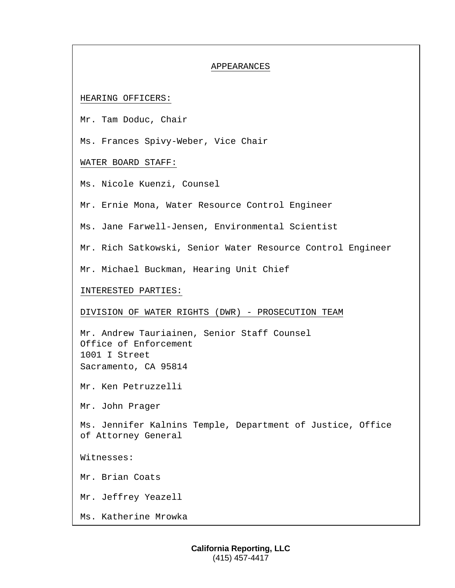# APPEARANCES

# HEARING OFFICERS:

Mr. Tam Doduc, Chair

Ms. Frances Spivy-Weber, Vice Chair

## WATER BOARD STAFF:

Ms. Nicole Kuenzi, Counsel

Mr. Ernie Mona, Water Resource Control Engineer

Ms. Jane Farwell-Jensen, Environmental Scientist

Mr. Rich Satkowski, Senior Water Resource Control Engineer

Mr. Michael Buckman, Hearing Unit Chief

INTERESTED PARTIES:

#### DIVISION OF WATER RIGHTS (DWR) - PROSECUTION TEAM

Mr. Andrew Tauriainen, Senior Staff Counsel Office of Enforcement 1001 I Street Sacramento, CA 95814

Mr. Ken Petruzzelli

Mr. John Prager

Ms. Jennifer Kalnins Temple, Department of Justice, Office of Attorney General

Witnesses:

Mr. Brian Coats

Mr. Jeffrey Yeazell

Ms. Katherine Mrowka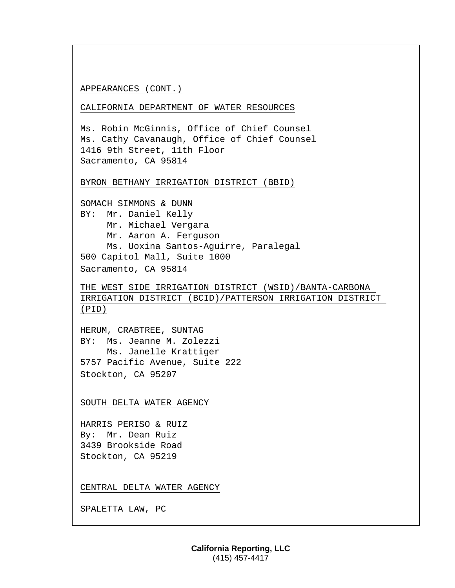#### APPEARANCES (CONT.)

CALIFORNIA DEPARTMENT OF WATER RESOURCES

Ms. Robin McGinnis, Office of Chief Counsel Ms. Cathy Cavanaugh, Office of Chief Counsel 1416 9th Street, 11th Floor Sacramento, CA 95814

BYRON BETHANY IRRIGATION DISTRICT (BBID)

SOMACH SIMMONS & DUNN BY: Mr. Daniel Kelly Mr. Michael Vergara Mr. Aaron A. Ferguson Ms. Uoxina Santos-Aguirre, Paralegal 500 Capitol Mall, Suite 1000 Sacramento, CA 95814

THE WEST SIDE IRRIGATION DISTRICT (WSID)/BANTA-CARBONA IRRIGATION DISTRICT (BCID)/PATTERSON IRRIGATION DISTRICT (PID)

HERUM, CRABTREE, SUNTAG BY: Ms. Jeanne M. Zolezzi Ms. Janelle Krattiger 5757 Pacific Avenue, Suite 222 Stockton, CA 95207

SOUTH DELTA WATER AGENCY

HARRIS PERISO & RUIZ By: Mr. Dean Ruiz 3439 Brookside Road Stockton, CA 95219

CENTRAL DELTA WATER AGENCY

SPALETTA LAW, PC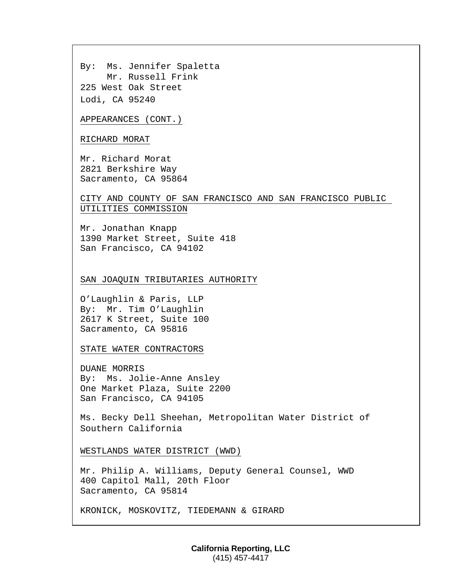By: Ms. Jennifer Spaletta Mr. Russell Frink 225 West Oak Street Lodi, CA 95240

APPEARANCES (CONT.)

## RICHARD MORAT

Mr. Richard Morat 2821 Berkshire Way Sacramento, CA 95864

# CITY AND COUNTY OF SAN FRANCISCO AND SAN FRANCISCO PUBLIC UTILITIES COMMISSION

Mr. Jonathan Knapp 1390 Market Street, Suite 418 San Francisco, CA 94102

#### SAN JOAQUIN TRIBUTARIES AUTHORITY

O'Laughlin & Paris, LLP By: Mr. Tim O'Laughlin 2617 K Street, Suite 100 Sacramento, CA 95816

STATE WATER CONTRACTORS

DUANE MORRIS By: Ms. Jolie-Anne Ansley One Market Plaza, Suite 2200 San Francisco, CA 94105

Ms. Becky Dell Sheehan, Metropolitan Water District of Southern California

WESTLANDS WATER DISTRICT (WWD)

Mr. Philip A. Williams, Deputy General Counsel, WWD 400 Capitol Mall, 20th Floor Sacramento, CA 95814

KRONICK, MOSKOVITZ, TIEDEMANN & GIRARD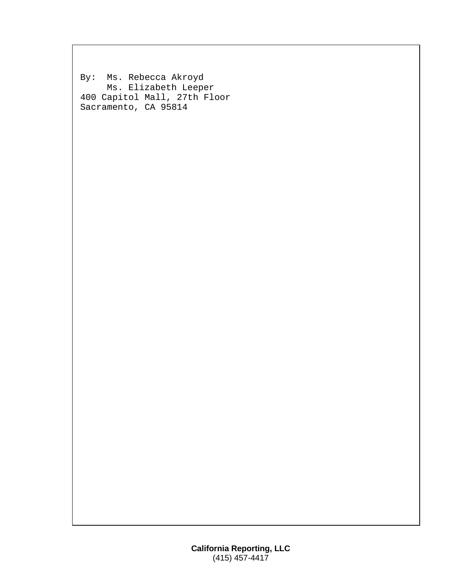By: Ms. Rebecca Akroyd Ms. Elizabeth Leeper 400 Capitol Mall, 27th Floor Sacramento, CA 95814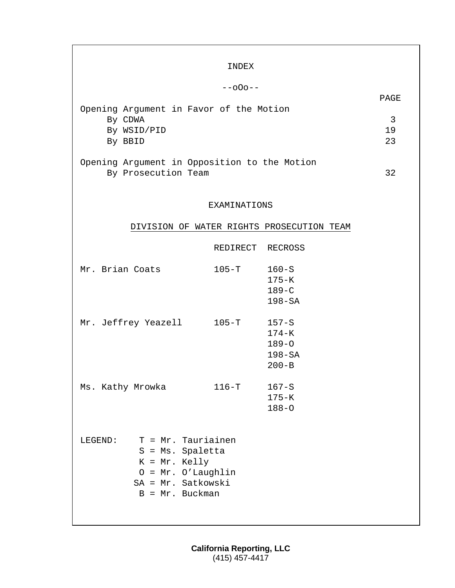|                                                                     | INDEX            |                                           |         |
|---------------------------------------------------------------------|------------------|-------------------------------------------|---------|
|                                                                     | $-000 - -$       |                                           |         |
|                                                                     |                  |                                           | PAGE    |
| Opening Argument in Favor of the Motion                             |                  |                                           |         |
| By CDWA<br>By WSID/PID                                              |                  |                                           | 3<br>19 |
| By BBID                                                             |                  |                                           |         |
|                                                                     |                  |                                           |         |
| Opening Argument in Opposition to the Motion<br>By Prosecution Team |                  |                                           | 32      |
|                                                                     |                  |                                           |         |
|                                                                     |                  |                                           |         |
|                                                                     | EXAMINATIONS     |                                           |         |
|                                                                     |                  | DIVISION OF WATER RIGHTS PROSECUTION TEAM |         |
|                                                                     | REDIRECT RECROSS |                                           |         |
|                                                                     |                  |                                           |         |
| Mr. Brian Coats                                                     | $105-T$          | $160-S$                                   |         |
|                                                                     |                  | $175-K$<br>$189 - C$                      |         |
|                                                                     |                  | $198 - SA$                                |         |
|                                                                     |                  |                                           |         |
| Mr. Jeffrey Yeazell 105-T                                           |                  | $157 - S$<br>$174 - K$                    |         |
|                                                                     |                  | $189 - 0$                                 |         |
|                                                                     |                  | $198 - SA$                                |         |
|                                                                     |                  | $200 - B$                                 |         |
| Ms. Kathy Mrowka                                                    | $116-T$          | $167 - S$                                 |         |
|                                                                     |                  | $175 - K$                                 |         |
|                                                                     |                  | $188 - 0$                                 |         |
|                                                                     |                  |                                           |         |
| T = Mr. Tauriainen<br>LEGEND:                                       |                  |                                           |         |
| $S = MS. Spaletta$<br>$K = Mr.$ Kelly                               |                  |                                           |         |
| $0 = Mr. O' Laughlin$                                               |                  |                                           |         |
| SA = Mr. Satkowski                                                  |                  |                                           |         |
| $B = Mr. Buckman$                                                   |                  |                                           |         |
|                                                                     |                  |                                           |         |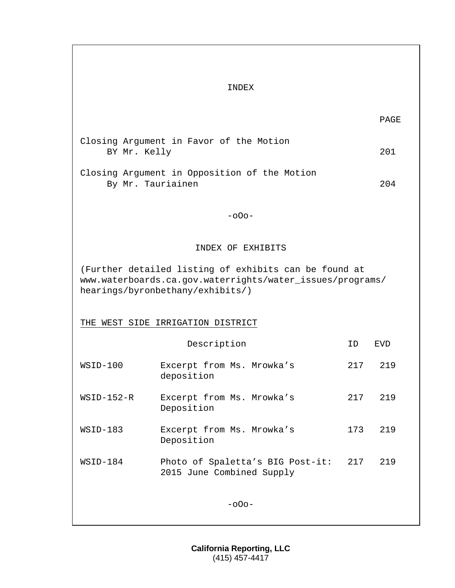# INDEX

| Closing Argument in Favor of the Motion |              |  |  |  |     |
|-----------------------------------------|--------------|--|--|--|-----|
|                                         | BY Mr. Kelly |  |  |  | 201 |
|                                         |              |  |  |  |     |

Closing Argument in Opposition of the Motion By Mr. Tauriainen 204

-oOo-

INDEX OF EXHIBITS

(Further detailed listing of exhibits can be found at www.waterboards.ca.gov.waterrights/water\_issues/programs/ hearings/byronbethany/exhibits/)

THE WEST SIDE IRRIGATION DISTRICT

|              | TD                                                            | EVD |     |
|--------------|---------------------------------------------------------------|-----|-----|
| WSID-100     | Excerpt from Ms. Mrowka's<br>deposition                       | 217 | 219 |
| $WSID-152-R$ | Excerpt from Ms. Mrowka's<br>Deposition                       | 217 | 219 |
| $WSID-183$   | Excerpt from Ms. Mrowka's<br>Deposition                       | 173 | 219 |
| WSID-184     | Photo of Spaletta's BIG Post-it:<br>2015 June Combined Supply | 217 | 219 |
|              | $-000-$                                                       |     |     |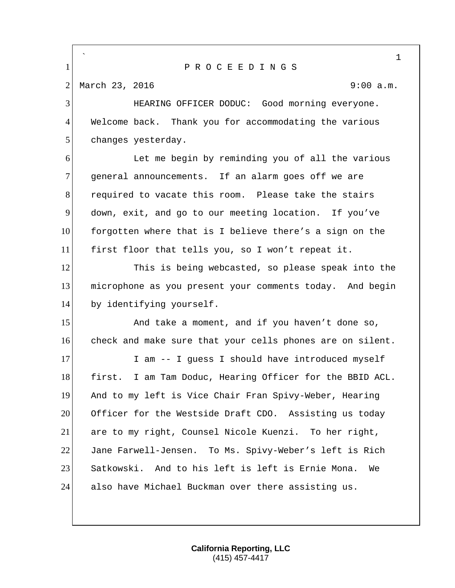` 1 P R O C E E D I N G S 2 March 23, 2016 9:00 a.m. 3 HEARING OFFICER DODUC: Good morning everyone. 4 Welcome back. Thank you for accommodating the various 5 changes yesterday. 6 Let me begin by reminding you of all the various 7 general announcements. If an alarm goes off we are 8 required to vacate this room. Please take the stairs 9 down, exit, and go to our meeting location. If you've 10 forgotten where that is I believe there's a sign on the 11 first floor that tells you, so I won't repeat it. 12 This is being webcasted, so please speak into the 13 microphone as you present your comments today. And begin 14 by identifying yourself. 15 And take a moment, and if you haven't done so, 16 check and make sure that your cells phones are on silent. 17 I am -- I guess I should have introduced myself 18 first. I am Tam Doduc, Hearing Officer for the BBID ACL. 19 And to my left is Vice Chair Fran Spivy-Weber, Hearing 20 Officer for the Westside Draft CDO. Assisting us today 21 are to my right, Counsel Nicole Kuenzi. To her right, 22 Jane Farwell-Jensen. To Ms. Spivy-Weber's left is Rich 23 Satkowski. And to his left is left is Ernie Mona. We 24 also have Michael Buckman over there assisting us.

> **California Reporting, LLC** (415) 457-4417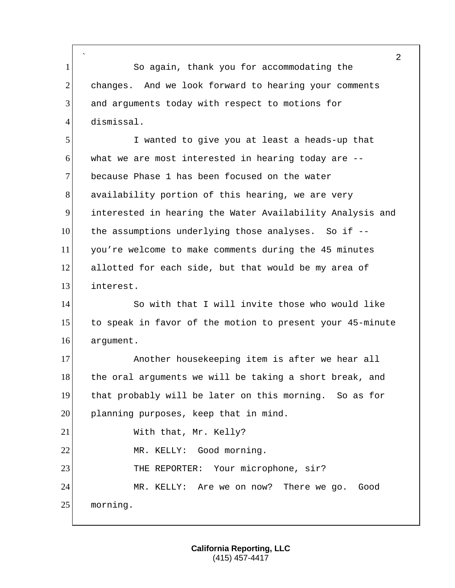` 1 So again, thank you for accommodating the 2 changes. And we look forward to hearing your comments 3 and arguments today with respect to motions for 4 dismissal.

 I wanted to give you at least a heads-up that what we are most interested in hearing today are  $-$ -7 because Phase 1 has been focused on the water 8 availability portion of this hearing, we are very interested in hearing the Water Availability Analysis and the assumptions underlying those analyses. So if -- you're welcome to make comments during the 45 minutes allotted for each side, but that would be my area of interest.

14 So with that I will invite those who would like 15 to speak in favor of the motion to present your 45-minute 16 argument.

17 Another housekeeping item is after we hear all 18 the oral arguments we will be taking a short break, and 19 that probably will be later on this morning. So as for 20 planning purposes, keep that in mind. 21 With that, Mr. Kelly? 22 MR. KELLY: Good morning. 23 THE REPORTER: Your microphone, sir? 24 MR. KELLY: Are we on now? There we go. Good

25 morning.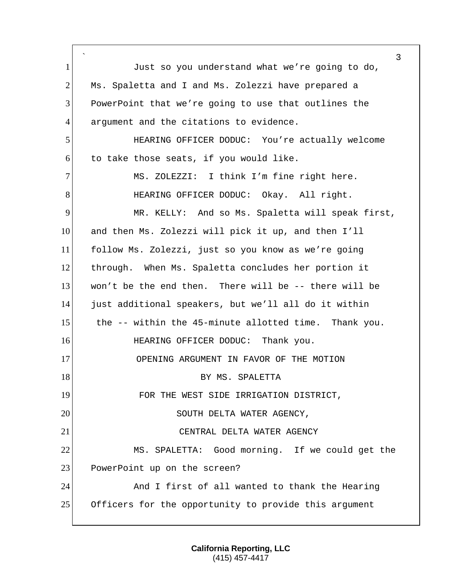` 3 1 Just so you understand what we're going to do, 2 Ms. Spaletta and I and Ms. Zolezzi have prepared a 3 PowerPoint that we're going to use that outlines the 4 argument and the citations to evidence. 5 HEARING OFFICER DODUC: You're actually welcome  $6$  to take those seats, if you would like. 7 MS. ZOLEZZI: I think I'm fine right here. 8 HEARING OFFICER DODUC: Okay. All right. 9 MR. KELLY: And so Ms. Spaletta will speak first, 10 and then Ms. Zolezzi will pick it up, and then I'll 11 follow Ms. Zolezzi, just so you know as we're going 12 through. When Ms. Spaletta concludes her portion it 13 won't be the end then. There will be -- there will be 14 just additional speakers, but we'll all do it within 15 the -- within the 45-minute allotted time. Thank you. 16 HEARING OFFICER DODUC: Thank you. 17 OPENING ARGUMENT IN FAVOR OF THE MOTION 18 BY MS. SPALETTA 19 FOR THE WEST SIDE IRRIGATION DISTRICT, 20 SOUTH DELTA WATER AGENCY, 21 CENTRAL DELTA WATER AGENCY 22 MS. SPALETTA: Good morning. If we could get the 23 PowerPoint up on the screen? 24 And I first of all wanted to thank the Hearing 25 Officers for the opportunity to provide this argument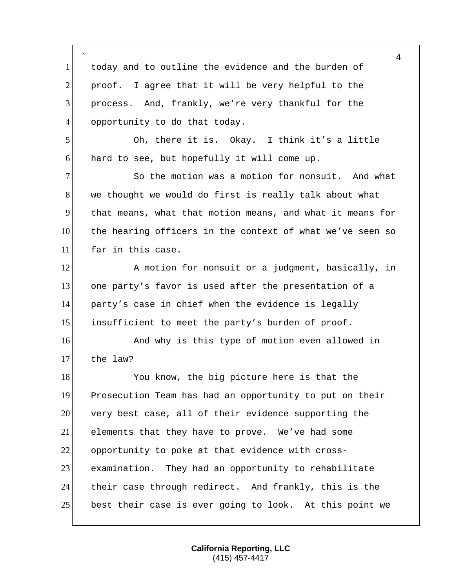|                | 4                                                         |
|----------------|-----------------------------------------------------------|
| $\mathbf{1}$   | today and to outline the evidence and the burden of       |
| $\overline{2}$ | proof. I agree that it will be very helpful to the        |
| 3              | process. And, frankly, we're very thankful for the        |
| $\overline{4}$ | opportunity to do that today.                             |
| 5              | Oh, there it is. Okay. I think it's a little              |
| 6              | hard to see, but hopefully it will come up.               |
| $\tau$         | So the motion was a motion for nonsuit. And what          |
| 8              | we thought we would do first is really talk about what    |
| 9              | that means, what that motion means, and what it means for |
| 10             | the hearing officers in the context of what we've seen so |
| 11             | far in this case.                                         |
| 12             | A motion for nonsuit or a judgment, basically, in         |
| 13             | one party's favor is used after the presentation of a     |
| 14             | party's case in chief when the evidence is legally        |
| 15             | insufficient to meet the party's burden of proof.         |
| 16             | And why is this type of motion even allowed in            |
| 17             | the law?                                                  |
| 18             | You know, the big picture here is that the                |
| 19             | Prosecution Team has had an opportunity to put on their   |
| 20             | very best case, all of their evidence supporting the      |
| 21             | elements that they have to prove. We've had some          |
| 22             | opportunity to poke at that evidence with cross-          |
| 23             | examination. They had an opportunity to rehabilitate      |
| 24             | their case through redirect. And frankly, this is the     |
| 25             | best their case is ever going to look. At this point we   |

Г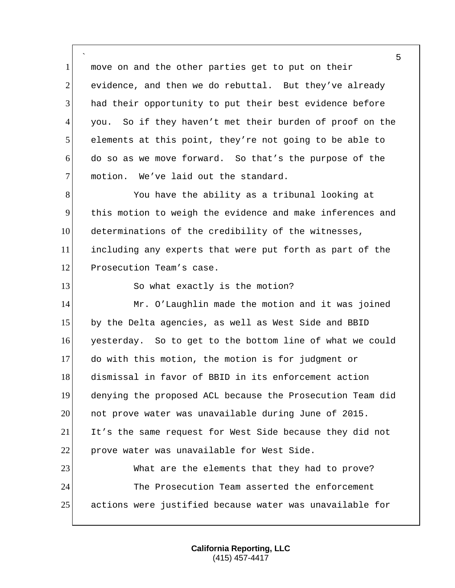` move on and the other parties get to put on their evidence, and then we do rebuttal. But they've already 3 had their opportunity to put their best evidence before you. So if they haven't met their burden of proof on the elements at this point, they're not going to be able to do so as we move forward. So that's the purpose of the 7 motion. We've laid out the standard.

8 You have the ability as a tribunal looking at 9 this motion to weigh the evidence and make inferences and 10 determinations of the credibility of the witnesses, 11 including any experts that were put forth as part of the 12 Prosecution Team's case.

13 So what exactly is the motion?

14 Mr. O'Laughlin made the motion and it was joined 15 by the Delta agencies, as well as West Side and BBID yesterday. So to get to the bottom line of what we could do with this motion, the motion is for judgment or dismissal in favor of BBID in its enforcement action denying the proposed ACL because the Prosecution Team did not prove water was unavailable during June of 2015. It's the same request for West Side because they did not 22 prove water was unavailable for West Side. 23 What are the elements that they had to prove? The Prosecution Team asserted the enforcement

25 actions were justified because water was unavailable for

**California Reporting, LLC** (415) 457-4417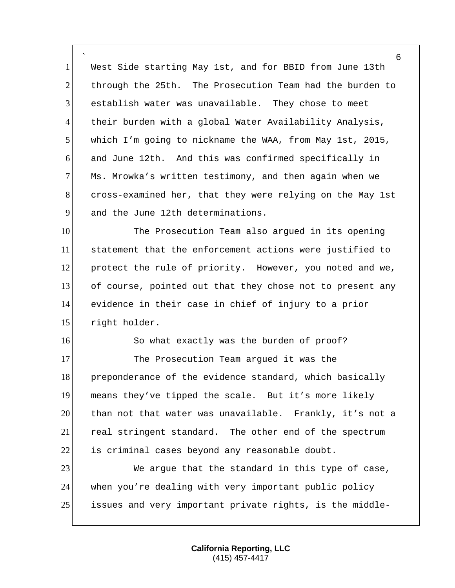` 1 West Side starting May 1st, and for BBID from June 13th 2 through the 25th. The Prosecution Team had the burden to 3 establish water was unavailable. They chose to meet 4 their burden with a global Water Availability Analysis, 5 which I'm going to nickname the WAA, from May 1st, 2015, 6 and June 12th. And this was confirmed specifically in 7 Ms. Mrowka's written testimony, and then again when we 8 cross-examined her, that they were relying on the May 1st 9 and the June 12th determinations.

10 The Prosecution Team also argued in its opening statement that the enforcement actions were justified to protect the rule of priority. However, you noted and we, of course, pointed out that they chose not to present any evidence in their case in chief of injury to a prior right holder.

16 So what exactly was the burden of proof? 17 The Prosecution Team argued it was the 18 preponderance of the evidence standard, which basically 19 means they've tipped the scale. But it's more likely 20 than not that water was unavailable. Frankly, it's not a 21 real stringent standard. The other end of the spectrum  $22$  is criminal cases beyond any reasonable doubt.

23 We argue that the standard in this type of case, 24 when you're dealing with very important public policy 25 issues and very important private rights, is the middle-

> **California Reporting, LLC** (415) 457-4417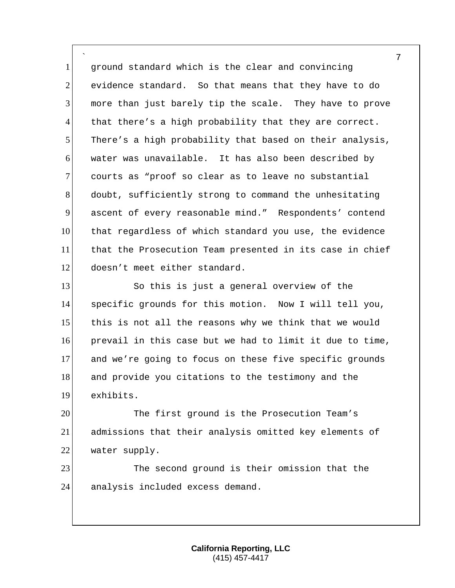` 1 ground standard which is the clear and convincing 2 evidence standard. So that means that they have to do 3 more than just barely tip the scale. They have to prove 4 that there's a high probability that they are correct. 5 There's a high probability that based on their analysis, 6 water was unavailable. It has also been described by 7 courts as "proof so clear as to leave no substantial 8 doubt, sufficiently strong to command the unhesitating 9 ascent of every reasonable mind." Respondents' contend 10 that regardless of which standard you use, the evidence 11 that the Prosecution Team presented in its case in chief 12 doesn't meet either standard.

 So this is just a general overview of the specific grounds for this motion. Now I will tell you, 15 this is not all the reasons why we think that we would prevail in this case but we had to limit it due to time, and we're going to focus on these five specific grounds 18 and provide you citations to the testimony and the exhibits.

20 The first ground is the Prosecution Team's 21 admissions that their analysis omitted key elements of 22 water supply.

23 The second ground is their omission that the 24 analysis included excess demand.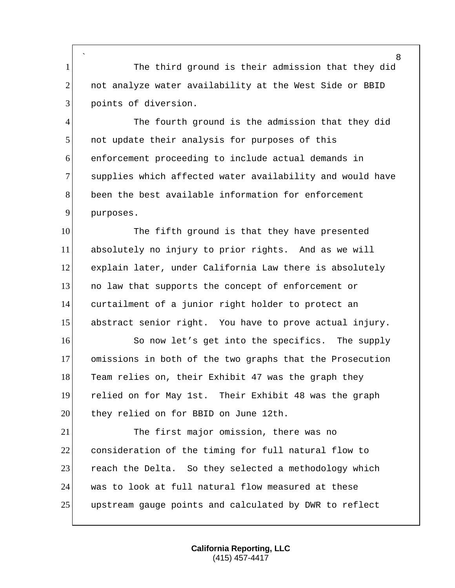` 1 The third ground is their admission that they did 2 not analyze water availability at the West Side or BBID 3 points of diversion.

4 The fourth ground is the admission that they did 5 | not update their analysis for purposes of this 6 enforcement proceeding to include actual demands in 7 supplies which affected water availability and would have 8 been the best available information for enforcement 9 purposes.

10 The fifth ground is that they have presented absolutely no injury to prior rights. And as we will 12 explain later, under California Law there is absolutely no law that supports the concept of enforcement or curtailment of a junior right holder to protect an abstract senior right. You have to prove actual injury.

16 So now let's get into the specifics. The supply 17 omissions in both of the two graphs that the Prosecution 18 Team relies on, their Exhibit 47 was the graph they 19 relied on for May 1st. Their Exhibit 48 was the graph 20 they relied on for BBID on June 12th.

21 The first major omission, there was no 22 consideration of the timing for full natural flow to 23 reach the Delta. So they selected a methodology which 24 was to look at full natural flow measured at these 25 upstream gauge points and calculated by DWR to reflect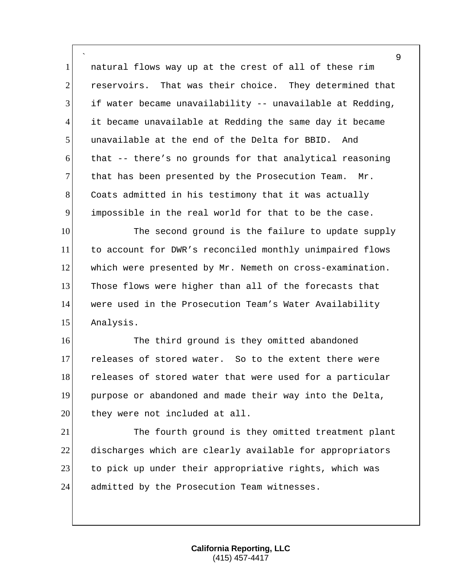` natural flows way up at the crest of all of these rim reservoirs. That was their choice. They determined that if water became unavailability  $-$  unavailable at Redding, it became unavailable at Redding the same day it became unavailable at the end of the Delta for BBID. And that  $-$  there's no grounds for that analytical reasoning that has been presented by the Prosecution Team. Mr. 8 Coats admitted in his testimony that it was actually impossible in the real world for that to be the case.

10 The second ground is the failure to update supply to account for DWR's reconciled monthly unimpaired flows which were presented by Mr. Nemeth on cross-examination. Those flows were higher than all of the forecasts that were used in the Prosecution Team's Water Availability Analysis.

16 The third ground is they omitted abandoned releases of stored water. So to the extent there were 18 releases of stored water that were used for a particular purpose or abandoned and made their way into the Delta, 20 they were not included at all.

21 The fourth ground is they omitted treatment plant discharges which are clearly available for appropriators 23 to pick up under their appropriative rights, which was 24 admitted by the Prosecution Team witnesses.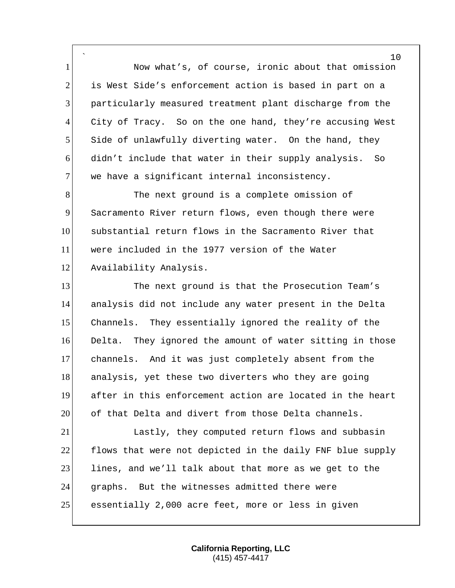` 1 Now what's, of course, ironic about that omission 2 is West Side's enforcement action is based in part on a 3 particularly measured treatment plant discharge from the 4 City of Tracy. So on the one hand, they're accusing West 5 Side of unlawfully diverting water. On the hand, they 6 didn't include that water in their supply analysis. So 7 we have a significant internal inconsistency.

8 The next ground is a complete omission of 9 Sacramento River return flows, even though there were 10 substantial return flows in the Sacramento River that 11 were included in the 1977 version of the Water 12 Availability Analysis.

13 The next ground is that the Prosecution Team's analysis did not include any water present in the Delta Channels. They essentially ignored the reality of the Delta. They ignored the amount of water sitting in those channels. And it was just completely absent from the 18 analysis, yet these two diverters who they are going after in this enforcement action are located in the heart of that Delta and divert from those Delta channels.

21 Lastly, they computed return flows and subbasin 22 flows that were not depicted in the daily FNF blue supply 23 lines, and we'll talk about that more as we get to the 24 graphs. But the witnesses admitted there were 25 essentially 2,000 acre feet, more or less in given

> **California Reporting, LLC** (415) 457-4417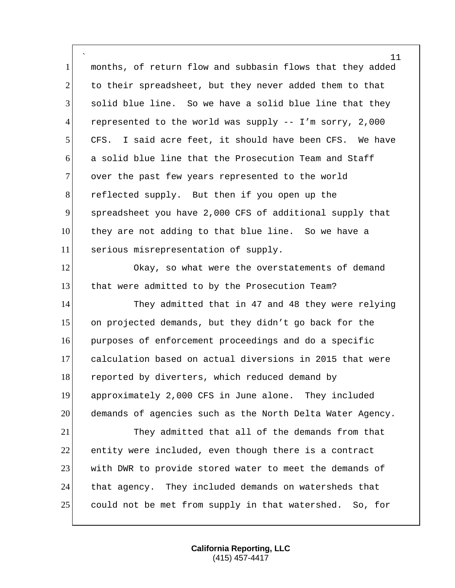` months, of return flow and subbasin flows that they added 2 to their spreadsheet, but they never added them to that solid blue line. So we have a solid blue line that they represented to the world was supply -- I'm sorry, 2,000 5 CFS. I said acre feet, it should have been CFS. We have a solid blue line that the Prosecution Team and Staff 7 over the past few years represented to the world 8 reflected supply. But then if you open up the spreadsheet you have 2,000 CFS of additional supply that they are not adding to that blue line. So we have a serious misrepresentation of supply.

 Okay, so what were the overstatements of demand 13 that were admitted to by the Prosecution Team?

14 They admitted that in 47 and 48 they were relying on projected demands, but they didn't go back for the purposes of enforcement proceedings and do a specific calculation based on actual diversions in 2015 that were 18 reported by diverters, which reduced demand by approximately 2,000 CFS in June alone. They included demands of agencies such as the North Delta Water Agency. They admitted that all of the demands from that entity were included, even though there is a contract with DWR to provide stored water to meet the demands of that agency. They included demands on watersheds that

could not be met from supply in that watershed. So, for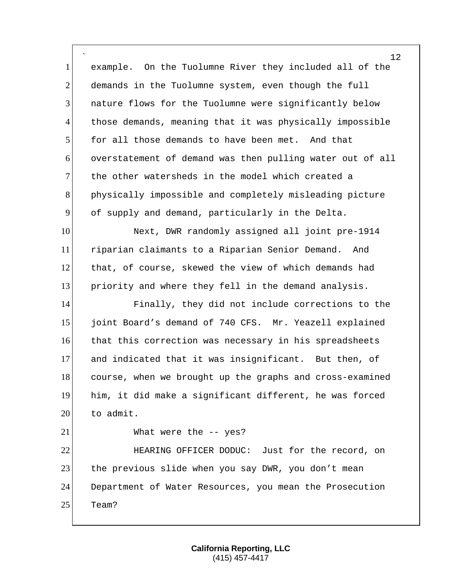` example. On the Tuolumne River they included all of the 2 demands in the Tuolumne system, even though the full nature flows for the Tuolumne were significantly below those demands, meaning that it was physically impossible for all those demands to have been met. And that overstatement of demand was then pulling water out of all the other watersheds in the model which created a physically impossible and completely misleading picture of supply and demand, particularly in the Delta. 10 Next, DWR randomly assigned all joint pre-1914 11 riparian claimants to a Riparian Senior Demand. And that, of course, skewed the view of which demands had priority and where they fell in the demand analysis. Finally, they did not include corrections to the joint Board's demand of 740 CFS. Mr. Yeazell explained that this correction was necessary in his spreadsheets and indicated that it was insignificant. But then, of course, when we brought up the graphs and cross-examined him, it did make a significant different, he was forced 20 to admit. 21 What were the -- yes? HEARING OFFICER DODUC: Just for the record, on 23 the previous slide when you say DWR, you don't mean Department of Water Resources, you mean the Prosecution Team?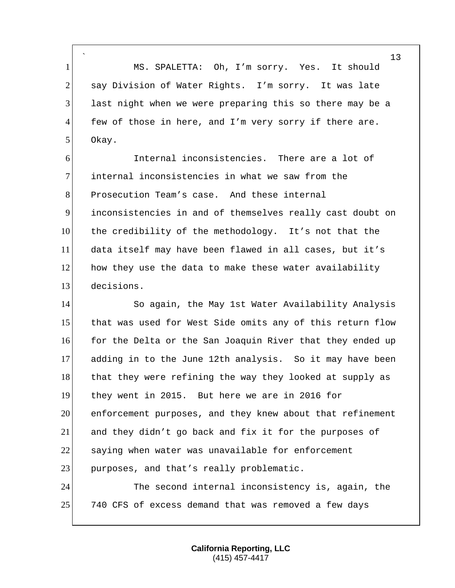` 1 MS. SPALETTA: Oh, I'm sorry. Yes. It should 2 say Division of Water Rights. I'm sorry. It was late 3 last night when we were preparing this so there may be a  $4$  few of those in here, and I'm very sorry if there are. 5 Okay.

 Internal inconsistencies. There are a lot of internal inconsistencies in what we saw from the 8 Prosecution Team's case. And these internal inconsistencies in and of themselves really cast doubt on the credibility of the methodology. It's not that the data itself may have been flawed in all cases, but it's how they use the data to make these water availability decisions.

14 So again, the May 1st Water Availability Analysis 15 that was used for West Side omits any of this return flow 16 for the Delta or the San Joaquin River that they ended up 17 adding in to the June 12th analysis. So it may have been 18 that they were refining the way they looked at supply as 19 they went in 2015. But here we are in 2016 for 20 enforcement purposes, and they knew about that refinement 21 and they didn't go back and fix it for the purposes of 22 saying when water was unavailable for enforcement 23 purposes, and that's really problematic.

24 The second internal inconsistency is, again, the 25 740 CFS of excess demand that was removed a few days

> **California Reporting, LLC** (415) 457-4417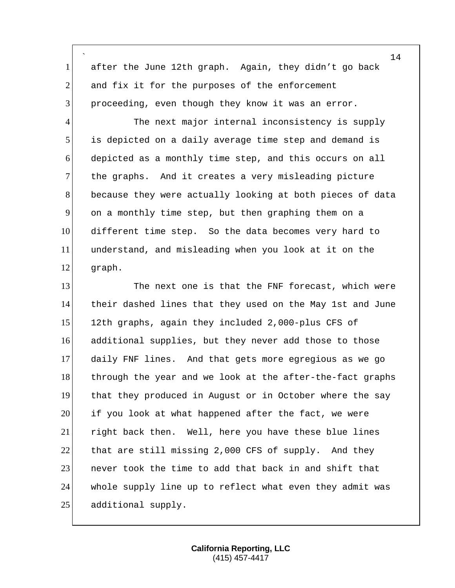` after the June 12th graph. Again, they didn't go back and fix it for the purposes of the enforcement proceeding, even though they know it was an error.

4 The next major internal inconsistency is supply is depicted on a daily average time step and demand is depicted as a monthly time step, and this occurs on all 7 the graphs. And it creates a very misleading picture because they were actually looking at both pieces of data on a monthly time step, but then graphing them on a different time step. So the data becomes very hard to understand, and misleading when you look at it on the graph.

13 The next one is that the FNF forecast, which were their dashed lines that they used on the May 1st and June 12th graphs, again they included 2,000-plus CFS of additional supplies, but they never add those to those daily FNF lines. And that gets more egregious as we go 18 through the year and we look at the after-the-fact graphs that they produced in August or in October where the say if you look at what happened after the fact, we were right back then. Well, here you have these blue lines 22 that are still missing 2,000 CFS of supply. And they **1** never took the time to add that back in and shift that whole supply line up to reflect what even they admit was 25 additional supply.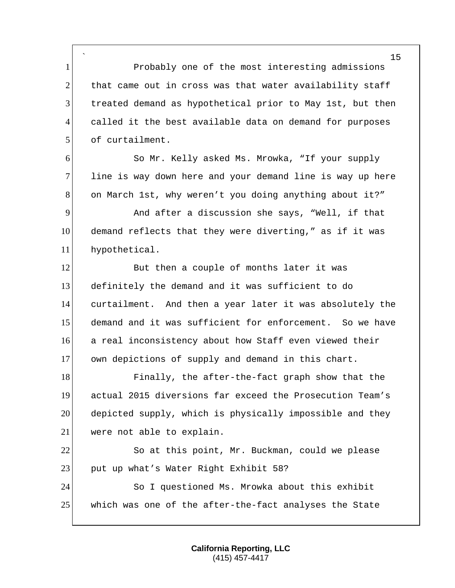` 1 Probably one of the most interesting admissions 2 that came out in cross was that water availability staff 3 treated demand as hypothetical prior to May 1st, but then 4 called it the best available data on demand for purposes 5 of curtailment.

6 So Mr. Kelly asked Ms. Mrowka, "If your supply 7 line is way down here and your demand line is way up here 8 on March 1st, why weren't you doing anything about it?"

9 And after a discussion she says, "Well, if that 10 demand reflects that they were diverting," as if it was 11 hypothetical.

12 But then a couple of months later it was definitely the demand and it was sufficient to do curtailment. And then a year later it was absolutely the demand and it was sufficient for enforcement. So we have a real inconsistency about how Staff even viewed their 17 own depictions of supply and demand in this chart.

18 Finally, the after-the-fact graph show that the 19 actual 2015 diversions far exceed the Prosecution Team's 20 depicted supply, which is physically impossible and they 21 were not able to explain.

22 So at this point, Mr. Buckman, could we please 23 put up what's Water Right Exhibit 58?

24 So I questioned Ms. Mrowka about this exhibit 25 which was one of the after-the-fact analyses the State

> **California Reporting, LLC** (415) 457-4417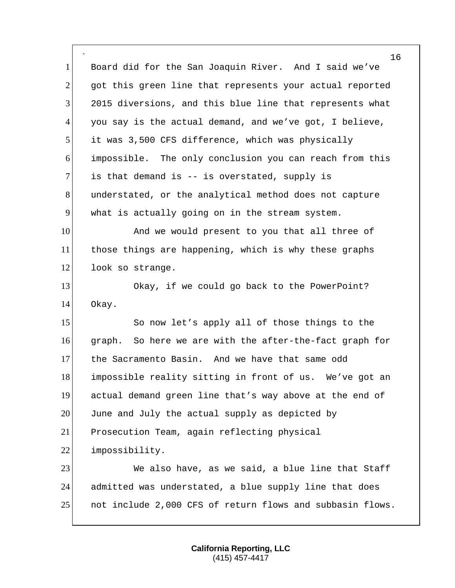` 1 Board did for the San Joaquin River. And I said we've 2 got this green line that represents your actual reported 3 2015 diversions, and this blue line that represents what 4 you say is the actual demand, and we've got, I believe, 5 it was 3,500 CFS difference, which was physically 6 impossible. The only conclusion you can reach from this  $7$  is that demand is -- is overstated, supply is 8 anderstated, or the analytical method does not capture 9 what is actually going on in the stream system. 10 And we would present to you that all three of 11 those things are happening, which is why these graphs 12 look so strange. 13 Okay, if we could go back to the PowerPoint? 14 Okay. 15 So now let's apply all of those things to the 16 graph. So here we are with the after-the-fact graph for 17 the Sacramento Basin. And we have that same odd 18 impossible reality sitting in front of us. We've got an 19 actual demand green line that's way above at the end of 20 June and July the actual supply as depicted by 21 Prosecution Team, again reflecting physical 22 impossibility. 23 We also have, as we said, a blue line that Staff 24 admitted was understated, a blue supply line that does 25 not include 2,000 CFS of return flows and subbasin flows.

> **California Reporting, LLC** (415) 457-4417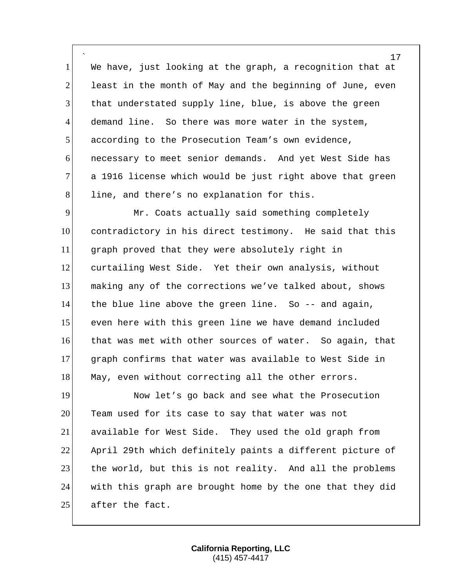` We have, just looking at the graph, a recognition that at least in the month of May and the beginning of June, even that understated supply line, blue, is above the green demand line. So there was more water in the system, according to the Prosecution Team's own evidence, necessary to meet senior demands. And yet West Side has 7 a 1916 license which would be just right above that green 8 line, and there's no explanation for this.

9 Mr. Coats actually said something completely contradictory in his direct testimony. He said that this graph proved that they were absolutely right in 12 curtailing West Side. Yet their own analysis, without making any of the corrections we've talked about, shows the blue line above the green line. So -- and again, even here with this green line we have demand included that was met with other sources of water. So again, that graph confirms that water was available to West Side in 18 May, even without correcting all the other errors.

19 Now let's go back and see what the Prosecution 20 Team used for its case to say that water was not 21 available for West Side. They used the old graph from 22 April 29th which definitely paints a different picture of 23 the world, but this is not reality. And all the problems 24 with this graph are brought home by the one that they did 25 after the fact.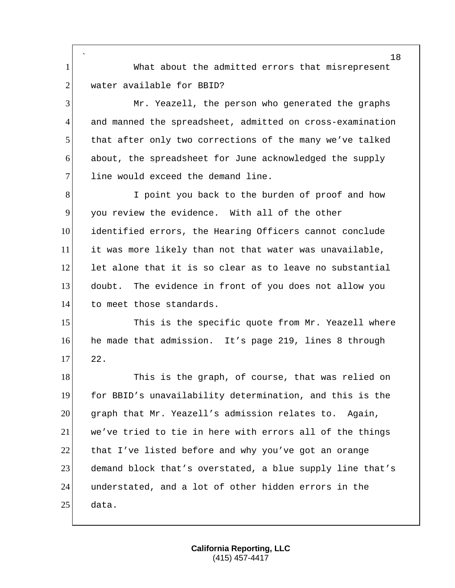` 1 What about the admitted errors that misrepresent 2 water available for BBID? 3 Mr. Yeazell, the person who generated the graphs 4 and manned the spreadsheet, admitted on cross-examination 5 that after only two corrections of the many we've talked 6 about, the spreadsheet for June acknowledged the supply 7 line would exceed the demand line. 8 I point you back to the burden of proof and how 9 you review the evidence. With all of the other 10 identified errors, the Hearing Officers cannot conclude 11 it was more likely than not that water was unavailable, 12 let alone that it is so clear as to leave no substantial 13 doubt. The evidence in front of you does not allow you 14 to meet those standards. 15 This is the specific quote from Mr. Yeazell where 16 he made that admission. It's page 219, lines 8 through  $17$  22. 18 This is the graph, of course, that was relied on 19 for BBID's unavailability determination, and this is the 20 graph that Mr. Yeazell's admission relates to. Again, 21 we've tried to tie in here with errors all of the things 22 that I've listed before and why you've got an orange 23 demand block that's overstated, a blue supply line that's 24 understated, and a lot of other hidden errors in the 25 data.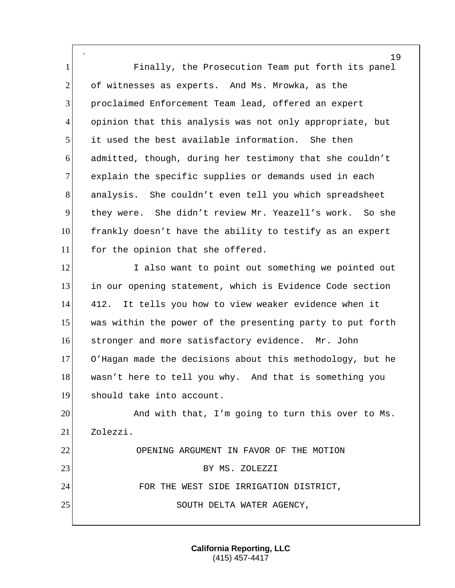` 19 Finally, the Prosecution Team put forth its panel 2 of witnesses as experts. And Ms. Mrowka, as the proclaimed Enforcement Team lead, offered an expert opinion that this analysis was not only appropriate, but it used the best available information. She then admitted, though, during her testimony that she couldn't 7 explain the specific supplies or demands used in each 8 analysis. She couldn't even tell you which spreadsheet they were. She didn't review Mr. Yeazell's work. So she frankly doesn't have the ability to testify as an expert 11 for the opinion that she offered. 12 I also want to point out something we pointed out in our opening statement, which is Evidence Code section 412. It tells you how to view weaker evidence when it 15 was within the power of the presenting party to put forth stronger and more satisfactory evidence. Mr. John O'Hagan made the decisions about this methodology, but he wasn't here to tell you why. And that is something you should take into account.

20 And with that, I'm going to turn this over to Ms. 21 Zolezzi. 22 OPENING ARGUMENT IN FAVOR OF THE MOTION 23 BY MS. ZOLEZZI 24 FOR THE WEST SIDE IRRIGATION DISTRICT, 25 SOUTH DELTA WATER AGENCY,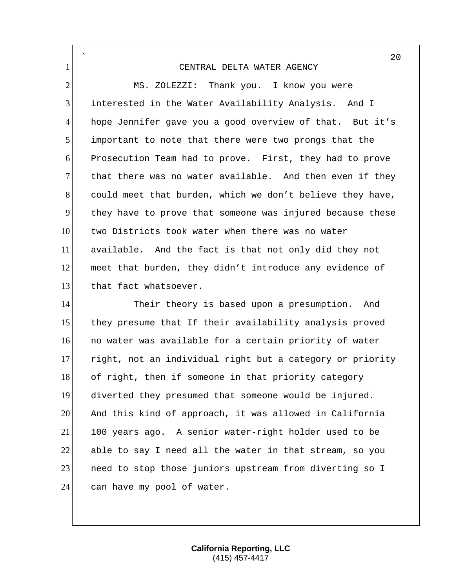` 1 CENTRAL DELTA WATER AGENCY 2 MS. ZOLEZZI: Thank you. I know you were 3 interested in the Water Availability Analysis. And I 4 hope Jennifer gave you a good overview of that. But it's 5 important to note that there were two prongs that the 6 Prosecution Team had to prove. First, they had to prove 7 that there was no water available. And then even if they 8 could meet that burden, which we don't believe they have, 9 they have to prove that someone was injured because these 10 two Districts took water when there was no water 11 available. And the fact is that not only did they not 12 meet that burden, they didn't introduce any evidence of 13 that fact whatsoever.

14 Their theory is based upon a presumption. And 15 they presume that If their availability analysis proved 16 **no water was available for a certain priority of water** 17 right, not an individual right but a category or priority 18 of right, then if someone in that priority category 19 diverted they presumed that someone would be injured. 20 And this kind of approach, it was allowed in California 21 100 years ago. A senior water-right holder used to be  $22$  able to say I need all the water in that stream, so you 23 areed to stop those juniors upstream from diverting so I 24 can have my pool of water.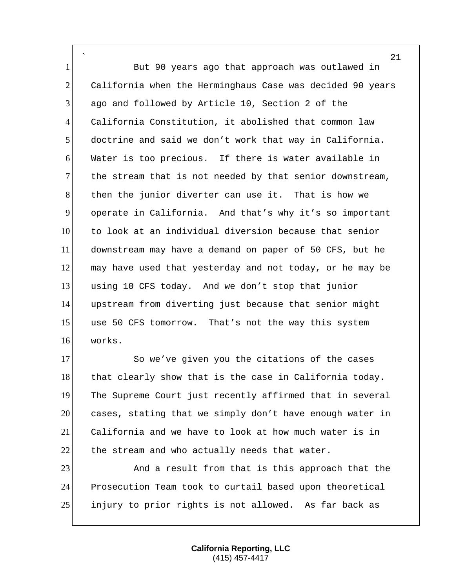` 1 But 90 years ago that approach was outlawed in 2 California when the Herminghaus Case was decided 90 years ago and followed by Article 10, Section 2 of the California Constitution, it abolished that common law doctrine and said we don't work that way in California. Water is too precious. If there is water available in the stream that is not needed by that senior downstream, 8 then the junior diverter can use it. That is how we operate in California. And that's why it's so important 10 to look at an individual diversion because that senior downstream may have a demand on paper of 50 CFS, but he may have used that yesterday and not today, or he may be using 10 CFS today. And we don't stop that junior upstream from diverting just because that senior might use 50 CFS tomorrow. That's not the way this system works.

17 So we've given you the citations of the cases 18 that clearly show that is the case in California today. The Supreme Court just recently affirmed that in several cases, stating that we simply don't have enough water in California and we have to look at how much water is in the stream and who actually needs that water.

23 And a result from that is this approach that the Prosecution Team took to curtail based upon theoretical injury to prior rights is not allowed. As far back as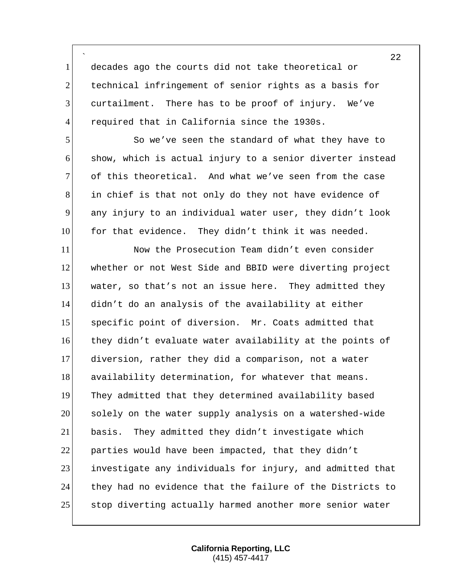` decades ago the courts did not take theoretical or 2 technical infringement of senior rights as a basis for curtailment. There has to be proof of injury. We've 4 required that in California since the 1930s.

 So we've seen the standard of what they have to show, which is actual injury to a senior diverter instead 7 of this theoretical. And what we've seen from the case in chief is that not only do they not have evidence of any injury to an individual water user, they didn't look 10 for that evidence. They didn't think it was needed.

 Now the Prosecution Team didn't even consider whether or not West Side and BBID were diverting project water, so that's not an issue here. They admitted they didn't do an analysis of the availability at either specific point of diversion. Mr. Coats admitted that they didn't evaluate water availability at the points of diversion, rather they did a comparison, not a water 18 availability determination, for whatever that means. They admitted that they determined availability based solely on the water supply analysis on a watershed-wide basis. They admitted they didn't investigate which 22 parties would have been impacted, that they didn't investigate any individuals for injury, and admitted that they had no evidence that the failure of the Districts to 25 stop diverting actually harmed another more senior water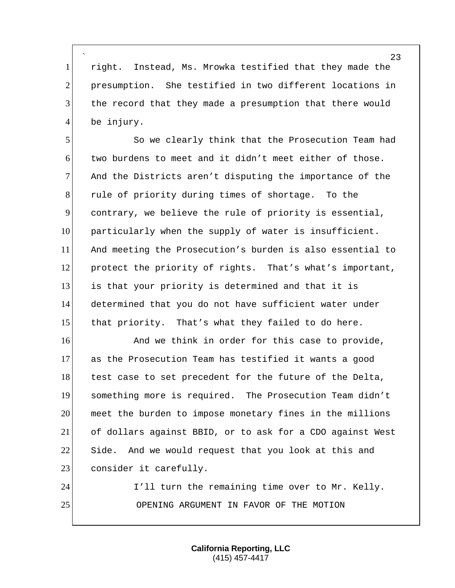` right. Instead, Ms. Mrowka testified that they made the presumption. She testified in two different locations in the record that they made a presumption that there would 4 be injury.

 So we clearly think that the Prosecution Team had two burdens to meet and it didn't meet either of those. And the Districts aren't disputing the importance of the 8 8 rule of priority during times of shortage. To the contrary, we believe the rule of priority is essential, particularly when the supply of water is insufficient. And meeting the Prosecution's burden is also essential to protect the priority of rights. That's what's important, is that your priority is determined and that it is determined that you do not have sufficient water under 15 that priority. That's what they failed to do here.

16 and we think in order for this case to provide, as the Prosecution Team has testified it wants a good 18 test case to set precedent for the future of the Delta, something more is required. The Prosecution Team didn't meet the burden to impose monetary fines in the millions of dollars against BBID, or to ask for a CDO against West 22 Side. And we would request that you look at this and 23 consider it carefully.

24 I'll turn the remaining time over to Mr. Kelly. OPENING ARGUMENT IN FAVOR OF THE MOTION

> **California Reporting, LLC** (415) 457-4417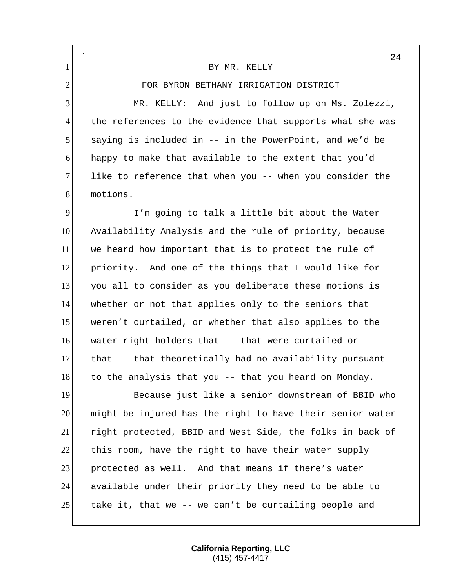|                | 24                                                        |
|----------------|-----------------------------------------------------------|
| $\mathbf{1}$   | BY MR. KELLY                                              |
| $\overline{2}$ | FOR BYRON BETHANY IRRIGATION DISTRICT                     |
| 3              | MR. KELLY: And just to follow up on Ms. Zolezzi,          |
| $\overline{4}$ | the references to the evidence that supports what she was |
| 5              | saying is included in -- in the PowerPoint, and we'd be   |
| 6              | happy to make that available to the extent that you'd     |
| 7              | like to reference that when you -- when you consider the  |
| 8              | motions.                                                  |
| 9              | I'm going to talk a little bit about the Water            |
| 10             | Availability Analysis and the rule of priority, because   |
| 11             | we heard how important that is to protect the rule of     |
| 12             | priority. And one of the things that I would like for     |
| 13             | you all to consider as you deliberate these motions is    |
| 14             | whether or not that applies only to the seniors that      |
| 15             | weren't curtailed, or whether that also applies to the    |
| 16             | water-right holders that -- that were curtailed or        |
| 17             | that -- that theoretically had no availability pursuant   |
| 18             | to the analysis that you -- that you heard on Monday.     |
| 19             | Because just like a senior downstream of BBID who         |
| 20             | might be injured has the right to have their senior water |
| 21             | right protected, BBID and West Side, the folks in back of |
| 22             | this room, have the right to have their water supply      |
| 23             | protected as well. And that means if there's water        |
| 24             | available under their priority they need to be able to    |
| 25             | take it, that we -- we can't be curtailing people and     |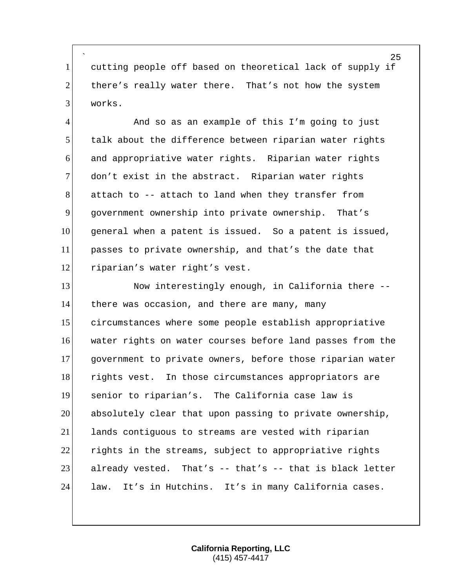` 1 cutting people off based on theoretical lack of supply if 2 there's really water there. That's not how the system 3 works.

4 And so as an example of this I'm going to just talk about the difference between riparian water rights and appropriative water rights. Riparian water rights 7 don't exist in the abstract. Riparian water rights attach to -- attach to land when they transfer from government ownership into private ownership. That's general when a patent is issued. So a patent is issued, passes to private ownership, and that's the date that 12 riparian's water right's vest.

13 Now interestingly enough, in California there --14 there was occasion, and there are many, many circumstances where some people establish appropriative 16 water rights on water courses before land passes from the government to private owners, before those riparian water 18 rights vest. In those circumstances appropriators are senior to riparian's. The California case law is absolutely clear that upon passing to private ownership, lands contiguous to streams are vested with riparian rights in the streams, subject to appropriative rights already vested. That's  $-$  that's  $-$  that is black letter law. It's in Hutchins. It's in many California cases.

> **California Reporting, LLC** (415) 457-4417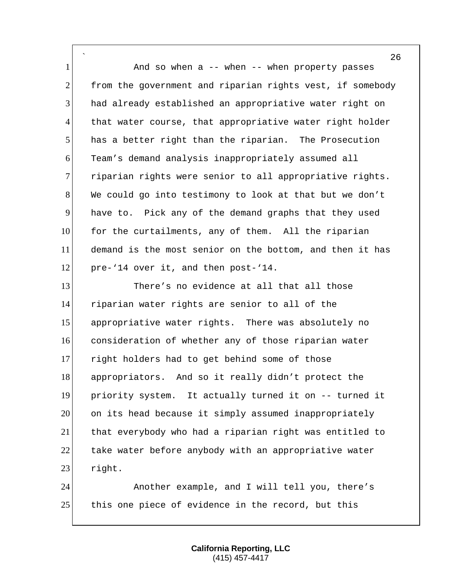` 1 and so when a -- when -- when property passes 2 from the government and riparian rights vest, if somebody had already established an appropriative water right on 4 that water course, that appropriative water right holder has a better right than the riparian. The Prosecution Team's demand analysis inappropriately assumed all 7 riparian rights were senior to all appropriative rights. We could go into testimony to look at that but we don't have to. Pick any of the demand graphs that they used 10 for the curtailments, any of them. All the riparian demand is the most senior on the bottom, and then it has 12 pre-'14 over it, and then post-'14.

 There's no evidence at all that all those riparian water rights are senior to all of the appropriative water rights. There was absolutely no consideration of whether any of those riparian water right holders had to get behind some of those appropriators. And so it really didn't protect the priority system. It actually turned it on -- turned it on its head because it simply assumed inappropriately that everybody who had a riparian right was entitled to 22 take water before anybody with an appropriative water right.

 Another example, and I will tell you, there's 25 this one piece of evidence in the record, but this

> **California Reporting, LLC** (415) 457-4417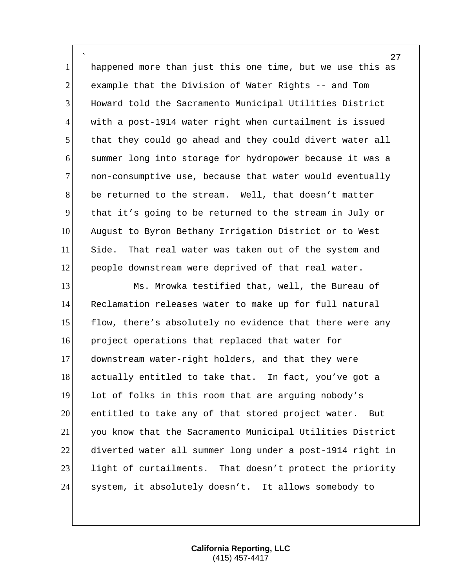` happened more than just this one time, but we use this as 2 example that the Division of Water Rights -- and Tom Howard told the Sacramento Municipal Utilities District with a post-1914 water right when curtailment is issued that they could go ahead and they could divert water all summer long into storage for hydropower because it was a 7 non-consumptive use, because that water would eventually be returned to the stream. Well, that doesn't matter that it's going to be returned to the stream in July or August to Byron Bethany Irrigation District or to West 11 Side. That real water was taken out of the system and people downstream were deprived of that real water.

13 Ms. Mrowka testified that, well, the Bureau of Reclamation releases water to make up for full natural 15 flow, there's absolutely no evidence that there were any project operations that replaced that water for downstream water-right holders, and that they were 18 actually entitled to take that. In fact, you've got a lot of folks in this room that are arguing nobody's entitled to take any of that stored project water. But you know that the Sacramento Municipal Utilities District diverted water all summer long under a post-1914 right in 23 light of curtailments. That doesn't protect the priority 24 system, it absolutely doesn't. It allows somebody to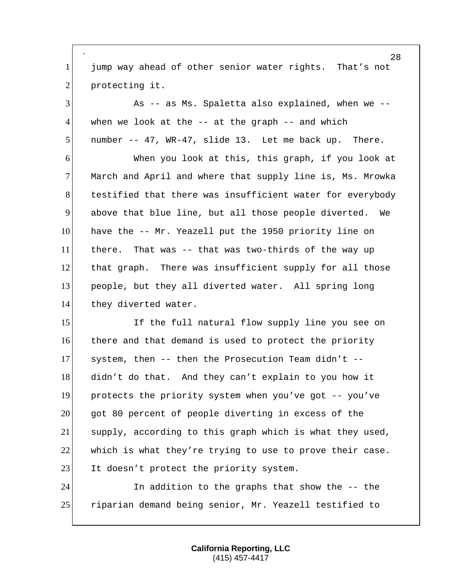` jump way ahead of other senior water rights. That's not 2 protecting it.

 As -- as Ms. Spaletta also explained, when we -- when we look at the  $-$  at the graph  $-$  and which number -- 47, WR-47, slide 13. Let me back up. There.

 When you look at this, this graph, if you look at 7 March and April and where that supply line is, Ms. Mrowka 8 testified that there was insufficient water for everybody above that blue line, but all those people diverted. We have the -- Mr. Yeazell put the 1950 priority line on there. That was -- that was two-thirds of the way up that graph. There was insufficient supply for all those people, but they all diverted water. All spring long 14 they diverted water.

15 If the full natural flow supply line you see on there and that demand is used to protect the priority 17 system, then  $--$  then the Prosecution Team didn't  $--$  didn't do that. And they can't explain to you how it protects the priority system when you've got -- you've got 80 percent of people diverting in excess of the supply, according to this graph which is what they used, which is what they're trying to use to prove their case. 23 It doesn't protect the priority system.

 In addition to the graphs that show the -- the riparian demand being senior, Mr. Yeazell testified to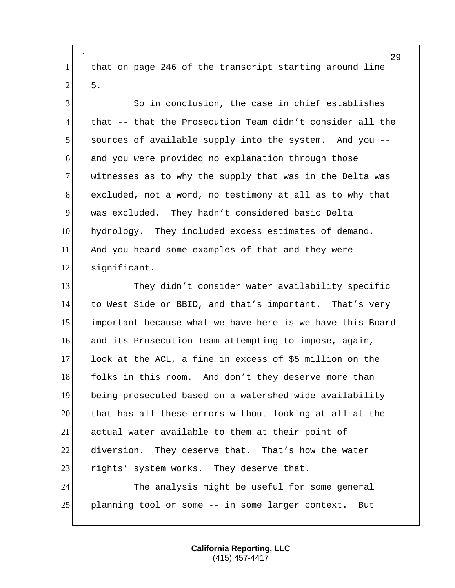` that on page 246 of the transcript starting around line  $2 \mid 5$ .

 So in conclusion, the case in chief establishes that -- that the Prosecution Team didn't consider all the sources of available supply into the system. And you -- and you were provided no explanation through those 7 witnesses as to why the supply that was in the Delta was excluded, not a word, no testimony at all as to why that was excluded. They hadn't considered basic Delta hydrology. They included excess estimates of demand. And you heard some examples of that and they were significant.

 They didn't consider water availability specific to West Side or BBID, and that's important. That's very important because what we have here is we have this Board and its Prosecution Team attempting to impose, again, look at the ACL, a fine in excess of \$5 million on the 18 folks in this room. And don't they deserve more than being prosecuted based on a watershed-wide availability that has all these errors without looking at all at the actual water available to them at their point of diversion. They deserve that. That's how the water 23 rights' system works. They deserve that. The analysis might be useful for some general

planning tool or some -- in some larger context. But

**California Reporting, LLC** (415) 457-4417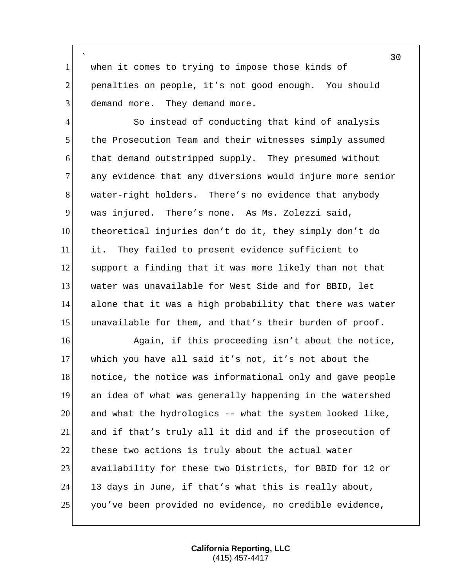` 1 when it comes to trying to impose those kinds of 2 penalties on people, it's not good enough. You should 3 demand more. They demand more.

4 So instead of conducting that kind of analysis the Prosecution Team and their witnesses simply assumed that demand outstripped supply. They presumed without 7 any evidence that any diversions would injure more senior 8 water-right holders. There's no evidence that anybody was injured. There's none. As Ms. Zolezzi said, theoretical injuries don't do it, they simply don't do it. They failed to present evidence sufficient to support a finding that it was more likely than not that water was unavailable for West Side and for BBID, let alone that it was a high probability that there was water unavailable for them, and that's their burden of proof.

16 Again, if this proceeding isn't about the notice, which you have all said it's not, it's not about the **notice, the notice was informational only and gave people**  an idea of what was generally happening in the watershed and what the hydrologics -- what the system looked like, and if that's truly all it did and if the prosecution of 22 these two actions is truly about the actual water availability for these two Districts, for BBID for 12 or 13 days in June, if that's what this is really about, you've been provided no evidence, no credible evidence,

> **California Reporting, LLC** (415) 457-4417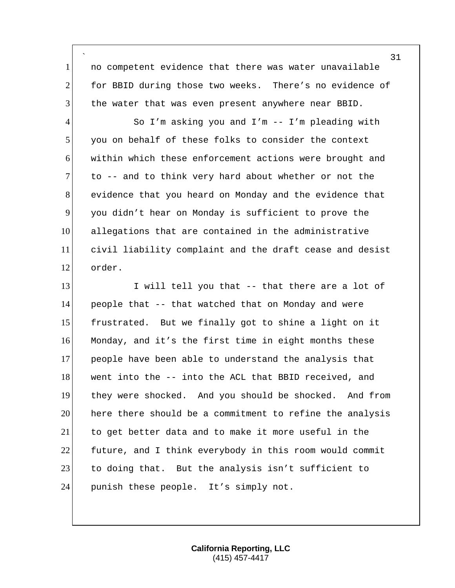` no competent evidence that there was water unavailable for BBID during those two weeks. There's no evidence of the water that was even present anywhere near BBID.

4 So I'm asking you and I'm -- I'm pleading with you on behalf of these folks to consider the context within which these enforcement actions were brought and to  $-$  and to think very hard about whether or not the 8 evidence that you heard on Monday and the evidence that you didn't hear on Monday is sufficient to prove the allegations that are contained in the administrative civil liability complaint and the draft cease and desist order.

13 I will tell you that -- that there are a lot of people that -- that watched that on Monday and were frustrated. But we finally got to shine a light on it Monday, and it's the first time in eight months these people have been able to understand the analysis that 18 went into the -- into the ACL that BBID received, and they were shocked. And you should be shocked. And from here there should be a commitment to refine the analysis to get better data and to make it more useful in the future, and I think everybody in this room would commit to doing that. But the analysis isn't sufficient to 24 punish these people. It's simply not.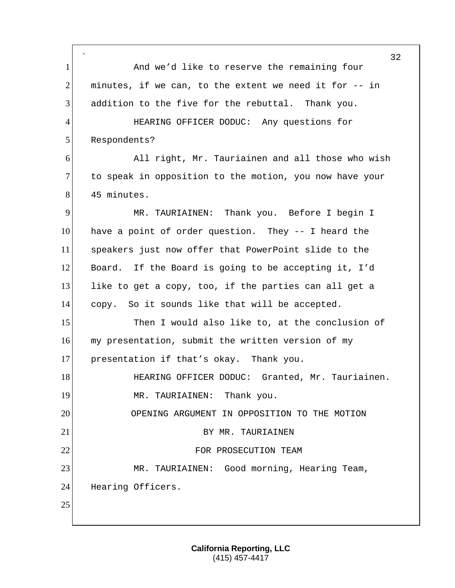` 32 1 And we'd like to reserve the remaining four 2 minutes, if we can, to the extent we need it for -- in  $3$  addition to the five for the rebuttal. Thank you. 4 HEARING OFFICER DODUC: Any questions for 5 Respondents? 6 All right, Mr. Tauriainen and all those who wish 7 to speak in opposition to the motion, you now have your 8 45 minutes. 9 MR. TAURIAINEN: Thank you. Before I begin I 10 have a point of order question. They -- I heard the 11 speakers just now offer that PowerPoint slide to the 12 Board. If the Board is going to be accepting it, I'd 13 like to get a copy, too, if the parties can all get a 14 copy. So it sounds like that will be accepted. 15 Then I would also like to, at the conclusion of 16 my presentation, submit the written version of my 17 presentation if that's okay. Thank you. 18 HEARING OFFICER DODUC: Granted, Mr. Tauriainen. 19 MR. TAURIAINEN: Thank you. 20 OPENING ARGUMENT IN OPPOSITION TO THE MOTION 21 BY MR. TAURIAINEN 22 FOR PROSECUTION TEAM 23 MR. TAURIAINEN: Good morning, Hearing Team, 24 Hearing Officers. 25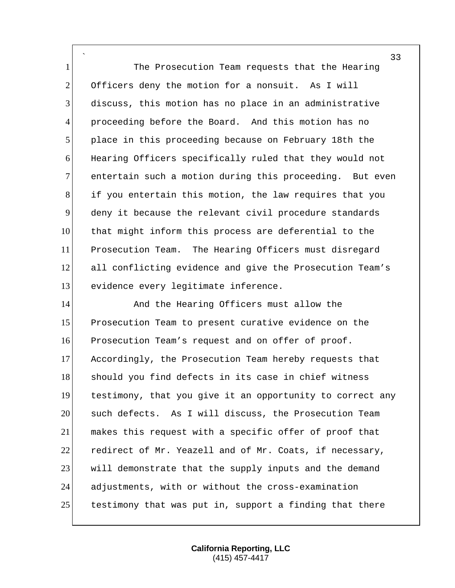` The Prosecution Team requests that the Hearing 2 Officers deny the motion for a nonsuit. As I will discuss, this motion has no place in an administrative proceeding before the Board. And this motion has no place in this proceeding because on February 18th the Hearing Officers specifically ruled that they would not 7 entertain such a motion during this proceeding. But even if you entertain this motion, the law requires that you deny it because the relevant civil procedure standards that might inform this process are deferential to the Prosecution Team. The Hearing Officers must disregard 12 all conflicting evidence and give the Prosecution Team's 13 evidence every legitimate inference.

14 And the Hearing Officers must allow the Prosecution Team to present curative evidence on the Prosecution Team's request and on offer of proof. Accordingly, the Prosecution Team hereby requests that 18 should you find defects in its case in chief witness testimony, that you give it an opportunity to correct any such defects. As I will discuss, the Prosecution Team makes this request with a specific offer of proof that redirect of Mr. Yeazell and of Mr. Coats, if necessary, 23 will demonstrate that the supply inputs and the demand adjustments, with or without the cross-examination 25 testimony that was put in, support a finding that there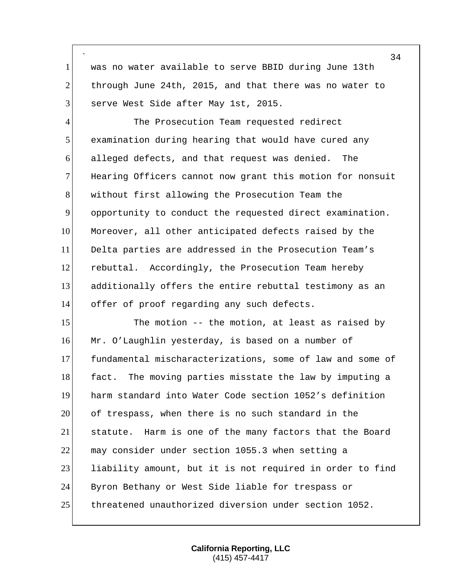` 1 was no water available to serve BBID during June 13th 2 through June 24th, 2015, and that there was no water to 3 serve West Side after May 1st, 2015.

4 The Prosecution Team requested redirect examination during hearing that would have cured any alleged defects, and that request was denied. The 7 Hearing Officers cannot now grant this motion for nonsuit without first allowing the Prosecution Team the opportunity to conduct the requested direct examination. 10 Moreover, all other anticipated defects raised by the Delta parties are addressed in the Prosecution Team's rebuttal. Accordingly, the Prosecution Team hereby additionally offers the entire rebuttal testimony as an 14 offer of proof regarding any such defects.

15 The motion -- the motion, at least as raised by 16 Mr. O'Laughlin yesterday, is based on a number of fundamental mischaracterizations, some of law and some of 18 fact. The moving parties misstate the law by imputing a harm standard into Water Code section 1052's definition of trespass, when there is no such standard in the statute. Harm is one of the many factors that the Board may consider under section 1055.3 when setting a 23 liability amount, but it is not required in order to find Byron Bethany or West Side liable for trespass or threatened unauthorized diversion under section 1052.

34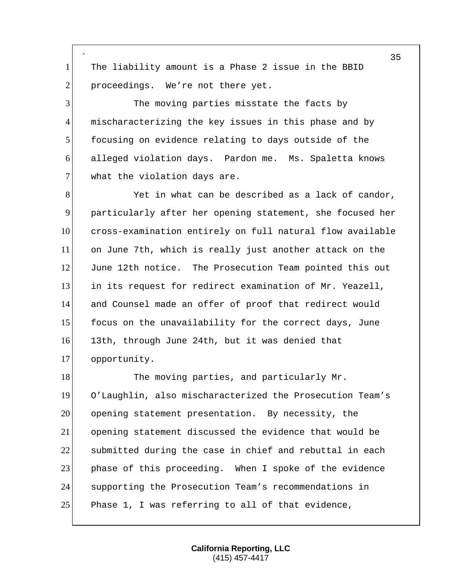` 1 The liability amount is a Phase 2 issue in the BBID 2 proceedings. We're not there yet.

 The moving parties misstate the facts by 4 mischaracterizing the key issues in this phase and by focusing on evidence relating to days outside of the alleged violation days. Pardon me. Ms. Spaletta knows what the violation days are.

8 Yet in what can be described as a lack of candor, particularly after her opening statement, she focused her cross-examination entirely on full natural flow available on June 7th, which is really just another attack on the June 12th notice. The Prosecution Team pointed this out in its request for redirect examination of Mr. Yeazell, and Counsel made an offer of proof that redirect would 15 focus on the unavailability for the correct days, June 13th, through June 24th, but it was denied that opportunity.

18 The moving parties, and particularly Mr. O'Laughlin, also mischaracterized the Prosecution Team's opening statement presentation. By necessity, the opening statement discussed the evidence that would be submitted during the case in chief and rebuttal in each 23 phase of this proceeding. When I spoke of the evidence supporting the Prosecution Team's recommendations in 25 Phase 1, I was referring to all of that evidence,

> **California Reporting, LLC** (415) 457-4417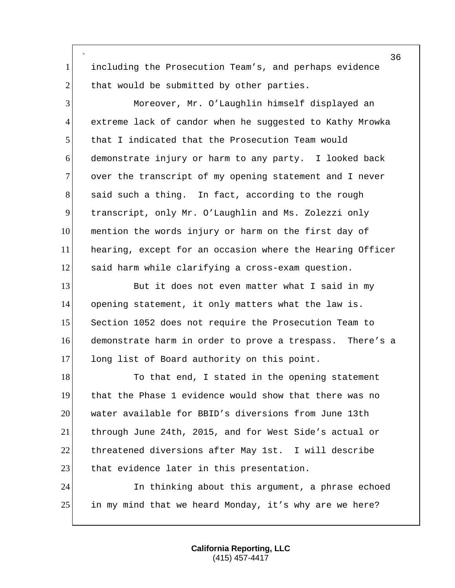` 1 including the Prosecution Team's, and perhaps evidence  $2$  that would be submitted by other parties.

3 Moreover, Mr. O'Laughlin himself displayed an 4 extreme lack of candor when he suggested to Kathy Mrowka 5 that I indicated that the Prosecution Team would 6 demonstrate injury or harm to any party. I looked back 7 over the transcript of my opening statement and I never 8 said such a thing. In fact, according to the rough 9 transcript, only Mr. O'Laughlin and Ms. Zolezzi only 10 mention the words injury or harm on the first day of 11 hearing, except for an occasion where the Hearing Officer 12 said harm while clarifying a cross-exam question.

13 But it does not even matter what I said in my 14 opening statement, it only matters what the law is. 15 Section 1052 does not require the Prosecution Team to 16 demonstrate harm in order to prove a trespass. There's a 17 long list of Board authority on this point.

18 To that end, I stated in the opening statement 19 that the Phase 1 evidence would show that there was no 20 water available for BBID's diversions from June 13th 21 through June 24th, 2015, and for West Side's actual or 22 threatened diversions after May 1st. I will describe 23 that evidence later in this presentation.

24 In thinking about this argument, a phrase echoed 25 in my mind that we heard Monday, it's why are we here?

> **California Reporting, LLC** (415) 457-4417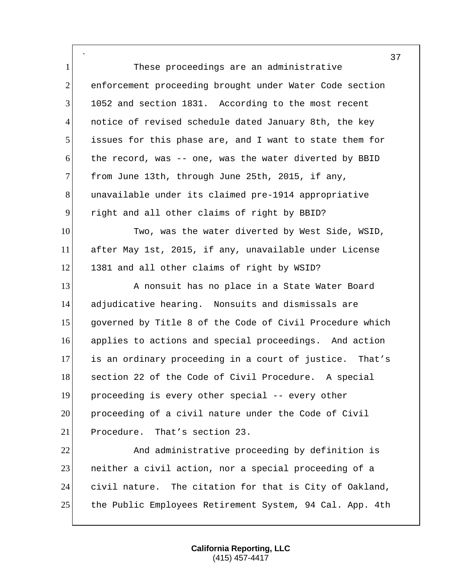` 1 These proceedings are an administrative 2 enforcement proceeding brought under Water Code section 3 1052 and section 1831. According to the most recent 4 notice of revised schedule dated January 8th, the key 5 issues for this phase are, and I want to state them for 6 the record, was -- one, was the water diverted by BBID 7 from June 13th, through June 25th, 2015, if any, 8 unavailable under its claimed pre-1914 appropriative 9 right and all other claims of right by BBID? 10 Two, was the water diverted by West Side, WSID, 11 after May 1st, 2015, if any, unavailable under License 12 1381 and all other claims of right by WSID? 13 A nonsuit has no place in a State Water Board 14 adjudicative hearing. Nonsuits and dismissals are 15 governed by Title 8 of the Code of Civil Procedure which 16 applies to actions and special proceedings. And action 17 is an ordinary proceeding in a court of justice. That's 18 section 22 of the Code of Civil Procedure. A special 19 proceeding is every other special -- every other 20 proceeding of a civil nature under the Code of Civil 21 Procedure. That's section 23. 22 And administrative proceeding by definition is 23 **1** neither a civil action, nor a special proceeding of a 24 civil nature. The citation for that is City of Oakland,

> **California Reporting, LLC** (415) 457-4417

25 the Public Employees Retirement System, 94 Cal. App. 4th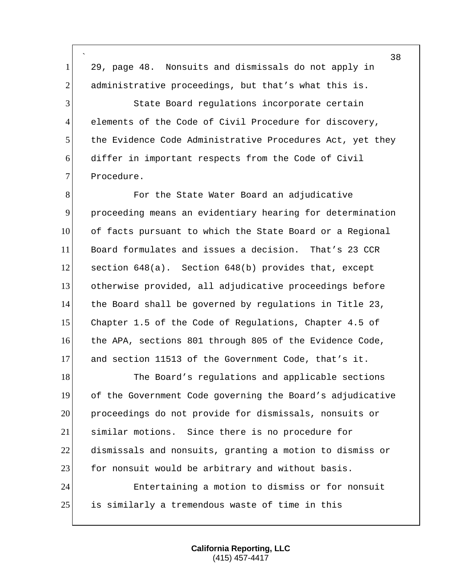` 29, page 48. Nonsuits and dismissals do not apply in 2 administrative proceedings, but that's what this is. State Board regulations incorporate certain 4 elements of the Code of Civil Procedure for discovery, 5 the Evidence Code Administrative Procedures Act, yet they differ in important respects from the Code of Civil 7 Procedure. **For the State Water Board an adjudicative**  proceeding means an evidentiary hearing for determination of facts pursuant to which the State Board or a Regional Board formulates and issues a decision. That's 23 CCR section 648(a). Section 648(b) provides that, except otherwise provided, all adjudicative proceedings before 14 the Board shall be governed by regulations in Title 23, Chapter 1.5 of the Code of Regulations, Chapter 4.5 of the APA, sections 801 through 805 of the Evidence Code, and section 11513 of the Government Code, that's it. 18 The Board's regulations and applicable sections of the Government Code governing the Board's adjudicative proceedings do not provide for dismissals, nonsuits or similar motions. Since there is no procedure for dismissals and nonsuits, granting a motion to dismiss or 23 for nonsuit would be arbitrary and without basis. Entertaining a motion to dismiss or for nonsuit is similarly a tremendous waste of time in this

> **California Reporting, LLC** (415) 457-4417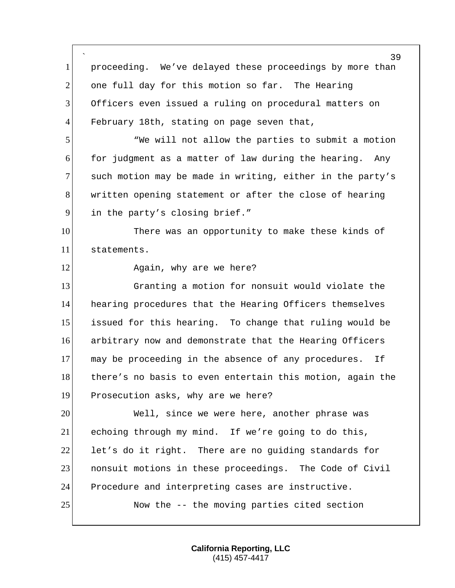` 39 1 proceeding. We've delayed these proceedings by more than 2 one full day for this motion so far. The Hearing 3 Officers even issued a ruling on procedural matters on 4 February 18th, stating on page seven that, 5 "We will not allow the parties to submit a motion 6 for judgment as a matter of law during the hearing. Any 7 such motion may be made in writing, either in the party's 8 written opening statement or after the close of hearing 9 in the party's closing brief." 10 There was an opportunity to make these kinds of 11 statements. 12 Again, why are we here? 13 Granting a motion for nonsuit would violate the 14 hearing procedures that the Hearing Officers themselves 15 issued for this hearing. To change that ruling would be 16 arbitrary now and demonstrate that the Hearing Officers 17 may be proceeding in the absence of any procedures. If 18 there's no basis to even entertain this motion, again the 19 Prosecution asks, why are we here? 20 Well, since we were here, another phrase was 21 echoing through my mind. If we're going to do this, 22 let's do it right. There are no quiding standards for 23 **nonsuit motions in these proceedings.** The Code of Civil 24 Procedure and interpreting cases are instructive. 25 Now the -- the moving parties cited section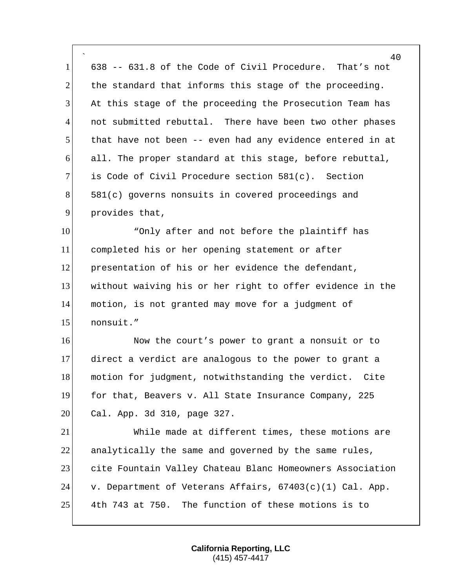` 40<br>That's not 638 -- 631.8 of the Code of Civil Procedure. the standard that informs this stage of the proceeding. At this stage of the proceeding the Prosecution Team has not submitted rebuttal. There have been two other phases that have not been -- even had any evidence entered in at all. The proper standard at this stage, before rebuttal, is Code of Civil Procedure section 581(c). Section 581(c) governs nonsuits in covered proceedings and 9 provides that, 10 The "Only after and not before the plaintiff has

 completed his or her opening statement or after presentation of his or her evidence the defendant, without waiving his or her right to offer evidence in the motion, is not granted may move for a judgment of nonsuit."

16 16 Now the court's power to grant a nonsuit or to direct a verdict are analogous to the power to grant a 18 motion for judgment, notwithstanding the verdict. Cite for that, Beavers v. All State Insurance Company, 225 20 Cal. App. 3d 310, page 327.

 While made at different times, these motions are 22 analytically the same and governed by the same rules, cite Fountain Valley Chateau Blanc Homeowners Association 24 v. Department of Veterans Affairs,  $67403(c)(1)$  Cal. App. 4th 743 at 750. The function of these motions is to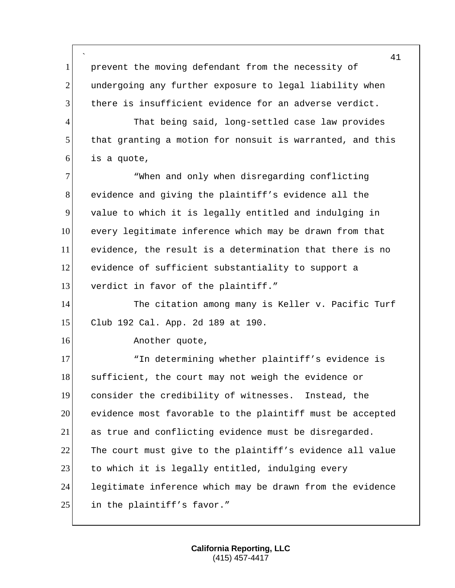` 41 1 prevent the moving defendant from the necessity of 2 undergoing any further exposure to legal liability when 3 there is insufficient evidence for an adverse verdict. 4 That being said, long-settled case law provides 5 that granting a motion for nonsuit is warranted, and this  $6$  is a quote, 7 When and only when disregarding conflicting 8 evidence and giving the plaintiff's evidence all the 9 value to which it is legally entitled and indulging in 10 every legitimate inference which may be drawn from that 11 evidence, the result is a determination that there is no 12 evidence of sufficient substantiality to support a 13 verdict in favor of the plaintiff." 14 The citation among many is Keller v. Pacific Turf 15 Club 192 Cal. App. 2d 189 at 190. 16 Another quote, 17 The determining whether plaintiff's evidence is 18 sufficient, the court may not weigh the evidence or 19 consider the credibility of witnesses. Instead, the 20 evidence most favorable to the plaintiff must be accepted 21 as true and conflicting evidence must be disregarded. 22 The court must give to the plaintiff's evidence all value 23 to which it is legally entitled, indulging every 24 legitimate inference which may be drawn from the evidence 25 in the plaintiff's favor."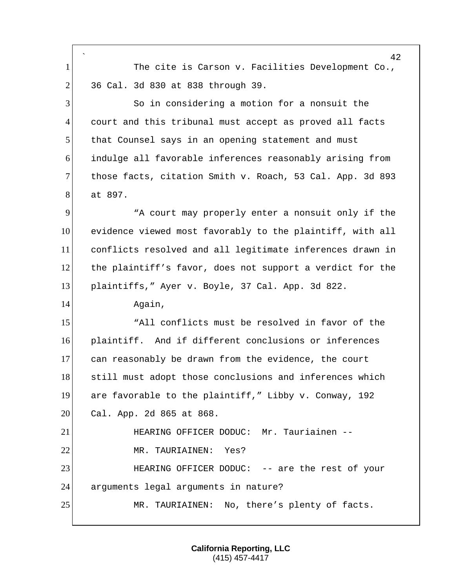` 42 1 The cite is Carson v. Facilities Development Co., 2 36 Cal. 3d 830 at 838 through 39. 3 So in considering a motion for a nonsuit the 4 court and this tribunal must accept as proved all facts 5 that Counsel says in an opening statement and must 6 indulge all favorable inferences reasonably arising from 7 those facts, citation Smith v. Roach, 53 Cal. App. 3d 893 8 at 897. 9 "A court may properly enter a nonsuit only if the 10 evidence viewed most favorably to the plaintiff, with all 11 conflicts resolved and all legitimate inferences drawn in 12 the plaintiff's favor, does not support a verdict for the 13 plaintiffs," Ayer v. Boyle, 37 Cal. App. 3d 822. 14 Again, 15 "All conflicts must be resolved in favor of the 16 plaintiff. And if different conclusions or inferences 17 can reasonably be drawn from the evidence, the court 18 still must adopt those conclusions and inferences which 19 are favorable to the plaintiff," Libby v. Conway, 192 20 Cal. App. 2d 865 at 868. 21 HEARING OFFICER DODUC: Mr. Tauriainen -- 22 MR. TAURIAINEN: Yes? 23 HEARING OFFICER DODUC: -- are the rest of your 24 arguments legal arguments in nature? 25 MR. TAURIAINEN: No, there's plenty of facts.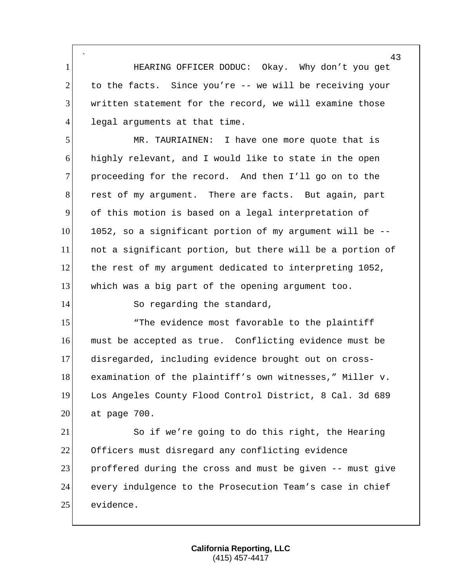` 1 HEARING OFFICER DODUC: Okay. Why don't you get  $2$  to the facts. Since you're -- we will be receiving your 3 written statement for the record, we will examine those 4 legal arguments at that time.

5 MR. TAURIAINEN: I have one more quote that is 6 highly relevant, and I would like to state in the open 7 proceeding for the record. And then I'll go on to the 8 rest of my argument. There are facts. But again, part 9 of this motion is based on a legal interpretation of  $10$  1052, so a significant portion of my argument will be  $-$ -11 not a significant portion, but there will be a portion of 12 the rest of my argument dedicated to interpreting 1052, 13 which was a big part of the opening argument too.

14 So regarding the standard,

15 The evidence most favorable to the plaintiff must be accepted as true. Conflicting evidence must be disregarded, including evidence brought out on cross- examination of the plaintiff's own witnesses," Miller v. Los Angeles County Flood Control District, 8 Cal. 3d 689 20 at page 700.

 So if we're going to do this right, the Hearing Officers must disregard any conflicting evidence proffered during the cross and must be given -- must give every indulgence to the Prosecution Team's case in chief 25 evidence.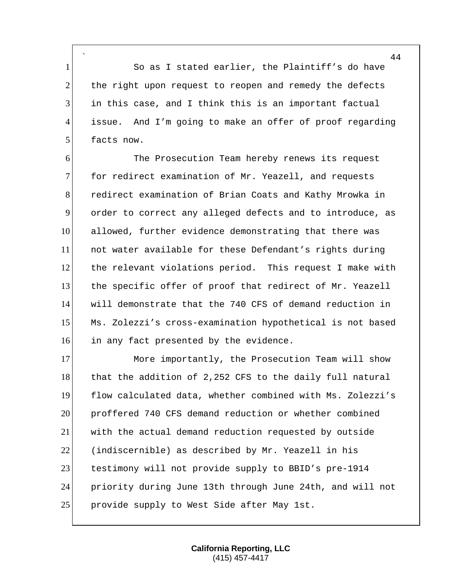` 1 So as I stated earlier, the Plaintiff's do have 2 the right upon request to reopen and remedy the defects 3 in this case, and I think this is an important factual 4 issue. And I'm going to make an offer of proof regarding 5 facts now.

6 The Prosecution Team hereby renews its request 7 for redirect examination of Mr. Yeazell, and requests 8 redirect examination of Brian Coats and Kathy Mrowka in 9 order to correct any alleged defects and to introduce, as 10 allowed, further evidence demonstrating that there was 11 not water available for these Defendant's rights during 12 the relevant violations period. This request I make with 13 the specific offer of proof that redirect of Mr. Yeazell 14 will demonstrate that the 740 CFS of demand reduction in 15 Ms. Zolezzi's cross-examination hypothetical is not based 16 in any fact presented by the evidence.

17 More importantly, the Prosecution Team will show 18 that the addition of 2,252 CFS to the daily full natural flow calculated data, whether combined with Ms. Zolezzi's proffered 740 CFS demand reduction or whether combined with the actual demand reduction requested by outside (indiscernible) as described by Mr. Yeazell in his testimony will not provide supply to BBID's pre-1914 priority during June 13th through June 24th, and will not 25 provide supply to West Side after May 1st.

> **California Reporting, LLC** (415) 457-4417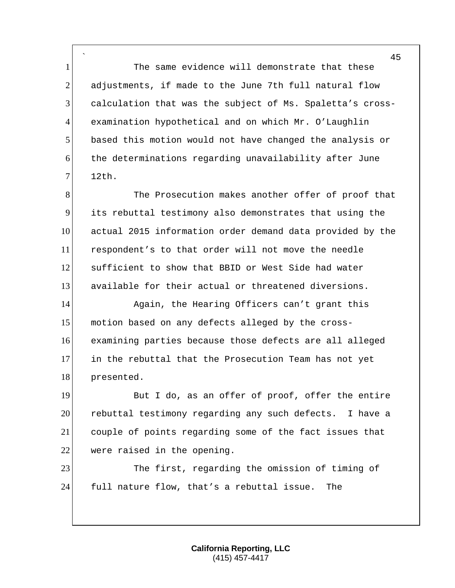` 1 The same evidence will demonstrate that these 2 adjustments, if made to the June 7th full natural flow calculation that was the subject of Ms. Spaletta's cross- examination hypothetical and on which Mr. O'Laughlin based this motion would not have changed the analysis or the determinations regarding unavailability after June 12th.

8 The Prosecution makes another offer of proof that its rebuttal testimony also demonstrates that using the actual 2015 information order demand data provided by the respondent's to that order will not move the needle sufficient to show that BBID or West Side had water available for their actual or threatened diversions.

14 Again, the Hearing Officers can't grant this 15 motion based on any defects alleged by the cross- examining parties because those defects are all alleged in the rebuttal that the Prosecution Team has not yet 18 presented.

19 But I do, as an offer of proof, offer the entire rebuttal testimony regarding any such defects. I have a couple of points regarding some of the fact issues that were raised in the opening.

23 The first, regarding the omission of timing of full nature flow, that's a rebuttal issue. The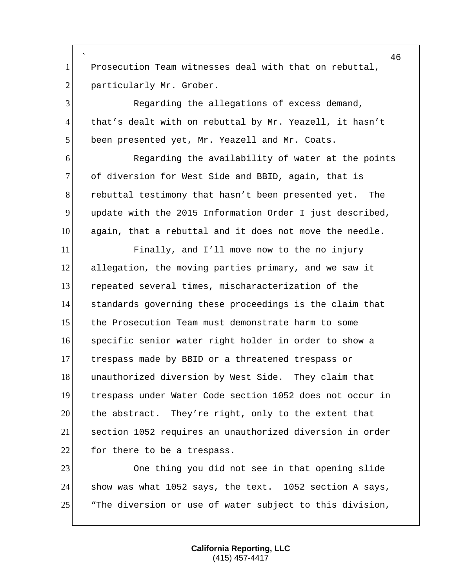` 1 Prosecution Team witnesses deal with that on rebuttal, 2 particularly Mr. Grober.

 Regarding the allegations of excess demand, 4 that's dealt with on rebuttal by Mr. Yeazell, it hasn't 5 been presented yet, Mr. Yeazell and Mr. Coats.

6 Regarding the availability of water at the points 7 of diversion for West Side and BBID, again, that is rebuttal testimony that hasn't been presented yet. The update with the 2015 Information Order I just described, again, that a rebuttal and it does not move the needle.

 Finally, and I'll move now to the no injury allegation, the moving parties primary, and we saw it repeated several times, mischaracterization of the standards governing these proceedings is the claim that the Prosecution Team must demonstrate harm to some specific senior water right holder in order to show a trespass made by BBID or a threatened trespass or 18 unauthorized diversion by West Side. They claim that trespass under Water Code section 1052 does not occur in the abstract. They're right, only to the extent that section 1052 requires an unauthorized diversion in order for there to be a trespass.

 One thing you did not see in that opening slide show was what 1052 says, the text. 1052 section A says, 25 The diversion or use of water subject to this division,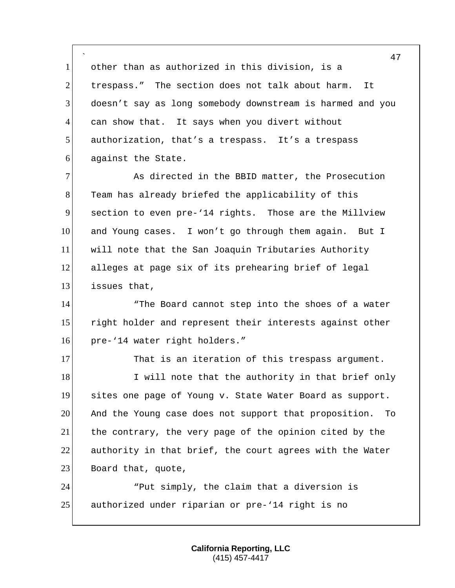` other than as authorized in this division, is a trespass." The section does not talk about harm. It doesn't say as long somebody downstream is harmed and you can show that. It says when you divert without authorization, that's a trespass. It's a trespass against the State.

 As directed in the BBID matter, the Prosecution 8 Team has already briefed the applicability of this section to even pre-'14 rights. Those are the Millview and Young cases. I won't go through them again. But I will note that the San Joaquin Tributaries Authority alleges at page six of its prehearing brief of legal issues that,

14 The Board cannot step into the shoes of a water 15 right holder and represent their interests against other pre-'14 water right holders."

17 That is an iteration of this trespass argument. 18 I will note that the authority in that brief only sites one page of Young v. State Water Board as support. And the Young case does not support that proposition. To the contrary, the very page of the opinion cited by the authority in that brief, the court agrees with the Water 23 Board that, quote,

 "Put simply, the claim that a diversion is authorized under riparian or pre-'14 right is no

> **California Reporting, LLC** (415) 457-4417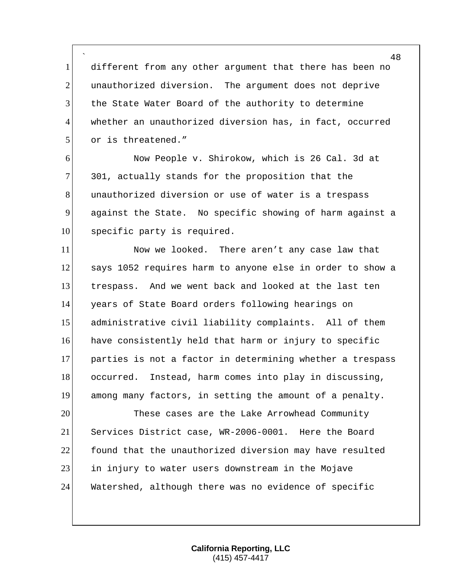` 1 different from any other argument that there has been no 2 unauthorized diversion. The argument does not deprive 3 the State Water Board of the authority to determine 4 whether an unauthorized diversion has, in fact, occurred 5 or is threatened."

6 Now People v. Shirokow, which is 26 Cal. 3d at 7 301, actually stands for the proposition that the 8 8 unauthorized diversion or use of water is a trespass 9 against the State. No specific showing of harm against a 10 specific party is required.

11 Now we looked. There aren't any case law that 12 says 1052 requires harm to anyone else in order to show a 13 trespass. And we went back and looked at the last ten 14 years of State Board orders following hearings on 15 administrative civil liability complaints. All of them 16 have consistently held that harm or injury to specific 17 parties is not a factor in determining whether a trespass 18 occurred. Instead, harm comes into play in discussing, 19 among many factors, in setting the amount of a penalty.

 These cases are the Lake Arrowhead Community Services District case, WR-2006-0001. Here the Board found that the unauthorized diversion may have resulted in injury to water users downstream in the Mojave 24 Watershed, although there was no evidence of specific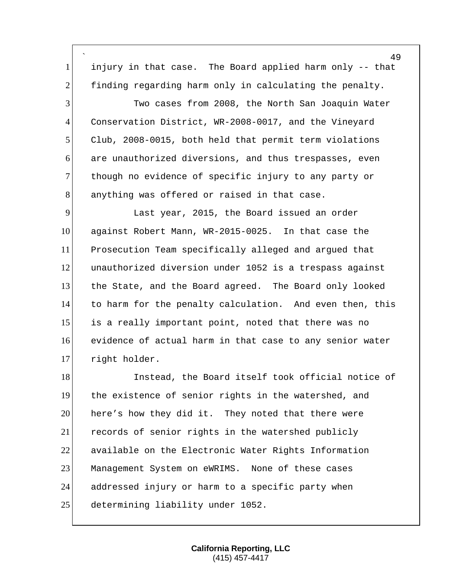` injury in that case. The Board applied harm only -- that 2 finding regarding harm only in calculating the penalty.

 Two cases from 2008, the North San Joaquin Water Conservation District, WR-2008-0017, and the Vineyard Club, 2008-0015, both held that permit term violations are unauthorized diversions, and thus trespasses, even 7 though no evidence of specific injury to any party or 8 anything was offered or raised in that case.

 Last year, 2015, the Board issued an order against Robert Mann, WR-2015-0025. In that case the Prosecution Team specifically alleged and argued that unauthorized diversion under 1052 is a trespass against the State, and the Board agreed. The Board only looked to harm for the penalty calculation. And even then, this is a really important point, noted that there was no evidence of actual harm in that case to any senior water right holder.

18 Instead, the Board itself took official notice of the existence of senior rights in the watershed, and here's how they did it. They noted that there were 21 records of senior rights in the watershed publicly available on the Electronic Water Rights Information Management System on eWRIMS. None of these cases 24 addressed injury or harm to a specific party when 25 determining liability under 1052.

> **California Reporting, LLC** (415) 457-4417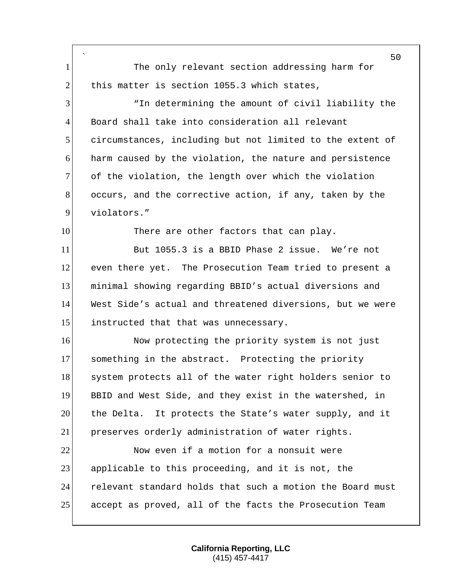` 50 1 The only relevant section addressing harm for 2 this matter is section 1055.3 which states, 3 "In determining the amount of civil liability the 4 Board shall take into consideration all relevant 5 circumstances, including but not limited to the extent of 6 harm caused by the violation, the nature and persistence 7 of the violation, the length over which the violation 8 occurs, and the corrective action, if any, taken by the 9 violators." 10 There are other factors that can play. 11 But 1055.3 is a BBID Phase 2 issue. We're not 12 even there yet. The Prosecution Team tried to present a 13 minimal showing regarding BBID's actual diversions and 14 West Side's actual and threatened diversions, but we were 15 instructed that that was unnecessary. 16 Now protecting the priority system is not just 17 something in the abstract. Protecting the priority 18 system protects all of the water right holders senior to 19 BBID and West Side, and they exist in the watershed, in 20 the Delta. It protects the State's water supply, and it 21 preserves orderly administration of water rights. 22 Now even if a motion for a nonsuit were 23 applicable to this proceeding, and it is not, the 24 relevant standard holds that such a motion the Board must 25 accept as proved, all of the facts the Prosecution Team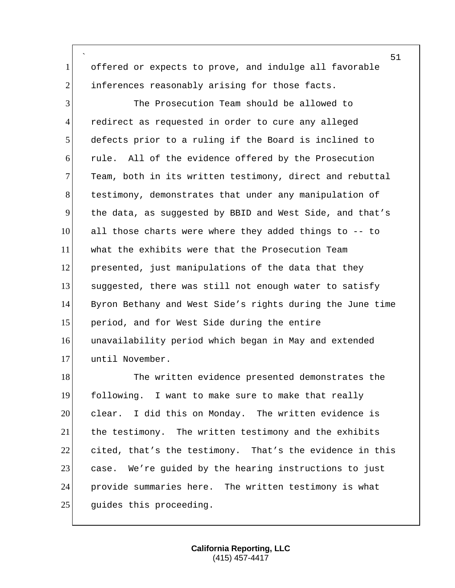` offered or expects to prove, and indulge all favorable 2 inferences reasonably arising for those facts.

 The Prosecution Team should be allowed to redirect as requested in order to cure any alleged defects prior to a ruling if the Board is inclined to 6 rule. All of the evidence offered by the Prosecution 7 Team, both in its written testimony, direct and rebuttal 8 testimony, demonstrates that under any manipulation of the data, as suggested by BBID and West Side, and that's all those charts were where they added things to -- to what the exhibits were that the Prosecution Team presented, just manipulations of the data that they suggested, there was still not enough water to satisfy Byron Bethany and West Side's rights during the June time period, and for West Side during the entire unavailability period which began in May and extended until November.

18 The written evidence presented demonstrates the following. I want to make sure to make that really clear. I did this on Monday. The written evidence is the testimony. The written testimony and the exhibits cited, that's the testimony. That's the evidence in this 23 case. We're guided by the hearing instructions to just provide summaries here. The written testimony is what 25 guides this proceeding.

> **California Reporting, LLC** (415) 457-4417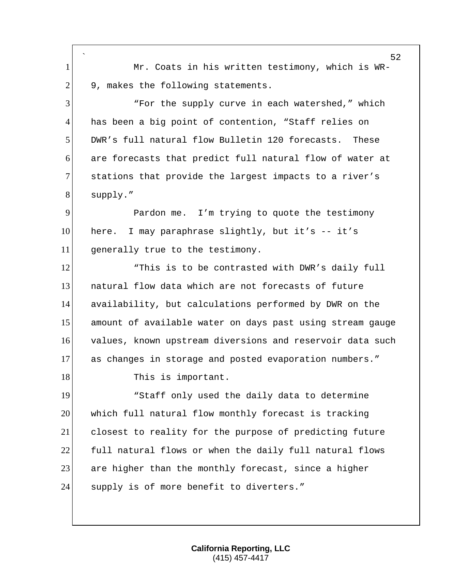` 1 Mr. Coats in his written testimony, which is WR- $2$  9, makes the following statements. 3 "For the supply curve in each watershed," which 4 has been a big point of contention, "Staff relies on 5 DWR's full natural flow Bulletin 120 forecasts. These 6 are forecasts that predict full natural flow of water at 7 stations that provide the largest impacts to a river's 8 supply." 9 Pardon me. I'm trying to quote the testimony 10 here. I may paraphrase slightly, but it's -- it's 11 generally true to the testimony. 12 This is to be contrasted with DWR's daily full 13 natural flow data which are not forecasts of future 14 availability, but calculations performed by DWR on the 15 amount of available water on days past using stream gauge 16 values, known upstream diversions and reservoir data such 17 as changes in storage and posted evaporation numbers." 18 This is important. 19 The Staff only used the daily data to determine 20 which full natural flow monthly forecast is tracking 21 closest to reality for the purpose of predicting future 22 full natural flows or when the daily full natural flows 23 are higher than the monthly forecast, since a higher 24 Supply is of more benefit to diverters."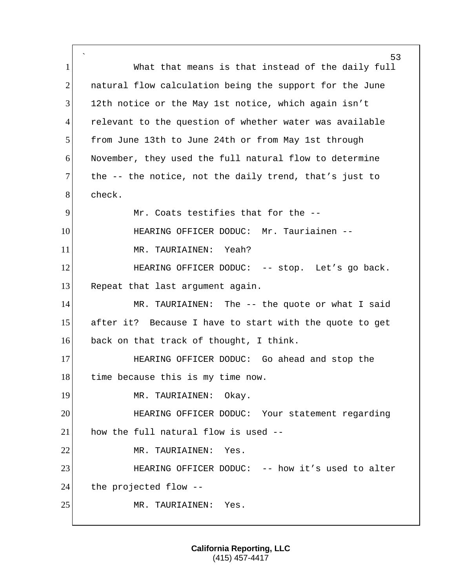` 53 1 What that means is that instead of the daily full 2 natural flow calculation being the support for the June 3 12th notice or the May 1st notice, which again isn't 4 relevant to the question of whether water was available 5 from June 13th to June 24th or from May 1st through 6 November, they used the full natural flow to determine  $7$  the  $-$ - the notice, not the daily trend, that's just to 8 check. 9 Mr. Coats testifies that for the --10 HEARING OFFICER DODUC: Mr. Tauriainen -- 11 MR. TAURIAINEN: Yeah? 12 **HEARING OFFICER DODUC:** -- stop. Let's go back. 13 Repeat that last argument again. 14 MR. TAURIAINEN: The -- the quote or what I said 15 after it? Because I have to start with the quote to get 16 back on that track of thought, I think. 17 HEARING OFFICER DODUC: Go ahead and stop the 18 time because this is my time now. 19 MR. TAURIAINEN: Okay. 20 HEARING OFFICER DODUC: Your statement regarding 21 how the full natural flow is used --22 MR. TAURIAINEN: Yes. 23 **HEARING OFFICER DODUC:** -- how it's used to alter 24 the projected flow --25 MR. TAURIAINEN: Yes.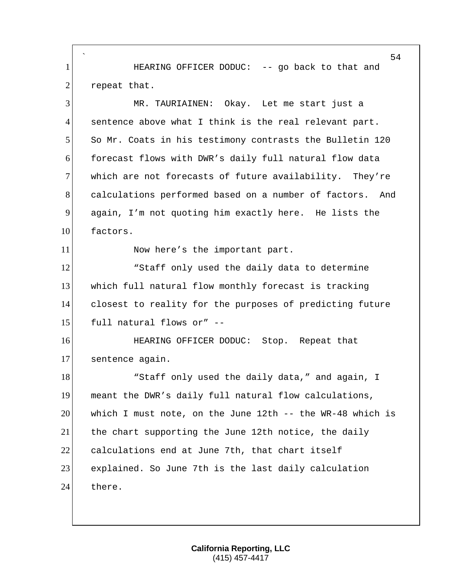` 54 1 **Inclust HEARING OFFICER DODUC:** -- go back to that and 2 repeat that. 3 MR. TAURIAINEN: Okay. Let me start just a 4 sentence above what I think is the real relevant part. 5 So Mr. Coats in his testimony contrasts the Bulletin 120 6 forecast flows with DWR's daily full natural flow data 7 which are not forecasts of future availability. They're 8 calculations performed based on a number of factors. And 9 again, I'm not quoting him exactly here. He lists the 10 factors. 11 Now here's the important part. 12 The Staff only used the daily data to determine 13 which full natural flow monthly forecast is tracking 14 closest to reality for the purposes of predicting future  $15$  full natural flows or" --16 **HEARING OFFICER DODUC:** Stop. Repeat that 17 sentence again. 18 18 Note is the daily data," and again, I 19 meant the DWR's daily full natural flow calculations, 20 which I must note, on the June 12th -- the WR-48 which is 21 the chart supporting the June 12th notice, the daily 22 calculations end at June 7th, that chart itself 23 explained. So June 7th is the last daily calculation 24 there.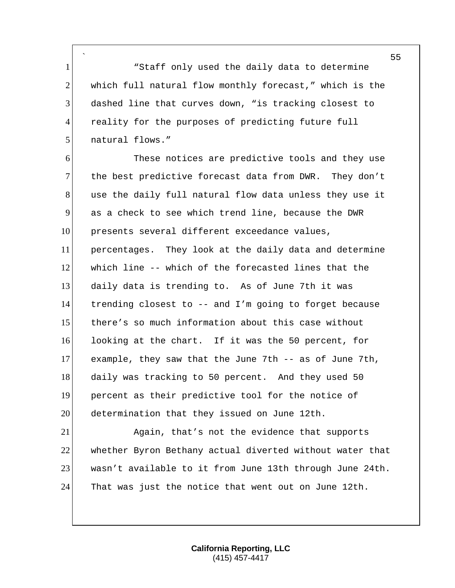` 1 The Staff only used the daily data to determine 2 which full natural flow monthly forecast," which is the dashed line that curves down, "is tracking closest to reality for the purposes of predicting future full 5 natural flows."

 These notices are predictive tools and they use 7 the best predictive forecast data from DWR. They don't 8 use the daily full natural flow data unless they use it as a check to see which trend line, because the DWR presents several different exceedance values, percentages. They look at the daily data and determine which line -- which of the forecasted lines that the daily data is trending to. As of June 7th it was trending closest to -- and I'm going to forget because there's so much information about this case without looking at the chart. If it was the 50 percent, for example, they saw that the June 7th -- as of June 7th, 18 daily was tracking to 50 percent. And they used 50 percent as their predictive tool for the notice of determination that they issued on June 12th.

 Again, that's not the evidence that supports whether Byron Bethany actual diverted without water that wasn't available to it from June 13th through June 24th. That was just the notice that went out on June 12th.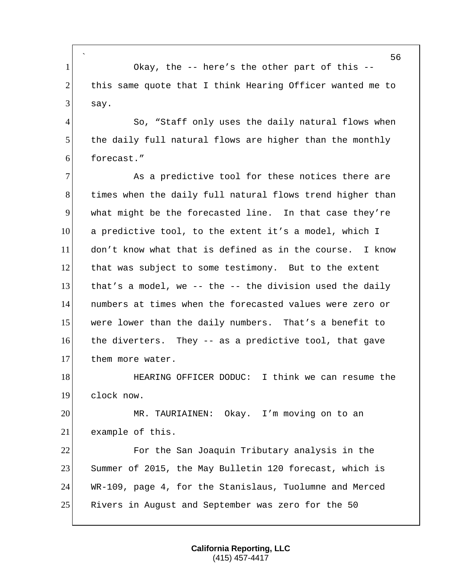` 1 Okay, the -- here's the other part of this -- 2 this same quote that I think Hearing Officer wanted me to  $3$  say.

4 So, "Staff only uses the daily natural flows when 5 the daily full natural flows are higher than the monthly 6 forecast."

7 As a predictive tool for these notices there are 8 times when the daily full natural flows trend higher than 9 what might be the forecasted line. In that case they're 10 a predictive tool, to the extent it's a model, which I 11 don't know what that is defined as in the course. I know 12 that was subject to some testimony. But to the extent 13 that's a model, we -- the  $-$ - the division used the daily 14 numbers at times when the forecasted values were zero or 15 were lower than the daily numbers. That's a benefit to 16 the diverters. They -- as a predictive tool, that gave 17 them more water.

18 **HEARING OFFICER DODUC:** I think we can resume the 19 clock now.

20 MR. TAURIAINEN: Okay. I'm moving on to an 21 example of this.

 For the San Joaquin Tributary analysis in the Summer of 2015, the May Bulletin 120 forecast, which is WR-109, page 4, for the Stanislaus, Tuolumne and Merced 25 Rivers in August and September was zero for the 50

> **California Reporting, LLC** (415) 457-4417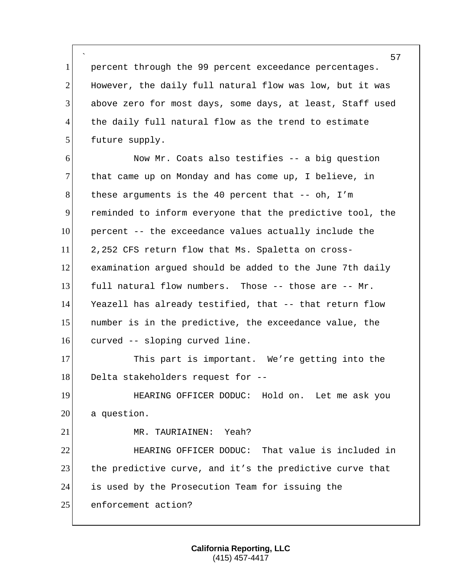` 1 percent through the 99 percent exceedance percentages.  $2$  However, the daily full natural flow was low, but it was 3 above zero for most days, some days, at least, Staff used 4 the daily full natural flow as the trend to estimate 5 future supply.

6 Now Mr. Coats also testifies -- a big question 7 that came up on Monday and has come up, I believe, in 8 these arguments is the 40 percent that  $--$  oh, I'm 9 reminded to inform everyone that the predictive tool, the 10 percent -- the exceedance values actually include the 11 2,252 CFS return flow that Ms. Spaletta on cross-12 examination argued should be added to the June 7th daily 13 full natural flow numbers. Those  $--$  those are  $--$  Mr. 14 Yeazell has already testified, that -- that return flow 15 number is in the predictive, the exceedance value, the 16 curved -- sloping curved line.

17 This part is important. We're getting into the  $18$  Delta stakeholders request for  $-$ -

19 HEARING OFFICER DODUC: Hold on. Let me ask you 20 a question.

21 MR. TAURIAINEN: Yeah?

22 **HEARING OFFICER DODUC:** That value is included in 23 the predictive curve, and it's the predictive curve that 24 is used by the Prosecution Team for issuing the 25 enforcement action?

> **California Reporting, LLC** (415) 457-4417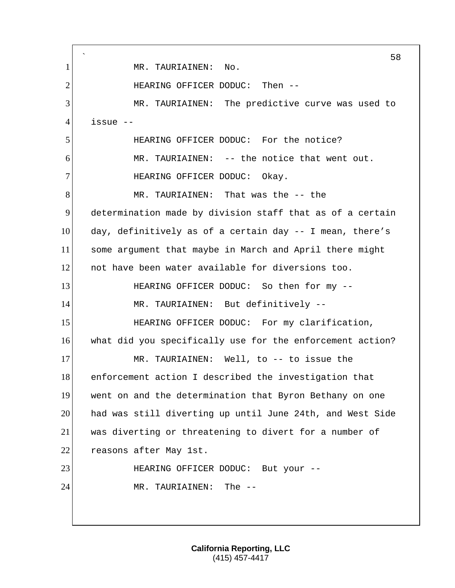` 58 1 MR. TAURIAINEN: No. 2 HEARING OFFICER DODUC: Then --3 MR. TAURIAINEN: The predictive curve was used to 4 issue -- 5 HEARING OFFICER DODUC: For the notice? 6 MR. TAURIAINEN: -- the notice that went out. 7 HEARING OFFICER DODUC: Okay. 8 MR. TAURIAINEN: That was the -- the 9 determination made by division staff that as of a certain 10 day, definitively as of a certain day -- I mean, there's 11 some argument that maybe in March and April there might 12 not have been water available for diversions too. 13 HEARING OFFICER DODUC: So then for my --14 MR. TAURIAINEN: But definitively --15 HEARING OFFICER DODUC: For my clarification, 16 what did you specifically use for the enforcement action? 17 MR. TAURIAINEN: Well, to -- to issue the 18 enforcement action I described the investigation that 19 went on and the determination that Byron Bethany on one 20 had was still diverting up until June 24th, and West Side 21 was diverting or threatening to divert for a number of 22 reasons after May 1st. 23 HEARING OFFICER DODUC: But your --24 MR. TAURIAINEN: The --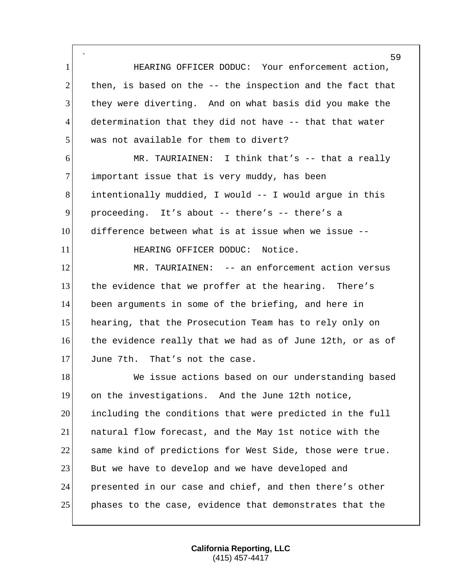` **HEARING OFFICER DODUC:** Your enforcement action, then, is based on the  $-$  the inspection and the fact that they were diverting. And on what basis did you make the determination that they did not have -- that that water 5 was not available for them to divert? MR. TAURIAINEN: I think that's -- that a really 7 important issue that is very muddy, has been intentionally muddied, I would -- I would argue in this proceeding. It's about -- there's -- there's a difference between what is at issue when we issue -- **HEARING OFFICER DODUC:** Notice. 12 MR. TAURIAINEN: -- an enforcement action versus 13 the evidence that we proffer at the hearing. There's been arguments in some of the briefing, and here in 15 hearing, that the Prosecution Team has to rely only on the evidence really that we had as of June 12th, or as of June 7th. That's not the case. 18 We issue actions based on our understanding based on the investigations. And the June 12th notice, including the conditions that were predicted in the full natural flow forecast, and the May 1st notice with the 22 same kind of predictions for West Side, those were true. 23 But we have to develop and we have developed and presented in our case and chief, and then there's other phases to the case, evidence that demonstrates that the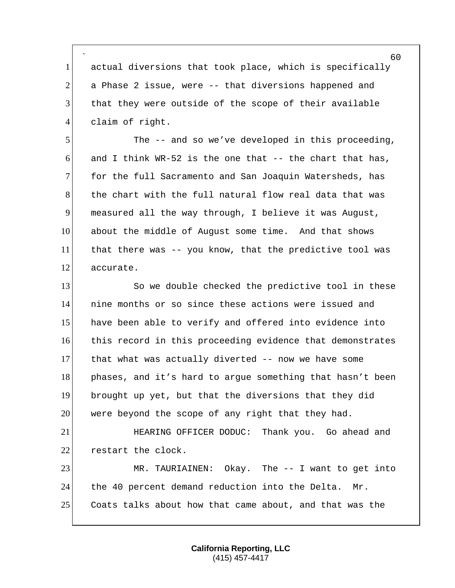` 1 actual diversions that took place, which is specifically 2 a Phase 2 issue, were -- that diversions happened and 3 that they were outside of the scope of their available 4 claim of right.

5 The -- and so we've developed in this proceeding, 6 and I think WR-52 is the one that  $-$ - the chart that has, 7 for the full Sacramento and San Joaquin Watersheds, has 8 the chart with the full natural flow real data that was 9 measured all the way through, I believe it was August, 10 about the middle of August some time. And that shows 11 that there was -- you know, that the predictive tool was 12 accurate.

13 So we double checked the predictive tool in these nine months or so since these actions were issued and have been able to verify and offered into evidence into this record in this proceeding evidence that demonstrates that what was actually diverted -- now we have some 18 phases, and it's hard to argue something that hasn't been brought up yet, but that the diversions that they did 20 were beyond the scope of any right that they had.

21 HEARING OFFICER DODUC: Thank you. Go ahead and 22 restart the clock.

23 MR. TAURIAINEN: Okay. The -- I want to get into 24 the 40 percent demand reduction into the Delta. Mr. 25 Coats talks about how that came about, and that was the

> **California Reporting, LLC** (415) 457-4417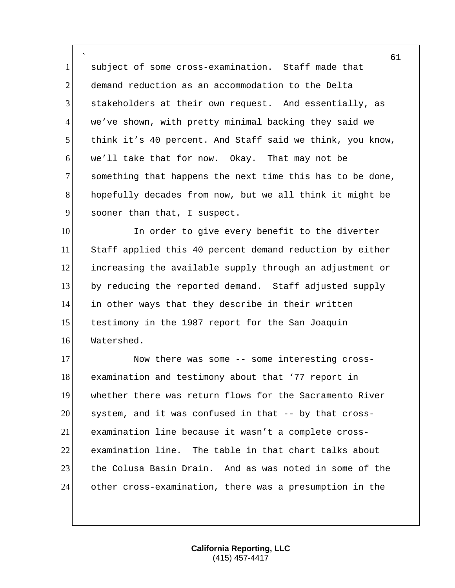` subject of some cross-examination. Staff made that demand reduction as an accommodation to the Delta stakeholders at their own request. And essentially, as 4 we've shown, with pretty minimal backing they said we think it's 40 percent. And Staff said we think, you know, we'll take that for now. Okay. That may not be something that happens the next time this has to be done, hopefully decades from now, but we all think it might be 9 sooner than that, I suspect.

10 In order to give every benefit to the diverter Staff applied this 40 percent demand reduction by either increasing the available supply through an adjustment or by reducing the reported demand. Staff adjusted supply in other ways that they describe in their written 15 testimony in the 1987 report for the San Joaquin Watershed.

17 Now there was some -- some interesting cross- examination and testimony about that '77 report in whether there was return flows for the Sacramento River system, and it was confused in that -- by that cross- examination line because it wasn't a complete cross- examination line. The table in that chart talks about 23 the Colusa Basin Drain. And as was noted in some of the other cross-examination, there was a presumption in the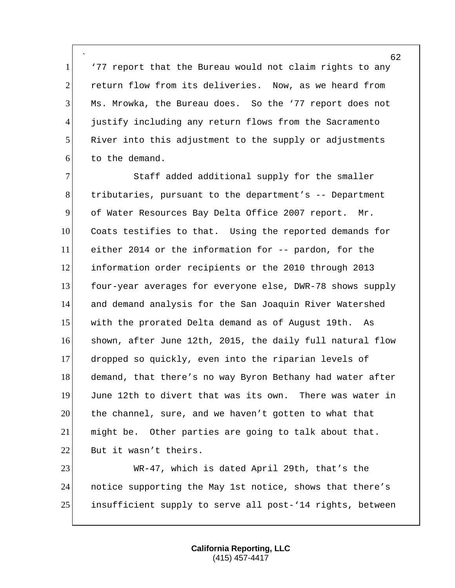` '77 report that the Bureau would not claim rights to any return flow from its deliveries. Now, as we heard from Ms. Mrowka, the Bureau does. So the '77 report does not justify including any return flows from the Sacramento River into this adjustment to the supply or adjustments to the demand.

 Staff added additional supply for the smaller 8 18 tributaries, pursuant to the department's -- Department of Water Resources Bay Delta Office 2007 report. Mr. Coats testifies to that. Using the reported demands for either 2014 or the information for -- pardon, for the 12 information order recipients or the 2010 through 2013 four-year averages for everyone else, DWR-78 shows supply and demand analysis for the San Joaquin River Watershed with the prorated Delta demand as of August 19th. As 16 shown, after June 12th, 2015, the daily full natural flow dropped so quickly, even into the riparian levels of 18 demand, that there's no way Byron Bethany had water after June 12th to divert that was its own. There was water in the channel, sure, and we haven't gotten to what that might be. Other parties are going to talk about that. But it wasn't theirs.

 WR-47, which is dated April 29th, that's the notice supporting the May 1st notice, shows that there's insufficient supply to serve all post-'14 rights, between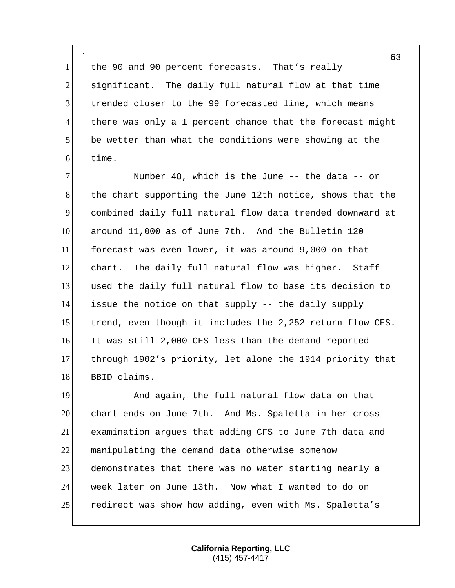` 1 the 90 and 90 percent forecasts. That's really 2 significant. The daily full natural flow at that time 3 trended closer to the 99 forecasted line, which means 4 there was only a 1 percent chance that the forecast might 5 be wetter than what the conditions were showing at the 6 time.

7 Number 48, which is the June -- the data -- or 8 the chart supporting the June 12th notice, shows that the 9 combined daily full natural flow data trended downward at 10 around 11,000 as of June 7th. And the Bulletin 120 11 forecast was even lower, it was around 9,000 on that 12 chart. The daily full natural flow was higher. Staff 13 used the daily full natural flow to base its decision to 14 issue the notice on that supply -- the daily supply 15 trend, even though it includes the 2,252 return flow CFS. 16 It was still 2,000 CFS less than the demand reported 17 through 1902's priority, let alone the 1914 priority that 18 BBID claims.

19 And again, the full natural flow data on that 20 chart ends on June 7th. And Ms. Spaletta in her cross-21 examination argues that adding CFS to June 7th data and 22 manipulating the demand data otherwise somehow 23 demonstrates that there was no water starting nearly a 24 week later on June 13th. Now what I wanted to do on 25 redirect was show how adding, even with Ms. Spaletta's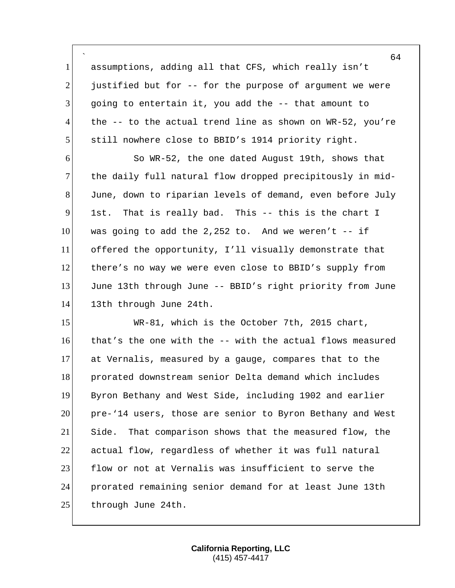` assumptions, adding all that CFS, which really isn't justified but for  $-$  for the purpose of argument we were going to entertain it, you add the -- that amount to the  $-$  to the actual trend line as shown on WR-52, you're still nowhere close to BBID's 1914 priority right.

 So WR-52, the one dated August 19th, shows that 7 the daily full natural flow dropped precipitously in mid- June, down to riparian levels of demand, even before July 1st. That is really bad. This -- this is the chart I was going to add the 2,252 to. And we weren't  $-$  if offered the opportunity, I'll visually demonstrate that there's no way we were even close to BBID's supply from June 13th through June -- BBID's right priority from June 14 13th through June 24th.

 WR-81, which is the October 7th, 2015 chart,  $\mid$  that's the one with the  $\sim$ - with the actual flows measured at Vernalis, measured by a gauge, compares that to the 18 prorated downstream senior Delta demand which includes Byron Bethany and West Side, including 1902 and earlier pre-'14 users, those are senior to Byron Bethany and West Side. That comparison shows that the measured flow, the actual flow, regardless of whether it was full natural 23 flow or not at Vernalis was insufficient to serve the prorated remaining senior demand for at least June 13th 25 through June 24th.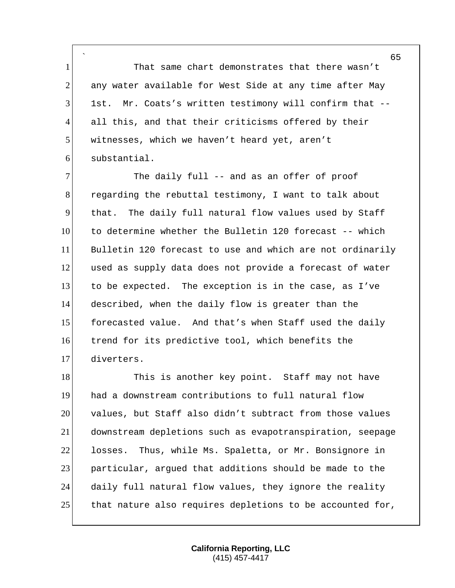` 1 That same chart demonstrates that there wasn't any water available for West Side at any time after May 1st. Mr. Coats's written testimony will confirm that -- all this, and that their criticisms offered by their 5 witnesses, which we haven't heard yet, aren't substantial.

7 The daily full -- and as an offer of proof regarding the rebuttal testimony, I want to talk about that. The daily full natural flow values used by Staff to determine whether the Bulletin 120 forecast -- which Bulletin 120 forecast to use and which are not ordinarily used as supply data does not provide a forecast of water to be expected. The exception is in the case, as I've described, when the daily flow is greater than the 15 forecasted value. And that's when Staff used the daily trend for its predictive tool, which benefits the diverters.

18 This is another key point. Staff may not have had a downstream contributions to full natural flow values, but Staff also didn't subtract from those values downstream depletions such as evapotranspiration, seepage losses. Thus, while Ms. Spaletta, or Mr. Bonsignore in particular, argued that additions should be made to the daily full natural flow values, they ignore the reality 25 that nature also requires depletions to be accounted for,

> **California Reporting, LLC** (415) 457-4417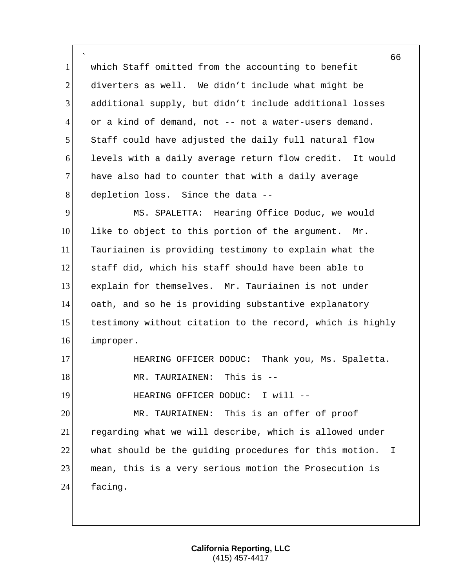` 1 which Staff omitted from the accounting to benefit 2 diverters as well. We didn't include what might be 3 additional supply, but didn't include additional losses 4 or a kind of demand, not -- not a water-users demand. 5 Staff could have adjusted the daily full natural flow 6 levels with a daily average return flow credit. It would 7 have also had to counter that with a daily average 8 depletion loss. Since the data --9 MS. SPALETTA: Hearing Office Doduc, we would

 like to object to this portion of the argument. Mr. Tauriainen is providing testimony to explain what the staff did, which his staff should have been able to explain for themselves. Mr. Tauriainen is not under oath, and so he is providing substantive explanatory 15 testimony without citation to the record, which is highly improper.

17 HEARING OFFICER DODUC: Thank you, Ms. Spaletta. 18 MR. TAURIAINEN: This is --19 HEARING OFFICER DODUC: I will --20 MR. TAURIAINEN: This is an offer of proof

21 regarding what we will describe, which is allowed under 22 what should be the guiding procedures for this motion. I 23 mean, this is a very serious motion the Prosecution is 24 facing.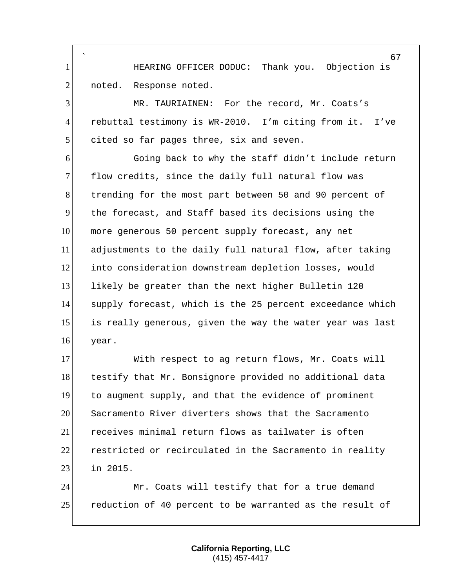` **INCO HEARING OFFICER DODUC:** Thank you. Objection is 2 noted. Response noted.

 MR. TAURIAINEN: For the record, Mr. Coats's rebuttal testimony is WR-2010. I'm citing from it. I've 5 cited so far pages three, six and seven.

 Going back to why the staff didn't include return 7 flow credits, since the daily full natural flow was trending for the most part between 50 and 90 percent of the forecast, and Staff based its decisions using the more generous 50 percent supply forecast, any net adjustments to the daily full natural flow, after taking into consideration downstream depletion losses, would likely be greater than the next higher Bulletin 120 14 supply forecast, which is the 25 percent exceedance which 15 is really generous, given the way the water year was last year.

17 With respect to ag return flows, Mr. Coats will 18 testify that Mr. Bonsignore provided no additional data to augment supply, and that the evidence of prominent Sacramento River diverters shows that the Sacramento receives minimal return flows as tailwater is often restricted or recirculated in the Sacramento in reality in 2015.

24 Mr. Coats will testify that for a true demand reduction of 40 percent to be warranted as the result of

> **California Reporting, LLC** (415) 457-4417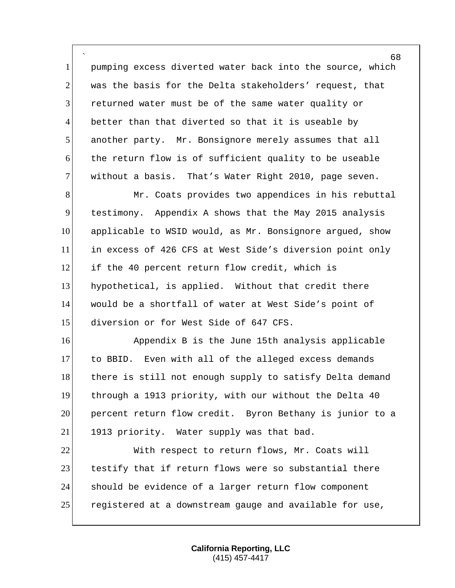` pumping excess diverted water back into the source, which 2 was the basis for the Delta stakeholders' request, that returned water must be of the same water quality or better than that diverted so that it is useable by another party. Mr. Bonsignore merely assumes that all the return flow is of sufficient quality to be useable without a basis. That's Water Right 2010, page seven.

8 Mr. Coats provides two appendices in his rebuttal testimony. Appendix A shows that the May 2015 analysis applicable to WSID would, as Mr. Bonsignore argued, show in excess of 426 CFS at West Side's diversion point only 12 if the 40 percent return flow credit, which is hypothetical, is applied. Without that credit there would be a shortfall of water at West Side's point of 15 diversion or for West Side of 647 CFS.

16 Appendix B is the June 15th analysis applicable to BBID. Even with all of the alleged excess demands 18 there is still not enough supply to satisfy Delta demand through a 1913 priority, with our without the Delta 40 percent return flow credit. Byron Bethany is junior to a 21 1913 priority. Water supply was that bad.

 With respect to return flows, Mr. Coats will 23 testify that if return flows were so substantial there should be evidence of a larger return flow component registered at a downstream gauge and available for use,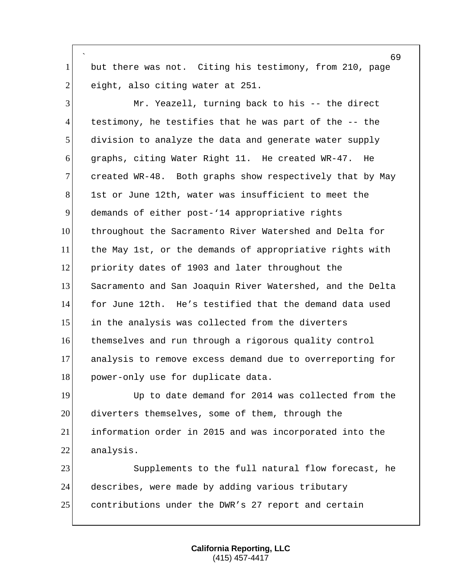` 1 but there was not. Citing his testimony, from 210, page  $2$  eight, also citing water at 251.

 Mr. Yeazell, turning back to his -- the direct testimony, he testifies that he was part of the -- the 5 division to analyze the data and generate water supply graphs, citing Water Right 11. He created WR-47. He 7 created WR-48. Both graphs show respectively that by May 8 1st or June 12th, water was insufficient to meet the demands of either post-'14 appropriative rights throughout the Sacramento River Watershed and Delta for 11 the May 1st, or the demands of appropriative rights with priority dates of 1903 and later throughout the Sacramento and San Joaquin River Watershed, and the Delta for June 12th. He's testified that the demand data used in the analysis was collected from the diverters themselves and run through a rigorous quality control analysis to remove excess demand due to overreporting for 18 power-only use for duplicate data.

19 Up to date demand for 2014 was collected from the 20 diverters themselves, some of them, through the 21 information order in 2015 and was incorporated into the 22 analysis.

23 Supplements to the full natural flow forecast, he 24 describes, were made by adding various tributary 25 contributions under the DWR's 27 report and certain

> **California Reporting, LLC** (415) 457-4417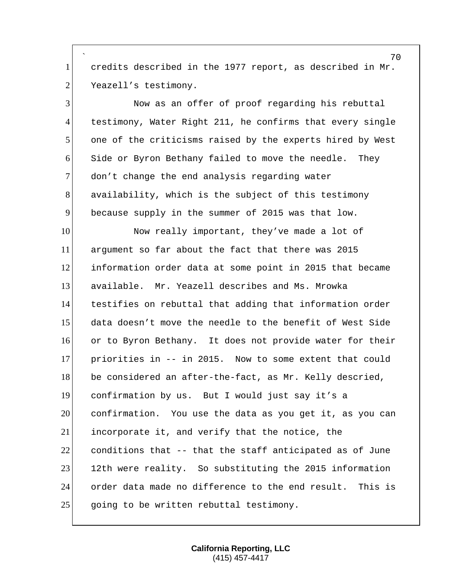` credits described in the 1977 report, as described in Mr. 2 Yeazell's testimony.

 Now as an offer of proof regarding his rebuttal testimony, Water Right 211, he confirms that every single one of the criticisms raised by the experts hired by West Side or Byron Bethany failed to move the needle. They 7 don't change the end analysis regarding water availability, which is the subject of this testimony because supply in the summer of 2015 was that low.

 Now really important, they've made a lot of argument so far about the fact that there was 2015 information order data at some point in 2015 that became available. Mr. Yeazell describes and Ms. Mrowka testifies on rebuttal that adding that information order data doesn't move the needle to the benefit of West Side or to Byron Bethany. It does not provide water for their priorities in -- in 2015. Now to some extent that could 18 be considered an after-the-fact, as Mr. Kelly descried, confirmation by us. But I would just say it's a confirmation. You use the data as you get it, as you can incorporate it, and verify that the notice, the conditions that  $-$ - that the staff anticipated as of June 23 12th were reality. So substituting the 2015 information order data made no difference to the end result. This is 25 going to be written rebuttal testimony.

> **California Reporting, LLC** (415) 457-4417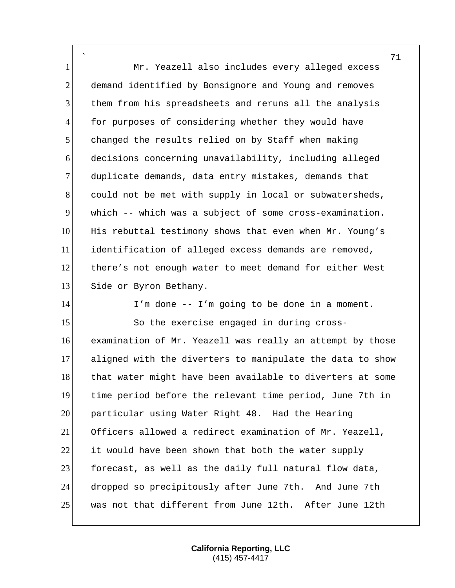` 1 Mr. Yeazell also includes every alleged excess 2 demand identified by Bonsignore and Young and removes 3 them from his spreadsheets and reruns all the analysis 4 for purposes of considering whether they would have 5 changed the results relied on by Staff when making 6 decisions concerning unavailability, including alleged 7 duplicate demands, data entry mistakes, demands that 8 could not be met with supply in local or subwatersheds, 9 which -- which was a subject of some cross-examination. 10 His rebuttal testimony shows that even when Mr. Young's 11 identification of alleged excess demands are removed, 12 there's not enough water to meet demand for either West 13 Side or Byron Bethany. 14 I'm done -- I'm going to be done in a moment. 15 So the exercise engaged in during cross-16 examination of Mr. Yeazell was really an attempt by those

17 aligned with the diverters to manipulate the data to show 18 that water might have been available to diverters at some 19 time period before the relevant time period, June 7th in 20 particular using Water Right 48. Had the Hearing 21 Officers allowed a redirect examination of Mr. Yeazell, 22 it would have been shown that both the water supply 23 forecast, as well as the daily full natural flow data, 24 dropped so precipitously after June 7th. And June 7th 25 was not that different from June 12th. After June 12th

> **California Reporting, LLC** (415) 457-4417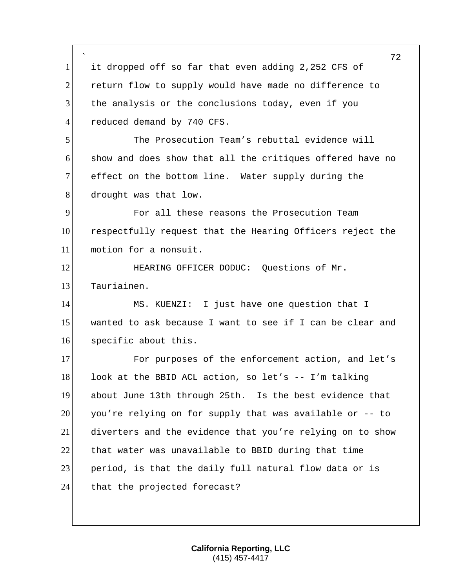|                | 72                                                        |
|----------------|-----------------------------------------------------------|
| $\mathbf{1}$   | it dropped off so far that even adding 2,252 CFS of       |
| $\overline{2}$ | return flow to supply would have made no difference to    |
| 3              | the analysis or the conclusions today, even if you        |
| $\overline{4}$ | reduced demand by 740 CFS.                                |
| 5              | The Prosecution Team's rebuttal evidence will             |
| 6              | show and does show that all the critiques offered have no |
| $\overline{7}$ | effect on the bottom line. Water supply during the        |
| 8              | drought was that low.                                     |
| 9              | For all these reasons the Prosecution Team                |
| 10             | respectfully request that the Hearing Officers reject the |
| 11             | motion for a nonsuit.                                     |
| 12             | HEARING OFFICER DODUC: Questions of Mr.                   |
| 13             | Tauriainen.                                               |
| 14             | MS. KUENZI: I just have one question that I               |
| 15             | wanted to ask because I want to see if I can be clear and |
| 16             | specific about this.                                      |
| 17             | For purposes of the enforcement action, and let's         |
| 18             | look at the BBID ACL action, so let's -- I'm talking      |
| 19             | about June 13th through 25th. Is the best evidence that   |
| 20             | you're relying on for supply that was available or -- to  |
| 21             | diverters and the evidence that you're relying on to show |
| 22             | that water was unavailable to BBID during that time       |
| 23             | period, is that the daily full natural flow data or is    |
| 24             | that the projected forecast?                              |
|                |                                                           |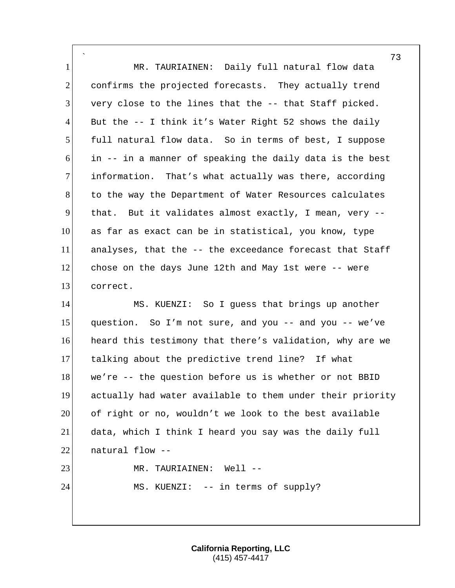` 1 MR. TAURIAINEN: Daily full natural flow data 2 confirms the projected forecasts. They actually trend  $3$  very close to the lines that the  $-$ - that Staff picked. 4 But the  $-$ - I think it's Water Right 52 shows the daily 5 full natural flow data. So in terms of best, I suppose 6 in -- in a manner of speaking the daily data is the best 7 information. That's what actually was there, according 8 to the way the Department of Water Resources calculates 9 that. But it validates almost exactly, I mean, very -- 10 as far as exact can be in statistical, you know, type 11 analyses, that the -- the exceedance forecast that Staff 12 chose on the days June 12th and May 1st were -- were 13 correct. 14 MS. KUENZI: So I guess that brings up another

15 question. So I'm not sure, and you  $-$  and you  $-$  we've 16 heard this testimony that there's validation, why are we 17 talking about the predictive trend line? If what 18 we're -- the question before us is whether or not BBID 19 actually had water available to them under their priority 20 of right or no, wouldn't we look to the best available 21 data, which I think I heard you say was the daily full  $22$  natural flow  $-$ 23 MR. TAURIAINEN: Well --24 MS. KUENZI: -- in terms of supply?

> **California Reporting, LLC** (415) 457-4417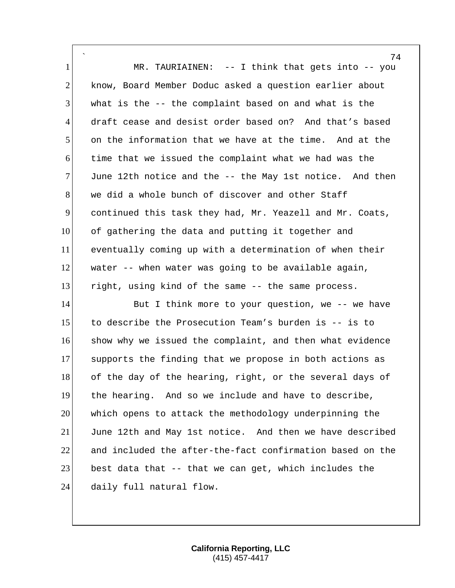` 1 MR. TAURIAINEN: -- I think that gets into -- you 2 know, Board Member Doduc asked a question earlier about what is the  $-$  the complaint based on and what is the draft cease and desist order based on? And that's based on the information that we have at the time. And at the time that we issued the complaint what we had was the June 12th notice and the  $-$  the May 1st notice. And then 8 we did a whole bunch of discover and other Staff continued this task they had, Mr. Yeazell and Mr. Coats, of gathering the data and putting it together and eventually coming up with a determination of when their water -- when water was going to be available again, right, using kind of the same -- the same process.

14 But I think more to your question, we -- we have to describe the Prosecution Team's burden is -- is to 16 show why we issued the complaint, and then what evidence supports the finding that we propose in both actions as 18 of the day of the hearing, right, or the several days of the hearing. And so we include and have to describe, which opens to attack the methodology underpinning the June 12th and May 1st notice. And then we have described and included the after-the-fact confirmation based on the 23 best data that -- that we can get, which includes the 24 daily full natural flow.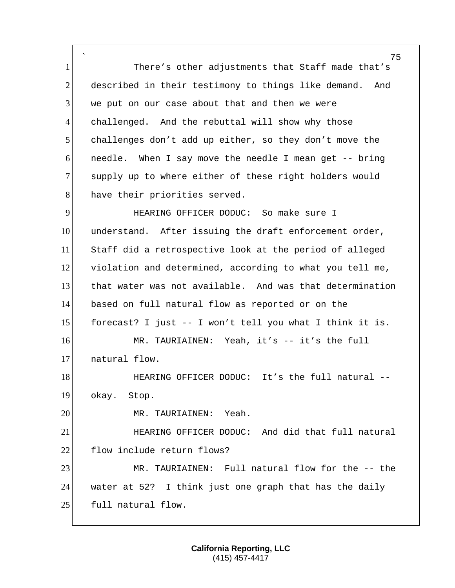` 1 There's other adjustments that Staff made that's 2 described in their testimony to things like demand. And  $3$  we put on our case about that and then we were 4 challenged. And the rebuttal will show why those 5 challenges don't add up either, so they don't move the 6 needle. When I say move the needle I mean get -- bring 7 supply up to where either of these right holders would 8 have their priorities served. 9 HEARING OFFICER DODUC: So make sure I 10 understand. After issuing the draft enforcement order,

11 Staff did a retrospective look at the period of alleged 12 violation and determined, according to what you tell me, 13 that water was not available. And was that determination 14 based on full natural flow as reported or on the 15 forecast? I just  $-$  I won't tell you what I think it is. 16 MR. TAURIAINEN: Yeah, it's -- it's the full 17 natural flow.

18 HEARING OFFICER DODUC: It's the full natural --19 okay. Stop.

20 MR. TAURIAINEN: Yeah.

21 **EXECT HEARING OFFICER DODUC:** And did that full natural 22 flow include return flows?

23 MR. TAURIAINEN: Full natural flow for the -- the 24 water at 52? I think just one graph that has the daily 25 full natural flow.

> **California Reporting, LLC** (415) 457-4417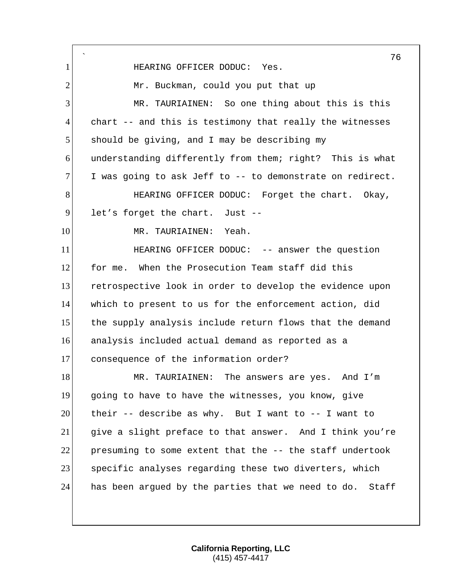` 76 1 HEARING OFFICER DODUC: Yes. 2 Mr. Buckman, could you put that up 3 MR. TAURIAINEN: So one thing about this is this  $4$  chart -- and this is testimony that really the witnesses 5 should be giving, and I may be describing my 6 understanding differently from them; right? This is what  $7$  I was going to ask Jeff to  $-$ - to demonstrate on redirect. 8 HEARING OFFICER DODUC: Forget the chart. Okay,  $9$  let's forget the chart. Just --10 MR. TAURIAINEN: Yeah. 11 **HEARING OFFICER DODUC:** -- answer the question 12 for me. When the Prosecution Team staff did this 13 retrospective look in order to develop the evidence upon 14 which to present to us for the enforcement action, did 15 the supply analysis include return flows that the demand 16 analysis included actual demand as reported as a 17 consequence of the information order? 18 MR. TAURIAINEN: The answers are yes. And I'm 19 going to have to have the witnesses, you know, give 20 their -- describe as why. But I want to  $-$  I want to 21 give a slight preface to that answer. And I think you're 22 presuming to some extent that the -- the staff undertook 23 Specific analyses regarding these two diverters, which 24 has been argued by the parties that we need to do. Staff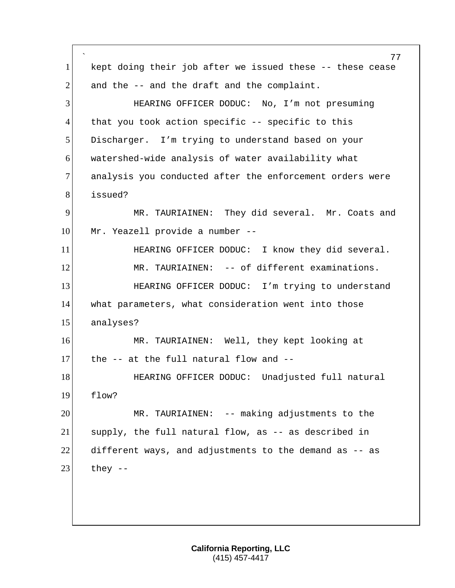` kept doing their job after we issued these -- these cease and the  $-$  and the draft and the complaint. HEARING OFFICER DODUC: No, I'm not presuming 4 that you took action specific -- specific to this 5 Discharger. I'm trying to understand based on your watershed-wide analysis of water availability what 7 analysis you conducted after the enforcement orders were issued? MR. TAURIAINEN: They did several. Mr. Coats and 10 Mr. Yeazell provide a number --**HEARING OFFICER DODUC:** I know they did several. 12 MR. TAURIAINEN: -- of different examinations. **HEARING OFFICER DODUC:** I'm trying to understand what parameters, what consideration went into those analyses? MR. TAURIAINEN: Well, they kept looking at the -- at the full natural flow and --18 HEARING OFFICER DODUC: Unadjusted full natural flow? MR. TAURIAINEN: -- making adjustments to the supply, the full natural flow, as -- as described in different ways, and adjustments to the demand as  $-$  as they  $-$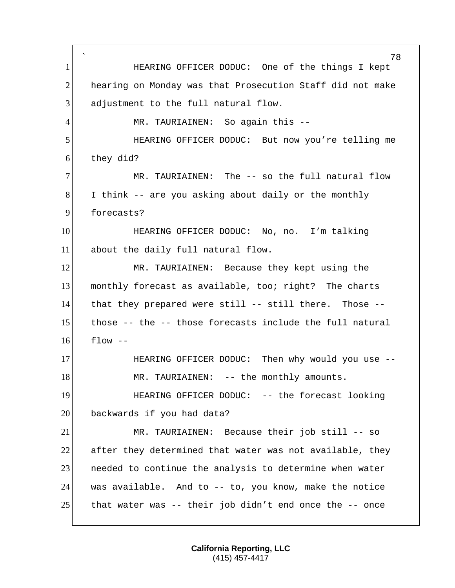` 78 1 **HEARING OFFICER DODUC:** One of the things I kept 2 hearing on Monday was that Prosecution Staff did not make 3 adjustment to the full natural flow. 4 MR. TAURIAINEN: So again this --5 HEARING OFFICER DODUC: But now you're telling me 6 they did? 7 MR. TAURIAINEN: The -- so the full natural flow 8 I think -- are you asking about daily or the monthly 9 forecasts? 10 HEARING OFFICER DODUC: No, no. I'm talking 11 about the daily full natural flow. 12 MR. TAURIAINEN: Because they kept using the 13 monthly forecast as available, too; right? The charts 14 that they prepared were still -- still there. Those -- 15 those -- the -- those forecasts include the full natural  $16$  flow  $-$ 17 HEARING OFFICER DODUC: Then why would you use --18 MR. TAURIAINEN: -- the monthly amounts. 19 HEARING OFFICER DODUC: -- the forecast looking 20 backwards if you had data? 21 MR. TAURIAINEN: Because their job still -- so  $22$  after they determined that water was not available, they 23 all needed to continue the analysis to determine when water 24 was available. And to -- to, you know, make the notice 25 that water was  $-$  their job didn't end once the  $-$  once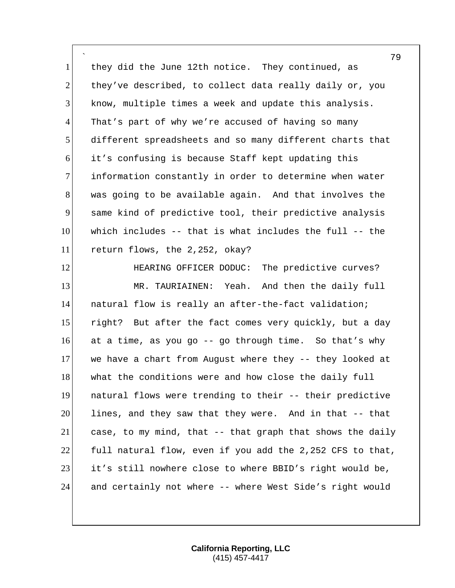` 1 they did the June 12th notice. They continued, as 2 they've described, to collect data really daily or, you 3 know, multiple times a week and update this analysis. 4 That's part of why we're accused of having so many 5 different spreadsheets and so many different charts that 6 it's confusing is because Staff kept updating this 7 information constantly in order to determine when water 8 was going to be available again. And that involves the 9 same kind of predictive tool, their predictive analysis 10 which includes -- that is what includes the full -- the 11 return flows, the 2,252, okay?

**HEARING OFFICER DODUC:** The predictive curves? 13 MR. TAURIAINEN: Yeah. And then the daily full natural flow is really an after-the-fact validation; 15 right? But after the fact comes very quickly, but a day at a time, as you go -- go through time. So that's why we have a chart from August where they -- they looked at 18 what the conditions were and how close the daily full natural flows were trending to their -- their predictive lines, and they saw that they were. And in that -- that case, to my mind, that -- that graph that shows the daily 22 full natural flow, even if you add the 2,252 CFS to that, it's still nowhere close to where BBID's right would be, and certainly not where -- where West Side's right would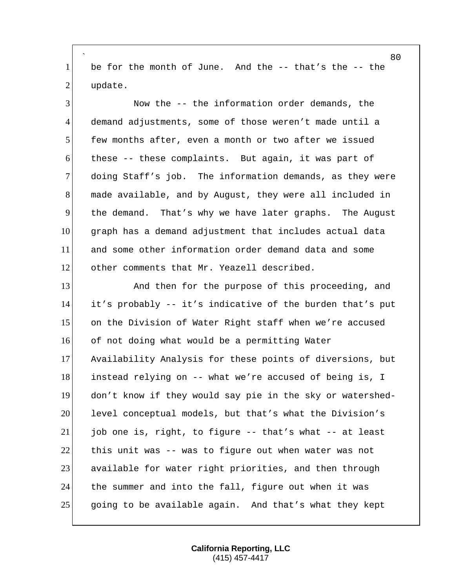` be for the month of June. And the -- that's the -- the 2 update.

 Now the -- the information order demands, the demand adjustments, some of those weren't made until a few months after, even a month or two after we issued these -- these complaints. But again, it was part of doing Staff's job. The information demands, as they were made available, and by August, they were all included in the demand. That's why we have later graphs. The August graph has a demand adjustment that includes actual data and some other information order demand data and some 12 other comments that Mr. Yeazell described.

13 And then for the purpose of this proceeding, and it's probably -- it's indicative of the burden that's put on the Division of Water Right staff when we're accused 16 of not doing what would be a permitting Water Availability Analysis for these points of diversions, but 18 instead relying on -- what we're accused of being is, I don't know if they would say pie in the sky or watershed-20 level conceptual models, but that's what the Division's job one is, right, to figure -- that's what -- at least this unit was -- was to figure out when water was not 23 available for water right priorities, and then through the summer and into the fall, figure out when it was going to be available again. And that's what they kept

> **California Reporting, LLC** (415) 457-4417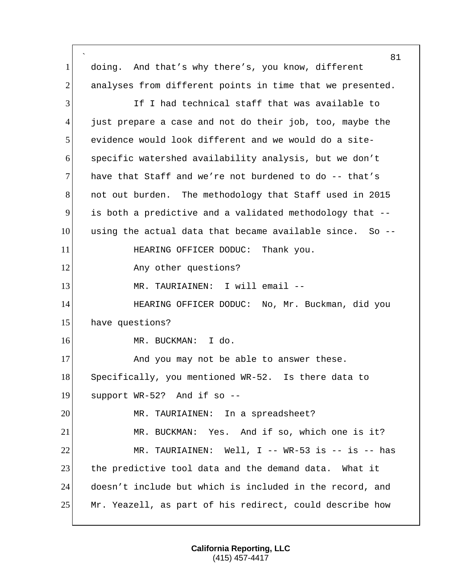` 81 1| doing. And that's why there's, you know, different 2 analyses from different points in time that we presented. 3 If I had technical staff that was available to 4 just prepare a case and not do their job, too, maybe the 5 evidence would look different and we would do a site-6 specific watershed availability analysis, but we don't 7 have that Staff and we're not burdened to do  $-$ - that's 8 not out burden. The methodology that Staff used in 2015 9 is both a predictive and a validated methodology that --  $10$  using the actual data that became available since. So  $-$ -11 HEARING OFFICER DODUC: Thank you. 12 Any other questions? 13 MR. TAURIAINEN: I will email --14 **HEARING OFFICER DODUC:** No, Mr. Buckman, did you 15 have questions? 16 MR. BUCKMAN: I do. 17 And you may not be able to answer these. 18 Specifically, you mentioned WR-52. Is there data to 19 support WR-52? And if so -- 20 MR. TAURIAINEN: In a spreadsheet? 21 MR. BUCKMAN: Yes. And if so, which one is it? 22 MR. TAURIAINEN: Well, I -- WR-53 is -- is -- has 23 the predictive tool data and the demand data. What it 24 doesn't include but which is included in the record, and  $25$  Mr. Yeazell, as part of his redirect, could describe how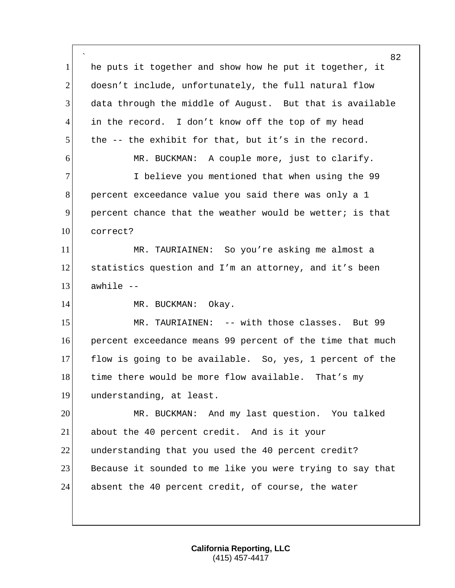` 82 1 he puts it together and show how he put it together, it 2 doesn't include, unfortunately, the full natural flow 3 data through the middle of August. But that is available 4 in the record. I don't know off the top of my head 5 the -- the exhibit for that, but it's in the record. 6 MR. BUCKMAN: A couple more, just to clarify. 7 I believe you mentioned that when using the 99 8 percent exceedance value you said there was only a 1 9 percent chance that the weather would be wetter; is that 10 correct? 11 MR. TAURIAINEN: So you're asking me almost a 12 statistics question and I'm an attorney, and it's been  $13$  awhile  $-$ 14 MR. BUCKMAN: Okay. 15 MR. TAURIAINEN: -- with those classes. But 99 16 percent exceedance means 99 percent of the time that much 17 flow is going to be available. So, yes, 1 percent of the 18 time there would be more flow available. That's my 19 understanding, at least. 20 MR. BUCKMAN: And my last question. You talked 21 about the 40 percent credit. And is it your 22 understanding that you used the 40 percent credit? 23 Because it sounded to me like you were trying to say that 24 absent the 40 percent credit, of course, the water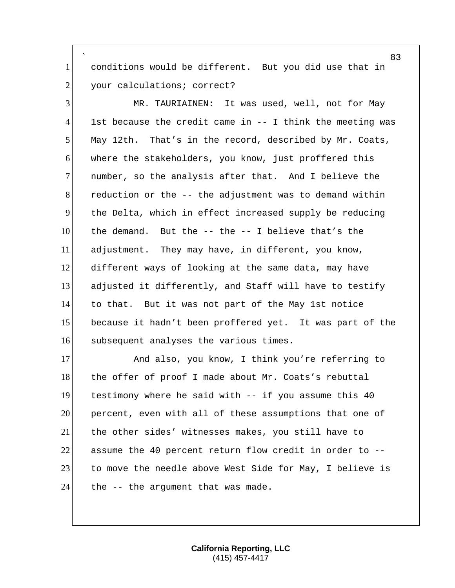` conditions would be different. But you did use that in 2 your calculations; correct?

 MR. TAURIAINEN: It was used, well, not for May 1st because the credit came in -- I think the meeting was May 12th. That's in the record, described by Mr. Coats, where the stakeholders, you know, just proffered this 7 number, so the analysis after that. And I believe the reduction or the -- the adjustment was to demand within the Delta, which in effect increased supply be reducing the demand. But the -- the -- I believe that's the adjustment. They may have, in different, you know, different ways of looking at the same data, may have adjusted it differently, and Staff will have to testify to that. But it was not part of the May 1st notice because it hadn't been proffered yet. It was part of the 16 subsequent analyses the various times.

17 And also, you know, I think you're referring to 18 the offer of proof I made about Mr. Coats's rebuttal testimony where he said with -- if you assume this 40 percent, even with all of these assumptions that one of the other sides' witnesses makes, you still have to assume the 40 percent return flow credit in order to -- 23 to move the needle above West Side for May, I believe is the  $-$  the argument that was made.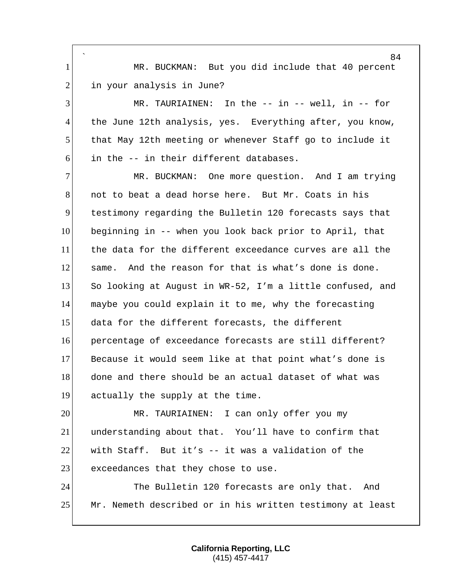` 1 MR. BUCKMAN: But you did include that 40 percent 2 in your analysis in June? MR. TAURIAINEN: In the -- in -- well, in -- for 4 the June 12th analysis, yes. Everything after, you know, that May 12th meeting or whenever Staff go to include it  $6!$  in the  $-$  in their different databases. MR. BUCKMAN: One more question. And I am trying not to beat a dead horse here. But Mr. Coats in his testimony regarding the Bulletin 120 forecasts says that beginning in -- when you look back prior to April, that the data for the different exceedance curves are all the 12 same. And the reason for that is what's done is done. So looking at August in WR-52, I'm a little confused, and maybe you could explain it to me, why the forecasting data for the different forecasts, the different percentage of exceedance forecasts are still different? Because it would seem like at that point what's done is

18 done and there should be an actual dataset of what was actually the supply at the time.

 MR. TAURIAINEN: I can only offer you my understanding about that. You'll have to confirm that with Staff. But it's -- it was a validation of the 23 exceedances that they chose to use.

 The Bulletin 120 forecasts are only that. And Mr. Nemeth described or in his written testimony at least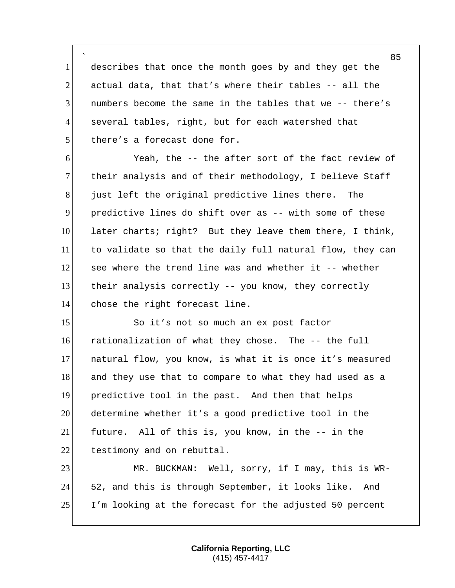` 1 describes that once the month goes by and they get the 2 actual data, that that's where their tables  $-$ - all the 3 numbers become the same in the tables that we -- there's 4 several tables, right, but for each watershed that 5 there's a forecast done for.

6 Yeah, the -- the after sort of the fact review of 7 their analysis and of their methodology, I believe Staff 8 just left the original predictive lines there. The 9 predictive lines do shift over as -- with some of these 10 later charts; right? But they leave them there, I think, 11 to validate so that the daily full natural flow, they can 12 see where the trend line was and whether it -- whether 13 their analysis correctly -- you know, they correctly 14 chose the right forecast line.

15 So it's not so much an ex post factor rationalization of what they chose. The -- the full natural flow, you know, is what it is once it's measured 18 and they use that to compare to what they had used as a predictive tool in the past. And then that helps determine whether it's a good predictive tool in the future. All of this is, you know, in the -- in the 22 testimony and on rebuttal.

23 MR. BUCKMAN: Well, sorry, if I may, this is WR-24 52, and this is through September, it looks like. And 25 I'm looking at the forecast for the adjusted 50 percent

> **California Reporting, LLC** (415) 457-4417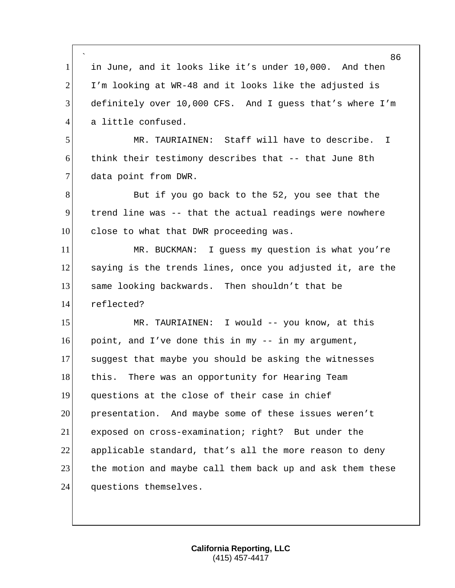` 86 1 in June, and it looks like it's under 10,000. And then  $2$  I'm looking at WR-48 and it looks like the adjusted is 3 definitely over 10,000 CFS. And I guess that's where I'm 4 a little confused. 5 MR. TAURIAINEN: Staff will have to describe. I 6 think their testimony describes that -- that June 8th 7 data point from DWR. 8 But if you go back to the 52, you see that the 9 trend line was -- that the actual readings were nowhere 10 close to what that DWR proceeding was. 11 MR. BUCKMAN: I guess my question is what you're 12 saying is the trends lines, once you adjusted it, are the 13 same looking backwards. Then shouldn't that be 14 reflected? 15 MR. TAURIAINEN: I would -- you know, at this 16 point, and I've done this in my  $-$  in my argument, 17 suggest that maybe you should be asking the witnesses 18 this. There was an opportunity for Hearing Team 19 questions at the close of their case in chief 20 presentation. And maybe some of these issues weren't 21 exposed on cross-examination; right? But under the 22 applicable standard, that's all the more reason to deny 23 the motion and maybe call them back up and ask them these 24 questions themselves.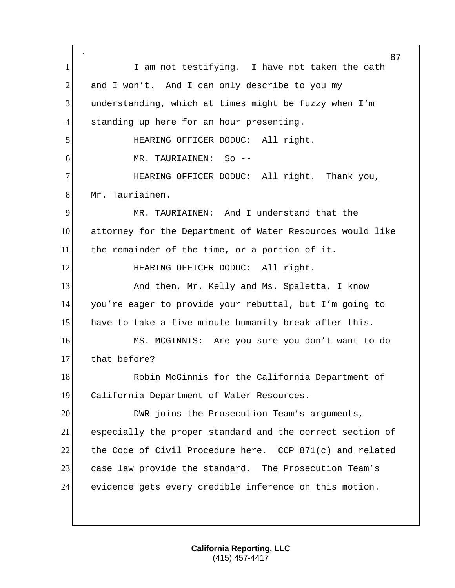` 87 1 I am not testifying. I have not taken the oath 2 and I won't. And I can only describe to you my 3 understanding, which at times might be fuzzy when I'm 4 standing up here for an hour presenting. 5 HEARING OFFICER DODUC: All right. 6 MR. TAURIAINEN: So -- 7 HEARING OFFICER DODUC: All right. Thank you, 8 Mr. Tauriainen. 9 MR. TAURIAINEN: And I understand that the 10 attorney for the Department of Water Resources would like 11 the remainder of the time, or a portion of it. 12 HEARING OFFICER DODUC: All right. 13 And then, Mr. Kelly and Ms. Spaletta, I know 14 you're eager to provide your rebuttal, but I'm going to 15 have to take a five minute humanity break after this. 16 MS. MCGINNIS: Are you sure you don't want to do 17 that before? 18 Robin McGinnis for the California Department of 19 California Department of Water Resources. 20 DWR joins the Prosecution Team's arguments, 21 especially the proper standard and the correct section of 22 the Code of Civil Procedure here. CCP 871(c) and related 23 case law provide the standard. The Prosecution Team's 24 evidence gets every credible inference on this motion.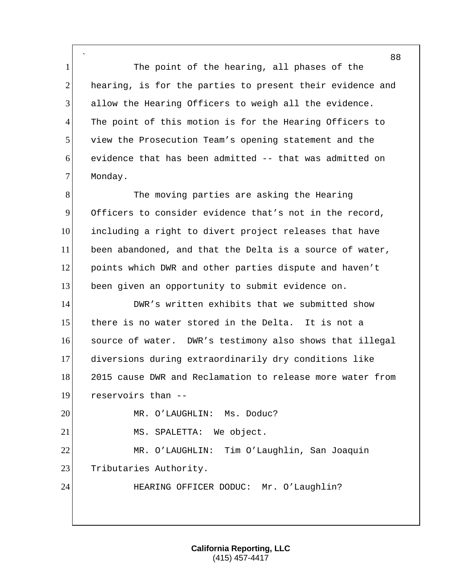` 1 The point of the hearing, all phases of the 2 hearing, is for the parties to present their evidence and 3 allow the Hearing Officers to weigh all the evidence. 4 The point of this motion is for the Hearing Officers to 5 view the Prosecution Team's opening statement and the 6 evidence that has been admitted -- that was admitted on 7 Monday.

8 The moving parties are asking the Hearing Officers to consider evidence that's not in the record, including a right to divert project releases that have been abandoned, and that the Delta is a source of water, 12 points which DWR and other parties dispute and haven't been given an opportunity to submit evidence on.

**DWR's written exhibits that we submitted show**  there is no water stored in the Delta. It is not a source of water. DWR's testimony also shows that illegal diversions during extraordinarily dry conditions like 18 2015 cause DWR and Reclamation to release more water from reservoirs than --

20 MR. O'LAUGHLIN: Ms. Doduc?

21 MS. SPALETTA: We object.

22 MR. O'LAUGHLIN: Tim O'Laughlin, San Joaquin 23 Tributaries Authority.

24 HEARING OFFICER DODUC: Mr. O'Laughlin?

**California Reporting, LLC** (415) 457-4417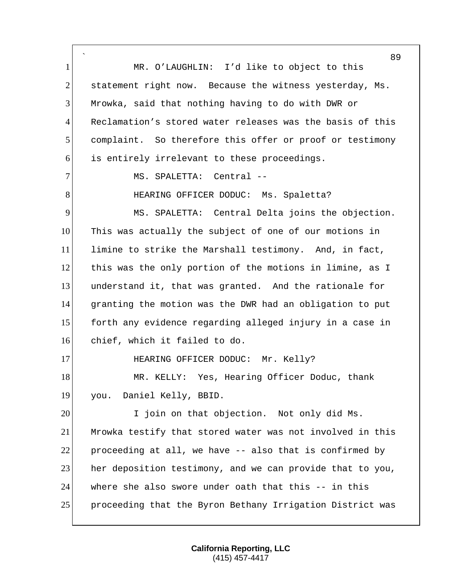` 89 1 MR. O'LAUGHLIN: I'd like to object to this  $2$  statement right now. Because the witness yesterday, Ms. 3 Mrowka, said that nothing having to do with DWR or 4 Reclamation's stored water releases was the basis of this 5 complaint. So therefore this offer or proof or testimony 6 is entirely irrelevant to these proceedings. 7 MS. SPALETTA: Central --8 HEARING OFFICER DODUC: Ms. Spaletta? 9 MS. SPALETTA: Central Delta joins the objection. 10 This was actually the subject of one of our motions in 11 limine to strike the Marshall testimony. And, in fact, 12 this was the only portion of the motions in limine, as I 13 understand it, that was granted. And the rationale for 14 granting the motion was the DWR had an obligation to put 15 forth any evidence regarding alleged injury in a case in 16 chief, which it failed to do. 17 HEARING OFFICER DODUC: Mr. Kelly? 18 MR. KELLY: Yes, Hearing Officer Doduc, thank 19 you. Daniel Kelly, BBID. 20 I join on that objection. Not only did Ms. 21 Mrowka testify that stored water was not involved in this 22 proceeding at all, we have  $-$ - also that is confirmed by 23 her deposition testimony, and we can provide that to you, 24 where she also swore under oath that this -- in this 25 proceeding that the Byron Bethany Irrigation District was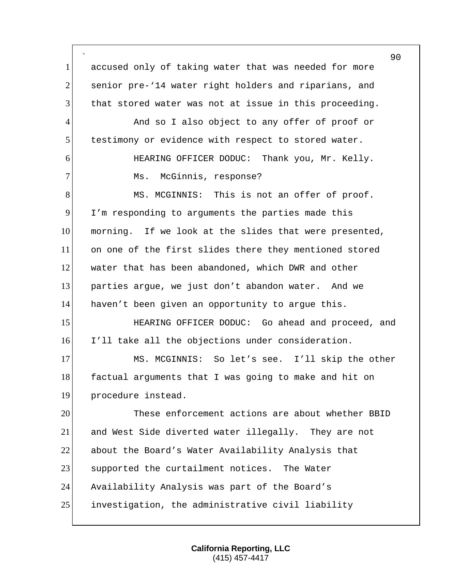` 90 1 accused only of taking water that was needed for more 2 senior pre-'14 water right holders and riparians, and 3 that stored water was not at issue in this proceeding. 4 And so I also object to any offer of proof or 5 testimony or evidence with respect to stored water. 6 HEARING OFFICER DODUC: Thank you, Mr. Kelly. 7 Ms. McGinnis, response? 8 MS. MCGINNIS: This is not an offer of proof. 9 I'm responding to arguments the parties made this 10 morning. If we look at the slides that were presented, 11 on one of the first slides there they mentioned stored 12 water that has been abandoned, which DWR and other 13 parties argue, we just don't abandon water. And we 14 haven't been given an opportunity to argue this. 15 HEARING OFFICER DODUC: Go ahead and proceed, and 16 I'll take all the objections under consideration. 17 MS. MCGINNIS: So let's see. I'll skip the other 18 factual arguments that I was going to make and hit on 19 procedure instead. 20 These enforcement actions are about whether BBID 21 and West Side diverted water illegally. They are not 22 about the Board's Water Availability Analysis that 23 Supported the curtailment notices. The Water 24 Availability Analysis was part of the Board's 25 investigation, the administrative civil liability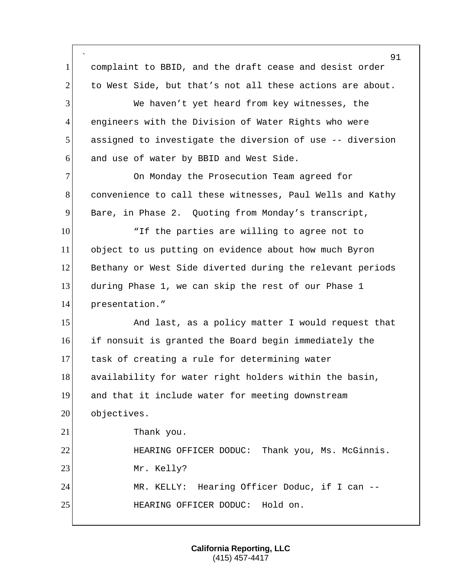|                | 91                                                        |
|----------------|-----------------------------------------------------------|
| $\mathbf{1}$   | complaint to BBID, and the draft cease and desist order   |
| $\overline{2}$ | to West Side, but that's not all these actions are about. |
| 3              | We haven't yet heard from key witnesses, the              |
| $\overline{4}$ | engineers with the Division of Water Rights who were      |
| 5              | assigned to investigate the diversion of use -- diversion |
| 6              | and use of water by BBID and West Side.                   |
| $\overline{7}$ | On Monday the Prosecution Team agreed for                 |
| 8              | convenience to call these witnesses, Paul Wells and Kathy |
| 9              | Bare, in Phase 2. Quoting from Monday's transcript,       |
| 10             | "If the parties are willing to agree not to               |
| 11             | object to us putting on evidence about how much Byron     |
| 12             | Bethany or West Side diverted during the relevant periods |
| 13             | during Phase 1, we can skip the rest of our Phase 1       |
| 14             | presentation."                                            |
| 15             | And last, as a policy matter I would request that         |
| 16             | if nonsuit is granted the Board begin immediately the     |
| 17             | task of creating a rule for determining water             |
| 18             | availability for water right holders within the basin,    |
| 19             | and that it include water for meeting downstream          |
| 20             | objectives.                                               |
| 21             | Thank you.                                                |
| 22             | HEARING OFFICER DODUC: Thank you, Ms. McGinnis.           |
| 23             | Mr. Kelly?                                                |
| 24             | MR. KELLY: Hearing Officer Doduc, if I can --             |
| 25             | HEARING OFFICER DODUC: Hold on.                           |

Г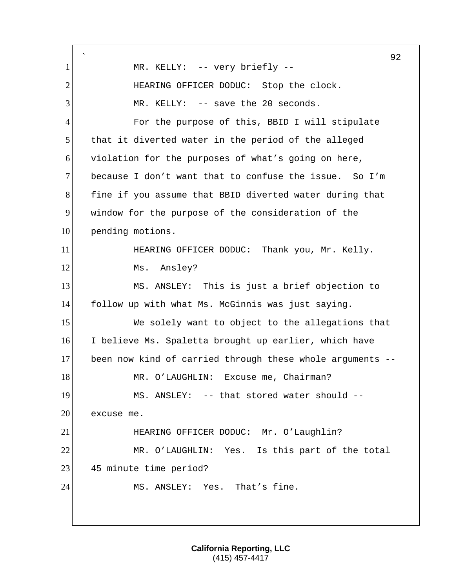` 92 1 MR. KELLY: -- very briefly --2 HEARING OFFICER DODUC: Stop the clock.  $3$  MR. KELLY:  $-$  save the 20 seconds. 4 For the purpose of this, BBID I will stipulate 5 that it diverted water in the period of the alleged 6 violation for the purposes of what's going on here, 7 because I don't want that to confuse the issue. So I'm 8 fine if you assume that BBID diverted water during that 9 window for the purpose of the consideration of the 10 pending motions. 11 **HEARING OFFICER DODUC:** Thank you, Mr. Kelly. 12 Ms. Ansley? 13 MS. ANSLEY: This is just a brief objection to 14 follow up with what Ms. McGinnis was just saying. 15 We solely want to object to the allegations that 16 I believe Ms. Spaletta brought up earlier, which have 17 been now kind of carried through these whole arguments -- 18 MR. O'LAUGHLIN: Excuse me, Chairman? 19 MS. ANSLEY: -- that stored water should -- 20 excuse me. 21 HEARING OFFICER DODUC: Mr. O'Laughlin? 22 MR. O'LAUGHLIN: Yes. Is this part of the total 23 45 minute time period? 24 MS. ANSLEY: Yes. That's fine.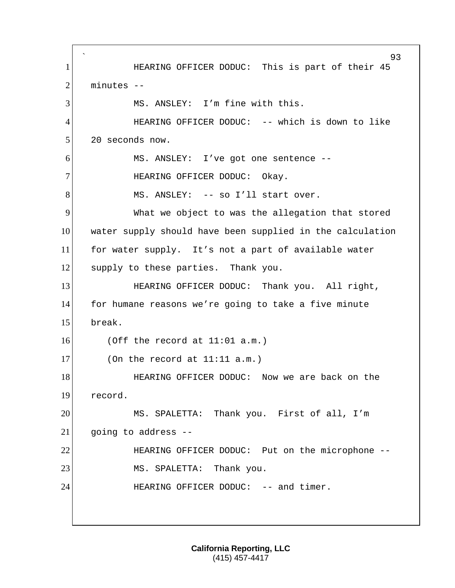` 93 1 HEARING OFFICER DODUC: This is part of their 45 2 minutes --3 MS. ANSLEY: I'm fine with this. 4 HEARING OFFICER DODUC: -- which is down to like 5 20 seconds now. 6 MS. ANSLEY: I've got one sentence -- 7 HEARING OFFICER DODUC: Okay. 8 MS. ANSLEY: -- so I'll start over. 9 What we object to was the allegation that stored 10 water supply should have been supplied in the calculation 11 for water supply. It's not a part of available water 12 supply to these parties. Thank you. 13 **HEARING OFFICER DODUC:** Thank you. All right, 14 for humane reasons we're going to take a five minute 15 break.  $16$  (Off the record at  $11:01$  a.m.)  $17$  (On the record at  $11:11$  a.m.) 18 **HEARING OFFICER DODUC:** Now we are back on the 19 record. 20 MS. SPALETTA: Thank you. First of all, I'm  $21$  going to address  $-$ 22 HEARING OFFICER DODUC: Put on the microphone --23 MS. SPALETTA: Thank you. 24 HEARING OFFICER DODUC: -- and timer.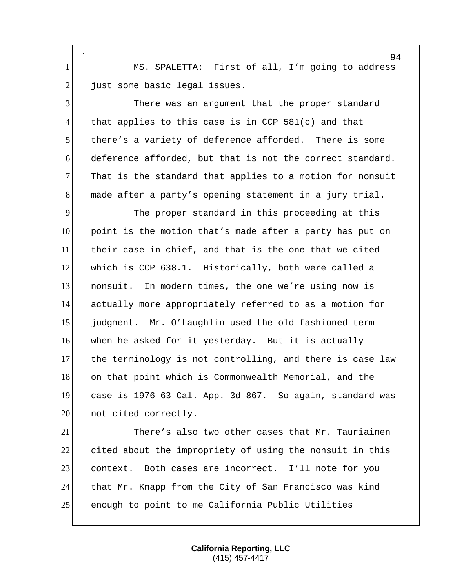` 1 MS. SPALETTA: First of all, I'm going to address 2 just some basic legal issues.

 There was an argument that the proper standard 4 that applies to this case is in CCP  $581(c)$  and that there's a variety of deference afforded. There is some deference afforded, but that is not the correct standard. That is the standard that applies to a motion for nonsuit made after a party's opening statement in a jury trial.

 The proper standard in this proceeding at this point is the motion that's made after a party has put on their case in chief, and that is the one that we cited 12 which is CCP 638.1. Historically, both were called a 13 nonsuit. In modern times, the one we're using now is actually more appropriately referred to as a motion for judgment. Mr. O'Laughlin used the old-fashioned term when he asked for it yesterday. But it is actually -- 17 the terminology is not controlling, and there is case law on that point which is Commonwealth Memorial, and the case is 1976 63 Cal. App. 3d 867. So again, standard was 20 not cited correctly.

21 There's also two other cases that Mr. Tauriainen 22 cited about the impropriety of using the nonsuit in this 23 context. Both cases are incorrect. I'll note for you 24 that Mr. Knapp from the City of San Francisco was kind 25 enough to point to me California Public Utilities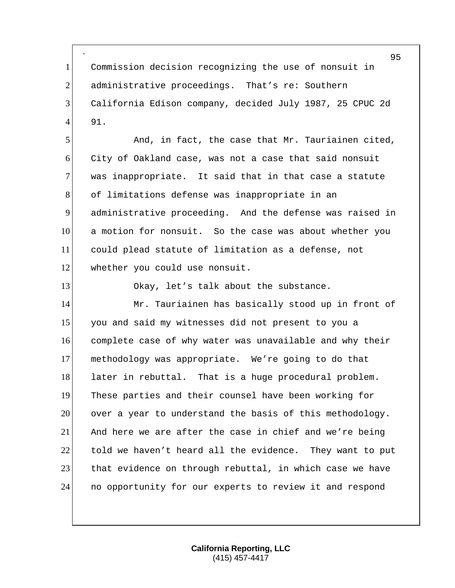` Commission decision recognizing the use of nonsuit in administrative proceedings. That's re: Southern California Edison company, decided July 1987, 25 CPUC 2d 91.

 And, in fact, the case that Mr. Tauriainen cited, City of Oakland case, was not a case that said nonsuit 7 was inappropriate. It said that in that case a statute 8 of limitations defense was inappropriate in an administrative proceeding. And the defense was raised in a motion for nonsuit. So the case was about whether you could plead statute of limitation as a defense, not 12 whether you could use nonsuit.

13 Okay, let's talk about the substance.

14 Mr. Tauriainen has basically stood up in front of 15 you and said my witnesses did not present to you a complete case of why water was unavailable and why their methodology was appropriate. We're going to do that 18 later in rebuttal. That is a huge procedural problem. These parties and their counsel have been working for over a year to understand the basis of this methodology. And here we are after the case in chief and we're being told we haven't heard all the evidence. They want to put 23 that evidence on through rebuttal, in which case we have no opportunity for our experts to review it and respond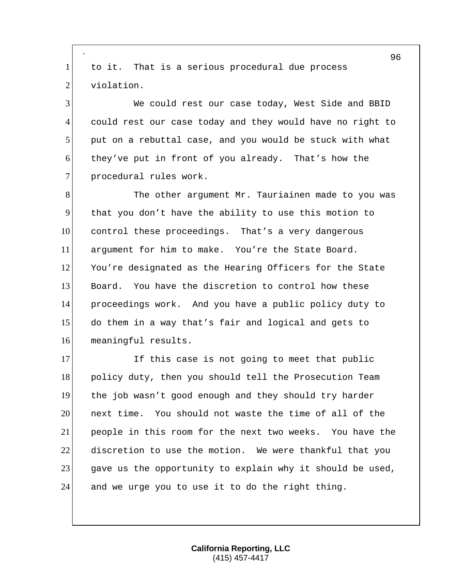` to it. That is a serious procedural due process 2 violation.

 We could rest our case today, West Side and BBID could rest our case today and they would have no right to put on a rebuttal case, and you would be stuck with what they've put in front of you already. That's how the 7 procedural rules work.

8 The other argument Mr. Tauriainen made to you was that you don't have the ability to use this motion to control these proceedings. That's a very dangerous argument for him to make. You're the State Board. 12 You're designated as the Hearing Officers for the State Board. You have the discretion to control how these proceedings work. And you have a public policy duty to do them in a way that's fair and logical and gets to meaningful results.

17 If this case is not going to meet that public 18 policy duty, then you should tell the Prosecution Team the job wasn't good enough and they should try harder **next time.** You should not waste the time of all of the people in this room for the next two weeks. You have the discretion to use the motion. We were thankful that you 23 gave us the opportunity to explain why it should be used, and we urge you to use it to do the right thing.

> **California Reporting, LLC** (415) 457-4417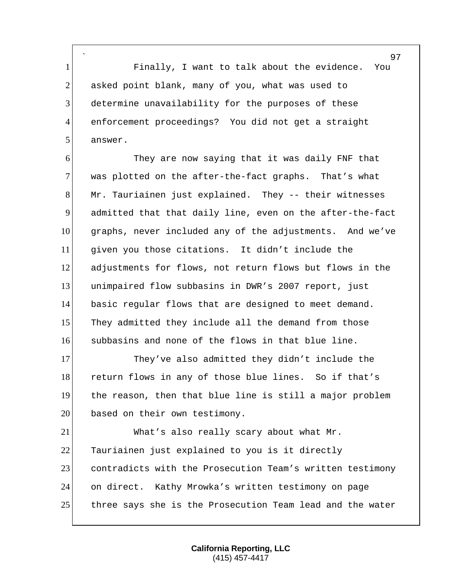` Finally, I want to talk about the evidence. You 2 asked point blank, many of you, what was used to determine unavailability for the purposes of these enforcement proceedings? You did not get a straight 5 answer.

 They are now saying that it was daily FNF that 7 was plotted on the after-the-fact graphs. That's what Mr. Tauriainen just explained. They -- their witnesses admitted that that daily line, even on the after-the-fact graphs, never included any of the adjustments. And we've given you those citations. It didn't include the adjustments for flows, not return flows but flows in the unimpaired flow subbasins in DWR's 2007 report, just basic regular flows that are designed to meet demand. 15 They admitted they include all the demand from those subbasins and none of the flows in that blue line.

17 They've also admitted they didn't include the 18 return flows in any of those blue lines. So if that's the reason, then that blue line is still a major problem 20 based on their own testimony.

 What's also really scary about what Mr. 22 Tauriainen just explained to you is it directly contradicts with the Prosecution Team's written testimony on direct. Kathy Mrowka's written testimony on page three says she is the Prosecution Team lead and the water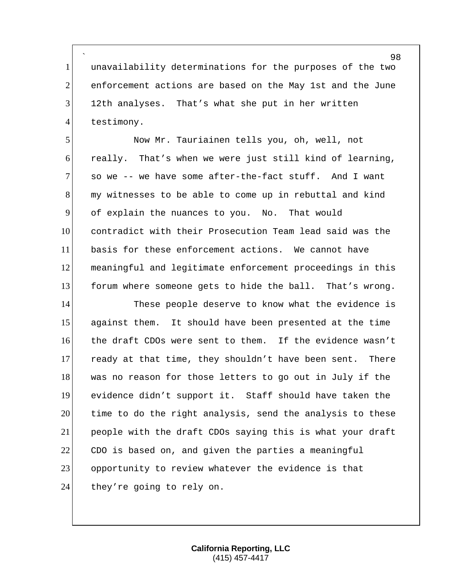` unavailability determinations for the purposes of the two 2 enforcement actions are based on the May 1st and the June 12th analyses. That's what she put in her written 4 testimony.

 Now Mr. Tauriainen tells you, oh, well, not really. That's when we were just still kind of learning, so we -- we have some after-the-fact stuff. And I want my witnesses to be able to come up in rebuttal and kind of explain the nuances to you. No. That would contradict with their Prosecution Team lead said was the basis for these enforcement actions. We cannot have meaningful and legitimate enforcement proceedings in this forum where someone gets to hide the ball. That's wrong.

14 These people deserve to know what the evidence is against them. It should have been presented at the time the draft CDOs were sent to them. If the evidence wasn't 17 ready at that time, they shouldn't have been sent. There 18 was no reason for those letters to go out in July if the evidence didn't support it. Staff should have taken the time to do the right analysis, send the analysis to these people with the draft CDOs saying this is what your draft CDO is based on, and given the parties a meaningful opportunity to review whatever the evidence is that 24 they're going to rely on.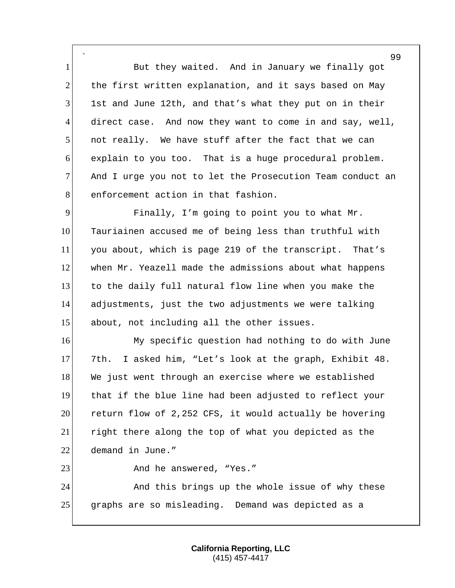` 1 But they waited. And in January we finally got  $2$  the first written explanation, and it says based on May 3 1st and June 12th, and that's what they put on in their 4 direct case. And now they want to come in and say, well, 5 not really. We have stuff after the fact that we can 6 explain to you too. That is a huge procedural problem. 7 And I urge you not to let the Prosecution Team conduct an 8 enforcement action in that fashion.

 Finally, I'm going to point you to what Mr. Tauriainen accused me of being less than truthful with you about, which is page 219 of the transcript. That's when Mr. Yeazell made the admissions about what happens to the daily full natural flow line when you make the adjustments, just the two adjustments we were talking about, not including all the other issues.

16 My specific question had nothing to do with June 17 7th. I asked him, "Let's look at the graph, Exhibit 48. 18 We just went through an exercise where we established 19 that if the blue line had been adjusted to reflect your 20 return flow of 2,252 CFS, it would actually be hovering 21 right there along the top of what you depicted as the 22 demand in June."

23 And he answered, "Yes."

24 And this brings up the whole issue of why these 25 graphs are so misleading. Demand was depicted as a

> **California Reporting, LLC** (415) 457-4417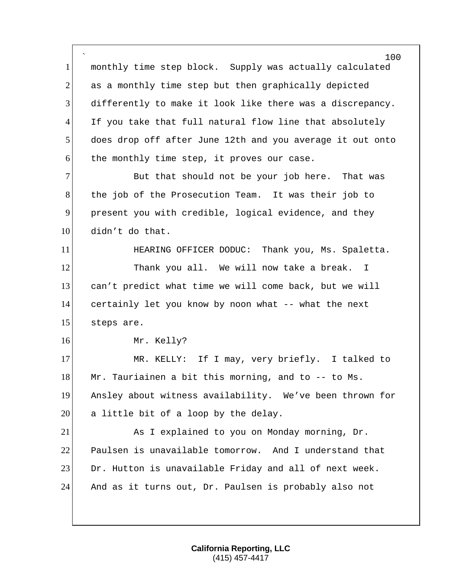` 100 1 monthly time step block. Supply was actually calculated 2 as a monthly time step but then graphically depicted 3 differently to make it look like there was a discrepancy. 4 If you take that full natural flow line that absolutely 5 does drop off after June 12th and you average it out onto  $6$  the monthly time step, it proves our case. 7 But that should not be your job here. That was 8 the job of the Prosecution Team. It was their job to 9 present you with credible, logical evidence, and they 10 didn't do that. 11 **HEARING OFFICER DODUC:** Thank you, Ms. Spaletta. 12 Thank you all. We will now take a break. I 13 can't predict what time we will come back, but we will 14 certainly let you know by noon what -- what the next 15 steps are. 16 Mr. Kelly? 17 MR. KELLY: If I may, very briefly. I talked to 18 Mr. Tauriainen a bit this morning, and to  $-$ - to Ms. 19 Ansley about witness availability. We've been thrown for  $20$  a little bit of a loop by the delay. 21 As I explained to you on Monday morning, Dr. 22 Paulsen is unavailable tomorrow. And I understand that 23 Dr. Hutton is unavailable Friday and all of next week.

24 And as it turns out, Dr. Paulsen is probably also not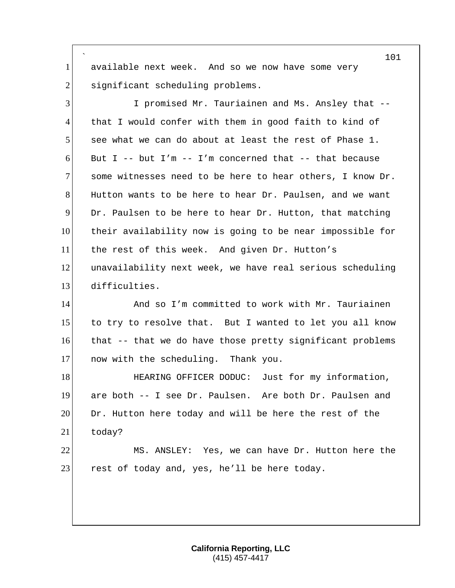` 1 available next week. And so we now have some very 2 significant scheduling problems.

 I promised Mr. Tauriainen and Ms. Ansley that -- 4 that I would confer with them in good faith to kind of see what we can do about at least the rest of Phase 1. 6 But I -- but I'm -- I'm concerned that -- that because some witnesses need to be here to hear others, I know Dr. Hutton wants to be here to hear Dr. Paulsen, and we want Dr. Paulsen to be here to hear Dr. Hutton, that matching their availability now is going to be near impossible for the rest of this week. And given Dr. Hutton's unavailability next week, we have real serious scheduling difficulties.

14 And so I'm committed to work with Mr. Tauriainen 15 to try to resolve that. But I wanted to let you all know 16 that -- that we do have those pretty significant problems 17 now with the scheduling. Thank you.

18 **HEARING OFFICER DODUC:** Just for my information, 19 are both -- I see Dr. Paulsen. Are both Dr. Paulsen and 20 Dr. Hutton here today and will be here the rest of the 21 today?

22 MS. ANSLEY: Yes, we can have Dr. Hutton here the 23 rest of today and, yes, he'll be here today.

> **California Reporting, LLC** (415) 457-4417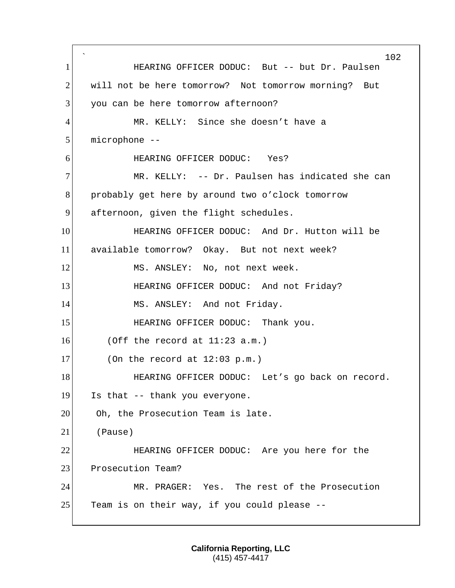` 102 1 **HEARING OFFICER DODUC:** But -- but Dr. Paulsen 2 will not be here tomorrow? Not tomorrow morning? But 3 you can be here tomorrow afternoon? 4 MR. KELLY: Since she doesn't have a 5 microphone -- 6 HEARING OFFICER DODUC: Yes? 7 MR. KELLY: -- Dr. Paulsen has indicated she can 8 probably get here by around two o'clock tomorrow 9 afternoon, given the flight schedules. 10 **HEARING OFFICER DODUC:** And Dr. Hutton will be 11 available tomorrow? Okay. But not next week? 12 MS. ANSLEY: No, not next week. 13 **HEARING OFFICER DODUC:** And not Friday? 14 MS. ANSLEY: And not Friday. 15 HEARING OFFICER DODUC: Thank you.  $16$  (Off the record at  $11:23$  a.m.)  $17$  (On the record at  $12:03$  p.m.) 18 HEARING OFFICER DODUC: Let's go back on record. 19 Is that -- thank you everyone. 20 Oh, the Prosecution Team is late. 21 (Pause) 22 HEARING OFFICER DODUC: Are you here for the 23 Prosecution Team? 24 MR. PRAGER: Yes. The rest of the Prosecution 25 Team is on their way, if you could please  $-$ -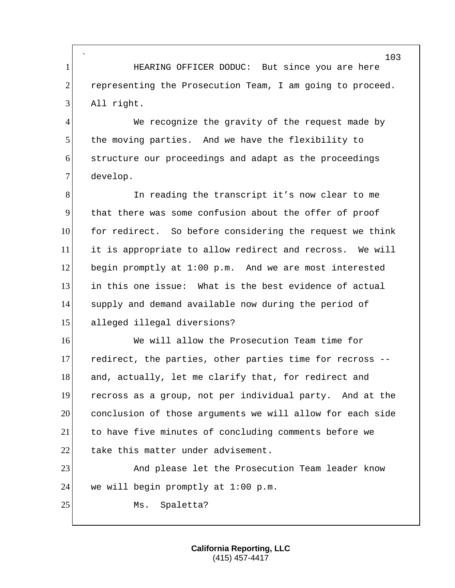` 1 **INCO HEARING OFFICER DODUC:** But since you are here 2 representing the Prosecution Team, I am going to proceed. 3 All right.

4 We recognize the gravity of the request made by 5 the moving parties. And we have the flexibility to 6 structure our proceedings and adapt as the proceedings 7 develop.

8 In reading the transcript it's now clear to me that there was some confusion about the offer of proof 10 for redirect. So before considering the request we think it is appropriate to allow redirect and recross. We will 12 begin promptly at 1:00 p.m. And we are most interested in this one issue: What is the best evidence of actual supply and demand available now during the period of alleged illegal diversions?

16 We will allow the Prosecution Team time for 17 redirect, the parties, other parties time for recross --18 and, actually, let me clarify that, for redirect and 19 recross as a group, not per individual party. And at the 20 conclusion of those arguments we will allow for each side 21 to have five minutes of concluding comments before we 22 take this matter under advisement.

23 And please let the Prosecution Team leader know 24 we will begin promptly at  $1:00$  p.m.

25 Ms. Spaletta?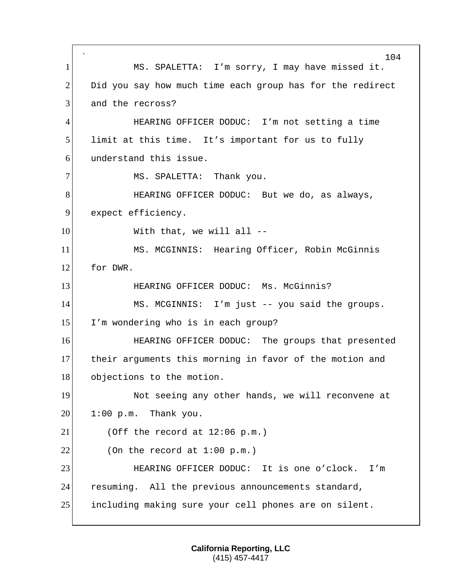` 104 1 MS. SPALETTA: I'm sorry, I may have missed it.  $2$  Did you say how much time each group has for the redirect 3 and the recross? 4 HEARING OFFICER DODUC: I'm not setting a time 5 limit at this time. It's important for us to fully 6 understand this issue. 7 MS. SPALETTA: Thank you. 8 HEARING OFFICER DODUC: But we do, as always, 9 expect efficiency. 10 With that, we will all --11 MS. MCGINNIS: Hearing Officer, Robin McGinnis 12 for DWR. 13 HEARING OFFICER DODUC: Ms. McGinnis? 14 MS. MCGINNIS: I'm just -- you said the groups. 15 I'm wondering who is in each group? 16 **HEARING OFFICER DODUC:** The groups that presented 17 their arguments this morning in favor of the motion and 18 objections to the motion. 19 Not seeing any other hands, we will reconvene at  $20$  1:00 p.m. Thank you.  $21$  (Off the record at  $12:06$  p.m.)  $22$  (On the record at 1:00 p.m.) 23 HEARING OFFICER DODUC: It is one o'clock. I'm 24 resuming. All the previous announcements standard, 25 including making sure your cell phones are on silent.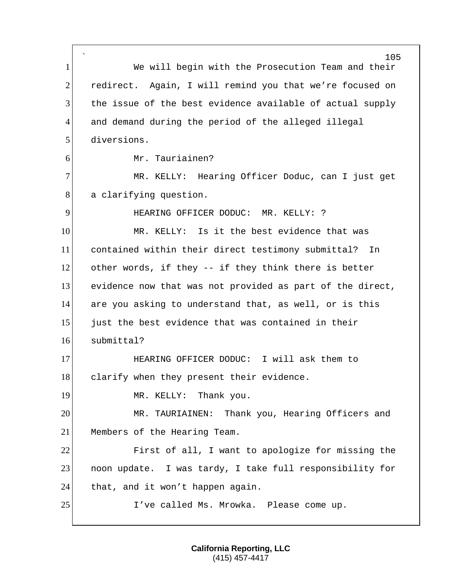` 105 1 We will begin with the Prosecution Team and their 2 redirect. Again, I will remind you that we're focused on 3 the issue of the best evidence available of actual supply 4 and demand during the period of the alleged illegal 5 diversions. 6 Mr. Tauriainen? 7 MR. KELLY: Hearing Officer Doduc, can I just get 8 a clarifying question. 9 HEARING OFFICER DODUC: MR. KELLY: ? 10 MR. KELLY: Is it the best evidence that was 11 contained within their direct testimony submittal? In 12 other words, if they -- if they think there is better 13 evidence now that was not provided as part of the direct, 14 are you asking to understand that, as well, or is this 15 just the best evidence that was contained in their 16 submittal? 17 **HEARING OFFICER DODUC:** I will ask them to 18 clarify when they present their evidence. 19 MR. KELLY: Thank you. 20 MR. TAURIAINEN: Thank you, Hearing Officers and 21 Members of the Hearing Team. 22 First of all, I want to apologize for missing the 23 | noon update. I was tardy, I take full responsibility for 24 that, and it won't happen again. 25 I've called Ms. Mrowka. Please come up.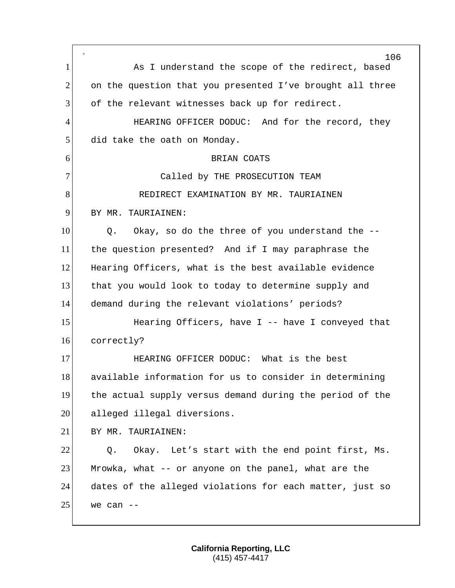` 106 1 As I understand the scope of the redirect, based 2 on the question that you presented I've brought all three 3 of the relevant witnesses back up for redirect. 4 HEARING OFFICER DODUC: And for the record, they 5 did take the oath on Monday. 6 BRIAN COATS 7 Called by THE PROSECUTION TEAM 8 REDIRECT EXAMINATION BY MR. TAURIAINEN 9 BY MR. TAURIAINEN: 10 Q. Okay, so do the three of you understand the -- 11 the question presented? And if I may paraphrase the 12 Hearing Officers, what is the best available evidence 13 that you would look to today to determine supply and 14 demand during the relevant violations' periods? 15 Hearing Officers, have I -- have I conveyed that 16 correctly? 17 **HEARING OFFICER DODUC:** What is the best 18 available information for us to consider in determining 19 the actual supply versus demand during the period of the 20 alleged illegal diversions. 21 BY MR. TAURIAINEN:  $22$  O. Okay. Let's start with the end point first, Ms. 23 Mrowka, what -- or anyone on the panel, what are the 24 dates of the alleged violations for each matter, just so  $25$  we can  $-$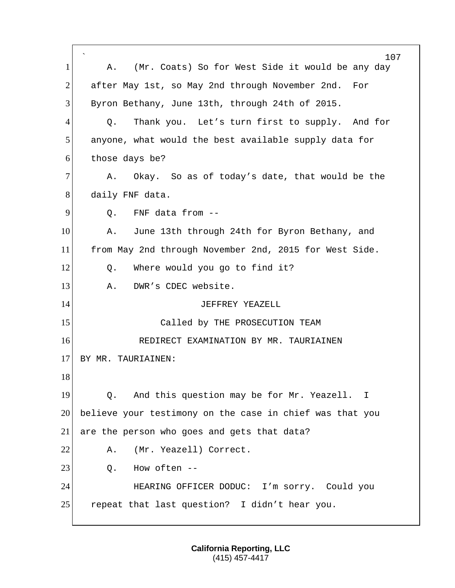` 107 1 A. (Mr. Coats) So for West Side it would be any day 2 after May 1st, so May 2nd through November 2nd. For 3 Byron Bethany, June 13th, through 24th of 2015. 4 Q. Thank you. Let's turn first to supply. And for 5 anyone, what would the best available supply data for 6 those days be? 7 A. Okay. So as of today's date, that would be the 8 daily FNF data.  $9$  O. FNF data from  $-$ 10 A. June 13th through 24th for Byron Bethany, and 11 from May 2nd through November 2nd, 2015 for West Side. 12 Q. Where would you go to find it? 13 A. DWR's CDEC website. 14 JEFFREY YEAZELL 15 Called by THE PROSECUTION TEAM 16 **REDIRECT EXAMINATION BY MR. TAURIAINEN** 17 BY MR. TAURIAINEN: 18 19 | Q. And this question may be for Mr. Yeazell. I 20 believe your testimony on the case in chief was that you 21 are the person who goes and gets that data? 22 A. (Mr. Yeazell) Correct.  $23$  O. How often  $-$ 24 HEARING OFFICER DODUC: I'm sorry. Could you 25 repeat that last question? I didn't hear you.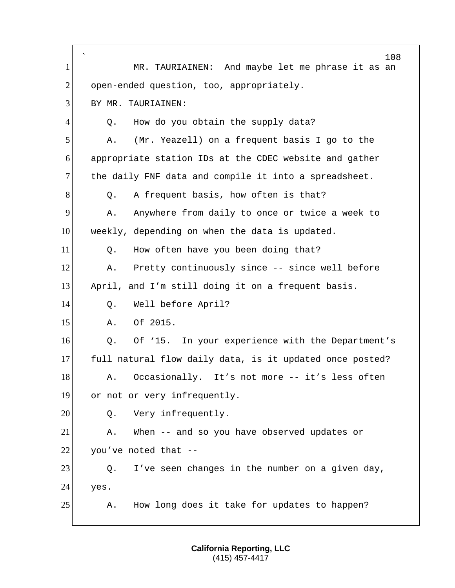|                | $\hat{}$<br>108                                          |
|----------------|----------------------------------------------------------|
| $\mathbf{1}$   | MR. TAURIAINEN: And maybe let me phrase it as an         |
| $\overline{2}$ | open-ended question, too, appropriately.                 |
| 3              | BY MR. TAURIAINEN:                                       |
| 4              | How do you obtain the supply data?<br>Q.                 |
| 5              | (Mr. Yeazell) on a frequent basis I go to the<br>Α.      |
| 6              | appropriate station IDs at the CDEC website and gather   |
| 7              | the daily FNF data and compile it into a spreadsheet.    |
| 8              | A frequent basis, how often is that?<br>Q.               |
| 9              | Anywhere from daily to once or twice a week to<br>Α.     |
| 10             | weekly, depending on when the data is updated.           |
| 11             | How often have you been doing that?<br>Q.                |
| 12             | Pretty continuously since -- since well before<br>Α.     |
| 13             | April, and I'm still doing it on a frequent basis.       |
| 14             | Well before April?<br>Q.                                 |
| 15             | Of 2015.<br>Α.                                           |
| 16             | Of '15. In your experience with the Department's<br>Q.   |
| 17             | full natural flow daily data, is it updated once posted? |
| 18             | Occasionally. It's not more -- it's less often<br>Α.     |
| 19             | or not or very infrequently.                             |
| 20             | Very infrequently.<br>Q.                                 |
| 21             | When -- and so you have observed updates or<br>Α.        |
| 22             | you've noted that --                                     |
| 23             | I've seen changes in the number on a given day,<br>Q.    |
| 24             | yes.                                                     |
| 25             | How long does it take for updates to happen?<br>Α.       |
|                |                                                          |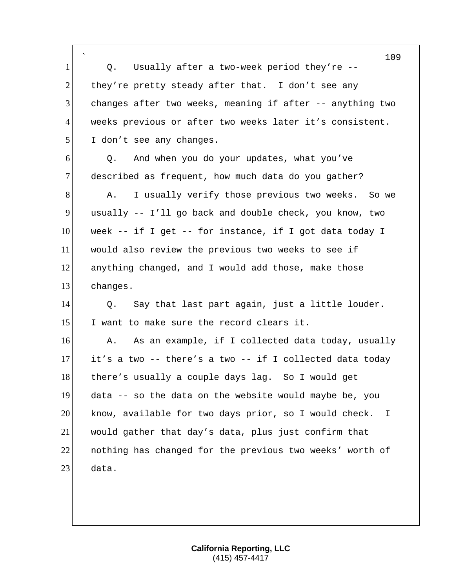` 109 1 Q. Usually after a two-week period they're --2 they're pretty steady after that. I don't see any 3 changes after two weeks, meaning if after -- anything two 4 weeks previous or after two weeks later it's consistent. 5 I don't see any changes.  $6$  Q. And when you do your updates, what you've 7 described as frequent, how much data do you gather? 8 A. I usually verify those previous two weeks. So we 9 usually -- I'll go back and double check, you know, two 10 week -- if I get -- for instance, if I got data today I 11 would also review the previous two weeks to see if 12 anything changed, and I would add those, make those 13 changes. 14 Q. Say that last part again, just a little louder. 15 I want to make sure the record clears it. 16 A. As an example, if I collected data today, usually  $17$  it's a two -- there's a two -- if I collected data today 18 there's usually a couple days lag. So I would get 19 data -- so the data on the website would maybe be, you 20 know, available for two days prior, so I would check. I 21 would gather that day's data, plus just confirm that 22 nothing has changed for the previous two weeks' worth of 23 data.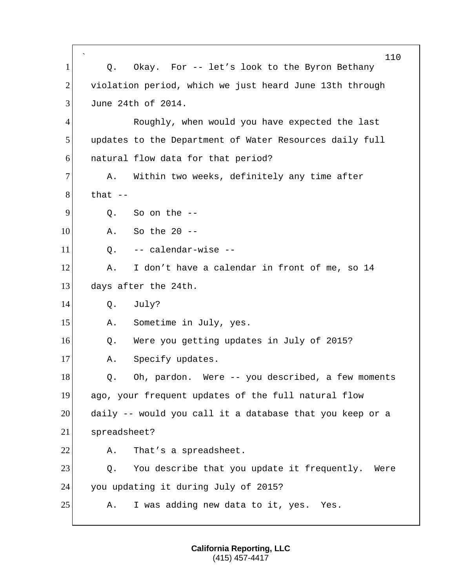` 110 1 Q. Okay. For -- let's look to the Byron Bethany 2 violation period, which we just heard June 13th through 3 June 24th of 2014. 4 Roughly, when would you have expected the last 5 Updates to the Department of Water Resources daily full 6 **natural flow data for that period?** 7 A. Within two weeks, definitely any time after  $8!$  that  $9$  O. So on the  $-$ 10 A. So the 20 -- $11$  O.  $-$  calendar-wise  $-$ 12 A. I don't have a calendar in front of me, so 14 13 days after the 24th. 14 Q. July? 15 A. Sometime in July, yes. 16 Q. Were you getting updates in July of 2015? 17 A. Specify updates. 18 Q. Oh, pardon. Were -- you described, a few moments 19 ago, your frequent updates of the full natural flow 20 daily -- would you call it a database that you keep or a 21 spreadsheet? 22 A. That's a spreadsheet. 23 Q. You describe that you update it frequently. Were 24 you updating it during July of 2015? 25 A. I was adding new data to it, yes. Yes.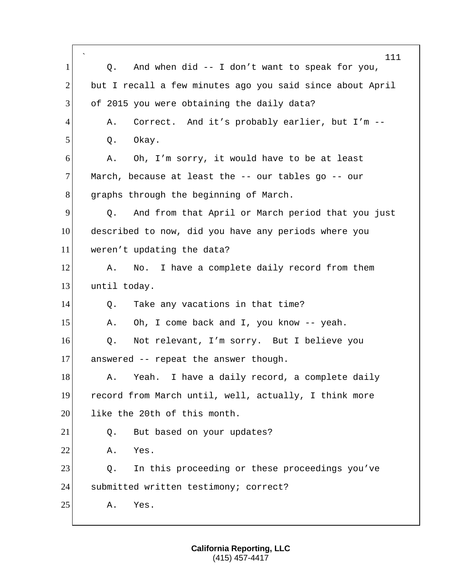|                | $\hat{\phantom{a}}$<br>111                                |
|----------------|-----------------------------------------------------------|
| $\mathbf{1}$   | And when $did -- I don't want to speak for you,$<br>Q.    |
| $\overline{2}$ | but I recall a few minutes ago you said since about April |
| 3              | of 2015 you were obtaining the daily data?                |
| 4              | Correct. And it's probably earlier, but I'm --<br>Α.      |
| 5              | Okay.<br>Q.                                               |
| 6              | Oh, I'm sorry, it would have to be at least<br>Α.         |
| $\overline{7}$ | March, because at least the -- our tables go -- our       |
| 8              | graphs through the beginning of March.                    |
| 9              | And from that April or March period that you just<br>Q.   |
| 10             | described to now, did you have any periods where you      |
| 11             | weren't updating the data?                                |
| 12             | No. I have a complete daily record from them<br>Α.        |
| 13             | until today.                                              |
| 14             | Take any vacations in that time?<br>Q.                    |
| 15             | Oh, I come back and I, you know -- yeah.<br>Α.            |
| 16             | Not relevant, I'm sorry. But I believe you<br>Q.          |
| 17             | answered -- repeat the answer though.                     |
| 18             | I have a daily record, a complete daily<br>Yeah.<br>Α.    |
| 19             | record from March until, well, actually, I think more     |
| 20             | like the 20th of this month.                              |
| 21             | But based on your updates?<br>Q.                          |
| 22             | Yes.<br>Α.                                                |
| 23             | In this proceeding or these proceedings you've<br>Q.      |
| 24             | submitted written testimony; correct?                     |
| 25             | Yes.<br>Α.                                                |
|                |                                                           |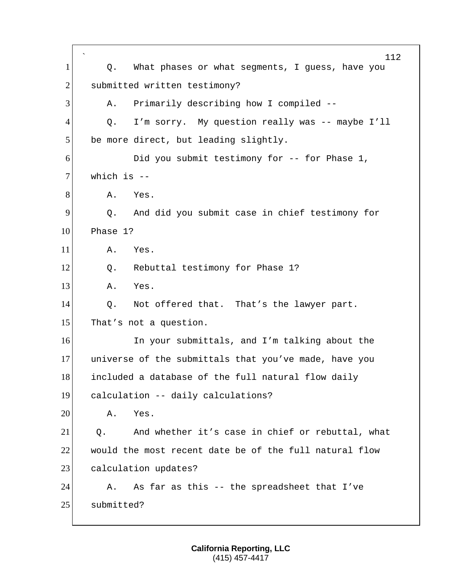` 112 1 Q. What phases or what segments, I guess, have you 2 submitted written testimony? 3 A. Primarily describing how I compiled --4 Q. I'm sorry. My question really was -- maybe I'll 5 be more direct, but leading slightly. 6 Did you submit testimony for -- for Phase 1,  $7!$  which is  $-$ 8 A. Yes. 9 9 Q. And did you submit case in chief testimony for 10 Phase 1? 11 A. Yes. 12 | Q. Rebuttal testimony for Phase 1? 13 A. Yes. 14 Q. Not offered that. That's the lawyer part. 15 That's not a question. 16 In your submittals, and I'm talking about the 17 universe of the submittals that you've made, have you 18 included a database of the full natural flow daily 19 calculation -- daily calculations? 20 A. Yes. 21 0. And whether it's case in chief or rebuttal, what 22 would the most recent date be of the full natural flow 23 calculation updates? 24 A. As far as this -- the spreadsheet that I've 25 submitted?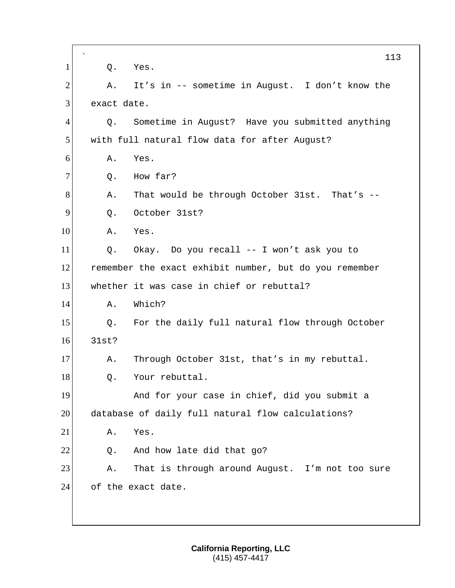`  $1$  Q. Yes. 2 A. It's in -- sometime in August. I don't know the 3 exact date. 4 Q. Sometime in August? Have you submitted anything 5 with full natural flow data for after August? 6 A. Yes.  $7$  O. How far? 8 A. That would be through October 31st. That's --9 0. October 31st? 10 A. Yes. 11 Q. Okay. Do you recall -- I won't ask you to 12 remember the exact exhibit number, but do you remember 13 whether it was case in chief or rebuttal? 14 A. Which? 15 | Q. For the daily full natural flow through October 16 31st? 17 A. Through October 31st, that's in my rebuttal. 18 Q. Your rebuttal. 19 And for your case in chief, did you submit a 20 database of daily full natural flow calculations? 21 A. Yes.  $22$  Q. And how late did that go? 23 A. That is through around August. I'm not too sure 24 of the exact date.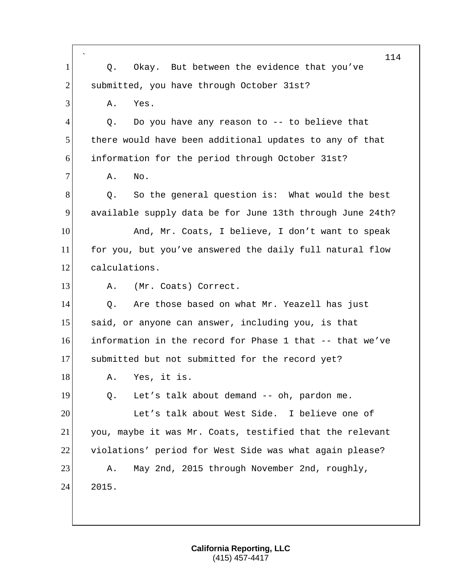|                | 114                                                       |
|----------------|-----------------------------------------------------------|
| $\mathbf{1}$   | Okay. But between the evidence that you've<br>Q.          |
| $\overline{2}$ | submitted, you have through October 31st?                 |
| 3              | Α.<br>Yes.                                                |
| 4              | Do you have any reason to -- to believe that<br>Q.        |
| 5              | there would have been additional updates to any of that   |
| 6              | information for the period through October 31st?          |
| $\overline{7}$ | Α.<br>No.                                                 |
| 8              | So the general question is: What would the best<br>Q.     |
| 9              | available supply data be for June 13th through June 24th? |
| 10             | And, Mr. Coats, I believe, I don't want to speak          |
| 11             | for you, but you've answered the daily full natural flow  |
| 12             | calculations.                                             |
| 13             | (Mr. Coats) Correct.<br>Α.                                |
| 14             | Are those based on what Mr. Yeazell has just<br>Q.        |
| 15             | said, or anyone can answer, including you, is that        |
| 16             | information in the record for Phase 1 that -- that we've  |
| 17             | submitted but not submitted for the record yet?           |
| 18             | A. Yes, it is.                                            |
| 19             | Let's talk about demand -- oh, pardon me.<br>Q.           |
| 20             | Let's talk about West Side. I believe one of              |
| 21             | you, maybe it was Mr. Coats, testified that the relevant  |
| 22             | violations' period for West Side was what again please?   |
| 23             | May 2nd, 2015 through November 2nd, roughly,<br>Α.        |
| 24             | 2015.                                                     |
|                |                                                           |
|                |                                                           |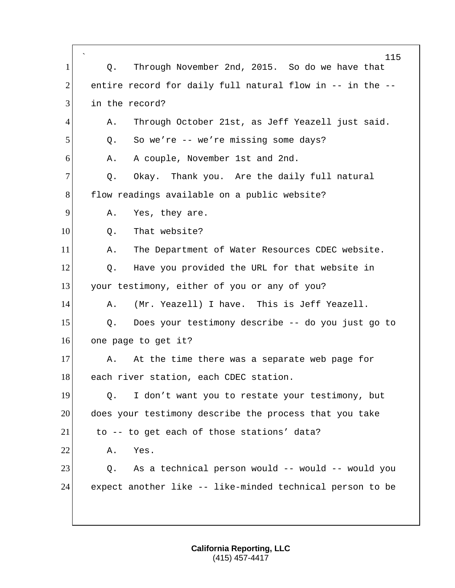| $\mathbf{1}$   | $\overline{\phantom{a}}$<br>115<br>Through November 2nd, 2015. So do we have that<br>Q. |
|----------------|-----------------------------------------------------------------------------------------|
| $\overline{2}$ | entire record for daily full natural flow in -- in the --                               |
| 3              | in the record?                                                                          |
| 4              | Through October 21st, as Jeff Yeazell just said.<br>Α.                                  |
| 5              | So we're -- we're missing some days?<br>Q.                                              |
| 6              | A couple, November 1st and 2nd.<br>Α.                                                   |
| $\tau$         |                                                                                         |
|                | Okay. Thank you. Are the daily full natural<br>Q.                                       |
| 8              | flow readings available on a public website?                                            |
| 9              | Yes, they are.<br>Α.                                                                    |
| 10             | That website?<br>Q.                                                                     |
| 11             | The Department of Water Resources CDEC website.<br>Α.                                   |
| 12             | Have you provided the URL for that website in<br>Q.                                     |
| 13             | your testimony, either of you or any of you?                                            |
| 14             | (Mr. Yeazell) I have. This is Jeff Yeazell.<br>Α.                                       |
| 15             | Does your testimony describe -- do you just go to<br>Q.                                 |
| 16             | one page to get it?                                                                     |
| 17             | At the time there was a separate web page for<br>Α.                                     |
| 18             | each river station, each CDEC station.                                                  |
| 19             | I don't want you to restate your testimony, but<br>Q.                                   |
| 20             | does your testimony describe the process that you take                                  |
| 21             | to -- to get each of those stations' data?                                              |
| 22             | Yes.<br>Α.                                                                              |
| 23             | As a technical person would -- would -- would you<br>Q.                                 |
| 24             | expect another like -- like-minded technical person to be                               |
|                |                                                                                         |
|                |                                                                                         |

Г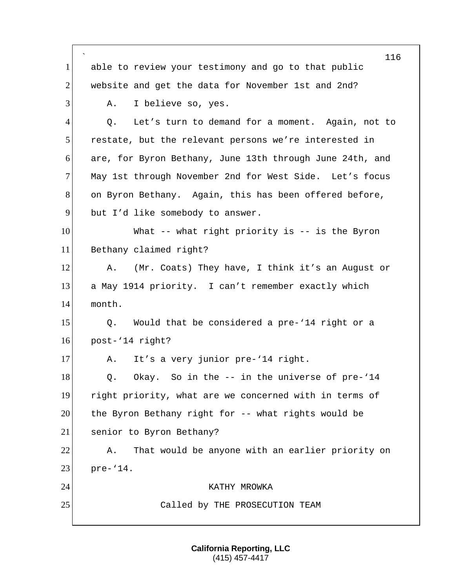` 116 1 able to review your testimony and go to that public 2 website and get the data for November 1st and 2nd? 3 A. I believe so, yes. 4 Q. Let's turn to demand for a moment. Again, not to 5 restate, but the relevant persons we're interested in 6 are, for Byron Bethany, June 13th through June 24th, and 7 May 1st through November 2nd for West Side. Let's focus 8 on Byron Bethany. Again, this has been offered before, 9 but I'd like somebody to answer. 10 What -- what right priority is -- is the Byron 11 Bethany claimed right? 12 A. (Mr. Coats) They have, I think it's an August or 13 a May 1914 priority. I can't remember exactly which 14 month. 15 | Q. Would that be considered a pre-'14 right or a 16 post-'14 right? 17 A. It's a very junior pre-'14 right. 18 Q. Okay. So in the -- in the universe of pre-'14 19 right priority, what are we concerned with in terms of 20 the Byron Bethany right for -- what rights would be 21 senior to Byron Bethany? 22 A. That would be anyone with an earlier priority on 23 pre-'14. 24 KATHY MROWKA 25 Called by THE PROSECUTION TEAM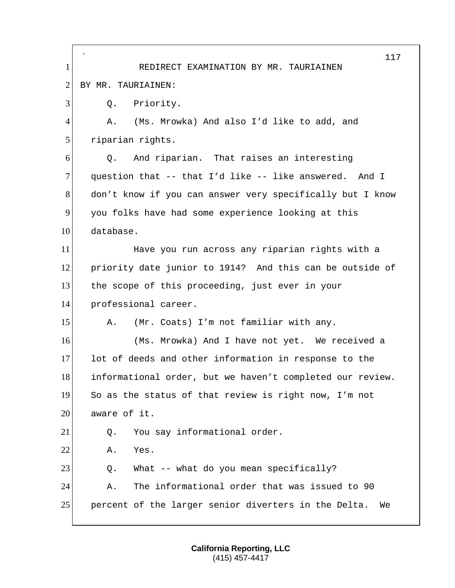` 117 1 REDIRECT EXAMINATION BY MR. TAURIAINEN 2 BY MR. TAURIAINEN: 3 O. Priority. 4 A. (Ms. Mrowka) And also I'd like to add, and 5 riparian rights. 6 Q. And riparian. That raises an interesting 7 question that -- that I'd like -- like answered. And I 8 don't know if you can answer very specifically but I know 9 you folks have had some experience looking at this 10 database. 11 Have you run across any riparian rights with a 12 priority date junior to 1914? And this can be outside of 13 the scope of this proceeding, just ever in your 14 professional career. 15 A. (Mr. Coats) I'm not familiar with any. 16 (Ms. Mrowka) And I have not yet. We received a 17 lot of deeds and other information in response to the 18 informational order, but we haven't completed our review. 19 So as the status of that review is right now, I'm not  $20$  aware of it. 21 Q. You say informational order. 22 A. Yes.  $23$  Q. What -- what do you mean specifically? 24 A. The informational order that was issued to 90 25 percent of the larger senior diverters in the Delta. We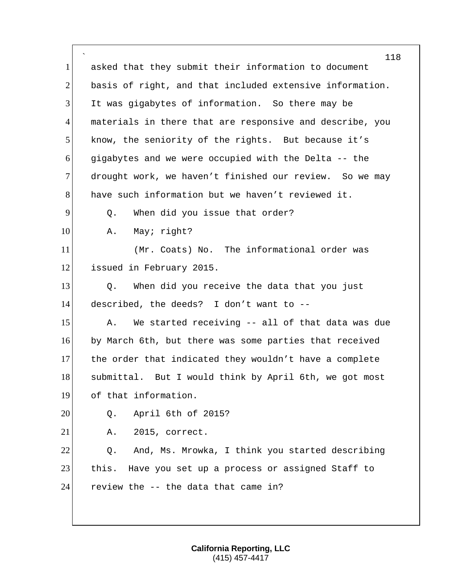` 118 1 asked that they submit their information to document 2 basis of right, and that included extensive information. 3 It was gigabytes of information. So there may be 4 materials in there that are responsive and describe, you 5 know, the seniority of the rights. But because it's 6 gigabytes and we were occupied with the Delta -- the 7 drought work, we haven't finished our review. So we may 8 have such information but we haven't reviewed it. 9 9 O. When did you issue that order? 10 A. May; right? 11 (Mr. Coats) No. The informational order was 12 issued in February 2015. 13 O. When did you receive the data that you just 14 described, the deeds? I don't want to -- 15 A. We started receiving -- all of that data was due 16 by March 6th, but there was some parties that received 17 the order that indicated they wouldn't have a complete 18 submittal. But I would think by April 6th, we got most 19 of that information. 20 0. April 6th of 2015? 21 A. 2015, correct. 22 Q. And, Ms. Mrowka, I think you started describing 23 this. Have you set up a process or assigned Staff to  $24$  review the  $-$  the data that came in?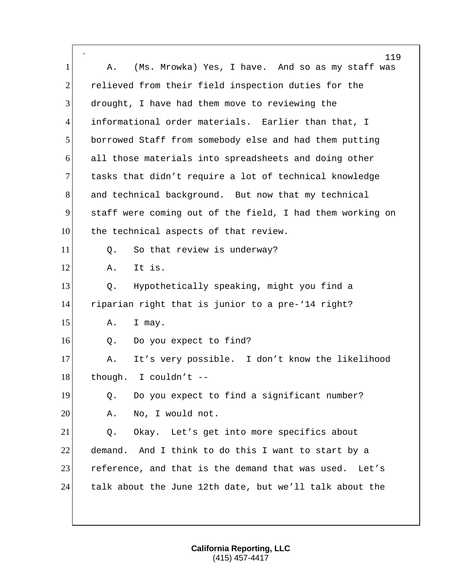|                | 119                                                       |
|----------------|-----------------------------------------------------------|
| 1              | (Ms. Mrowka) Yes, I have. And so as my staff was<br>Α.    |
| $\overline{2}$ | relieved from their field inspection duties for the       |
| 3              | drought, I have had them move to reviewing the            |
| 4              | informational order materials. Earlier than that, I       |
| 5              | borrowed Staff from somebody else and had them putting    |
| 6              | all those materials into spreadsheets and doing other     |
| $\overline{7}$ | tasks that didn't require a lot of technical knowledge    |
| 8              | and technical background. But now that my technical       |
| 9              | staff were coming out of the field, I had them working on |
| 10             | the technical aspects of that review.                     |
| 11             | So that review is underway?<br>Q.                         |
| 12             | It is.<br>Α.                                              |
| 13             | Hypothetically speaking, might you find a<br>Q.           |
| 14             | riparian right that is junior to a pre-'14 right?         |
| 15             | Α.<br>I may.                                              |
| 16             | Do you expect to find?<br>Q.                              |
| 17             | It's very possible. I don't know the likelihood<br>Α.     |
| 18             | though. I couldn't --                                     |
| 19             | Do you expect to find a significant number?<br>Q.         |
| 20             | No, I would not.<br>Α.                                    |
| 21             | Okay. Let's get into more specifics about<br>Q.           |
| 22             | demand. And I think to do this I want to start by a       |
| 23             | reference, and that is the demand that was used.<br>Let's |
| 24             | talk about the June 12th date, but we'll talk about the   |
|                |                                                           |
|                |                                                           |

 $\mathsf{r}$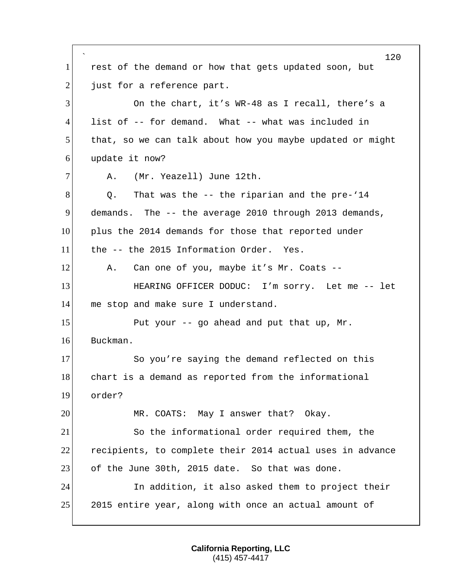` rest of the demand or how that gets updated soon, but just for a reference part. On the chart, it's WR-48 as I recall, there's a list of -- for demand. What -- what was included in that, so we can talk about how you maybe updated or might update it now? 7 A. (Mr. Yeazell) June 12th. Q. That was the -- the riparian and the pre-'14 demands. The -- the average 2010 through 2013 demands, plus the 2014 demands for those that reported under the -- the 2015 Information Order. Yes. 12 A. Can one of you, maybe it's Mr. Coats --**HEARING OFFICER DODUC:** I'm sorry. Let me -- let 14 me stop and make sure I understand. 15 Put your  $-$  go ahead and put that up, Mr. Buckman. 17 So you're saying the demand reflected on this 18 chart is a demand as reported from the informational order? MR. COATS: May I answer that? Okay. So the informational order required them, the recipients, to complete their 2014 actual uses in advance 23 of the June 30th, 2015 date. So that was done. In addition, it also asked them to project their 25 2015 entire year, along with once an actual amount of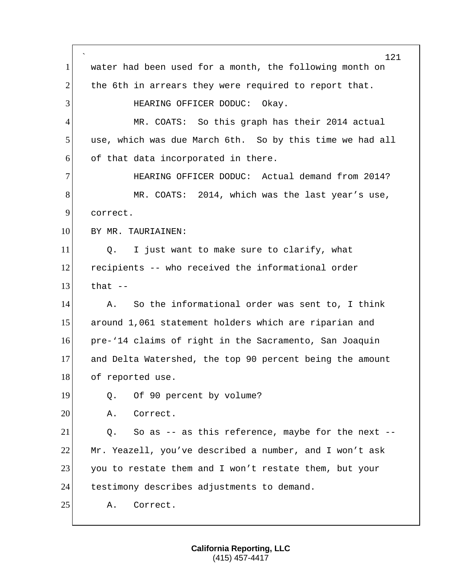` 121 1 water had been used for a month, the following month on 2 the 6th in arrears they were required to report that. 3 HEARING OFFICER DODUC: Okay. 4 MR. COATS: So this graph has their 2014 actual 5 use, which was due March 6th. So by this time we had all  $6$  of that data incorporated in there. 7 HEARING OFFICER DODUC: Actual demand from 2014? 8 MR. COATS: 2014, which was the last year's use, 9 correct. 10 BY MR. TAURIAINEN: 11 Q. I just want to make sure to clarify, what 12 recipients -- who received the informational order  $13$  that  $-$ 14 A. So the informational order was sent to, I think 15 around 1,061 statement holders which are riparian and 16 pre-'14 claims of right in the Sacramento, San Joaquin 17 and Delta Watershed, the top 90 percent being the amount 18 of reported use. 19 Q. Of 90 percent by volume? 20 A. Correct.  $21$  Q. So as -- as this reference, maybe for the next --22 Mr. Yeazell, you've described a number, and I won't ask 23 you to restate them and I won't restate them, but your 24 testimony describes adjustments to demand. 25 A. Correct.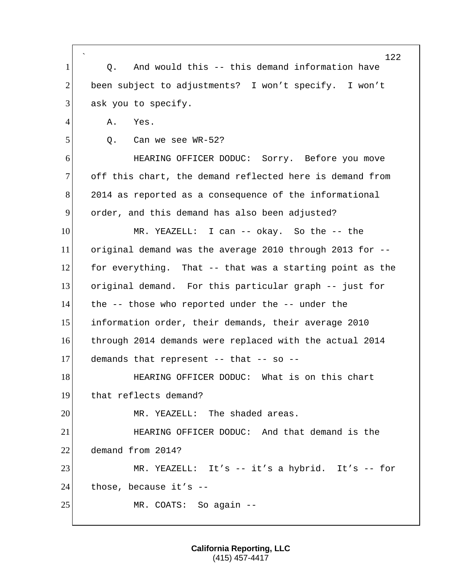| $\mathbf{1}$   | 122<br>And would this -- this demand information have<br>Q. |
|----------------|-------------------------------------------------------------|
| $\overline{2}$ | been subject to adjustments? I won't specify. I won't       |
|                |                                                             |
| 3              | ask you to specify.                                         |
| $\overline{4}$ | Yes.<br>Α.                                                  |
| 5              | Can we see WR-52?<br>Q.                                     |
| 6              | HEARING OFFICER DODUC: Sorry. Before you move               |
| 7              | off this chart, the demand reflected here is demand from    |
| 8              | 2014 as reported as a consequence of the informational      |
| 9              | order, and this demand has also been adjusted?              |
| 10             | MR. YEAZELL: I can -- okay. So the -- the                   |
| 11             | original demand was the average 2010 through 2013 for --    |
| 12             | for everything. That -- that was a starting point as the    |
| 13             | original demand. For this particular graph -- just for      |
| 14             | the -- those who reported under the -- under the            |
| 15             | information order, their demands, their average 2010        |
| 16             | through 2014 demands were replaced with the actual 2014     |
| 17             | demands that represent -- that -- so --                     |
| 18             | HEARING OFFICER DODUC: What is on this chart                |
| <u>19</u>      | that reflects demand?                                       |
| 20             | MR. YEAZELL: The shaded areas.                              |
| 21             | HEARING OFFICER DODUC: And that demand is the               |
| 22             | demand from 2014?                                           |
| 23             | MR. YEAZELL: It's -- it's a hybrid. It's -- for             |
| 24             | those, because it's --                                      |
| 25             | MR. COATS: So again --                                      |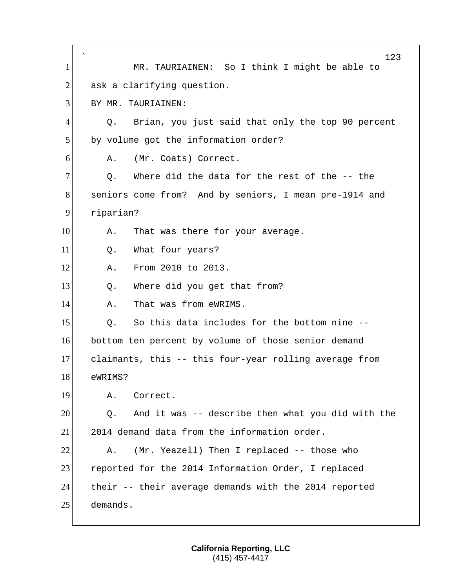` 123 1 MR. TAURIAINEN: So I think I might be able to  $2$  ask a clarifying question. 3 BY MR. TAURIAINEN: 4 Q. Brian, you just said that only the top 90 percent 5 by volume got the information order? 6 A. (Mr. Coats) Correct.  $7$  O. Where did the data for the rest of the  $-$ - the 8 seniors come from? And by seniors, I mean pre-1914 and 9 riparian? 10 A. That was there for your average. 11 0. What four years? 12 A. From 2010 to 2013. 13 O. Where did you get that from? 14 A. That was from eWRIMS.  $15$  O. So this data includes for the bottom nine  $-$ -16 bottom ten percent by volume of those senior demand 17 claimants, this -- this four-year rolling average from 18 eWRIMS? 19 A. Correct.  $20$   $\hskip1cm$  0. And it was -- describe then what you did with the 21 2014 demand data from the information order. 22 A. (Mr. Yeazell) Then I replaced -- those who 23 reported for the 2014 Information Order, I replaced 24 their -- their average demands with the 2014 reported 25 demands.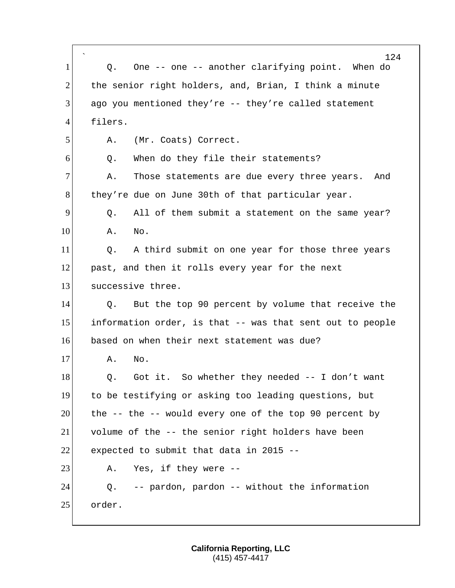|                | 124                                                       |
|----------------|-----------------------------------------------------------|
| 1              | One -- one -- another clarifying point. When do<br>Q.     |
| $\overline{2}$ | the senior right holders, and, Brian, I think a minute    |
| 3              | ago you mentioned they're -- they're called statement     |
| $\overline{4}$ | filers.                                                   |
| 5              | (Mr. Coats) Correct.<br>Α.                                |
| 6              | When do they file their statements?<br>Q.                 |
| 7              | Those statements are due every three years. And<br>Α.     |
| 8              | they're due on June 30th of that particular year.         |
| 9              | All of them submit a statement on the same year?<br>Q.    |
| 10             | No.<br>Α.                                                 |
| 11             | A third submit on one year for those three years<br>Q.    |
| 12             | past, and then it rolls every year for the next           |
| 13             | successive three.                                         |
| 14             | But the top 90 percent by volume that receive the<br>Q.   |
| 15             | information order, is that -- was that sent out to people |
| 16             | based on when their next statement was due?               |
| 17             | No.<br>Α.                                                 |
| 18             | Got it. So whether they needed -- I don't want<br>Q.      |
| 19             | to be testifying or asking too leading questions, but     |
| 20             | the -- the -- would every one of the top 90 percent by    |
| 21             | volume of the -- the senior right holders have been       |
| 22             | expected to submit that data in 2015 --                   |
| 23             | Yes, if they were --<br>Α.                                |
| 24             | -- pardon, pardon -- without the information<br>Q.        |
| 25             | order.                                                    |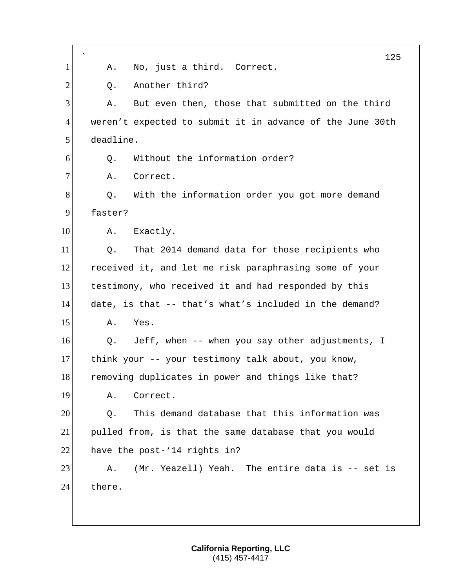|                |                                                           | 125 |
|----------------|-----------------------------------------------------------|-----|
| 1              | No, just a third. Correct.<br>Α.                          |     |
| $\overline{2}$ | Another third?<br>Q.                                      |     |
| 3              | But even then, those that submitted on the third<br>Α.    |     |
| $\overline{4}$ | weren't expected to submit it in advance of the June 30th |     |
| 5              | deadline.                                                 |     |
| 6              | Without the information order?<br>Q.                      |     |
| $\tau$         | Correct.<br>Α.                                            |     |
| 8              | With the information order you got more demand<br>Q.      |     |
| 9              | faster?                                                   |     |
| 10             | Exactly.<br>Α.                                            |     |
| 11             | That 2014 demand data for those recipients who<br>Q.      |     |
| 12             | received it, and let me risk paraphrasing some of your    |     |
| 13             | testimony, who received it and had responded by this      |     |
| 14             | date, is that -- that's what's included in the demand?    |     |
| 15             | Yes.<br>Α.                                                |     |
| 16             | Jeff, when -- when you say other adjustments, I<br>Q.     |     |
| 17             | think your -- your testimony talk about, you know,        |     |
| 18             | removing duplicates in power and things like that?        |     |
| 19             | Correct.<br>Α.                                            |     |
| 20             | This demand database that this information was<br>Q.      |     |
| 21             | pulled from, is that the same database that you would     |     |
| 22             | have the post-'14 rights in?                              |     |
| 23             | (Mr. Yeazell) Yeah. The entire data is -- set is<br>Α.    |     |
| 24             | there.                                                    |     |
|                |                                                           |     |
|                |                                                           |     |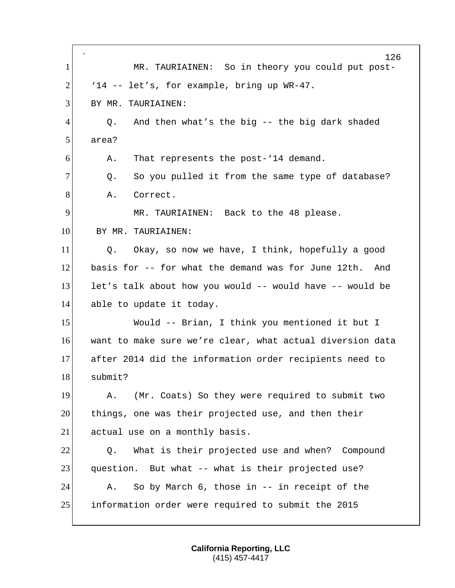| $\mathbf 1$    | $\hat{}$<br>126<br>MR. TAURIAINEN: So in theory you could put post- |
|----------------|---------------------------------------------------------------------|
| $\overline{2}$ | '14 -- let's, for example, bring up WR-47.                          |
|                |                                                                     |
| 3              | BY MR. TAURIAINEN:                                                  |
| 4              | And then what's the big -- the big dark shaded<br>Q.                |
| 5              | area?                                                               |
| 6              | That represents the post-'14 demand.<br>Α.                          |
| 7              | So you pulled it from the same type of database?<br>Q.              |
| 8              | Correct.<br>Α.                                                      |
| 9              | MR. TAURIAINEN: Back to the 48 please.                              |
| 10             | BY MR. TAURIAINEN:                                                  |
| 11             | Okay, so now we have, I think, hopefully a good<br>Q.               |
| 12             | basis for -- for what the demand was for June 12th.<br>And          |
| 13             | let's talk about how you would -- would have -- would be            |
| 14             | able to update it today.                                            |
| 15             | Would -- Brian, I think you mentioned it but I                      |
| 16             | want to make sure we're clear, what actual diversion data           |
| 17             | after 2014 did the information order recipients need to             |
| 18             | submit?                                                             |
| 19             | (Mr. Coats) So they were required to submit two<br>Α.               |
| 20             | things, one was their projected use, and then their                 |
| 21             | actual use on a monthly basis.                                      |
| 22             | What is their projected use and when? Compound<br>Q.                |
| 23             | question. But what -- what is their projected use?                  |
| 24             | So by March 6, those in -- in receipt of the<br>Α.                  |
| 25             | information order were required to submit the 2015                  |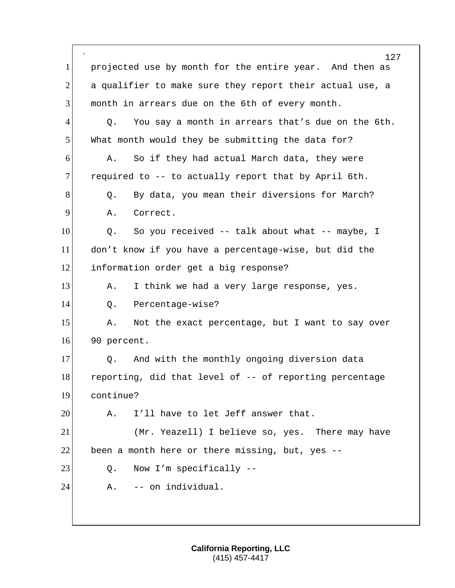` 127 1 projected use by month for the entire year. And then as  $2$  a qualifier to make sure they report their actual use, a 3 month in arrears due on the 6th of every month.  $4$  Q. You say a month in arrears that's due on the 6th. 5 What month would they be submitting the data for? 6 A. So if they had actual March data, they were  $7$  required to  $-$  to actually report that by April 6th. 8 Q. By data, you mean their diversions for March? 9 A. Correct. 10 Q. So you received -- talk about what -- maybe, I 11 don't know if you have a percentage-wise, but did the 12 information order get a big response? 13 A. I think we had a very large response, yes. 14 Q. Percentage-wise? 15 A. Not the exact percentage, but I want to say over 16 90 percent. 17 Q. And with the monthly ongoing diversion data 18 reporting, did that level of -- of reporting percentage 19 continue?  $20$  A. I'll have to let Jeff answer that. 21 (Mr. Yeazell) I believe so, yes. There may have  $22$  been a month here or there missing, but, yes  $-$ 23 Q. Now I'm specifically --24 A. -- on individual.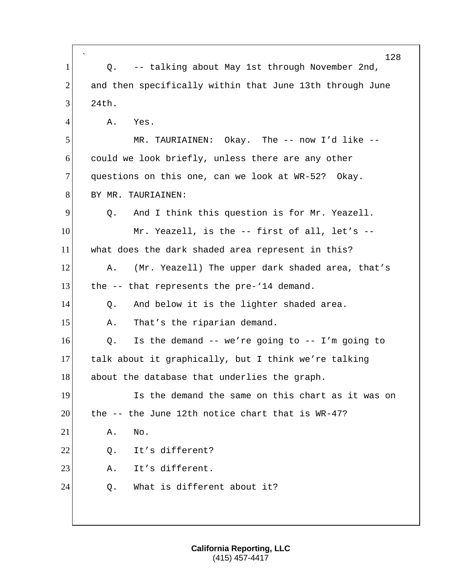| $\mathbf{1}$   | 128<br>-- talking about May 1st through November 2nd,<br>Q. |
|----------------|-------------------------------------------------------------|
| $\overline{2}$ | and then specifically within that June 13th through June    |
| 3              | 24th.                                                       |
| 4              | Yes.<br>Α.                                                  |
| 5              |                                                             |
|                | MR. TAURIAINEN: Okay. The $--$ now I'd like $--$            |
| 6              | could we look briefly, unless there are any other           |
| 7              | questions on this one, can we look at WR-52? Okay.          |
| 8              | BY MR. TAURIAINEN:                                          |
| 9              | And I think this question is for Mr. Yeazell.<br>Q.         |
| 10             | Mr. Yeazell, is the -- first of all, let's --               |
| 11             | what does the dark shaded area represent in this?           |
| 12             | (Mr. Yeazell) The upper dark shaded area, that's<br>Α.      |
| 13             | the -- that represents the pre-'14 demand.                  |
| 14             | And below it is the lighter shaded area.<br>Q.              |
| 15             | That's the riparian demand.<br>Α.                           |
| 16             | Is the demand $--$ we're going to $--$ I'm going to<br>Q.   |
| 17             | talk about it graphically, but I think we're talking        |
| 18             | about the database that underlies the graph.                |
| 19             | Is the demand the same on this chart as it was on           |
| 20             | the -- the June 12th notice chart that is WR-47?            |
| 21             | Α.<br>No.                                                   |
| 22             | It's different?<br>Q.                                       |
| 23             | It's different.<br>Α.                                       |
| 24             | What is different about it?<br>Q.                           |
|                |                                                             |
|                |                                                             |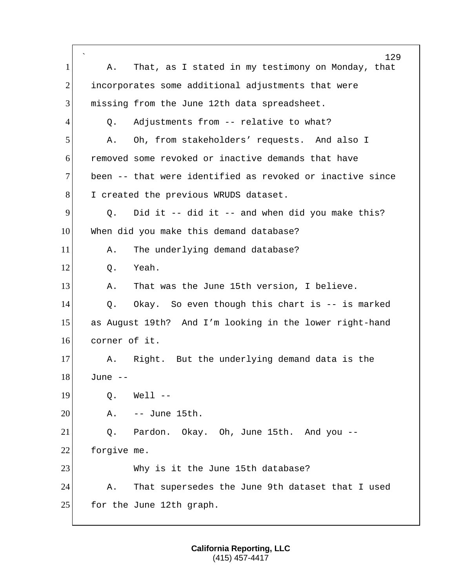` 129 1 A. That, as I stated in my testimony on Monday, that 2 incorporates some additional adjustments that were 3 missing from the June 12th data spreadsheet. 4 Q. Adjustments from -- relative to what? 5 A. Oh, from stakeholders' requests. And also I 6 removed some revoked or inactive demands that have 7 been -- that were identified as revoked or inactive since 8 I created the previous WRUDS dataset.  $9$  Q. Did it -- did it -- and when did you make this? 10 When did you make this demand database? 11 A. The underlying demand database?  $12$  0. Yeah. 13 A. That was the June 15th version, I believe. 14 Q. Okay. So even though this chart is -- is marked 15 as August 19th? And I'm looking in the lower right-hand 16 corner of it. 17 A. Right. But the underlying demand data is the 18 June -- 19 0. Well --20 A. -- June 15th. 21 Q. Pardon. Okay. Oh, June 15th. And you -- 22 forgive me. 23 Why is it the June 15th database? 24 A. That supersedes the June 9th dataset that I used 25 for the June 12th graph.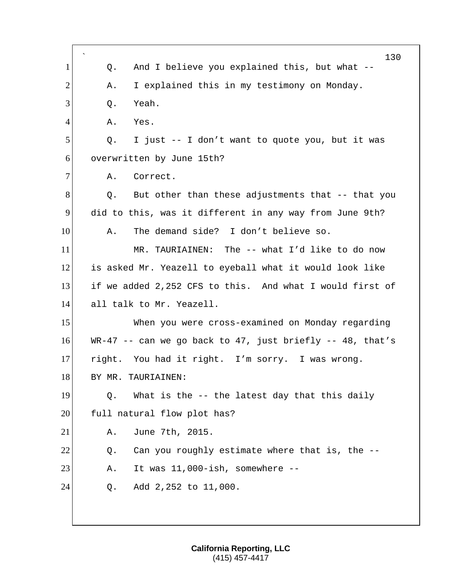|              | 130                                                       |
|--------------|-----------------------------------------------------------|
| $\mathbf{1}$ | And I believe you explained this, but what --<br>Q.       |
| 2            | I explained this in my testimony on Monday.<br>Α.         |
| 3            | Yeah.<br>Q.                                               |
| 4            | Α.<br>Yes.                                                |
| 5            | I just -- I don't want to quote you, but it was<br>Q.     |
| 6            | overwritten by June 15th?                                 |
| 7            | Correct.<br>Α.                                            |
| 8            | But other than these adjustments that -- that you<br>Q.   |
| 9            | did to this, was it different in any way from June 9th?   |
| 10           | The demand side? I don't believe so.<br>Α.                |
| 11           | MR. TAURIAINEN: The -- what I'd like to do now            |
| 12           | is asked Mr. Yeazell to eyeball what it would look like   |
| 13           | if we added 2,252 CFS to this. And what I would first of  |
| 14           | all talk to Mr. Yeazell.                                  |
| 15           | When you were cross-examined on Monday regarding          |
| 16           | WR-47 -- can we go back to 47, just briefly -- 48, that's |
| 17           | right. You had it right. I'm sorry. I was wrong.          |
| 18           | BY MR. TAURIAINEN:                                        |
| 19           | What is the -- the latest day that this daily<br>Q.       |
| 20           | full natural flow plot has?                               |
| 21           | June 7th, 2015.<br>Α.                                     |
| 22           | Can you roughly estimate where that is, the --<br>Q.      |
| 23           | It was 11,000-ish, somewhere --<br>Α.                     |
| 24           | Add 2,252 to 11,000.<br>Q.                                |
|              |                                                           |
|              |                                                           |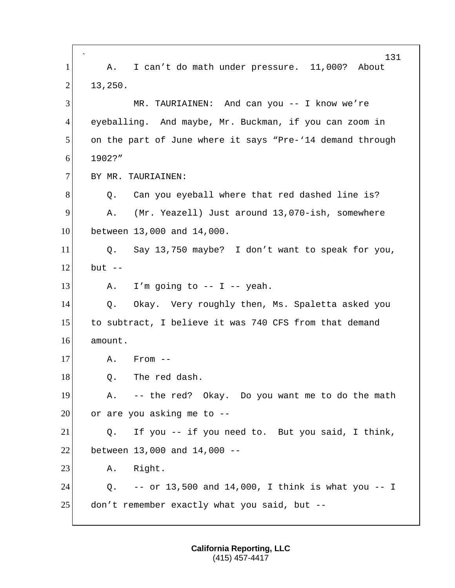` 131 1 A. I can't do math under pressure. 11,000? About  $2$  13,250. 3 MR. TAURIAINEN: And can you -- I know we're 4 eyeballing. And maybe, Mr. Buckman, if you can zoom in 5 on the part of June where it says "Pre-'14 demand through 6 1902?" 7 BY MR. TAURIAINEN: 8 Q. Can you eyeball where that red dashed line is? 9 A. (Mr. Yeazell) Just around 13,070-ish, somewhere 10 between 13,000 and 14,000. 11 Q. Say 13,750 maybe? I don't want to speak for you,  $12$  but  $-$ 13  $\vert$  A. I'm going to -- I -- yeah. 14 Q. Okay. Very roughly then, Ms. Spaletta asked you 15 to subtract, I believe it was 740 CFS from that demand 16 amount.  $17$  A. From  $-$ 18 Q. The red dash. 19 A. -- the red? Okay. Do you want me to do the math  $20$  or are you asking me to  $-$ 21 Q. If you -- if you need to. But you said, I think, 22 between 13,000 and 14,000 -- 23 A. Right. 24 Q. -- or 13,500 and 14,000, I think is what you -- I  $25$  don't remember exactly what you said, but  $-$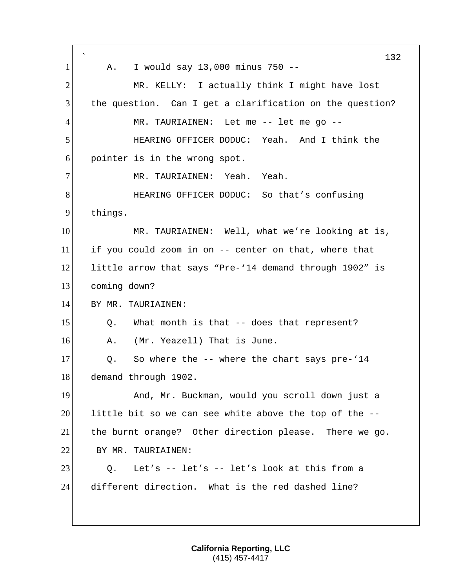` 132 1 | A. I would say 13,000 minus 750 --2 MR. KELLY: I actually think I might have lost 3 the question. Can I get a clarification on the question? 4 MR. TAURIAINEN: Let me -- let me go --5 HEARING OFFICER DODUC: Yeah. And I think the 6 pointer is in the wrong spot. 7 MR. TAURIAINEN: Yeah. Yeah. 8 **BEARING OFFICER DODUC:** So that's confusing 9 things. 10 MR. TAURIAINEN: Well, what we're looking at is, 11 if you could zoom in on  $-$ - center on that, where that 12 little arrow that says "Pre-'14 demand through 1902" is 13 coming down? 14 BY MR. TAURIAINEN:  $15$  Q. What month is that  $-$  does that represent? 16 A. (Mr. Yeazell) That is June.  $17$  Q. So where the  $-$ - where the chart says pre-'14 18 demand through 1902. 19 And, Mr. Buckman, would you scroll down just a  $20$  little bit so we can see white above the top of the  $-$ -21 the burnt orange? Other direction please. There we go. 22 BY MR. TAURIAINEN: 23 Q. Let's -- let's -- let's look at this from a 24 different direction. What is the red dashed line?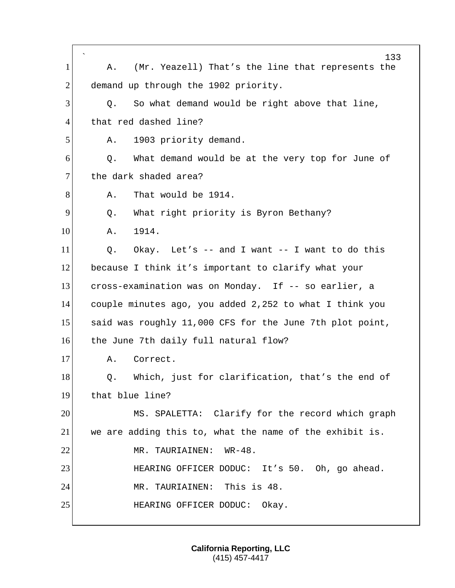|                | 133                                                           |
|----------------|---------------------------------------------------------------|
| 1              | (Mr. Yeazell) That's the line that represents the<br>Α.       |
| $\overline{2}$ | demand up through the 1902 priority.                          |
| 3              | So what demand would be right above that line,<br>Q.          |
| $\overline{4}$ | that red dashed line?                                         |
| 5              | 1903 priority demand.<br>Α.                                   |
| 6              | What demand would be at the very top for June of<br>Q.        |
| 7              | the dark shaded area?                                         |
| 8              | That would be 1914.<br>Α.                                     |
| 9              | What right priority is Byron Bethany?<br>Q.                   |
| 10             | 1914.<br>Α.                                                   |
| 11             | Okay. Let's $--$ and I want $--$ I want to do this<br>Q.      |
| 12             | because I think it's important to clarify what your           |
| 13             | cross-examination was on Monday. If -- so earlier, a          |
| 14             | couple minutes ago, you added 2,252 to what I think you       |
| 15             | said was roughly 11,000 CFS for the June 7th plot point,      |
| 16             | the June 7th daily full natural flow?                         |
| 17             | Correct.<br>Α.                                                |
| 18             | Which, just for clarification, that's the end of<br>$\circ$ . |
| 19             | that blue line?                                               |
| 20             | MS. SPALETTA: Clarify for the record which graph              |
| 21             | we are adding this to, what the name of the exhibit is.       |
| 22             | MR. TAURIAINEN: WR-48.                                        |
| 23             | HEARING OFFICER DODUC: It's 50. Oh, go ahead.                 |
| 24             | MR. TAURIAINEN: This is 48.                                   |
| 25             | HEARING OFFICER DODUC: Okay.                                  |
|                |                                                               |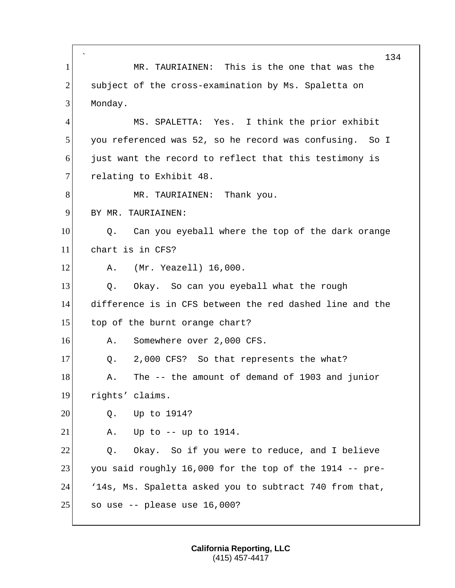` 134 1 MR. TAURIAINEN: This is the one that was the 2 subject of the cross-examination by Ms. Spaletta on 3 Monday. 4 MS. SPALETTA: Yes. I think the prior exhibit 5 you referenced was 52, so he record was confusing. So I 6 just want the record to reflect that this testimony is 7 relating to Exhibit 48. 8 MR. TAURIAINEN: Thank you. 9 BY MR. TAURIAINEN: 10 Q. Can you eyeball where the top of the dark orange 11 chart is in CFS? 12 A. (Mr. Yeazell) 16,000. 13 O. Okay. So can you eyeball what the rough 14 difference is in CFS between the red dashed line and the 15 top of the burnt orange chart? 16 A. Somewhere over 2,000 CFS. 17 Q. 2,000 CFS? So that represents the what? 18 A. The -- the amount of demand of 1903 and junior 19 rights' claims. 20 0. Up to 1914? 21  $\vert$  A. Up to  $\vert$  -- up to 1914. 22 O. Okay. So if you were to reduce, and I believe 23 you said roughly 16,000 for the top of the 1914 -- pre-24 '14s, Ms. Spaletta asked you to subtract 740 from that,  $25$  so use -- please use 16,000?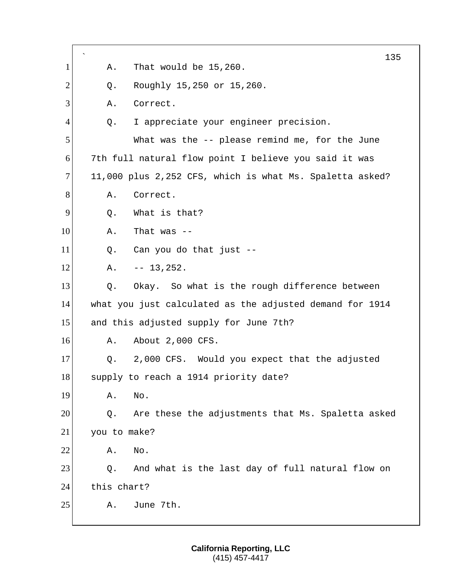|                |              |                                                          | 135 |
|----------------|--------------|----------------------------------------------------------|-----|
| 1              | Α.           | That would be 15,260.                                    |     |
| $\overline{2}$ | Q.           | Roughly 15,250 or 15,260.                                |     |
| 3              | Α.           | Correct.                                                 |     |
| $\overline{4}$ | Q.           | I appreciate your engineer precision.                    |     |
| 5              |              | What was the -- please remind me, for the June           |     |
| 6              |              | 7th full natural flow point I believe you said it was    |     |
| 7              |              | 11,000 plus 2,252 CFS, which is what Ms. Spaletta asked? |     |
| 8              | Α.           | Correct.                                                 |     |
| 9              | Q.           | What is that?                                            |     |
| 10             | Α.           | That was $--$                                            |     |
| 11             | Q.           | Can you do that just --                                  |     |
| 12             | Α.           | $-- 13,252.$                                             |     |
| 13             | Q.           | Okay. So what is the rough difference between            |     |
| 14             |              | what you just calculated as the adjusted demand for 1914 |     |
| 15             |              | and this adjusted supply for June 7th?                   |     |
| 16             | Α.           | About 2,000 CFS.                                         |     |
| 17             | Q.           | 2,000 CFS. Would you expect that the adjusted            |     |
| 18             |              | supply to reach a 1914 priority date?                    |     |
| 19             | Α.           | No.                                                      |     |
| 20             | Q.           | Are these the adjustments that Ms. Spaletta asked        |     |
| 21             | you to make? |                                                          |     |
| 22             | Α.           | No.                                                      |     |
| 23             | Q.           | And what is the last day of full natural flow on         |     |
| 24             | this chart?  |                                                          |     |
| 25             | Α.           | June 7th.                                                |     |
|                |              |                                                          |     |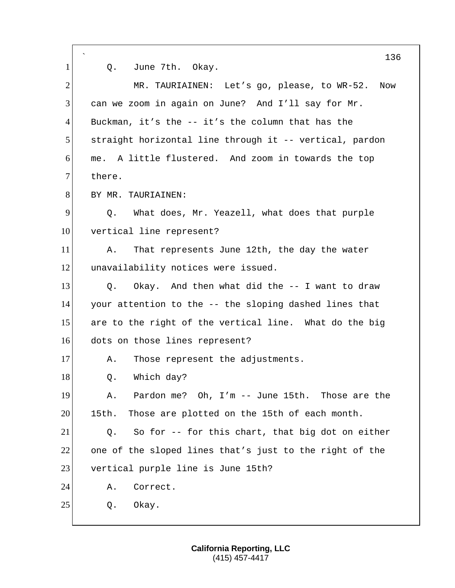| 1              | 136<br>June 7th. Okay.<br>Q.                            |
|----------------|---------------------------------------------------------|
| $\overline{2}$ | MR. TAURIAINEN: Let's go, please, to WR-52.<br>Now      |
| 3              | can we zoom in again on June? And I'll say for Mr.      |
| $\overline{4}$ | Buckman, it's the $-$ - it's the column that has the    |
| 5              | straight horizontal line through it -- vertical, pardon |
| 6              | me. A little flustered. And zoom in towards the top     |
| $\overline{7}$ | there.                                                  |
| 8              | BY MR. TAURIAINEN:                                      |
| 9              | What does, Mr. Yeazell, what does that purple<br>Q.     |
| 10             | vertical line represent?                                |
| 11             | That represents June 12th, the day the water<br>Α.      |
| 12             | unavailability notices were issued.                     |
| 13             | Okay. And then what did the -- I want to draw<br>Q.     |
| 14             | your attention to the -- the sloping dashed lines that  |
| 15             | are to the right of the vertical line. What do the big  |
| 16             | dots on those lines represent?                          |
| 17             | Those represent the adjustments.<br>Α.                  |
| 18             | Which day?<br>Q.                                        |
| 19             | Pardon me? Oh, I'm -- June 15th. Those are the<br>Α.    |
| 20             | Those are plotted on the 15th of each month.<br>15th.   |
| 21             | So for -- for this chart, that big dot on either<br>Q.  |
| 22             | one of the sloped lines that's just to the right of the |
| 23             | vertical purple line is June 15th?                      |
| 24             | Α.<br>Correct.                                          |
| 25             | Okay.<br>Q.                                             |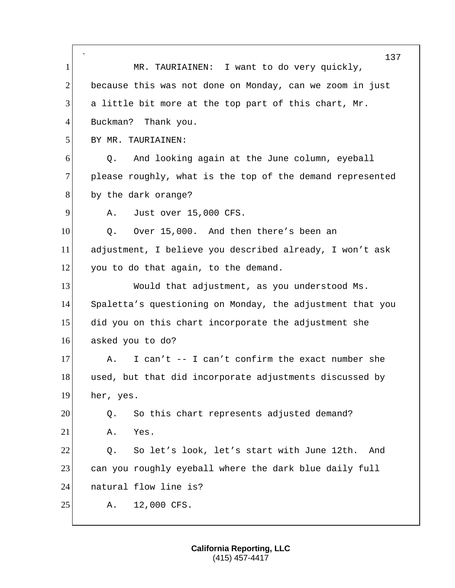|                | 137                                                       |
|----------------|-----------------------------------------------------------|
| 1              | MR. TAURIAINEN: I want to do very quickly,                |
| $\overline{2}$ | because this was not done on Monday, can we zoom in just  |
| 3              | a little bit more at the top part of this chart, Mr.      |
| $\overline{4}$ | Buckman? Thank you.                                       |
| 5              | BY MR. TAURIAINEN:                                        |
| 6              | And looking again at the June column, eyeball<br>Q.       |
| $\overline{7}$ | please roughly, what is the top of the demand represented |
| 8              | by the dark orange?                                       |
| 9              | Just over 15,000 CFS.<br>Α.                               |
| 10             | Over 15,000. And then there's been an<br>Q.               |
| 11             | adjustment, I believe you described already, I won't ask  |
| 12             | you to do that again, to the demand.                      |
| 13             | Would that adjustment, as you understood Ms.              |
| 14             | Spaletta's questioning on Monday, the adjustment that you |
| 15             | did you on this chart incorporate the adjustment she      |
| 16             | asked you to do?                                          |
| 17             | I can't -- I can't confirm the exact number she<br>Α.     |
| 18             | used, but that did incorporate adjustments discussed by   |
| 19             | her, yes.                                                 |
| 20             | So this chart represents adjusted demand?<br>Q.           |
| 21             | Yes.<br>Α.                                                |
| 22             | So let's look, let's start with June 12th.<br>And<br>Q.   |
| 23             | can you roughly eyeball where the dark blue daily full    |
| 24             | natural flow line is?                                     |
| 25             | 12,000 CFS.<br>Α.                                         |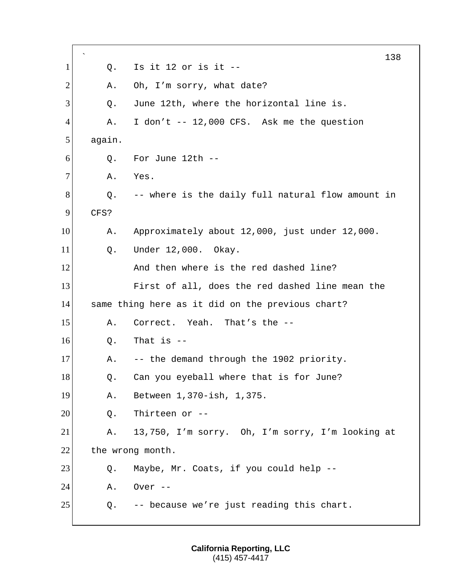` Q. Is it 12 or is it  $-$  A. Oh, I'm sorry, what date? 3 O. June 12th, where the horizontal line is. A. I don't -- 12,000 CFS. Ask me the question again. O. For June 12th  $-$ 7 A. Yes. Q. -- where is the daily full natural flow amount in CFS? 10 A. Approximately about 12,000, just under 12,000. 11 0. Under 12,000. Okay. **And then where is the red dashed line?**  First of all, does the red dashed line mean the same thing here as it did on the previous chart? A. Correct. Yeah. That's the -- 0. That is  $-$ 17 A. -- the demand through the 1902 priority. 18 Q. Can you eyeball where that is for June? A. Between 1,370-ish, 1,375. 0. Thirteen or  $-$  A. 13,750, I'm sorry. Oh, I'm sorry, I'm looking at 22 the wrong month. 23 Q. Maybe, Mr. Coats, if you could help --**A.** Over --Q. -- because we're just reading this chart.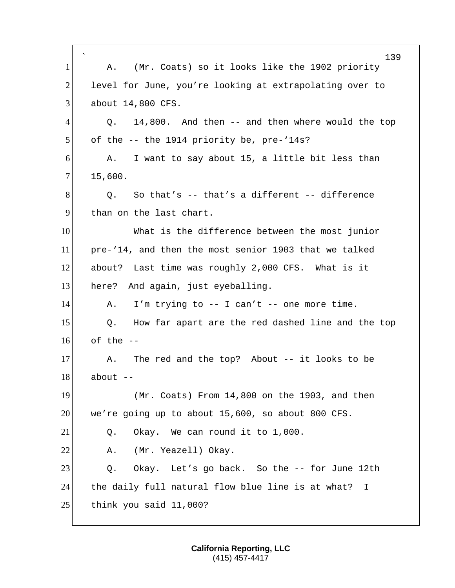` 139 1 A. (Mr. Coats) so it looks like the 1902 priority 2 level for June, you're looking at extrapolating over to 3 about 14,800 CFS.  $4$  Q. 14,800. And then  $-$  and then where would the top 5 of the -- the 1914 priority be, pre-'14s? 6 A. I want to say about 15, a little bit less than  $7$  15,600.  $8$  Q. So that's  $-$  that's a different  $-$  difference 9 than on the last chart. 10 What is the difference between the most junior 11 pre-'14, and then the most senior 1903 that we talked 12 about? Last time was roughly 2,000 CFS. What is it 13 here? And again, just eyeballing. 14 A. I'm trying to -- I can't -- one more time. 15 | Q. How far apart are the red dashed line and the top  $16$  of the  $-$ 17 A. The red and the top? About -- it looks to be  $18$  about  $-$ 19 (Mr. Coats) From 14,800 on the 1903, and then  $20$  we're going up to about 15,600, so about 800 CFS.  $21$  Q. Okay. We can round it to  $1,000$ . 22 A. (Mr. Yeazell) Okay. 23 Q. Okay. Let's go back. So the -- for June 12th 24 the daily full natural flow blue line is at what? I 25 think you said 11,000?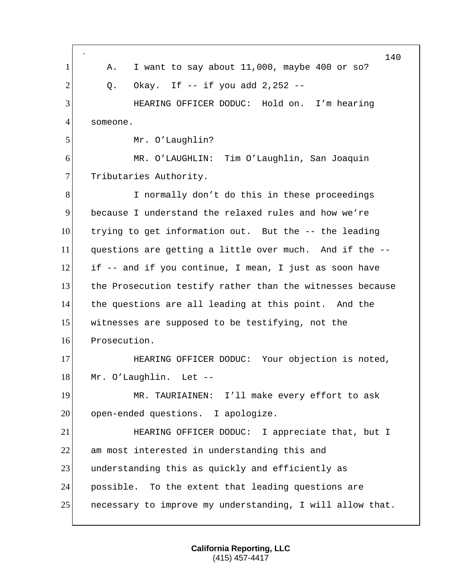` 140 1 A. I want to say about 11,000, maybe 400 or so?  $2$  Q. Okay. If  $-$  if you add  $2,252$   $-$ 3 HEARING OFFICER DODUC: Hold on. I'm hearing 4 someone. 5 Mr. O'Laughlin? 6 MR. O'LAUGHLIN: Tim O'Laughlin, San Joaquin 7 Tributaries Authority. 8 I normally don't do this in these proceedings 9 because I understand the relaxed rules and how we're 10 trying to get information out. But the -- the leading 11 questions are getting a little over much. And if the --  $12$  if -- and if you continue, I mean, I just as soon have 13 the Prosecution testify rather than the witnesses because 14 the questions are all leading at this point. And the 15 witnesses are supposed to be testifying, not the 16 Prosecution. 17 HEARING OFFICER DODUC: Your objection is noted, 18 Mr. O'Laughlin. Let --19 MR. TAURIAINEN: I'll make every effort to ask 20 open-ended questions. I apologize. 21 HEARING OFFICER DODUC: I appreciate that, but I 22 am most interested in understanding this and 23 understanding this as quickly and efficiently as 24 possible. To the extent that leading questions are 25 necessary to improve my understanding, I will allow that.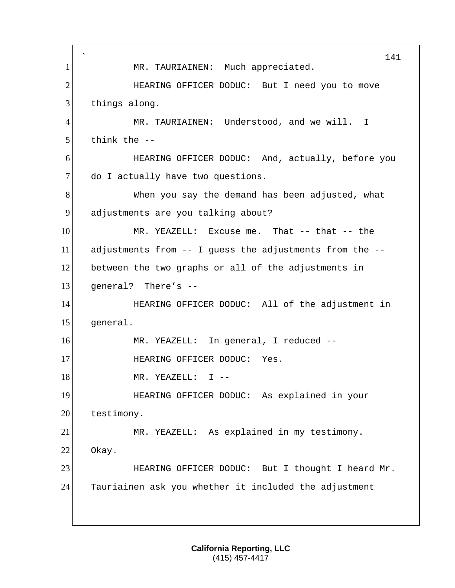` 141 1 | MR. TAURIAINEN: Much appreciated. 2 HEARING OFFICER DODUC: But I need you to move 3 things along. 4 MR. TAURIAINEN: Understood, and we will. I  $5$  think the  $-$ 6 HEARING OFFICER DODUC: And, actually, before you 7 do I actually have two questions. 8 When you say the demand has been adjusted, what 9 adjustments are you talking about? 10 MR. YEAZELL: Excuse me. That -- that -- the 11 adjustments from -- I guess the adjustments from the -- 12 between the two graphs or all of the adjustments in 13 general? There's -- 14 **HEARING OFFICER DODUC:** All of the adjustment in 15 general. 16 MR. YEAZELL: In general, I reduced -- 17 HEARING OFFICER DODUC: Yes. 18 MR. YEAZELL: I --19 HEARING OFFICER DODUC: As explained in your 20 testimony. 21 MR. YEAZELL: As explained in my testimony. 22 Okay. 23 HEARING OFFICER DODUC: But I thought I heard Mr. 24 Tauriainen ask you whether it included the adjustment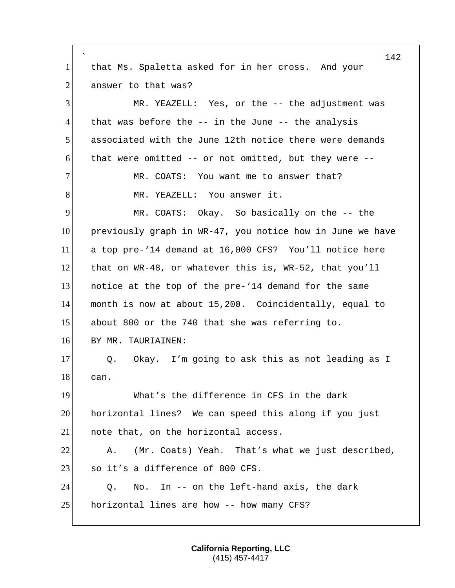` 142 1 that Ms. Spaletta asked for in her cross. And your 2 answer to that was? 3 MR. YEAZELL: Yes, or the -- the adjustment was  $4$  that was before the  $-$ - in the June  $-$ - the analysis 5 associated with the June 12th notice there were demands 6 that were omitted -- or not omitted, but they were -- 7 MR. COATS: You want me to answer that? 8 MR. YEAZELL: You answer it. 9 MR. COATS: Okay. So basically on the -- the 10 previously graph in WR-47, you notice how in June we have 11 a top pre-'14 demand at 16,000 CFS? You'll notice here 12 that on WR-48, or whatever this is, WR-52, that you'll 13 notice at the top of the pre-'14 demand for the same 14 month is now at about 15,200. Coincidentally, equal to 15 about 800 or the 740 that she was referring to. 16 BY MR. TAURIAINEN: 17 Q. Okay. I'm going to ask this as not leading as I 18 can. 19 What's the difference in CFS in the dark 20 horizontal lines? We can speed this along if you just 21 | note that, on the horizontal access. 22 A. (Mr. Coats) Yeah. That's what we just described, 23 so it's a difference of 800 CFS. 24 Q. No. In -- on the left-hand axis, the dark 25 horizontal lines are how -- how many CFS?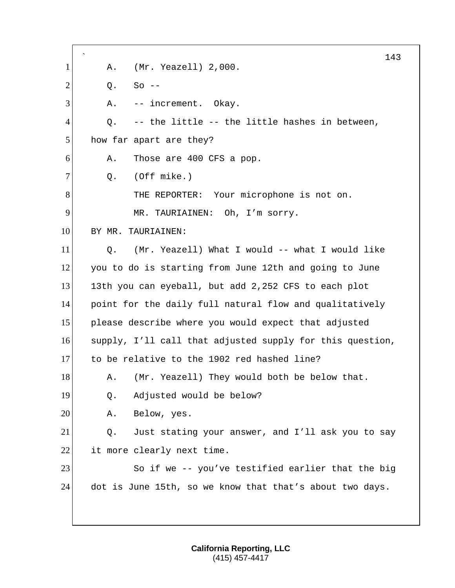` 143 1 A. (Mr. Yeazell) 2,000.  $2| 0.$  So --3 A. -- increment. Okay.  $4$  Q. -- the little -- the little hashes in between, 5 how far apart are they? 6 A. Those are 400 CFS a pop.  $7$  Q. (Off mike.) 8 THE REPORTER: Your microphone is not on. 9 MR. TAURIAINEN: Oh, I'm sorry. 10 BY MR. TAURIAINEN: 11 Q. (Mr. Yeazell) What I would -- what I would like 12 you to do is starting from June 12th and going to June 13 13th you can eyeball, but add 2,252 CFS to each plot 14 point for the daily full natural flow and qualitatively 15 please describe where you would expect that adjusted 16 supply, I'll call that adjusted supply for this question, 17 to be relative to the 1902 red hashed line? 18 A. (Mr. Yeazell) They would both be below that. 19 Q. Adjusted would be below? 20 A. Below, yes. 21 Q. Just stating your answer, and I'll ask you to say 22 it more clearly next time. 23 So if we -- you've testified earlier that the big 24 dot is June 15th, so we know that that's about two days.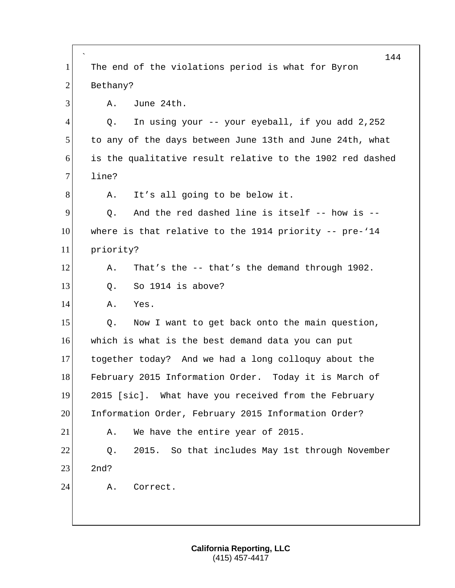` 144 1 The end of the violations period is what for Byron 2 Bethany? 3 A. June 24th. 4 Q. In using your -- your eyeball, if you add 2,252 5 to any of the days between June 13th and June 24th, what 6 is the qualitative result relative to the 1902 red dashed 7 line? 8 A. It's all going to be below it.  $9$  O. And the red dashed line is itself  $-$  how is  $-$ 10 where is that relative to the 1914 priority -- pre-'14 11 priority? 12 A. That's the -- that's the demand through 1902. 13 0. So 1914 is above? 14 A. Yes. 15 Q. Now I want to get back onto the main question, 16 which is what is the best demand data you can put 17 together today? And we had a long colloquy about the 18 February 2015 Information Order. Today it is March of 19 2015 [sic]. What have you received from the February 20 Information Order, February 2015 Information Order? 21 A. We have the entire year of 2015. 22 0. 2015. So that includes May 1st through November  $23$   $2nd?$ 24 A. Correct.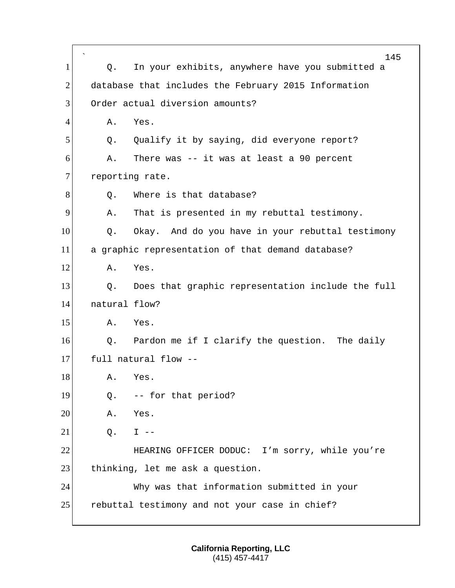|                |               | 145                                                  |
|----------------|---------------|------------------------------------------------------|
| 1              | Q.            | In your exhibits, anywhere have you submitted a      |
| $\overline{2}$ |               | database that includes the February 2015 Information |
| 3              |               | Order actual diversion amounts?                      |
| 4              | Α.            | Yes.                                                 |
| 5              | Q.            | Qualify it by saying, did everyone report?           |
| 6              | Α.            | There was -- it was at least a 90 percent            |
| 7              |               | reporting rate.                                      |
| 8              | Q.            | Where is that database?                              |
| 9              | Α.            | That is presented in my rebuttal testimony.          |
| 10             | Q.            | Okay. And do you have in your rebuttal testimony     |
| 11             |               | a graphic representation of that demand database?    |
| 12             | Α.            | Yes.                                                 |
| 13             | Q.            | Does that graphic representation include the full    |
| 14             | natural flow? |                                                      |
| 15             | Α.            | Yes.                                                 |
| 16             | Q.            | Pardon me if I clarify the question. The daily       |
| 17             |               | full natural flow --                                 |
| 18             | A.            | Yes.                                                 |
| 19             | Q.            | -- for that period?                                  |
| 20             | Α.            | Yes.                                                 |
| 21             | Q.            | $I$ $-$                                              |
| 22             |               | HEARING OFFICER DODUC: I'm sorry, while you're       |
| 23             |               | thinking, let me ask a question.                     |
| 24             |               | Why was that information submitted in your           |
| 25             |               | rebuttal testimony and not your case in chief?       |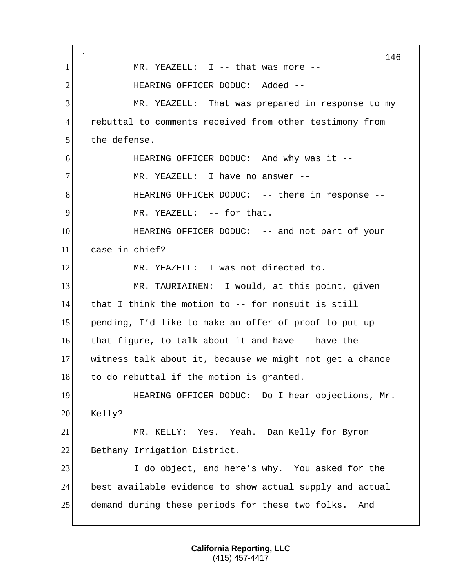` 146 1 MR. YEAZELL: I -- that was more --2 HEARING OFFICER DODUC: Added --3 MR. YEAZELL: That was prepared in response to my 4 rebuttal to comments received from other testimony from 5 the defense. 6 HEARING OFFICER DODUC: And why was it -- 7 MR. YEAZELL: I have no answer --8 HEARING OFFICER DODUC: -- there in response 9 MR. YEAZELL: -- for that. 10 **HEARING OFFICER DODUC:** -- and not part of your 11 case in chief? 12 MR. YEAZELL: I was not directed to. 13 MR. TAURIAINEN: I would, at this point, given 14 that I think the motion to -- for nonsuit is still 15 pending, I'd like to make an offer of proof to put up 16 that figure, to talk about it and have -- have the 17 witness talk about it, because we might not get a chance 18 to do rebuttal if the motion is granted. 19 HEARING OFFICER DODUC: Do I hear objections, Mr. 20 Kelly? 21 MR. KELLY: Yes. Yeah. Dan Kelly for Byron 22 Bethany Irrigation District. 23 I do object, and here's why. You asked for the 24 best available evidence to show actual supply and actual 25 demand during these periods for these two folks. And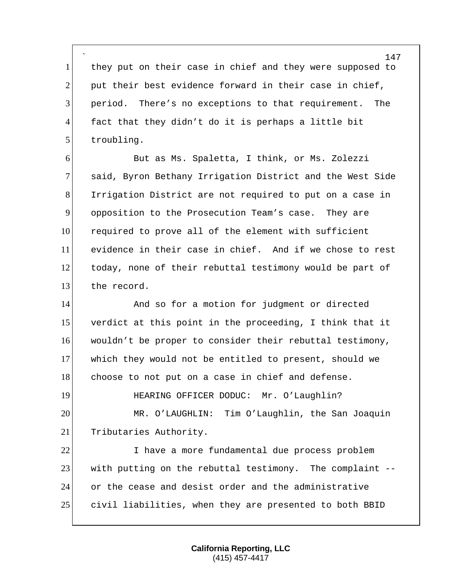` they put on their case in chief and they were supposed to put their best evidence forward in their case in chief, 3 period. There's no exceptions to that requirement. The fact that they didn't do it is perhaps a little bit 5 troubling.

 But as Ms. Spaletta, I think, or Ms. Zolezzi 7 said, Byron Bethany Irrigation District and the West Side Irrigation District are not required to put on a case in opposition to the Prosecution Team's case. They are required to prove all of the element with sufficient evidence in their case in chief. And if we chose to rest today, none of their rebuttal testimony would be part of 13 the record.

14 And so for a motion for judgment or directed verdict at this point in the proceeding, I think that it wouldn't be proper to consider their rebuttal testimony, which they would not be entitled to present, should we 18 choose to not put on a case in chief and defense. **HEARING OFFICER DODUC:** Mr. O'Laughlin?

 MR. O'LAUGHLIN: Tim O'Laughlin, the San Joaquin 21 Tributaries Authority.

 I have a more fundamental due process problem with putting on the rebuttal testimony. The complaint -- or the cease and desist order and the administrative civil liabilities, when they are presented to both BBID

> **California Reporting, LLC** (415) 457-4417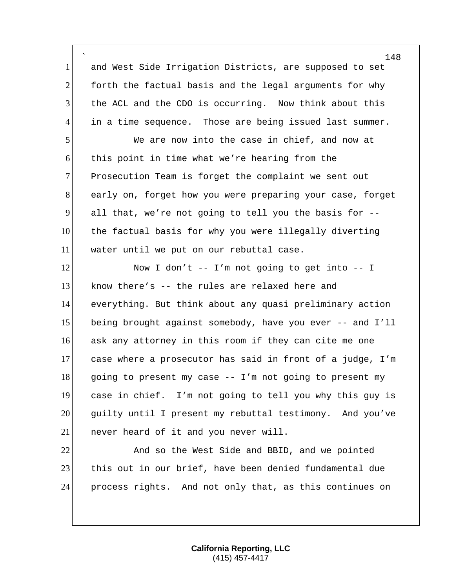` 1 and West Side Irrigation Districts, are supposed to set forth the factual basis and the legal arguments for why the ACL and the CDO is occurring. Now think about this in a time sequence. Those are being issued last summer.

 We are now into the case in chief, and now at this point in time what we're hearing from the 7 Prosecution Team is forget the complaint we sent out early on, forget how you were preparing your case, forget all that, we're not going to tell you the basis for -- the factual basis for why you were illegally diverting water until we put on our rebuttal case.

12 Now I don't -- I'm not going to get into -- I  $\blacksquare$  know there's -- the rules are relaxed here and everything. But think about any quasi preliminary action 15 being brought against somebody, have you ever -- and I'll ask any attorney in this room if they can cite me one case where a prosecutor has said in front of a judge, I'm 18 going to present my case -- I'm not going to present my case in chief. I'm not going to tell you why this guy is guilty until I present my rebuttal testimony. And you've 21 never heard of it and you never will.

22 And so the West Side and BBID, and we pointed this out in our brief, have been denied fundamental due process rights. And not only that, as this continues on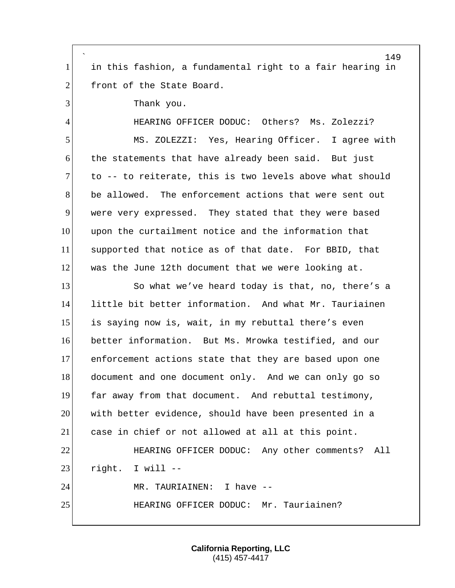` in this fashion, a fundamental right to a fair hearing in 2 front of the State Board. 3 Thank you. HEARING OFFICER DODUC: Others? Ms. Zolezzi? 5 MS. ZOLEZZI: Yes, Hearing Officer. I agree with the statements that have already been said. But just to  $-$  to reiterate, this is two levels above what should be allowed. The enforcement actions that were sent out were very expressed. They stated that they were based upon the curtailment notice and the information that supported that notice as of that date. For BBID, that was the June 12th document that we were looking at. 13 So what we've heard today is that, no, there's a little bit better information. And what Mr. Tauriainen 15 is saying now is, wait, in my rebuttal there's even better information. But Ms. Mrowka testified, and our enforcement actions state that they are based upon one 18 document and one document only. And we can only go so far away from that document. And rebuttal testimony, with better evidence, should have been presented in a case in chief or not allowed at all at this point. HEARING OFFICER DODUC: Any other comments? All right. I will  $-$ 24 MR. TAURIAINEN: I have --HEARING OFFICER DODUC: Mr. Tauriainen?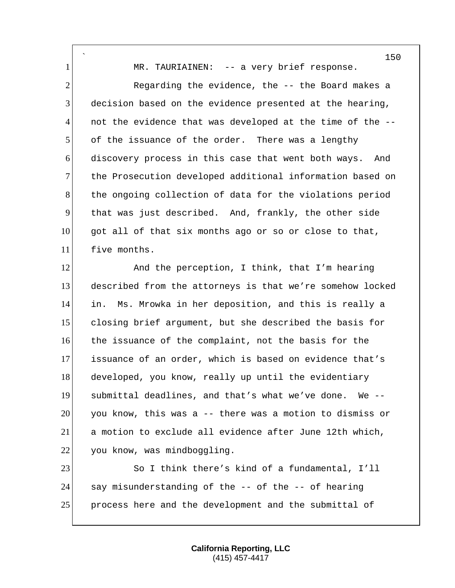` 1 MR. TAURIAINEN: -- a very brief response. 2 Regarding the evidence, the -- the Board makes a decision based on the evidence presented at the hearing, not the evidence that was developed at the time of the  $-$ - of the issuance of the order. There was a lengthy discovery process in this case that went both ways. And 7 the Prosecution developed additional information based on 8 the ongoing collection of data for the violations period that was just described. And, frankly, the other side got all of that six months ago or so or close to that, five months.

12 And the perception, I think, that I'm hearing described from the attorneys is that we're somehow locked in. Ms. Mrowka in her deposition, and this is really a closing brief argument, but she described the basis for the issuance of the complaint, not the basis for the issuance of an order, which is based on evidence that's developed, you know, really up until the evidentiary submittal deadlines, and that's what we've done. We -- you know, this was a -- there was a motion to dismiss or a motion to exclude all evidence after June 12th which, 22 you know, was mindboggling.

23 So I think there's kind of a fundamental, I'll say misunderstanding of the -- of the -- of hearing 25 process here and the development and the submittal of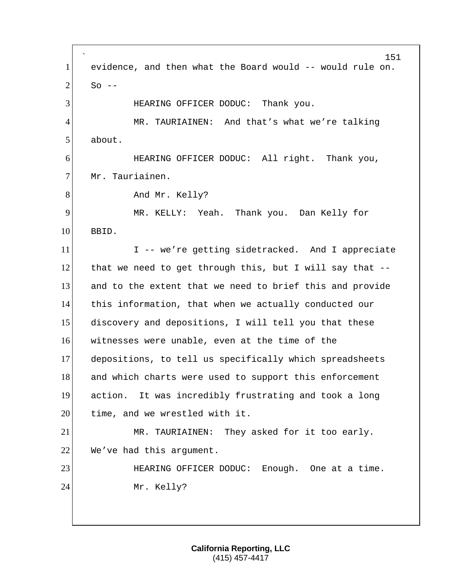` 151 1 evidence, and then what the Board would -- would rule on.  $2 \times$  So --3 HEARING OFFICER DODUC: Thank you. 4 MR. TAURIAINEN: And that's what we're talking 5 about. 6 HEARING OFFICER DODUC: All right. Thank you, 7 Mr. Tauriainen. 8 And Mr. Kelly? 9 MR. KELLY: Yeah. Thank you. Dan Kelly for 10 BBID. 11 I -- we're getting sidetracked. And I appreciate 12 that we need to get through this, but I will say that  $-$ -13 and to the extent that we need to brief this and provide 14 this information, that when we actually conducted our 15 discovery and depositions, I will tell you that these 16 witnesses were unable, even at the time of the 17 depositions, to tell us specifically which spreadsheets 18 and which charts were used to support this enforcement 19 action. It was incredibly frustrating and took a long 20 time, and we wrestled with it. 21 MR. TAURIAINEN: They asked for it too early.  $22$  We've had this argument. 23 HEARING OFFICER DODUC: Enough. One at a time. 24 Mr. Kelly?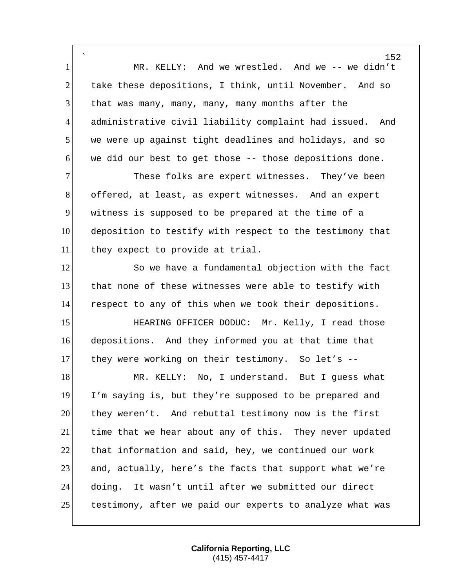` MR. KELLY: And we wrestled. And we -- we didn't 2 take these depositions, I think, until November. And so that was many, many, many, many months after the administrative civil liability complaint had issued. And we were up against tight deadlines and holidays, and so we did our best to get those -- those depositions done. 7 These folks are expert witnesses. They've been offered, at least, as expert witnesses. And an expert witness is supposed to be prepared at the time of a deposition to testify with respect to the testimony that 11 they expect to provide at trial. 12 So we have a fundamental objection with the fact that none of these witnesses were able to testify with respect to any of this when we took their depositions. 15 HEARING OFFICER DODUC: Mr. Kelly, I read those depositions. And they informed you at that time that 17 they were working on their testimony. So let's --18 MR. KELLY: No, I understand. But I guess what I'm saying is, but they're supposed to be prepared and they weren't. And rebuttal testimony now is the first time that we hear about any of this. They never updated that information and said, hey, we continued our work and, actually, here's the facts that support what we're doing. It wasn't until after we submitted our direct 25 testimony, after we paid our experts to analyze what was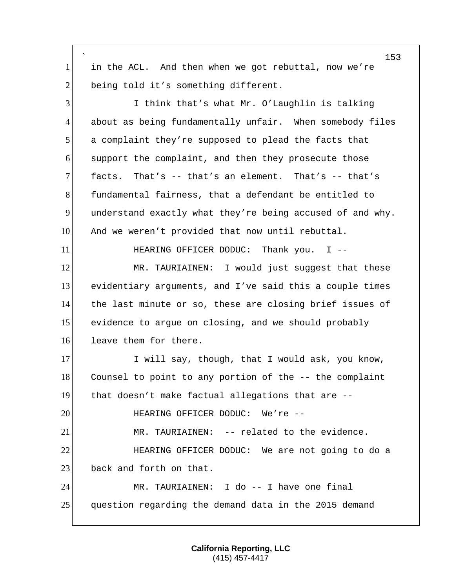` in the ACL. And then when we got rebuttal, now we're 2 being told it's something different. I think that's what Mr. O'Laughlin is talking 4 about as being fundamentally unfair. When somebody files a complaint they're supposed to plead the facts that support the complaint, and then they prosecute those facts. That's -- that's an element. That's -- that's fundamental fairness, that a defendant be entitled to understand exactly what they're being accused of and why. 10 And we weren't provided that now until rebuttal. 11 HEARING OFFICER DODUC: Thank you. I --12 MR. TAURIAINEN: I would just suggest that these evidentiary arguments, and I've said this a couple times the last minute or so, these are closing brief issues of evidence to argue on closing, and we should probably 16 leave them for there. 17 I will say, though, that I would ask, you know, Counsel to point to any portion of the -- the complaint that doesn't make factual allegations that are -- HEARING OFFICER DODUC: We're -- MR. TAURIAINEN: -- related to the evidence. **HEARING OFFICER DODUC:** We are not going to do a 23 back and forth on that. MR. TAURIAINEN: I do -- I have one final question regarding the demand data in the 2015 demand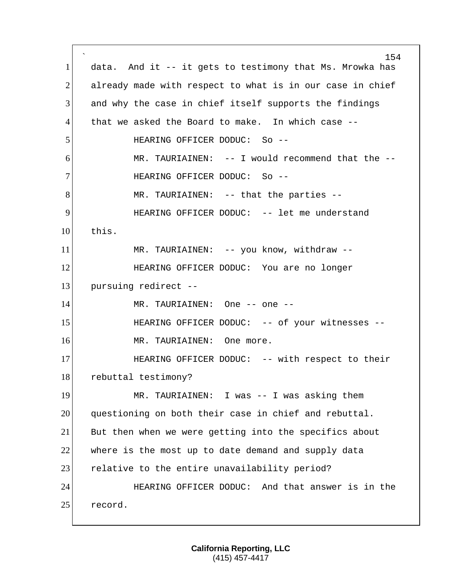` 154 1 data. And it -- it gets to testimony that Ms. Mrowka has  $2$  already made with respect to what is in our case in chief 3 and why the case in chief itself supports the findings 4 that we asked the Board to make. In which case -- 5 HEARING OFFICER DODUC: So --6 MR. TAURIAINEN: -- I would recommend that the -- 7 HEARING OFFICER DODUC: So --8 MR. TAURIAINEN: -- that the parties --9 HEARING OFFICER DODUC: -- let me understand 10 this. 11 MR. TAURIAINEN: -- you know, withdraw --12 HEARING OFFICER DODUC: You are no longer 13 pursuing redirect --14 MR. TAURIAINEN: One -- one --15 HEARING OFFICER DODUC: -- of your witnesses --16 MR. TAURIAINEN: One more. 17 HEARING OFFICER DODUC: -- with respect to their 18 rebuttal testimony? 19 MR. TAURIAINEN: I was -- I was asking them 20 questioning on both their case in chief and rebuttal. 21 But then when we were getting into the specifics about 22 where is the most up to date demand and supply data 23 relative to the entire unavailability period? 24 HEARING OFFICER DODUC: And that answer is in the 25 record.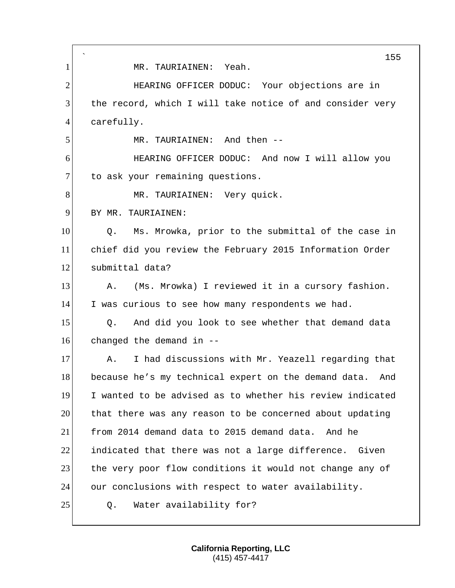` 155 1 MR. TAURIAINEN: Yeah. 2 HEARING OFFICER DODUC: Your objections are in 3 the record, which I will take notice of and consider very 4 carefully. 5 MR. TAURIAINEN: And then --6 HEARING OFFICER DODUC: And now I will allow you 7 to ask your remaining questions. 8 MR. TAURIAINEN: Very quick. 9 BY MR. TAURIAINEN: 10 Q. Ms. Mrowka, prior to the submittal of the case in 11 chief did you review the February 2015 Information Order 12 submittal data? 13 A. (Ms. Mrowka) I reviewed it in a cursory fashion. 14 I was curious to see how many respondents we had. 15 Q. And did you look to see whether that demand data  $16$  changed the demand in  $-$ 17 A. I had discussions with Mr. Yeazell regarding that 18 because he's my technical expert on the demand data. And 19 I wanted to be advised as to whether his review indicated 20 that there was any reason to be concerned about updating 21 from 2014 demand data to 2015 demand data. And he 22 indicated that there was not a large difference. Given 23 the very poor flow conditions it would not change any of 24 our conclusions with respect to water availability. 25 Q. Water availability for?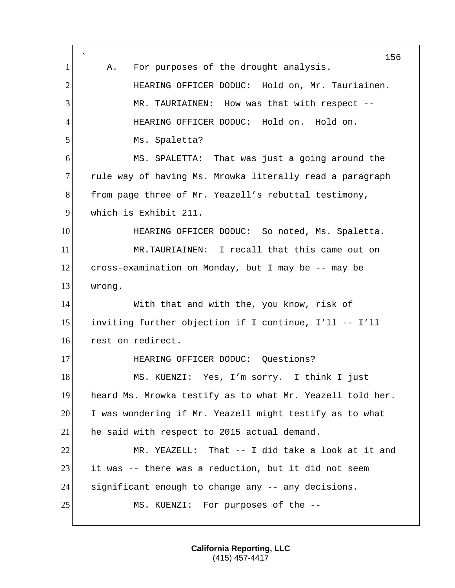` 156 1 A. For purposes of the drought analysis. 2 HEARING OFFICER DODUC: Hold on, Mr. Tauriainen. 3 MR. TAURIAINEN: How was that with respect -- 4 HEARING OFFICER DODUC: Hold on. Hold on. 5 Ms. Spaletta? 6 MS. SPALETTA: That was just a going around the 7 rule way of having Ms. Mrowka literally read a paragraph 8 from page three of Mr. Yeazell's rebuttal testimony, 9 which is Exhibit 211. 10 HEARING OFFICER DODUC: So noted, Ms. Spaletta. 11 MR.TAURIAINEN: I recall that this came out on 12 cross-examination on Monday, but I may be -- may be 13 wrong. 14 With that and with the, you know, risk of 15 inviting further objection if I continue, I'll -- I'll 16 rest on redirect. 17 HEARING OFFICER DODUC: Questions? 18 MS. KUENZI: Yes, I'm sorry. I think I just 19 heard Ms. Mrowka testify as to what Mr. Yeazell told her. 20 I was wondering if Mr. Yeazell might testify as to what 21 he said with respect to 2015 actual demand. 22 MR. YEAZELL: That -- I did take a look at it and 23 it was -- there was a reduction, but it did not seem 24 significant enough to change any -- any decisions. 25 MS. KUENZI: For purposes of the --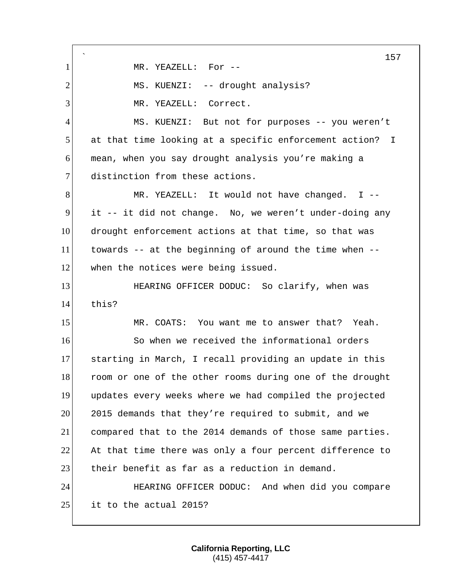` 157 1 MR. YEAZELL: For --2 MS. KUENZI: -- drought analysis? 3 MR. YEAZELL: Correct. 4 MS. KUENZI: But not for purposes -- you weren't 5 at that time looking at a specific enforcement action? I 6 mean, when you say drought analysis you're making a 7 distinction from these actions. 8 MR. YEAZELL: It would not have changed. I --9 it -- it did not change. No, we weren't under-doing any 10 drought enforcement actions at that time, so that was 11 towards -- at the beginning of around the time when -- 12 when the notices were being issued. 13 **HEARING OFFICER DODUC:** So clarify, when was 14 this? 15 MR. COATS: You want me to answer that? Yeah. 16 So when we received the informational orders 17 starting in March, I recall providing an update in this 18 room or one of the other rooms during one of the drought 19 updates every weeks where we had compiled the projected 20 2015 demands that they're required to submit, and we 21 compared that to the 2014 demands of those same parties. 22 At that time there was only a four percent difference to 23 their benefit as far as a reduction in demand. 24 HEARING OFFICER DODUC: And when did you compare  $25$  it to the actual 2015?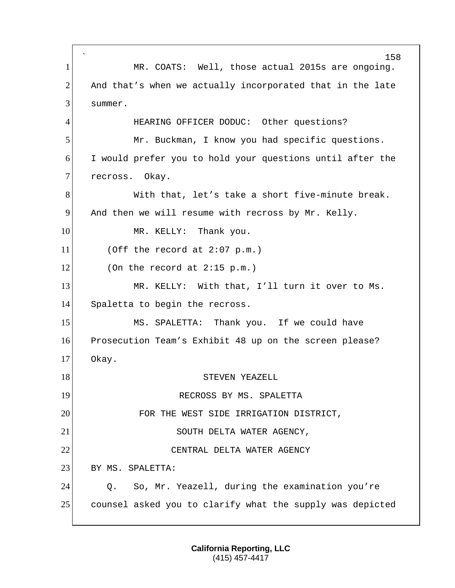` 158 1 MR. COATS: Well, those actual 2015s are ongoing.  $2$  And that's when we actually incorporated that in the late 3 summer. 4 HEARING OFFICER DODUC: Other questions? 5 Mr. Buckman, I know you had specific questions. 6 I would prefer you to hold your questions until after the 7 recross. Okay. 8 With that, let's take a short five-minute break. 9 And then we will resume with recross by Mr. Kelly. 10 MR. KELLY: Thank you.  $11$  (Off the record at 2:07 p.m.)  $12$  (On the record at 2:15 p.m.) 13 MR. KELLY: With that, I'll turn it over to Ms. 14 Spaletta to begin the recross. 15 MS. SPALETTA: Thank you. If we could have 16 Prosecution Team's Exhibit 48 up on the screen please? 17 Okay. 18 STEVEN YEAZELL 19 RECROSS BY MS. SPALETTA 20 FOR THE WEST SIDE IRRIGATION DISTRICT, 21 SOUTH DELTA WATER AGENCY, 22 CENTRAL DELTA WATER AGENCY 23 BY MS. SPALETTA: 24 Q. So, Mr. Yeazell, during the examination you're 25 counsel asked you to clarify what the supply was depicted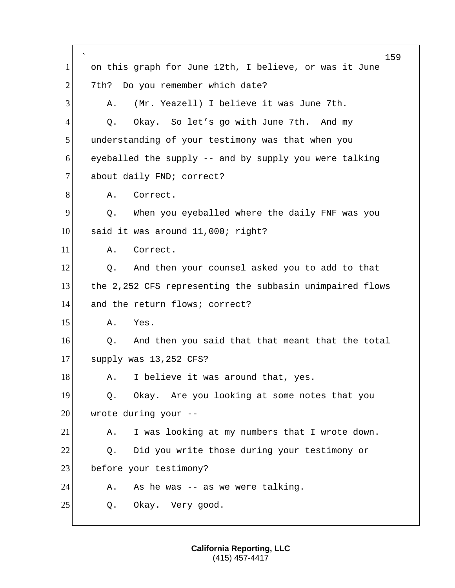` 159 1 on this graph for June 12th, I believe, or was it June 2 7th? Do you remember which date? 3 A. (Mr. Yeazell) I believe it was June 7th. 4 Q. Okay. So let's go with June 7th. And my 5 understanding of your testimony was that when you  $6$  eyeballed the supply  $-$  and by supply you were talking 7 about daily FND; correct? 8 A. Correct. 9 9 Q. When you eyeballed where the daily FNF was you 10 said it was around 11,000; right? 11 A. Correct. 12 Q. And then your counsel asked you to add to that 13 the 2,252 CFS representing the subbasin unimpaired flows 14 and the return flows; correct? 15 A. Yes. 16 O. And then you said that that meant that the total 17 supply was 13,252 CFS? 18 A. I believe it was around that, yes. 19 | Q. Okay. Are you looking at some notes that you 20 wrote during your --21 A. I was looking at my numbers that I wrote down. 22 Q. Did you write those during your testimony or 23 before your testimony?  $24$  A. As he was -- as we were talking. 25 Q. Okay. Very good.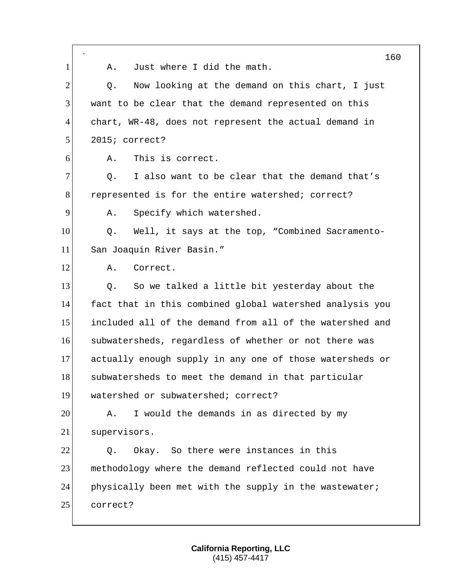|                | $\overline{\phantom{a}}$<br>160                          |
|----------------|----------------------------------------------------------|
| 1              | Just where I did the math.<br>Α.                         |
| $\overline{2}$ | Now looking at the demand on this chart, I just<br>Q.    |
| 3              | want to be clear that the demand represented on this     |
| 4              | chart, WR-48, does not represent the actual demand in    |
| 5              | 2015; correct?                                           |
| 6              | This is correct.<br>Α.                                   |
| $\tau$         | I also want to be clear that the demand that's<br>Q.     |
| 8              | represented is for the entire watershed; correct?        |
| 9              | Specify which watershed.<br>Α.                           |
| 10             | Well, it says at the top, "Combined Sacramento-<br>Q.    |
| 11             | San Joaquin River Basin."                                |
| 12             | Correct.<br>Α.                                           |
| 13             | So we talked a little bit yesterday about the<br>Q.      |
| 14             | fact that in this combined global watershed analysis you |
| 15             | included all of the demand from all of the watershed and |
| 16             | subwatersheds, regardless of whether or not there was    |
| 17             | actually enough supply in any one of those watersheds or |
| 18             | subwatersheds to meet the demand in that particular      |
| 19             | watershed or subwatershed; correct?                      |
| 20             | I would the demands in as directed by my<br>Α.           |
| 21             | supervisors.                                             |
| 22             | Okay. So there were instances in this<br>Q.              |
| 23             | methodology where the demand reflected could not have    |
| 24             | physically been met with the supply in the wastewater;   |
| 25             | correct?                                                 |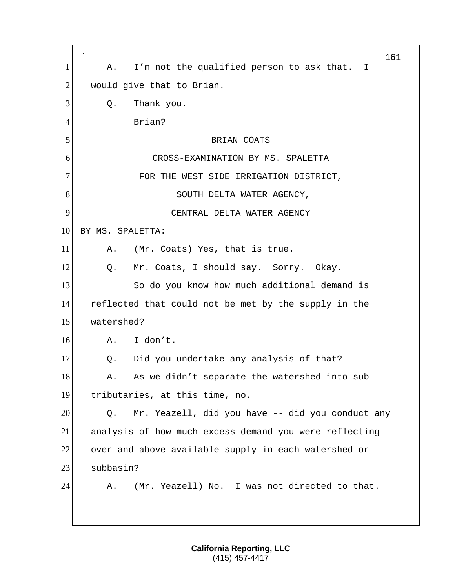` 161 1 A. I'm not the qualified person to ask that. I  $2$  would give that to Brian.  $3$  O. Thank you. 4 Brian? 5 BRIAN COATS 6 CROSS-EXAMINATION BY MS. SPALETTA 7 FOR THE WEST SIDE IRRIGATION DISTRICT, 8 SOUTH DELTA WATER AGENCY, 9 CENTRAL DELTA WATER AGENCY 10 BY MS. SPALETTA: 11 A. (Mr. Coats) Yes, that is true. 12 Q. Mr. Coats, I should say. Sorry. Okay. 13 So do you know how much additional demand is 14 reflected that could not be met by the supply in the 15 watershed? 16 A. I don't. 17 Q. Did you undertake any analysis of that? 18 A. As we didn't separate the watershed into sub-19 tributaries, at this time, no.  $20$  Q. Mr. Yeazell, did you have  $-$  did you conduct any 21 analysis of how much excess demand you were reflecting 22 over and above available supply in each watershed or 23 subbasin? 24 A. (Mr. Yeazell) No. I was not directed to that.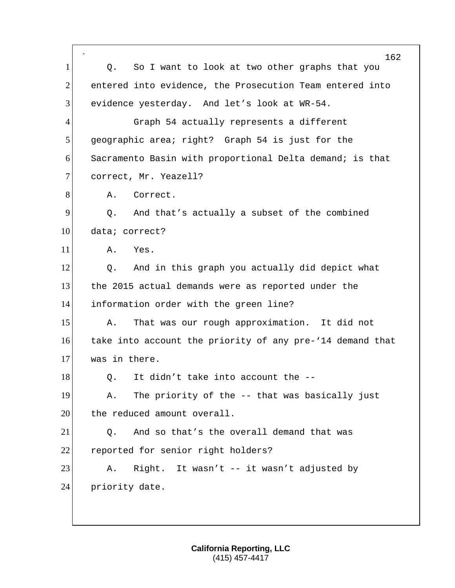| 162                                                                        |
|----------------------------------------------------------------------------|
| So I want to look at two other graphs that you<br>Q.                       |
| $\overline{2}$<br>entered into evidence, the Prosecution Team entered into |
| 3<br>evidence yesterday. And let's look at WR-54.                          |
| $\overline{4}$<br>Graph 54 actually represents a different                 |
| 5<br>geographic area; right? Graph 54 is just for the                      |
| 6<br>Sacramento Basin with proportional Delta demand; is that              |
| 7<br>correct, Mr. Yeazell?                                                 |
| 8<br>Correct.<br>Α.                                                        |
| 9<br>And that's actually a subset of the combined<br>Q.                    |
| 10<br>data; correct?                                                       |
| 11<br>Yes.<br>Α.                                                           |
| 12<br>And in this graph you actually did depict what<br>Q.                 |
| 13<br>the 2015 actual demands were as reported under the                   |
| 14<br>information order with the green line?                               |
| 15<br>That was our rough approximation. It did not<br>Α.                   |
| 16<br>take into account the priority of any pre-'14 demand that            |
| 17<br>was in there.                                                        |
| 18<br>Q. It didn't take into account the $-$ -                             |
| 19<br>The priority of the -- that was basically just<br>Α.                 |
| 20<br>the reduced amount overall.                                          |
| 21<br>And so that's the overall demand that was<br>Q.                      |
|                                                                            |
| 22<br>reported for senior right holders?                                   |
| 23<br>Right. It wasn't -- it wasn't adjusted by<br>Α.                      |
| 24<br>priority date.                                                       |
|                                                                            |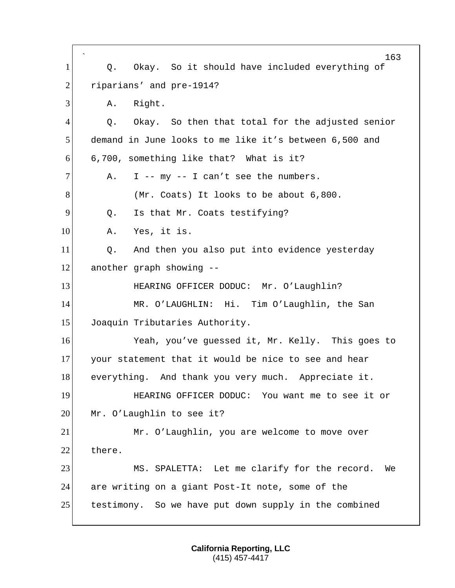` 163 1 | Q. Okay. So it should have included everything of 2 riparians' and pre-1914? 3 A. Right.  $4$  Q. Okay. So then that total for the adjusted senior 5 demand in June looks to me like it's between 6,500 and  $6$  6,700, something like that? What is it?  $7$  A. I -- my -- I can't see the numbers. 8 (Mr. Coats) It looks to be about 6,800. 9 0. Is that Mr. Coats testifying? 10 A. Yes, it is.  $11$  Q. And then you also put into evidence yesterday 12 another graph showing -- 13 HEARING OFFICER DODUC: Mr. O'Laughlin? 14 MR. O'LAUGHLIN: Hi. Tim O'Laughlin, the San 15 Joaquin Tributaries Authority. 16 Yeah, you've guessed it, Mr. Kelly. This goes to 17 your statement that it would be nice to see and hear 18 everything. And thank you very much. Appreciate it. 19 **HEARING OFFICER DODUC:** You want me to see it or 20 Mr. O'Laughlin to see it? 21 Mr. O'Laughlin, you are welcome to move over 22 there. 23 MS. SPALETTA: Let me clarify for the record. We 24 are writing on a giant Post-It note, some of the 25 testimony. So we have put down supply in the combined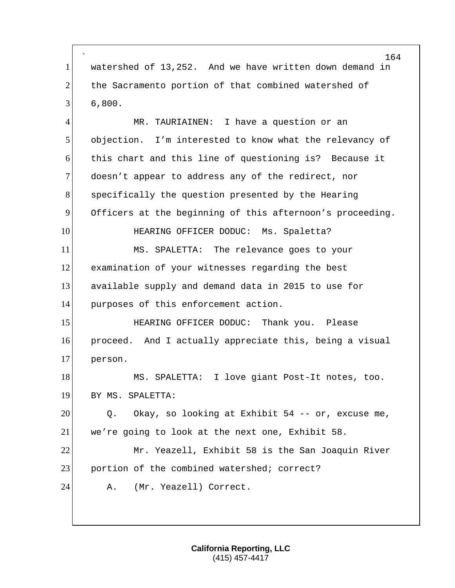` watershed of 13,252. And we have written down demand in 2 the Sacramento portion of that combined watershed of  $3 | 6,800.$ 

 MR. TAURIAINEN: I have a question or an objection. I'm interested to know what the relevancy of this chart and this line of questioning is? Because it 7 doesn't appear to address any of the redirect, nor specifically the question presented by the Hearing Officers at the beginning of this afternoon's proceeding. 10 HEARING OFFICER DODUC: Ms. Spaletta? MS. SPALETTA: The relevance goes to your examination of your witnesses regarding the best available supply and demand data in 2015 to use for purposes of this enforcement action. HEARING OFFICER DODUC: Thank you. Please proceed. And I actually appreciate this, being a visual person. 18 MS. SPALETTA: I love giant Post-It notes, too. BY MS. SPALETTA: O. Okay, so looking at Exhibit 54 -- or, excuse me, we're going to look at the next one, Exhibit 58. Mr. Yeazell, Exhibit 58 is the San Joaquin River 23 portion of the combined watershed; correct? 24 A. (Mr. Yeazell) Correct.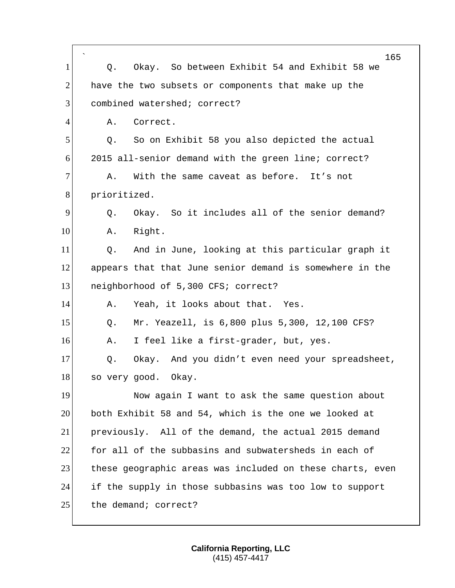|                | $\overline{\phantom{a}}$<br>165                           |
|----------------|-----------------------------------------------------------|
| 1              | Okay. So between Exhibit 54 and Exhibit 58 we<br>Q.       |
| $\overline{2}$ | have the two subsets or components that make up the       |
| 3              | combined watershed; correct?                              |
| $\overline{4}$ | Correct.<br>Α.                                            |
| 5              | So on Exhibit 58 you also depicted the actual<br>Q.       |
| 6              | 2015 all-senior demand with the green line; correct?      |
| $\tau$         | With the same caveat as before. It's not<br>Α.            |
| 8              | prioritized.                                              |
| 9              | Okay. So it includes all of the senior demand?<br>Q.      |
| 10             | Right.<br>Α.                                              |
| 11             | And in June, looking at this particular graph it<br>Q.    |
| 12             | appears that that June senior demand is somewhere in the  |
| 13             | neighborhood of 5,300 CFS; correct?                       |
| 14             | Yeah, it looks about that. Yes.<br>Α.                     |
| 15             | Mr. Yeazell, is 6,800 plus 5,300, 12,100 CFS?<br>Q.       |
| 16             | I feel like a first-grader, but, yes.<br>Α.               |
| 17             | Okay. And you didn't even need your spreadsheet,<br>Q.    |
| 18             | so very good.<br>Okay.                                    |
| 19             | Now again I want to ask the same question about           |
| 20             | both Exhibit 58 and 54, which is the one we looked at     |
| 21             | previously. All of the demand, the actual 2015 demand     |
| 22             | for all of the subbasins and subwatersheds in each of     |
| 23             | these geographic areas was included on these charts, even |
| 24             | if the supply in those subbasins was too low to support   |
| 25             | the demand; correct?                                      |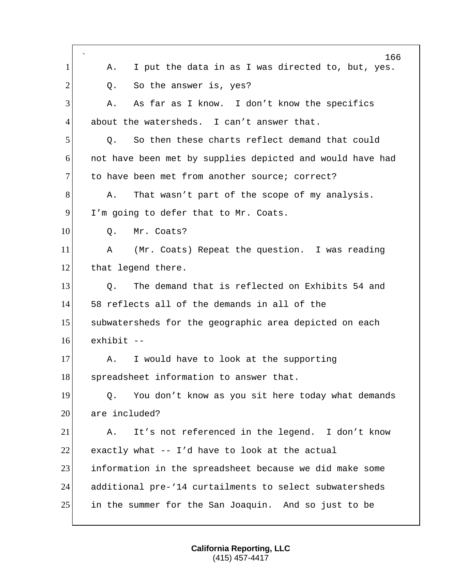|                | 166                                                       |
|----------------|-----------------------------------------------------------|
| 1              | I put the data in as I was directed to, but, yes.<br>Α.   |
| $\overline{2}$ | So the answer is, yes?<br>Q.                              |
| 3              | As far as I know. I don't know the specifics<br>Α.        |
| 4              | about the watersheds. I can't answer that.                |
| 5              | So then these charts reflect demand that could<br>Q.      |
| 6              | not have been met by supplies depicted and would have had |
| $\overline{7}$ | to have been met from another source; correct?            |
| 8              | That wasn't part of the scope of my analysis.<br>Α.       |
| 9              | I'm going to defer that to Mr. Coats.                     |
| 10             | Mr. Coats?<br>Q.                                          |
| 11             | (Mr. Coats) Repeat the question. I was reading<br>Α       |
| 12             | that legend there.                                        |
| 13             | The demand that is reflected on Exhibits 54 and<br>Q.     |
| 14             | 58 reflects all of the demands in all of the              |
| 15             | subwatersheds for the geographic area depicted on each    |
| 16             | exhibit --                                                |
| 17             | I would have to look at the supporting<br>Α.              |
| 18             | spreadsheet information to answer that.                   |
| 19             | You don't know as you sit here today what demands<br>Q.   |
| 20             | are included?                                             |
| 21             | It's not referenced in the legend. I don't know<br>Α.     |
| 22             | exactly what -- I'd have to look at the actual            |
| 23             | information in the spreadsheet because we did make some   |
| 24             | additional pre-'14 curtailments to select subwatersheds   |
| 25             | in the summer for the San Joaquin. And so just to be      |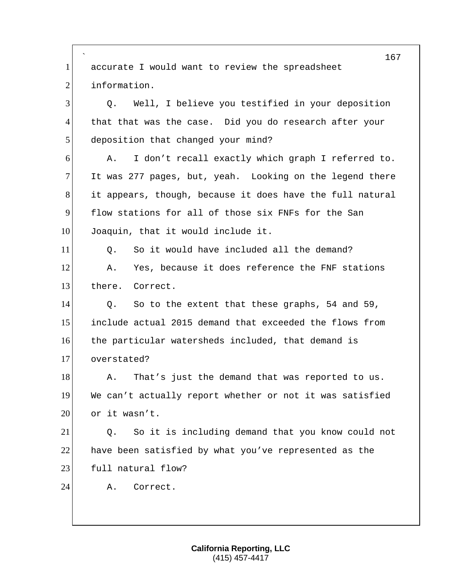` 167 1 accurate I would want to review the spreadsheet 2 information. 3 Q. Well, I believe you testified in your deposition 4 that that was the case. Did you do research after your 5 deposition that changed your mind? 6 A. I don't recall exactly which graph I referred to. 7 It was 277 pages, but, yeah. Looking on the legend there 8 it appears, though, because it does have the full natural 9 flow stations for all of those six FNFs for the San 10 Joaquin, that it would include it. 11 O. So it would have included all the demand? 12 A. Yes, because it does reference the FNF stations 13 there. Correct. 14 Q. So to the extent that these graphs, 54 and 59, 15 include actual 2015 demand that exceeded the flows from 16 the particular watersheds included, that demand is 17 overstated? 18 A. That's just the demand that was reported to us. 19 We can't actually report whether or not it was satisfied  $20$  or it wasn't. 21 Q. So it is including demand that you know could not 22 have been satisfied by what you've represented as the 23 full natural flow? 24 A. Correct.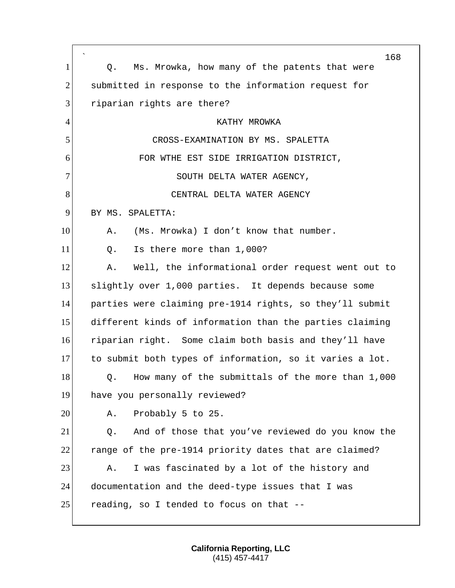|                | $\overline{\phantom{a}}$<br>168                          |
|----------------|----------------------------------------------------------|
| $\mathbf{1}$   | Ms. Mrowka, how many of the patents that were<br>Q.      |
| $\overline{2}$ | submitted in response to the information request for     |
| 3              | riparian rights are there?                               |
| $\overline{4}$ | KATHY MROWKA                                             |
| 5              | CROSS-EXAMINATION BY MS. SPALETTA                        |
| 6              | FOR WTHE EST SIDE IRRIGATION DISTRICT,                   |
| 7              | SOUTH DELTA WATER AGENCY,                                |
| 8              | CENTRAL DELTA WATER AGENCY                               |
| 9              | BY MS. SPALETTA:                                         |
| 10             | (Ms. Mrowka) I don't know that number.<br>Α.             |
| 11             | Is there more than 1,000?<br>Q.                          |
| 12             | Well, the informational order request went out to<br>Α.  |
| 13             | slightly over 1,000 parties. It depends because some     |
| 14             | parties were claiming pre-1914 rights, so they'll submit |
| 15             | different kinds of information than the parties claiming |
| 16             | riparian right. Some claim both basis and they'll have   |
| 17             | to submit both types of information, so it varies a lot. |
| 18             | How many of the submittals of the more than 1,000<br>Q.  |
| 19             | have you personally reviewed?                            |
| 20             | Probably 5 to 25.<br>Α.                                  |
| 21             | And of those that you've reviewed do you know the<br>Q.  |
| 22             | range of the pre-1914 priority dates that are claimed?   |
| 23             | I was fascinated by a lot of the history and<br>Α.       |
| 24             | documentation and the deed-type issues that I was        |
| 25             | reading, so I tended to focus on that --                 |

Г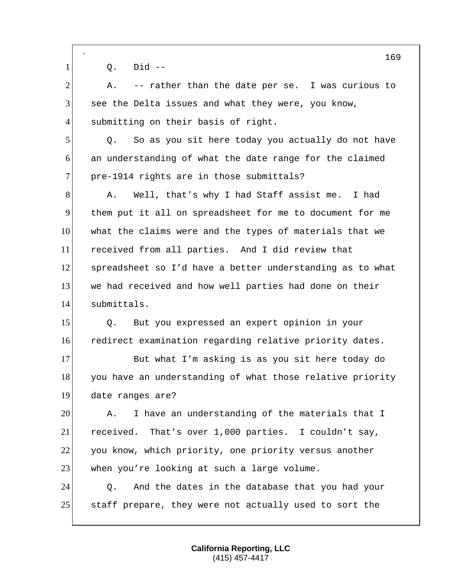|                | $\overline{\phantom{0}}$<br>169                           |
|----------------|-----------------------------------------------------------|
| $\mathbf{1}$   | $Did$ --<br>Q.                                            |
| $\overline{2}$ | -- rather than the date per se. I was curious to<br>Α.    |
| 3              | see the Delta issues and what they were, you know,        |
| $\overline{4}$ | submitting on their basis of right.                       |
| 5              | So as you sit here today you actually do not have<br>Q.   |
| 6              | an understanding of what the date range for the claimed   |
| $\overline{7}$ | pre-1914 rights are in those submittals?                  |
| 8              | Well, that's why I had Staff assist me.<br>I had<br>Α.    |
| 9              | them put it all on spreadsheet for me to document for me  |
| 10             | what the claims were and the types of materials that we   |
| 11             | received from all parties. And I did review that          |
| 12             | spreadsheet so I'd have a better understanding as to what |
| 13             | we had received and how well parties had done on their    |
| 14             | submittals.                                               |
| 15             | But you expressed an expert opinion in your<br>Q.         |
| 16             | redirect examination regarding relative priority dates.   |
| 17             | But what I'm asking is as you sit here today do           |
| 18             | you have an understanding of what those relative priority |
| 19             | date ranges are?                                          |
| 20             | I have an understanding of the materials that I<br>Α.     |
| 21             | received. That's over 1,000 parties. I couldn't say,      |
| 22             | you know, which priority, one priority versus another     |
| 23             | when you're looking at such a large volume.               |
| 24             | And the dates in the database that you had your<br>Q.     |
| 25             | staff prepare, they were not actually used to sort the    |
|                |                                                           |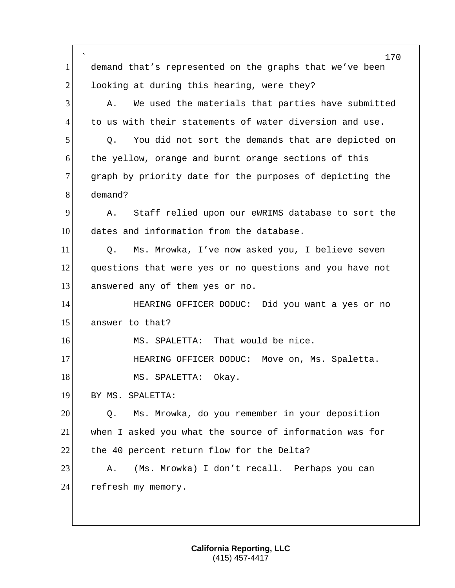` 170 1 demand that's represented on the graphs that we've been  $2$  looking at during this hearing, were they? 3 A. We used the materials that parties have submitted 4 to us with their statements of water diversion and use. 5 Q. You did not sort the demands that are depicted on 6 the yellow, orange and burnt orange sections of this 7 graph by priority date for the purposes of depicting the 8 demand? 9 A. Staff relied upon our eWRIMS database to sort the 10 dates and information from the database. 11 Q. Ms. Mrowka, I've now asked you, I believe seven 12 questions that were yes or no questions and you have not 13 answered any of them yes or no. 14 HEARING OFFICER DODUC: Did you want a yes or no 15 answer to that? 16 MS. SPALETTA: That would be nice. 17 HEARING OFFICER DODUC: Move on, Ms. Spaletta. 18 MS. SPALETTA: Okay. 19 BY MS. SPALETTA: 20 0. Ms. Mrowka, do you remember in your deposition 21 when I asked you what the source of information was for 22 the 40 percent return flow for the Delta? 23 A. (Ms. Mrowka) I don't recall. Perhaps you can 24 refresh my memory.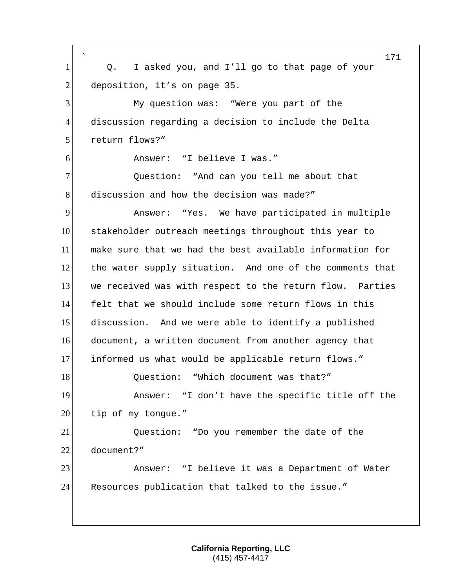` 171 1 Q. I asked you, and I'll go to that page of your 2 deposition, it's on page 35. 3 My question was: "Were you part of the 4 discussion regarding a decision to include the Delta 5 return flows?" 6 Answer: "I believe I was." 7 Question: "And can you tell me about that 8 discussion and how the decision was made?" 9 Answer: "Yes. We have participated in multiple 10 stakeholder outreach meetings throughout this year to 11 make sure that we had the best available information for 12 the water supply situation. And one of the comments that 13 we received was with respect to the return flow. Parties 14 felt that we should include some return flows in this 15 discussion. And we were able to identify a published 16 document, a written document from another agency that 17 informed us what would be applicable return flows." 18 Ouestion: "Which document was that?" 19 Answer: "I don't have the specific title off the  $20$  tip of my tongue." 21 Question: "Do you remember the date of the 22 document?" 23 Answer: "I believe it was a Department of Water 24 Resources publication that talked to the issue."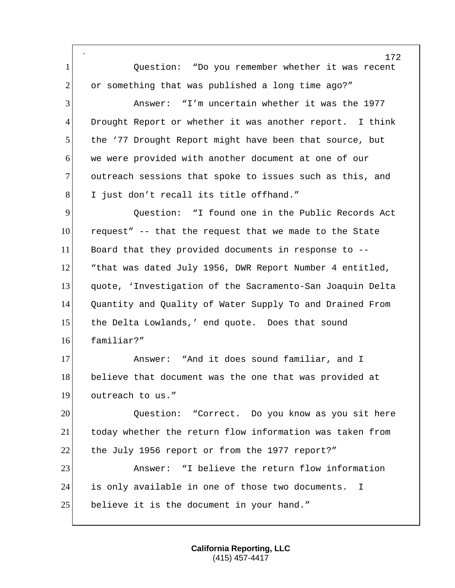` 172 1 Question: "Do you remember whether it was recent 2 or something that was published a long time ago?" 3 Answer: "I'm uncertain whether it was the 1977 4 Drought Report or whether it was another report. I think 5 the '77 Drought Report might have been that source, but 6 we were provided with another document at one of our 7 outreach sessions that spoke to issues such as this, and 8 I just don't recall its title offhand." 9 9 Ouestion: "I found one in the Public Records Act 10 request" -- that the request that we made to the State 11 Board that they provided documents in response to -- 12 That was dated July 1956, DWR Report Number 4 entitled, 13 quote, 'Investigation of the Sacramento-San Joaquin Delta 14 Quantity and Quality of Water Supply To and Drained From 15 the Delta Lowlands,' end quote. Does that sound 16 familiar?" 17 Answer: "And it does sound familiar, and I 18 believe that document was the one that was provided at 19 outreach to us." 20 20 Ouestion: "Correct. Do you know as you sit here 21 today whether the return flow information was taken from 22 the July 1956 report or from the 1977 report?" 23 Answer: "I believe the return flow information 24 is only available in one of those two documents. I 25 believe it is the document in your hand."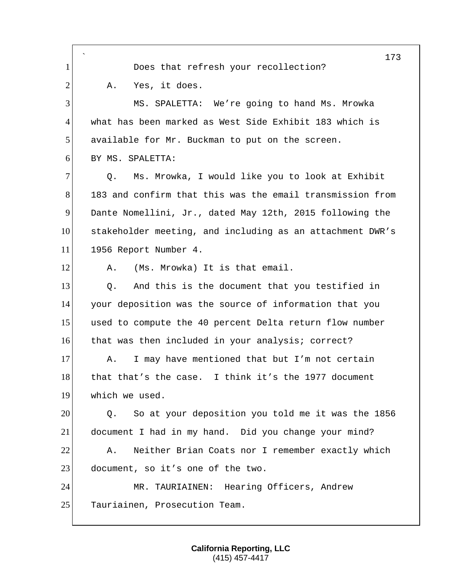` 173 1 Does that refresh your recollection? 2 A. Yes, it does. 3 MS. SPALETTA: We're going to hand Ms. Mrowka 4 what has been marked as West Side Exhibit 183 which is 5 available for Mr. Buckman to put on the screen. 6 BY MS. SPALETTA: 7 0. Ms. Mrowka, I would like you to look at Exhibit 8 183 and confirm that this was the email transmission from 9 Dante Nomellini, Jr., dated May 12th, 2015 following the 10 stakeholder meeting, and including as an attachment DWR's 11 1956 Report Number 4. 12 A. (Ms. Mrowka) It is that email. 13 O. And this is the document that you testified in 14 your deposition was the source of information that you 15 used to compute the 40 percent Delta return flow number 16 that was then included in your analysis; correct? 17 A. I may have mentioned that but I'm not certain 18 that that's the case. I think it's the 1977 document 19 which we used. 20 Q. So at your deposition you told me it was the 1856 21 document I had in my hand. Did you change your mind? 22 A. Neither Brian Coats nor I remember exactly which 23 document, so it's one of the two. 24 MR. TAURIAINEN: Hearing Officers, Andrew 25 Tauriainen, Prosecution Team.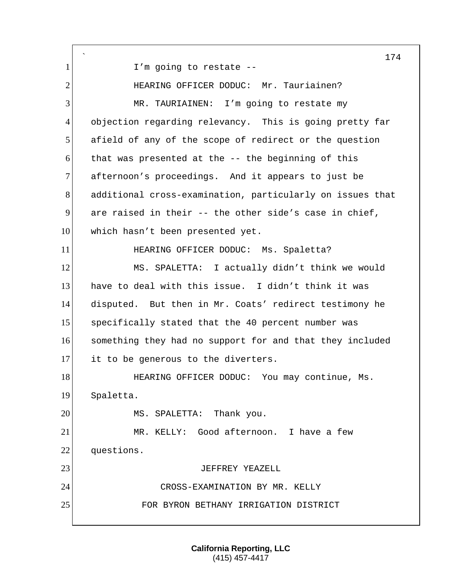` 1 I'm going to restate --2 HEARING OFFICER DODUC: Mr. Tauriainen? 3 MR. TAURIAINEN: I'm going to restate my 4 objection regarding relevancy. This is going pretty far 5 afield of any of the scope of redirect or the question  $6$  that was presented at the  $-$ - the beginning of this 7 afternoon's proceedings. And it appears to just be 8 additional cross-examination, particularly on issues that 9 are raised in their  $-$  the other side's case in chief, 10 which hasn't been presented yet. 11 HEARING OFFICER DODUC: Ms. Spaletta? 12 MS. SPALETTA: I actually didn't think we would 13 have to deal with this issue. I didn't think it was 14 disputed. But then in Mr. Coats' redirect testimony he 15 specifically stated that the 40 percent number was 16 something they had no support for and that they included 17 it to be generous to the diverters. 18 **HEARING OFFICER DODUC:** You may continue, Ms. 19 Spaletta. 20 MS. SPALETTA: Thank you. 21 MR. KELLY: Good afternoon. I have a few 22 questions. 23 JEFFREY YEAZELL 24 CROSS-EXAMINATION BY MR. KELLY 25 FOR BYRON BETHANY IRRIGATION DISTRICT

> **California Reporting, LLC** (415) 457-4417

174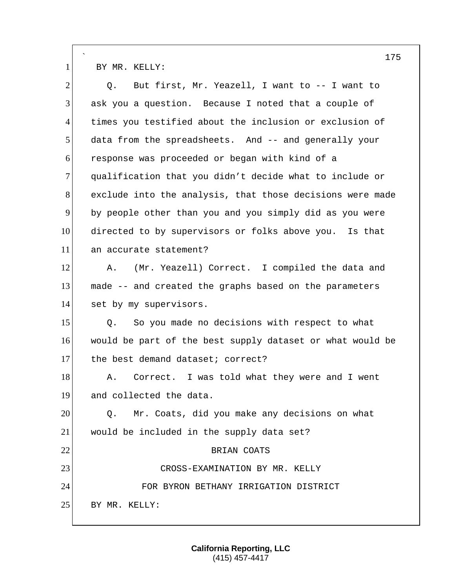` 175 1 BY MR. KELLY:  $2$  Q. But first, Mr. Yeazell, I want to  $-$  I want to 3 ask you a question. Because I noted that a couple of 4 times you testified about the inclusion or exclusion of 5 data from the spreadsheets. And -- and generally your 6 response was proceeded or began with kind of a 7 qualification that you didn't decide what to include or 8 exclude into the analysis, that those decisions were made 9 by people other than you and you simply did as you were 10 directed to by supervisors or folks above you. Is that 11 an accurate statement? 12 A. (Mr. Yeazell) Correct. I compiled the data and 13 made -- and created the graphs based on the parameters 14 set by my supervisors. 15 | Q. So you made no decisions with respect to what 16 would be part of the best supply dataset or what would be 17 the best demand dataset; correct? 18 A. Correct. I was told what they were and I went 19 and collected the data. 20 0. Mr. Coats, did you make any decisions on what 21 would be included in the supply data set? 22 BRIAN COATS 23 CROSS-EXAMINATION BY MR. KELLY 24 FOR BYRON BETHANY IRRIGATION DISTRICT 25 BY MR. KELLY: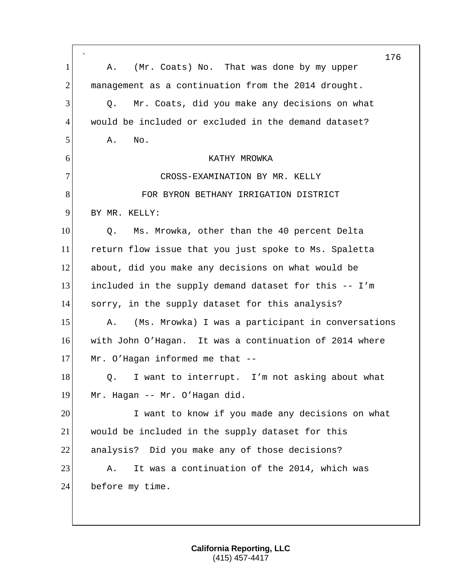` 176 1 A. (Mr. Coats) No. That was done by my upper 2 management as a continuation from the 2014 drought. 3 0. Mr. Coats, did you make any decisions on what 4 would be included or excluded in the demand dataset?  $5$  A. No. 6 KATHY MROWKA 7 CROSS-EXAMINATION BY MR. KELLY 8 FOR BYRON BETHANY IRRIGATION DISTRICT 9 BY MR. KELLY: 10 O. Ms. Mrowka, other than the 40 percent Delta 11 return flow issue that you just spoke to Ms. Spaletta 12 about, did you make any decisions on what would be 13 included in the supply demand dataset for this -- I'm 14 sorry, in the supply dataset for this analysis? 15 A. (Ms. Mrowka) I was a participant in conversations 16 with John O'Hagan. It was a continuation of 2014 where 17 Mr. O'Hagan informed me that -- $18$  O. I want to interrupt. I'm not asking about what 19 Mr. Hagan -- Mr. O'Hagan did. 20 I want to know if you made any decisions on what 21 would be included in the supply dataset for this 22 analysis? Did you make any of those decisions? 23 A. It was a continuation of the 2014, which was 24 before my time.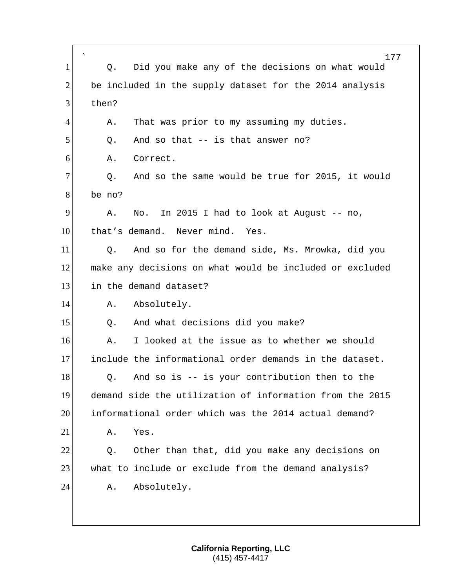` 177 1 Q. Did you make any of the decisions on what would 2 be included in the supply dataset for the 2014 analysis 3 then? 4 A. That was prior to my assuming my duties.  $5$  Q. And so that  $-$  is that answer no? 6 A. Correct.  $7$  Q. And so the same would be true for 2015, it would 8 be no?  $9$  A. No. In 2015 I had to look at August -- no, 10 that's demand. Never mind. Yes. 11 O. And so for the demand side, Ms. Mrowka, did you 12 make any decisions on what would be included or excluded 13 in the demand dataset? 14 A. Absolutely. 15 | Q. And what decisions did you make? 16 A. I looked at the issue as to whether we should 17 include the informational order demands in the dataset.  $18$  Q. And so is  $-$  is your contribution then to the 19 demand side the utilization of information from the 2015 20 informational order which was the 2014 actual demand? 21 A. Yes. 22 0. Other than that, did you make any decisions on 23 what to include or exclude from the demand analysis? 24 A. Absolutely.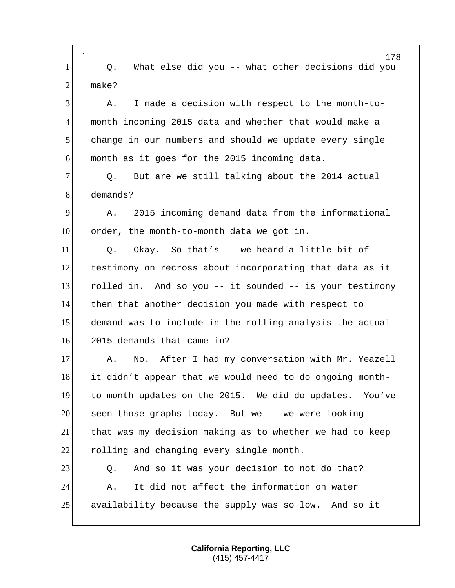` 178 1 Q. What else did you -- what other decisions did you  $2$  make? 3 A. I made a decision with respect to the month-to-4 month incoming 2015 data and whether that would make a 5 change in our numbers and should we update every single  $6$  month as it goes for the 2015 incoming data. 7 O. But are we still talking about the 2014 actual 8 demands? 9 A. 2015 incoming demand data from the informational 10 order, the month-to-month data we got in.  $11$  O. Okay. So that's -- we heard a little bit of 12 testimony on recross about incorporating that data as it 13 rolled in. And so you -- it sounded -- is your testimony 14 then that another decision you made with respect to 15 demand was to include in the rolling analysis the actual 16 2015 demands that came in? 17 A. No. After I had my conversation with Mr. Yeazell 18 it didn't appear that we would need to do ongoing month-19 to-month updates on the 2015. We did do updates. You've 20 seen those graphs today. But we -- we were looking -- 21 that was my decision making as to whether we had to keep 22 rolling and changing every single month. 23 Q. And so it was your decision to not do that? 24 A. It did not affect the information on water 25 availability because the supply was so low. And so it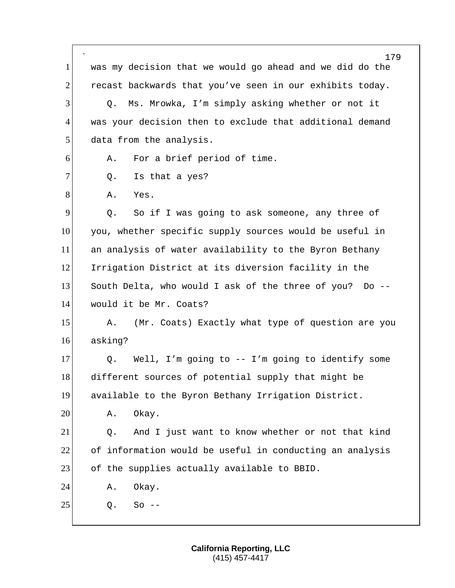` 179 1 was my decision that we would go ahead and we did do the 2 recast backwards that you've seen in our exhibits today. 3 Q. Ms. Mrowka, I'm simply asking whether or not it 4 was your decision then to exclude that additional demand 5 data from the analysis. 6 A. For a brief period of time.  $7$  Q. Is that a yes? 8 A. Yes. 9 9 Q. So if I was going to ask someone, any three of 10 you, whether specific supply sources would be useful in 11 an analysis of water availability to the Byron Bethany 12 Irrigation District at its diversion facility in the 13 South Delta, who would I ask of the three of you? Do -- 14 would it be Mr. Coats? 15 A. (Mr. Coats) Exactly what type of question are you 16 asking? 17 Q. Well, I'm going to -- I'm going to identify some 18 different sources of potential supply that might be 19 available to the Byron Bethany Irrigation District. 20 A. Okay. 21 Q. And I just want to know whether or not that kind 22 of information would be useful in conducting an analysis 23 of the supplies actually available to BBID. 24 A. Okay.  $25$  0. So  $-$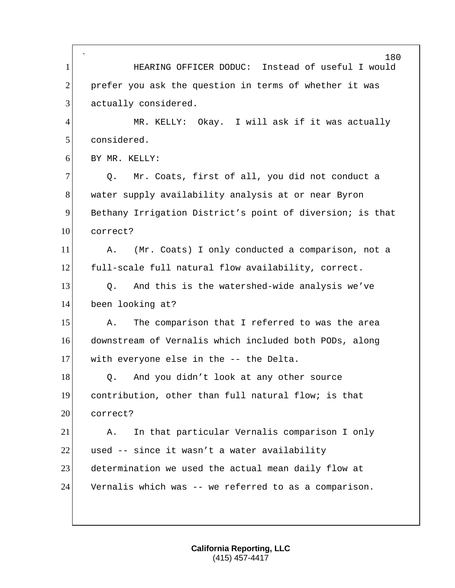` 180 1 HEARING OFFICER DODUC: Instead of useful I would  $2$  prefer you ask the question in terms of whether it was 3 actually considered. 4 MR. KELLY: Okay. I will ask if it was actually 5 considered. 6 BY MR. KELLY: 7 | Q. Mr. Coats, first of all, you did not conduct a 8 water supply availability analysis at or near Byron 9 Bethany Irrigation District's point of diversion; is that 10 correct? 11 A. (Mr. Coats) I only conducted a comparison, not a 12 full-scale full natural flow availability, correct. 13 O. And this is the watershed-wide analysis we've 14 been looking at? 15 A. The comparison that I referred to was the area 16 downstream of Vernalis which included both PODs, along 17 with everyone else in the -- the Delta. 18 | Q. And you didn't look at any other source 19 contribution, other than full natural flow; is that 20 correct? 21 A. In that particular Vernalis comparison I only 22 used  $-$  since it wasn't a water availability 23 determination we used the actual mean daily flow at 24 Vernalis which was -- we referred to as a comparison.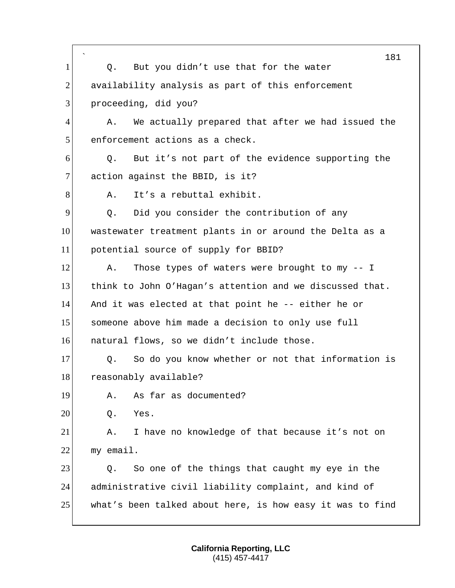|                | $\overline{\phantom{a}}$<br>181                           |
|----------------|-----------------------------------------------------------|
| $\mathbf{1}$   | But you didn't use that for the water<br>Q.               |
| 2              | availability analysis as part of this enforcement         |
| 3              | proceeding, did you?                                      |
| $\overline{4}$ | We actually prepared that after we had issued the<br>Α.   |
| 5              | enforcement actions as a check.                           |
| 6              | But it's not part of the evidence supporting the<br>Q.    |
| $\overline{7}$ | action against the BBID, is it?                           |
| 8              | It's a rebuttal exhibit.<br>Α.                            |
| 9              | Did you consider the contribution of any<br>Q.            |
| 10             | wastewater treatment plants in or around the Delta as a   |
| 11             | potential source of supply for BBID?                      |
| 12             | Those types of waters were brought to my -- I<br>Α.       |
| 13             | think to John O'Hagan's attention and we discussed that.  |
| 14             | And it was elected at that point he -- either he or       |
| 15             | someone above him made a decision to only use full        |
| 16             | natural flows, so we didn't include those.                |
| 17             | So do you know whether or not that information is<br>Q.   |
| 18             | reasonably available?                                     |
| 19             | As far as documented?<br>Α.                               |
| 20             | Yes.<br>Q.                                                |
| 21             | I have no knowledge of that because it's not on<br>Α.     |
| 22             | my email.                                                 |
| 23             | So one of the things that caught my eye in the<br>Q.      |
| 24             | administrative civil liability complaint, and kind of     |
| 25             | what's been talked about here, is how easy it was to find |
|                |                                                           |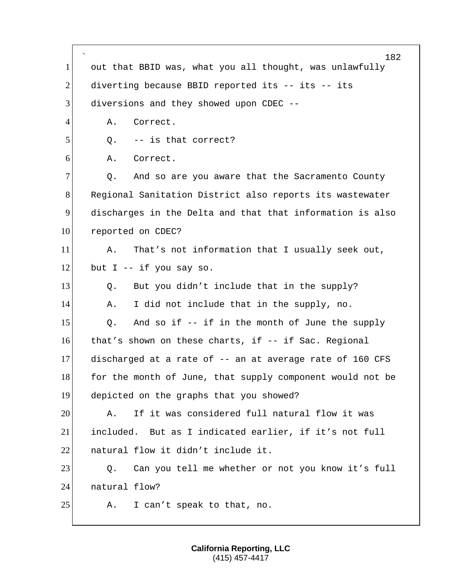` 182 1 out that BBID was, what you all thought, was unlawfully 2 diverting because BBID reported its -- its -- its 3 diversions and they showed upon CDEC --4 A. Correct.  $5$  Q.  $-$  is that correct? 6 A. Correct.  $7$  Q. And so are you aware that the Sacramento County 8 Regional Sanitation District also reports its wastewater 9 discharges in the Delta and that that information is also 10 reported on CDEC? 11 A. That's not information that I usually seek out, 12 but I -- if you say so.  $13$  Q. But you didn't include that in the supply? 14 A. I did not include that in the supply, no.  $15$  Q. And so if -- if in the month of June the supply 16 that's shown on these charts, if -- if Sac. Regional 17 discharged at a rate of -- an at average rate of 160 CFS 18 for the month of June, that supply component would not be 19 depicted on the graphs that you showed? 20 A. If it was considered full natural flow it was 21 included. But as I indicated earlier, if it's not full 22 **natural flow it didn't include it.** 23 Q. Can you tell me whether or not you know it's full 24 natural flow? 25 A. I can't speak to that, no.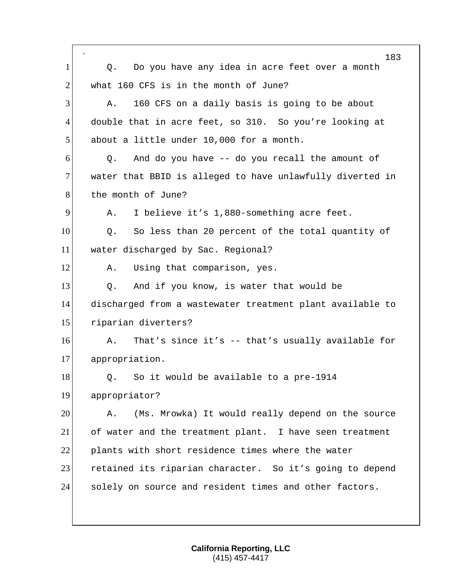|                | 183                                                       |
|----------------|-----------------------------------------------------------|
| 1              | Do you have any idea in acre feet over a month<br>Q.      |
| $\overline{2}$ | what 160 CFS is in the month of June?                     |
| 3              | 160 CFS on a daily basis is going to be about<br>Α.       |
| 4              | double that in acre feet, so 310. So you're looking at    |
| 5              | about a little under 10,000 for a month.                  |
| 6              | And do you have -- do you recall the amount of<br>Q.      |
| 7              | water that BBID is alleged to have unlawfully diverted in |
| 8              | the month of June?                                        |
| 9              | I believe it's 1,880-something acre feet.<br>Α.           |
| 10             | So less than 20 percent of the total quantity of<br>Q.    |
| 11             | water discharged by Sac. Regional?                        |
| 12             | Using that comparison, yes.<br>Α.                         |
| 13             | And if you know, is water that would be<br>Q.             |
| 14             | discharged from a wastewater treatment plant available to |
| 15             | riparian diverters?                                       |
| 16             | That's since it's -- that's usually available for<br>Α.   |
| 17             | appropriation.                                            |
| 18             | Q. So it would be available to a pre-1914                 |
| 19             | appropriator?                                             |
| 20             | (Ms. Mrowka) It would really depend on the source<br>Α.   |
| 21             | of water and the treatment plant. I have seen treatment   |
| 22             | plants with short residence times where the water         |
| 23             | retained its riparian character. So it's going to depend  |
| 24             | solely on source and resident times and other factors.    |
|                |                                                           |
|                |                                                           |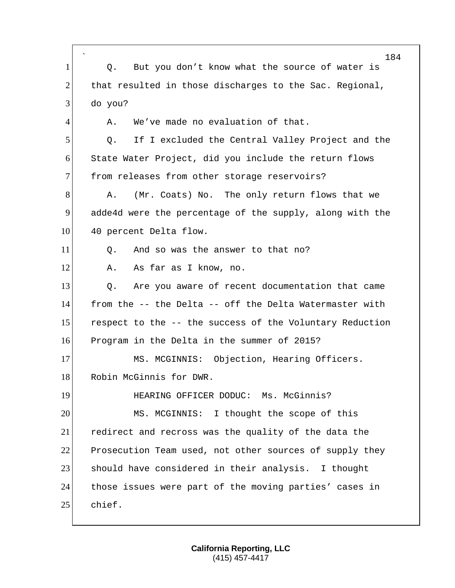|                | $\hat{\phantom{a}}$<br>184                               |
|----------------|----------------------------------------------------------|
| $\mathbf{1}$   | But you don't know what the source of water is<br>Q.     |
| 2              | that resulted in those discharges to the Sac. Regional,  |
| 3              | do you?                                                  |
| $\overline{4}$ | We've made no evaluation of that.<br>Α.                  |
| 5              | If I excluded the Central Valley Project and the<br>Q.   |
| 6              | State Water Project, did you include the return flows    |
| 7              | from releases from other storage reservoirs?             |
| 8              | (Mr. Coats) No. The only return flows that we<br>Α.      |
| 9              | adde4d were the percentage of the supply, along with the |
| 10             | 40 percent Delta flow.                                   |
| 11             | And so was the answer to that no?<br>Q.                  |
| 12             | As far as I know, no.<br>Α.                              |
| 13             | Are you aware of recent documentation that came<br>Q.    |
| 14             | from the -- the Delta -- off the Delta Watermaster with  |
| 15             | respect to the -- the success of the Voluntary Reduction |
| 16             | Program in the Delta in the summer of 2015?              |
| 17             | MS. MCGINNIS: Objection, Hearing Officers.               |
| 18             | Robin McGinnis for DWR.                                  |
| 19             | HEARING OFFICER DODUC: Ms. McGinnis?                     |
| 20             | MS. MCGINNIS: I thought the scope of this                |
| 21             | redirect and recross was the quality of the data the     |
| 22             | Prosecution Team used, not other sources of supply they  |
| 23             | should have considered in their analysis. I thought      |
| 24             | those issues were part of the moving parties' cases in   |
| 25             | chief.                                                   |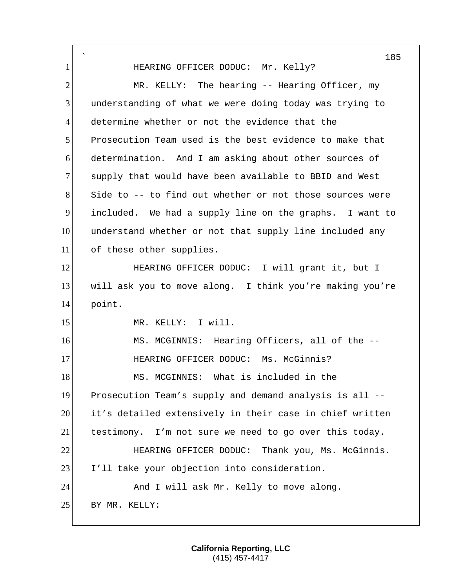` 185 1 HEARING OFFICER DODUC: Mr. Kelly? 2 MR. KELLY: The hearing -- Hearing Officer, my 3 understanding of what we were doing today was trying to 4 determine whether or not the evidence that the 5 Prosecution Team used is the best evidence to make that 6 determination. And I am asking about other sources of 7 supply that would have been available to BBID and West  $8$  Side to  $-$ - to find out whether or not those sources were 9 included. We had a supply line on the graphs. I want to 10 understand whether or not that supply line included any 11 of these other supplies. 12 HEARING OFFICER DODUC: I will grant it, but I 13 will ask you to move along. I think you're making you're 14 point. 15 MR. KELLY: I will. 16 MS. MCGINNIS: Hearing Officers, all of the -- 17 **HEARING OFFICER DODUC:** Ms. McGinnis? 18 MS. MCGINNIS: What is included in the 19 Prosecution Team's supply and demand analysis is all -- 20 it's detailed extensively in their case in chief written 21 testimony. I'm not sure we need to go over this today. 22 **HEARING OFFICER DODUC:** Thank you, Ms. McGinnis. 23 I'll take your objection into consideration. 24 And I will ask Mr. Kelly to move along. 25 BY MR. KELLY: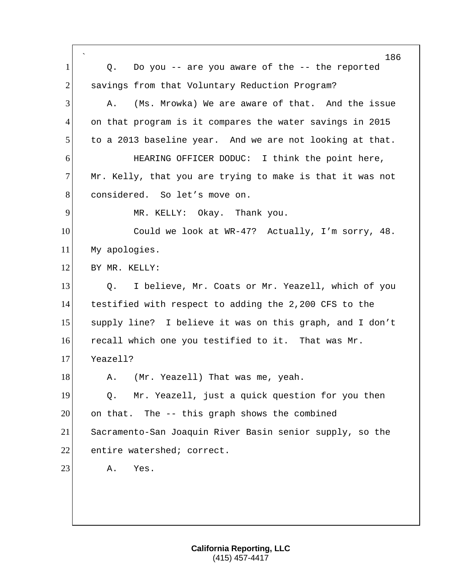| 1              | 186<br>Do you -- are you aware of the -- the reported<br>Q. |
|----------------|-------------------------------------------------------------|
| $\overline{2}$ | savings from that Voluntary Reduction Program?              |
| 3              | (Ms. Mrowka) We are aware of that. And the issue<br>Α.      |
| 4              | on that program is it compares the water savings in 2015    |
|                |                                                             |
| 5              | to a 2013 baseline year. And we are not looking at that.    |
| 6              | HEARING OFFICER DODUC: I think the point here,              |
| $\overline{7}$ | Mr. Kelly, that you are trying to make is that it was not   |
| 8              | considered. So let's move on.                               |
| 9              | MR. KELLY: Okay. Thank you.                                 |
| 10             | Could we look at WR-47? Actually, I'm sorry, 48.            |
| 11             | My apologies.                                               |
| 12             | BY MR. KELLY:                                               |
| 13             | I believe, Mr. Coats or Mr. Yeazell, which of you<br>Q.     |
| 14             | testified with respect to adding the 2,200 CFS to the       |
| 15             | supply line? I believe it was on this graph, and I don't    |
| 16             | recall which one you testified to it. That was Mr.          |
| 17             | Yeazell?                                                    |
| 18             | A. (Mr. Yeazell) That was me, yeah.                         |
| 19             | Mr. Yeazell, just a quick question for you then<br>Q.       |
| 20             | on that. The -- this graph shows the combined               |
| 21             | Sacramento-San Joaquin River Basin senior supply, so the    |
| 22             | entire watershed; correct.                                  |
| 23             | Α.<br>Yes.                                                  |
|                |                                                             |
|                |                                                             |
|                |                                                             |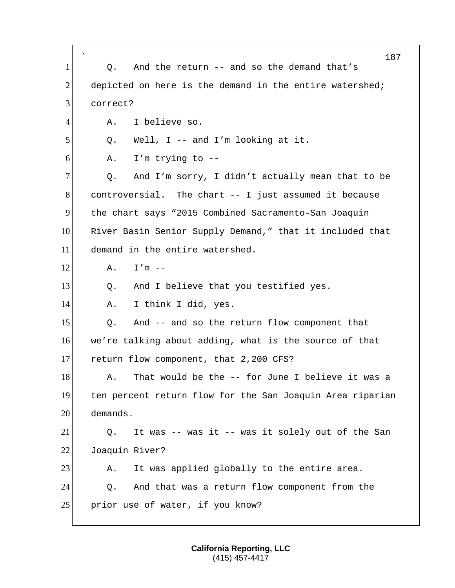|                | 187                                                       |
|----------------|-----------------------------------------------------------|
| $\mathbf{1}$   | And the return -- and so the demand that's<br>Q.          |
| $\overline{2}$ | depicted on here is the demand in the entire watershed;   |
| 3              | correct?                                                  |
| 4              | I believe so.<br>Α.                                       |
| 5              | Well, $I$ -- and $I'm$ looking at it.<br>Q.               |
| 6              | I'm trying to $-$ -<br>Α.                                 |
| 7              | And I'm sorry, I didn't actually mean that to be<br>Q.    |
| 8              | controversial. The chart -- I just assumed it because     |
| 9              | the chart says "2015 Combined Sacramento-San Joaquin      |
| 10             | River Basin Senior Supply Demand," that it included that  |
| 11             | demand in the entire watershed.                           |
| 12             | $I'm$ --<br>Α.                                            |
| 13             | And I believe that you testified yes.<br>Q.               |
| 14             | I think I did, yes.<br>Α.                                 |
| 15             | And -- and so the return flow component that<br>Q.        |
| 16             | we're talking about adding, what is the source of that    |
| 17             | return flow component, that 2,200 CFS?                    |
| 18             | That would be the -- for June I believe it was a<br>Α.    |
| 19             | ten percent return flow for the San Joaquin Area riparian |
| 20             | demands.                                                  |
| 21             | It was -- was it -- was it solely out of the San<br>Q.    |
| 22             | Joaquin River?                                            |
| 23             | It was applied globally to the entire area.<br>Α.         |
| 24             | And that was a return flow component from the<br>Q.       |
| 25             | prior use of water, if you know?                          |
|                |                                                           |

r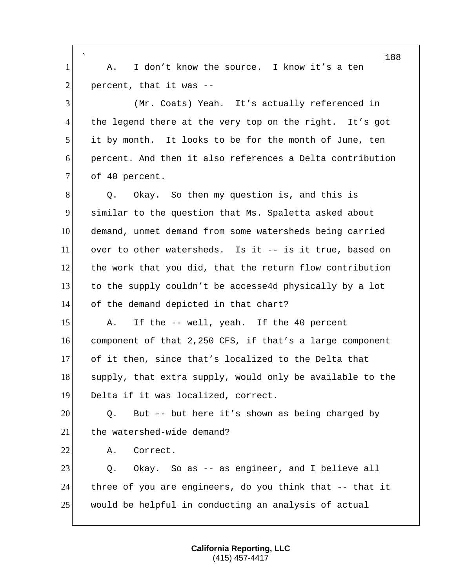|                | 188                                                       |
|----------------|-----------------------------------------------------------|
| $\mathbf{1}$   | I don't know the source. I know it's a ten<br>Α.          |
| $\overline{2}$ | percent, that it was --                                   |
| 3              | (Mr. Coats) Yeah. It's actually referenced in             |
| $\overline{4}$ | the legend there at the very top on the right. It's got   |
| 5              | it by month. It looks to be for the month of June, ten    |
| 6              | percent. And then it also references a Delta contribution |
| $\tau$         | of 40 percent.                                            |
| 8              | Okay. So then my question is, and this is<br>Q.           |
| 9              | similar to the question that Ms. Spaletta asked about     |
| 10             | demand, unmet demand from some watersheds being carried   |
| 11             | over to other watersheds. Is it -- is it true, based on   |
| 12             | the work that you did, that the return flow contribution  |
| 13             | to the supply couldn't be accesse4d physically by a lot   |
| 14             | of the demand depicted in that chart?                     |
| 15             | If the -- well, yeah. If the 40 percent<br>Α.             |
| 16             | component of that 2,250 CFS, if that's a large component  |
| 17             | of it then, since that's localized to the Delta that      |
| 18             | supply, that extra supply, would only be available to the |
| 19             | Delta if it was localized, correct.                       |
| 20             | But -- but here it's shown as being charged by<br>Q.      |
| 21             | the watershed-wide demand?                                |
| 22             | Correct.<br>Α.                                            |
| 23             | Okay. So as -- as engineer, and I believe all<br>Q.       |
| 24             | three of you are engineers, do you think that -- that it  |
| 25             | would be helpful in conducting an analysis of actual      |
|                |                                                           |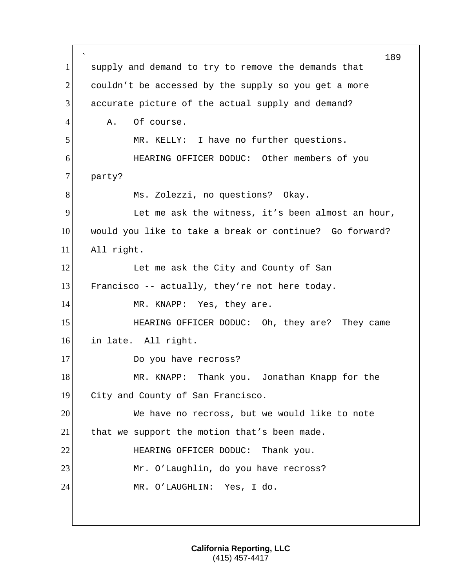` 189 1 supply and demand to try to remove the demands that  $2$  couldn't be accessed by the supply so you get a more 3 accurate picture of the actual supply and demand? 4 A. Of course. 5 MR. KELLY: I have no further questions. 6 HEARING OFFICER DODUC: Other members of you 7 party? 8 Ms. Zolezzi, no questions? Okay. 9 Let me ask the witness, it's been almost an hour, 10 would you like to take a break or continue? Go forward? 11 All right. 12 Let me ask the City and County of San 13 Francisco -- actually, they're not here today. 14 MR. KNAPP: Yes, they are. 15 HEARING OFFICER DODUC: Oh, they are? They came 16 in late. All right. 17 Do you have recross? 18 MR. KNAPP: Thank you. Jonathan Knapp for the 19 City and County of San Francisco. 20 We have no recross, but we would like to note 21 that we support the motion that's been made. 22 HEARING OFFICER DODUC: Thank you. 23 Mr. O'Laughlin, do you have recross? 24 MR. O'LAUGHLIN: Yes, I do.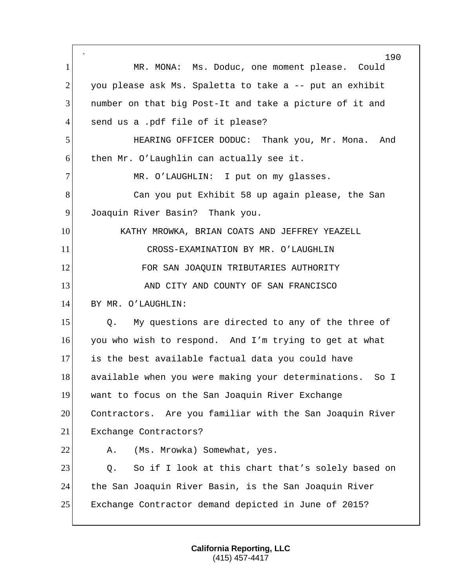` 190 1 MR. MONA: Ms. Doduc, one moment please. Could  $2$  you please ask Ms. Spaletta to take a  $-$ - put an exhibit 3 number on that big Post-It and take a picture of it and 4 send us a .pdf file of it please? 5 HEARING OFFICER DODUC: Thank you, Mr. Mona. And 6 then Mr. O'Laughlin can actually see it. 7 MR. O'LAUGHLIN: I put on my glasses. 8 Can you put Exhibit 58 up again please, the San 9 Joaquin River Basin? Thank you. 10 KATHY MROWKA, BRIAN COATS AND JEFFREY YEAZELL 11 CROSS-EXAMINATION BY MR. O'LAUGHLIN 12 **FOR SAN JOAQUIN TRIBUTARIES AUTHORITY** 13 AND CITY AND COUNTY OF SAN FRANCISCO 14 BY MR. O'LAUGHLIN: 15 | Q. My questions are directed to any of the three of 16 you who wish to respond. And I'm trying to get at what 17 is the best available factual data you could have 18 available when you were making your determinations. So I 19 want to focus on the San Joaquin River Exchange 20 Contractors. Are you familiar with the San Joaquin River 21 Exchange Contractors? 22 A. (Ms. Mrowka) Somewhat, yes. 23 Q. So if I look at this chart that's solely based on 24 the San Joaquin River Basin, is the San Joaquin River 25 Exchange Contractor demand depicted in June of 2015?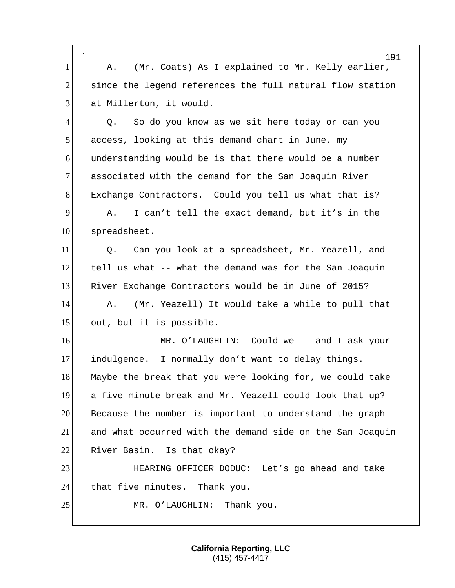` 1 A. (Mr. Coats) As I explained to Mr. Kelly earlier, 2 since the legend references the full natural flow station 3 at Millerton, it would.

4 4 Q. So do you know as we sit here today or can you 5 access, looking at this demand chart in June, my 6 understanding would be is that there would be a number 7 associated with the demand for the San Joaquin River 8 Exchange Contractors. Could you tell us what that is? 9 A. I can't tell the exact demand, but it's in the 10 spreadsheet.

11 O. Can you look at a spreadsheet, Mr. Yeazell, and 12 tell us what -- what the demand was for the San Joaquin 13 River Exchange Contractors would be in June of 2015? 14 A. (Mr. Yeazell) It would take a while to pull that 15 out, but it is possible.

16 MR. O'LAUGHLIN: Could we -- and I ask your 17 indulgence. I normally don't want to delay things. 18 Maybe the break that you were looking for, we could take 19 a five-minute break and Mr. Yeazell could look that up? 20 Because the number is important to understand the graph 21 and what occurred with the demand side on the San Joaquin 22 River Basin. Is that okay?

23 HEARING OFFICER DODUC: Let's go ahead and take 24 that five minutes. Thank you.

25 MR. O'LAUGHLIN: Thank you.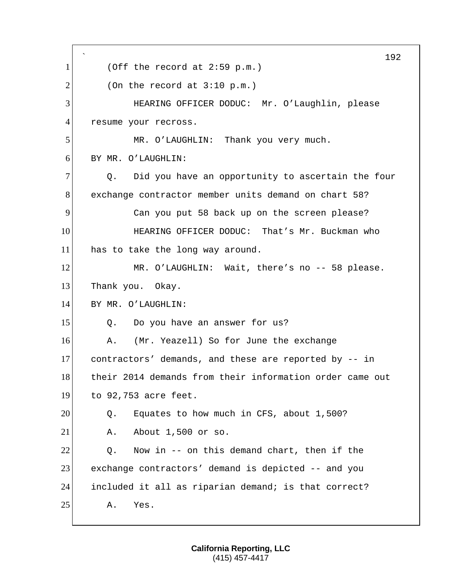` 192 1 (Off the record at 2:59 p.m.)  $2$  (On the record at 3:10 p.m.) 3 HEARING OFFICER DODUC: Mr. O'Laughlin, please 4 resume your recross. 5 MR. O'LAUGHLIN: Thank you very much. 6 BY MR. O'LAUGHLIN:  $7$  Q. Did you have an opportunity to ascertain the four 8 exchange contractor member units demand on chart 58? 9 Can you put 58 back up on the screen please? 10 **HEARING OFFICER DODUC:** That's Mr. Buckman who 11 has to take the long way around. 12 MR. O'LAUGHLIN: Wait, there's no -- 58 please. 13 Thank you. Okay. 14 BY MR. O'LAUGHLIN: 15 Q. Do you have an answer for us? 16 A. (Mr. Yeazell) So for June the exchange 17 contractors' demands, and these are reported by -- in 18 their 2014 demands from their information order came out 19 to 92,753 acre feet. 20 Q. Equates to how much in CFS, about 1,500? 21 A. About 1,500 or so.  $22$  Q. Now in -- on this demand chart, then if the 23 exchange contractors' demand is depicted -- and you 24 included it all as riparian demand; is that correct? 25 A. Yes.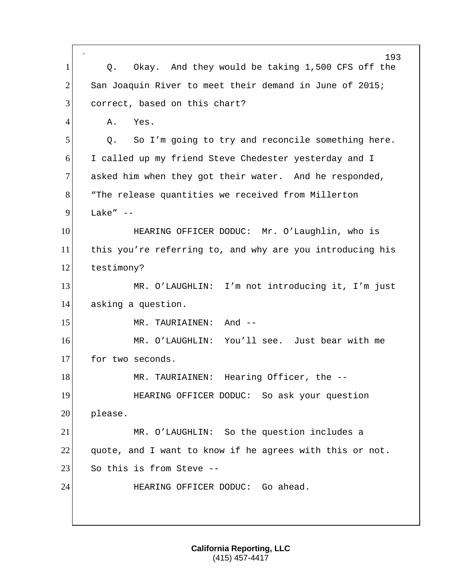| 1              | 193<br>Okay. And they would be taking 1,500 CFS off the<br>Q. |
|----------------|---------------------------------------------------------------|
| $\overline{2}$ | San Joaquin River to meet their demand in June of 2015;       |
| 3              | correct, based on this chart?                                 |
| 4              | Α.<br>Yes.                                                    |
| 5              | So I'm going to try and reconcile something here.<br>Q.       |
| 6              | I called up my friend Steve Chedester yesterday and I         |
| 7              | asked him when they got their water. And he responded,        |
| 8              | "The release quantities we received from Millerton            |
| 9              | Lake" $--$                                                    |
| 10             | HEARING OFFICER DODUC: Mr. O'Laughlin, who is                 |
| 11             | this you're referring to, and why are you introducing his     |
| 12             | testimony?                                                    |
| 13             | MR. O'LAUGHLIN: I'm not introducing it, I'm just              |
| 14             | asking a question.                                            |
| 15             | And --<br>MR. TAURIAINEN:                                     |
| 16             | MR. O'LAUGHLIN: You'll see. Just bear with me                 |
| 17             | for two seconds.                                              |
| 18             | Hearing Officer, the --<br>MR. TAURIAINEN:                    |
| 19             | HEARING OFFICER DODUC: So ask your question                   |
| 20             | please.                                                       |
| 21             | MR. O'LAUGHLIN: So the question includes a                    |
| 22             | quote, and I want to know if he agrees with this or not.      |
| 23             | So this is from Steve --                                      |
| 24             | HEARING OFFICER DODUC: Go ahead.                              |
|                |                                                               |
|                |                                                               |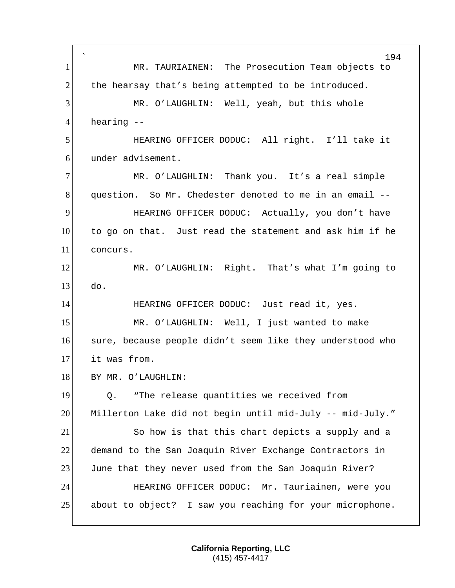` 194 1 MR. TAURIAINEN: The Prosecution Team objects to 2 the hearsay that's being attempted to be introduced. 3 MR. O'LAUGHLIN: Well, yeah, but this whole 4 hearing --5 HEARING OFFICER DODUC: All right. I'll take it 6 under advisement. 7 MR. O'LAUGHLIN: Thank you. It's a real simple 8 question. So Mr. Chedester denoted to me in an email --9 HEARING OFFICER DODUC: Actually, you don't have 10 to go on that. Just read the statement and ask him if he 11 concurs. 12 MR. O'LAUGHLIN: Right. That's what I'm going to  $13$  do. 14 HEARING OFFICER DODUC: Just read it, yes. 15 MR. O'LAUGHLIN: Well, I just wanted to make 16 sure, because people didn't seem like they understood who 17 it was from. 18 BY MR. O'LAUGHLIN: 19 Q. "The release quantities we received from 20 Millerton Lake did not begin until mid-July -- mid-July." 21 So how is that this chart depicts a supply and a 22 demand to the San Joaquin River Exchange Contractors in 23 June that they never used from the San Joaquin River? 24 HEARING OFFICER DODUC: Mr. Tauriainen, were you 25 about to object? I saw you reaching for your microphone.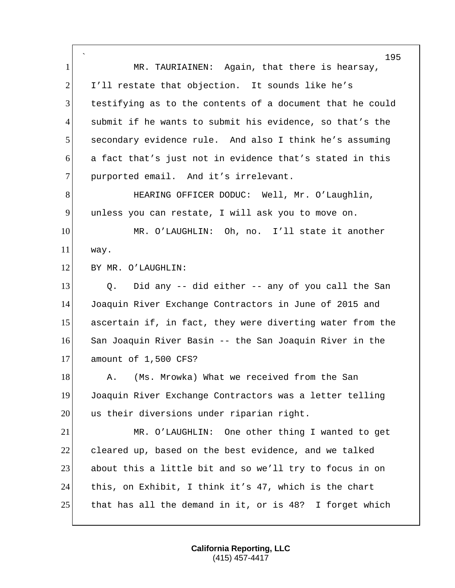` 195 1 MR. TAURIAINEN: Again, that there is hearsay, 2 I'll restate that objection. It sounds like he's 3 testifying as to the contents of a document that he could 4 submit if he wants to submit his evidence, so that's the 5 secondary evidence rule. And also I think he's assuming 6 a fact that's just not in evidence that's stated in this 7 purported email. And it's irrelevant. 8 HEARING OFFICER DODUC: Well, Mr. O'Laughlin, 9 unless you can restate, I will ask you to move on. 10 MR. O'LAUGHLIN: Oh, no. I'll state it another 11 way. 12 BY MR. O'LAUGHLIN:  $13$  Q. Did any  $-$  did either  $-$  any of you call the San 14 Joaquin River Exchange Contractors in June of 2015 and 15 ascertain if, in fact, they were diverting water from the 16 San Joaquin River Basin -- the San Joaquin River in the 17 amount of 1,500 CFS? 18 A. (Ms. Mrowka) What we received from the San 19 Joaquin River Exchange Contractors was a letter telling 20 us their diversions under riparian right. 21 MR. O'LAUGHLIN: One other thing I wanted to get 22 cleared up, based on the best evidence, and we talked 23 about this a little bit and so we'll try to focus in on 24 this, on Exhibit, I think it's 47, which is the chart 25 that has all the demand in it, or is  $48$ ? I forget which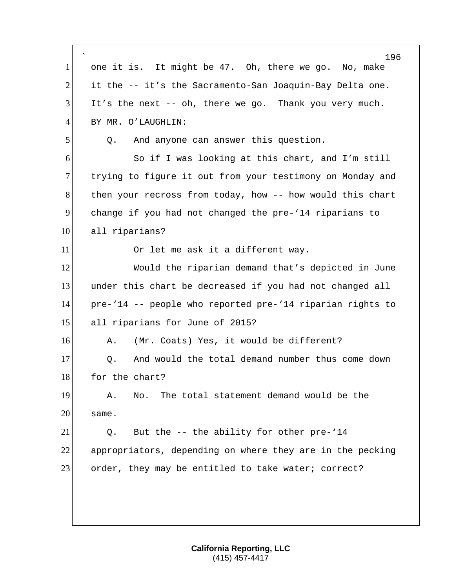|                | 196                                                       |
|----------------|-----------------------------------------------------------|
| $\mathbf{1}$   | one it is. It might be 47. Oh, there we go. No, make      |
| $\overline{2}$ | it the -- it's the Sacramento-San Joaquin-Bay Delta one.  |
| 3              | It's the next -- oh, there we go. Thank you very much.    |
| $\overline{4}$ | BY MR. O'LAUGHLIN:                                        |
| 5              | And anyone can answer this question.<br>Q.                |
| 6              | So if I was looking at this chart, and I'm still          |
| $\tau$         | trying to figure it out from your testimony on Monday and |
| 8              | then your recross from today, how -- how would this chart |
| 9              | change if you had not changed the pre-'14 riparians to    |
| 10             | all riparians?                                            |
| 11             | Or let me ask it a different way.                         |
| 12             | Would the riparian demand that's depicted in June         |
| 13             | under this chart be decreased if you had not changed all  |
| 14             | pre-'14 -- people who reported pre-'14 riparian rights to |
| 15             | all riparians for June of 2015?                           |
| 16             | (Mr. Coats) Yes, it would be different?<br>Α.             |
| 17             | And would the total demand number thus come down<br>Q.    |
| 18             | for the chart?                                            |
| 19             | The total statement demand would be the<br>Α.<br>No.      |
| 20             | same.                                                     |
| 21             | But the -- the ability for other pre-'14<br>Q.            |
| 22             | appropriators, depending on where they are in the pecking |
| 23             | order, they may be entitled to take water; correct?       |
|                |                                                           |
|                |                                                           |
|                |                                                           |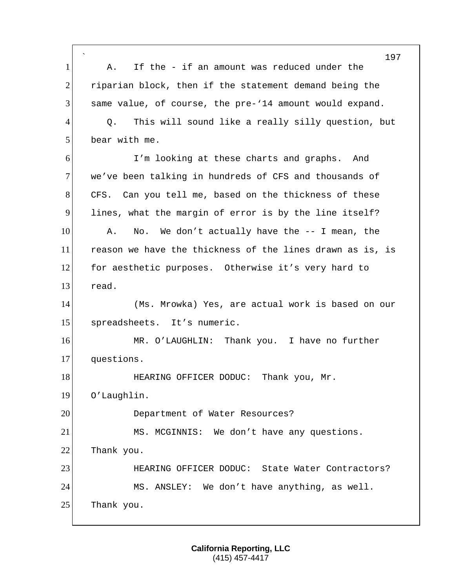` 197 1 A. If the - if an amount was reduced under the 2 riparian block, then if the statement demand being the 3 same value, of course, the pre-'14 amount would expand. 4 Q. This will sound like a really silly question, but 5 bear with me. 6 I'm looking at these charts and graphs. And 7 we've been talking in hundreds of CFS and thousands of 8 CFS. Can you tell me, based on the thickness of these 9 lines, what the margin of error is by the line itself? 10 A. No. We don't actually have the -- I mean, the 11 reason we have the thickness of the lines drawn as is, is 12 for aesthetic purposes. Otherwise it's very hard to 13 read. 14 (Ms. Mrowka) Yes, are actual work is based on our 15 spreadsheets. It's numeric. 16 MR. O'LAUGHLIN: Thank you. I have no further 17 questions. 18 HEARING OFFICER DODUC: Thank you, Mr. 19 O'Laughlin. 20 Department of Water Resources? 21 MS. MCGINNIS: We don't have any questions. 22 Thank you. 23 **HEARING OFFICER DODUC:** State Water Contractors? 24 MS. ANSLEY: We don't have anything, as well. 25 Thank you.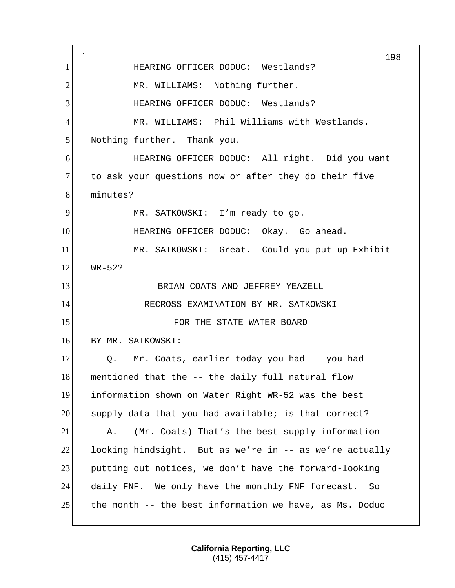` 198 1 **HEARING OFFICER DODUC:** Westlands? 2 MR. WILLIAMS: Nothing further. 3 HEARING OFFICER DODUC: Westlands? 4 MR. WILLIAMS: Phil Williams with Westlands. 5 Nothing further. Thank you. 6 HEARING OFFICER DODUC: All right. Did you want 7 to ask your questions now or after they do their five 8 minutes? 9 MR. SATKOWSKI: I'm ready to go. 10 **HEARING OFFICER DODUC:** Okay. Go ahead. 11 MR. SATKOWSKI: Great. Could you put up Exhibit  $12$  WR-52? 13 BRIAN COATS AND JEFFREY YEAZELL 14 RECROSS EXAMINATION BY MR. SATKOWSKI 15 **FOR THE STATE WATER BOARD** 16 BY MR. SATKOWSKI: 17 | Q. Mr. Coats, earlier today you had -- you had 18 mentioned that the -- the daily full natural flow 19 information shown on Water Right WR-52 was the best 20 supply data that you had available; is that correct? 21 A. (Mr. Coats) That's the best supply information 22 looking hindsight. But as we're in  $-$  as we're actually 23 putting out notices, we don't have the forward-looking 24 daily FNF. We only have the monthly FNF forecast. So 25 the month  $-$  the best information we have, as Ms. Doduc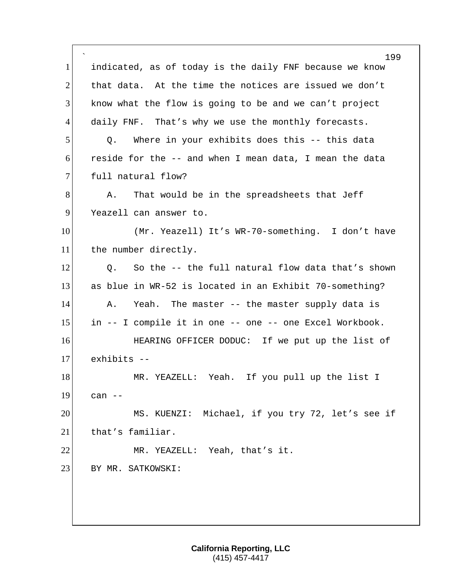` 199 1 indicated, as of today is the daily FNF because we know 2 that data. At the time the notices are issued we don't 3 know what the flow is going to be and we can't project 4 daily FNF. That's why we use the monthly forecasts. 5 Q. Where in your exhibits does this -- this data 6 reside for the  $-$  and when I mean data, I mean the data 7 full natural flow? 8 A. That would be in the spreadsheets that Jeff 9 Yeazell can answer to. 10 (Mr. Yeazell) It's WR-70-something. I don't have 11 the number directly. 12 O. So the -- the full natural flow data that's shown 13 as blue in WR-52 is located in an Exhibit 70-something? 14 A. Yeah. The master -- the master supply data is 15 in -- I compile it in one -- one -- one Excel Workbook. 16 **HEARING OFFICER DODUC:** If we put up the list of 17 exhibits -- 18 MR. YEAZELL: Yeah. If you pull up the list I 19 can -- 20 MS. KUENZI: Michael, if you try 72, let's see if 21 that's familiar. 22 MR. YEAZELL: Yeah, that's it. 23 BY MR. SATKOWSKI: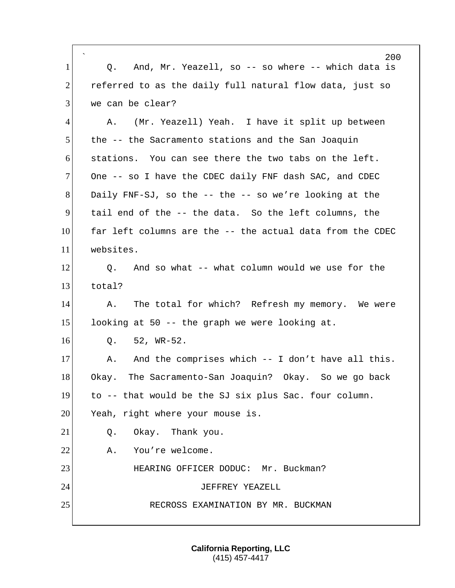|                | 200                                                       |
|----------------|-----------------------------------------------------------|
| $\mathbf{1}$   | And, Mr. Yeazell, so -- so where -- which data is<br>Q.   |
| $\overline{2}$ | referred to as the daily full natural flow data, just so  |
| 3              | we can be clear?                                          |
| $\overline{4}$ | (Mr. Yeazell) Yeah. I have it split up between<br>А.      |
| 5              | the -- the Sacramento stations and the San Joaquin        |
| 6              | stations. You can see there the two tabs on the left.     |
| $\overline{7}$ | One -- so I have the CDEC daily FNF dash SAC, and CDEC    |
| 8              | Daily FNF-SJ, so the -- the -- so we're looking at the    |
| 9              | tail end of the -- the data. So the left columns, the     |
| 10             | far left columns are the -- the actual data from the CDEC |
| 11             | websites.                                                 |
| 12             | And so what -- what column would we use for the<br>Q.     |
| 13             | total?                                                    |
| 14             | The total for which? Refresh my memory. We were<br>Α.     |
| 15             | looking at 50 -- the graph we were looking at.            |
| 16             | $52$ , WR-52.<br>Q.                                       |
| 17             | And the comprises which -- I don't have all this.<br>Α.   |
| 18             | The Sacramento-San Joaquin? Okay. So we go back<br>Okay.  |
| 19             | to -- that would be the SJ six plus Sac. four column.     |
| 20             | Yeah, right where your mouse is.                          |
| 21             | Okay. Thank you.<br>Q.                                    |
| 22             | You're welcome.<br>Α.                                     |
| 23             | HEARING OFFICER DODUC: Mr. Buckman?                       |
| 24             | JEFFREY YEAZELL                                           |
| 25             | RECROSS EXAMINATION BY MR. BUCKMAN                        |
|                |                                                           |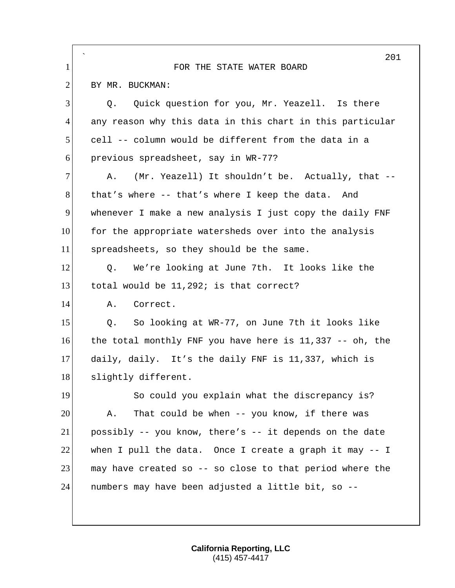|                | 201                                                        |
|----------------|------------------------------------------------------------|
| $\mathbf{1}$   | FOR THE STATE WATER BOARD                                  |
| $\overline{2}$ | BY MR. BUCKMAN:                                            |
| 3              | Quick question for you, Mr. Yeazell. Is there<br>О.        |
| $\overline{4}$ | any reason why this data in this chart in this particular  |
| 5              | cell -- column would be different from the data in a       |
| 6              | previous spreadsheet, say in WR-77?                        |
| 7              | (Mr. Yeazell) It shouldn't be. Actually, that --<br>Α.     |
| 8              | that's where -- that's where I keep the data.<br>And       |
| 9              | whenever I make a new analysis I just copy the daily FNF   |
| 10             | for the appropriate watersheds over into the analysis      |
| 11             | spreadsheets, so they should be the same.                  |
| 12             | We're looking at June 7th. It looks like the<br>Q.         |
| 13             | total would be 11,292; is that correct?                    |
| 14             | Correct.<br>Α.                                             |
| 15             | So looking at WR-77, on June 7th it looks like<br>Q.       |
| 16             | the total monthly FNF you have here is $11,337$ -- oh, the |
| 17             | daily, daily. It's the daily FNF is 11,337, which is       |
| 18             | slightly different                                         |
| 19             | So could you explain what the discrepancy is?              |
| 20             | That could be when -- you know, if there was<br>Α.         |
| 21             | possibly -- you know, there's -- it depends on the date    |
| 22             | when I pull the data. Once I create a graph it may $-1$    |
| 23             | may have created so -- so close to that period where the   |
| 24             | numbers may have been adjusted a little bit, so --         |
|                |                                                            |
|                |                                                            |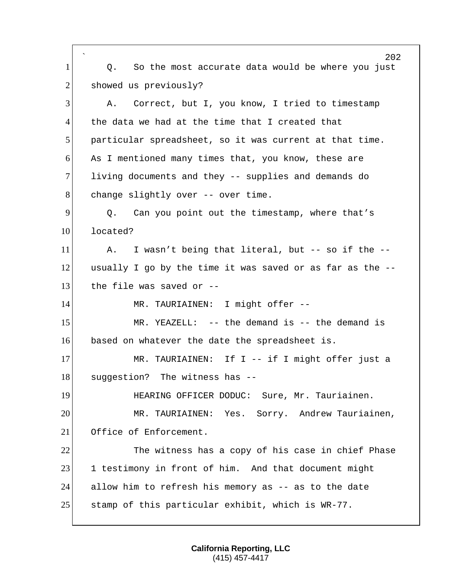` 202 1 Q. So the most accurate data would be where you just 2 showed us previously? 3 A. Correct, but I, you know, I tried to timestamp 4 the data we had at the time that I created that 5 particular spreadsheet, so it was current at that time. 6 As I mentioned many times that, you know, these are 7 living documents and they -- supplies and demands do 8 change slightly over -- over time. 9 9 Q. Can you point out the timestamp, where that's 10 located?  $11$  A. I wasn't being that literal, but -- so if the -- $12$  usually I go by the time it was saved or as far as the  $-$ - $13$  the file was saved or  $-$ -14 MR. TAURIAINEN: I might offer --15 MR. YEAZELL: -- the demand is -- the demand is 16 based on whatever the date the spreadsheet is. 17 MR. TAURIAINEN: If I -- if I might offer just a 18 suggestion? The witness has --19 HEARING OFFICER DODUC: Sure, Mr. Tauriainen. 20 MR. TAURIAINEN: Yes. Sorry. Andrew Tauriainen, 21 Office of Enforcement. 22 The witness has a copy of his case in chief Phase 23 1 testimony in front of him. And that document might 24 allow him to refresh his memory as -- as to the date 25 stamp of this particular exhibit, which is  $WR-77$ .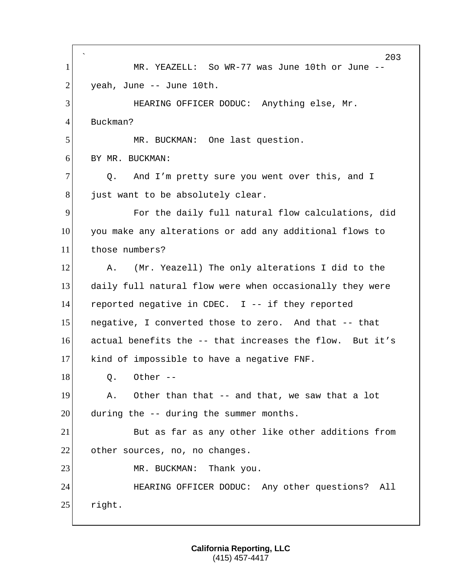` 203 1 MR. YEAZELL: So WR-77 was June 10th or June --  $2$  yeah, June -- June 10th. 3 HEARING OFFICER DODUC: Anything else, Mr. 4 Buckman? 5 MR. BUCKMAN: One last question. 6 BY MR. BUCKMAN: 7 Q. And I'm pretty sure you went over this, and I 8 just want to be absolutely clear. 9 For the daily full natural flow calculations, did 10 you make any alterations or add any additional flows to 11 those numbers? 12 A. (Mr. Yeazell) The only alterations I did to the 13 daily full natural flow were when occasionally they were 14 reported negative in CDEC. I -- if they reported 15 negative, I converted those to zero. And that -- that 16 actual benefits the -- that increases the flow. But it's 17 kind of impossible to have a negative FNF.  $18$  Q. Other  $-$ 19 A. Other than that -- and that, we saw that a lot  $20$  during the  $-$  during the summer months. 21 But as far as any other like other additions from 22 other sources, no, no changes. 23 MR. BUCKMAN: Thank you. 24 HEARING OFFICER DODUC: Any other questions? All 25 right.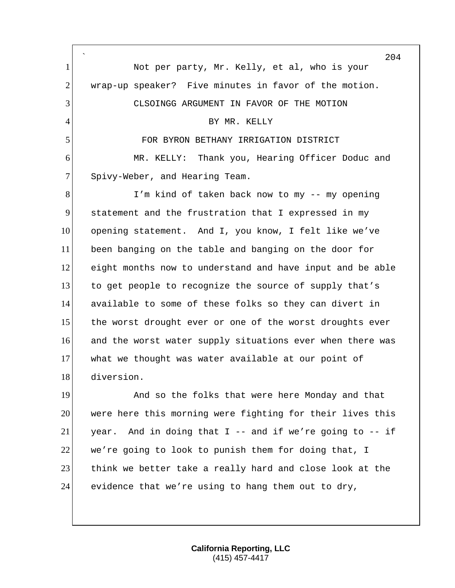` 204 1 Not per party, Mr. Kelly, et al, who is your 2 wrap-up speaker? Five minutes in favor of the motion. 3 CLSOINGG ARGUMENT IN FAVOR OF THE MOTION 4 BY MR. KELLY 5 FOR BYRON BETHANY IRRIGATION DISTRICT 6 MR. KELLY: Thank you, Hearing Officer Doduc and 7 Spivy-Weber, and Hearing Team. 8 I'm kind of taken back now to my -- my opening 9 statement and the frustration that I expressed in my 10 opening statement. And I, you know, I felt like we've 11 been banging on the table and banging on the door for 12 eight months now to understand and have input and be able 13 to get people to recognize the source of supply that's 14 available to some of these folks so they can divert in 15 the worst drought ever or one of the worst droughts ever 16 and the worst water supply situations ever when there was 17 what we thought was water available at our point of 18 diversion. 19 And so the folks that were here Monday and that 20 were here this morning were fighting for their lives this 21 year. And in doing that I -- and if we're going to  $-$  if 22 we're going to look to punish them for doing that, I 23 think we better take a really hard and close look at the 24 evidence that we're using to hang them out to dry,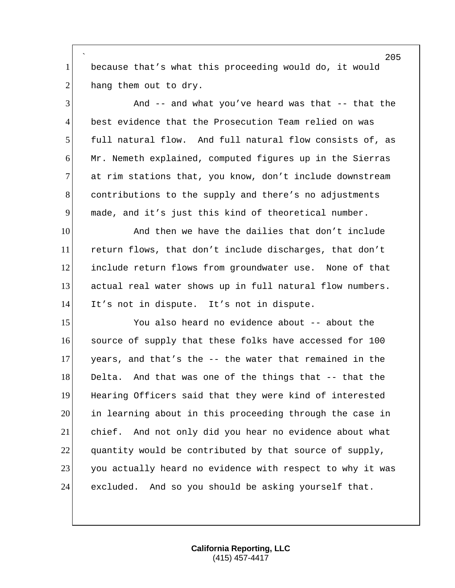` because that's what this proceeding would do, it would hang them out to dry.

 And  $-$  and what you've heard was that  $-$  that the best evidence that the Prosecution Team relied on was full natural flow. And full natural flow consists of, as Mr. Nemeth explained, computed figures up in the Sierras 7 at rim stations that, you know, don't include downstream contributions to the supply and there's no adjustments made, and it's just this kind of theoretical number.

10 and then we have the dailies that don't include return flows, that don't include discharges, that don't include return flows from groundwater use. None of that actual real water shows up in full natural flow numbers. It's not in dispute. It's not in dispute.

 You also heard no evidence about -- about the source of supply that these folks have accessed for 100 years, and that's the -- the water that remained in the 18 Delta. And that was one of the things that -- that the Hearing Officers said that they were kind of interested in learning about in this proceeding through the case in chief. And not only did you hear no evidence about what quantity would be contributed by that source of supply, 23 you actually heard no evidence with respect to why it was excluded. And so you should be asking yourself that.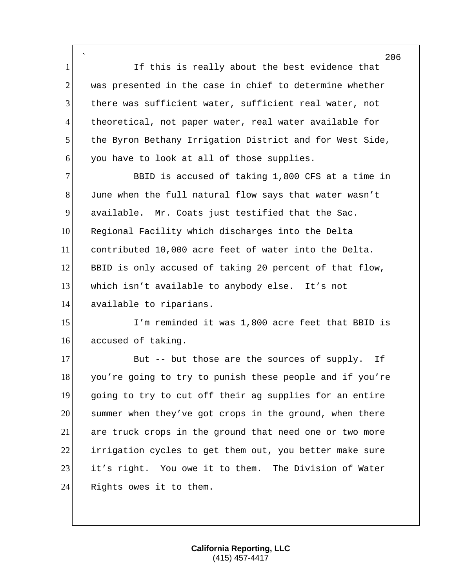` 1 If this is really about the best evidence that  $2$  was presented in the case in chief to determine whether  $3$  there was sufficient water, sufficient real water, not 4 theoretical, not paper water, real water available for 5 the Byron Bethany Irrigation District and for West Side,  $6$  you have to look at all of those supplies.

7 BBID is accused of taking 1,800 CFS at a time in 8 June when the full natural flow says that water wasn't 9 available. Mr. Coats just testified that the Sac. 10 Regional Facility which discharges into the Delta 11 contributed 10,000 acre feet of water into the Delta. 12 BBID is only accused of taking 20 percent of that flow, 13 which isn't available to anybody else. It's not 14 available to riparians.

15 I'm reminded it was 1,800 acre feet that BBID is 16 accused of taking.

17 But -- but those are the sources of supply. If 18 you're going to try to punish these people and if you're 19 going to try to cut off their ag supplies for an entire 20 summer when they've got crops in the ground, when there 21 are truck crops in the ground that need one or two more 22 irrigation cycles to get them out, you better make sure 23 it's right. You owe it to them. The Division of Water 24 Rights owes it to them.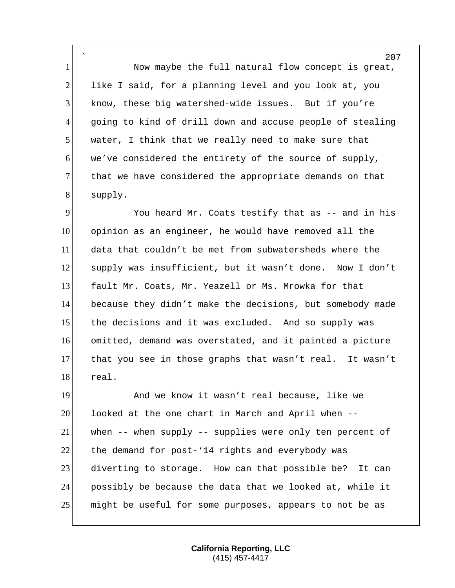` 1 Now maybe the full natural flow concept is great, 2 like I said, for a planning level and you look at, you know, these big watershed-wide issues. But if you're going to kind of drill down and accuse people of stealing water, I think that we really need to make sure that we've considered the entirety of the source of supply, 7 that we have considered the appropriate demands on that supply.

 You heard Mr. Coats testify that as -- and in his opinion as an engineer, he would have removed all the data that couldn't be met from subwatersheds where the supply was insufficient, but it wasn't done. Now I don't fault Mr. Coats, Mr. Yeazell or Ms. Mrowka for that because they didn't make the decisions, but somebody made 15 the decisions and it was excluded. And so supply was omitted, demand was overstated, and it painted a picture that you see in those graphs that wasn't real. It wasn't real.

 And we know it wasn't real because, like we looked at the one chart in March and April when -- when -- when supply -- supplies were only ten percent of 22 the demand for post-'14 rights and everybody was diverting to storage. How can that possible be? It can possibly be because the data that we looked at, while it might be useful for some purposes, appears to not be as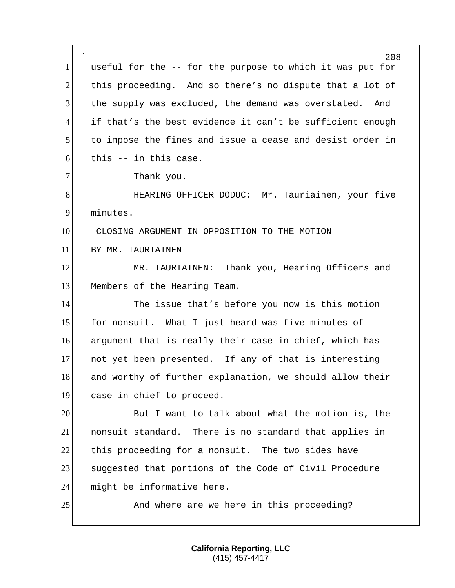` 208 1 useful for the -- for the purpose to which it was put for 2 this proceeding. And so there's no dispute that a lot of 3 the supply was excluded, the demand was overstated. And 4 if that's the best evidence it can't be sufficient enough 5 to impose the fines and issue a cease and desist order in  $6$  this  $-$  in this case. 7 Thank you. 8 HEARING OFFICER DODUC: Mr. Tauriainen, your five 9 minutes. 10 CLOSING ARGUMENT IN OPPOSITION TO THE MOTION 11 BY MR. TAURIAINEN 12 MR. TAURIAINEN: Thank you, Hearing Officers and 13 Members of the Hearing Team. 14 The issue that's before you now is this motion 15 for nonsuit. What I just heard was five minutes of 16 argument that is really their case in chief, which has 17 not yet been presented. If any of that is interesting 18 and worthy of further explanation, we should allow their 19 case in chief to proceed. 20 But I want to talk about what the motion is, the 21 nonsuit standard. There is no standard that applies in 22 this proceeding for a nonsuit. The two sides have 23 Suggested that portions of the Code of Civil Procedure 24 might be informative here. 25 And where are we here in this proceeding?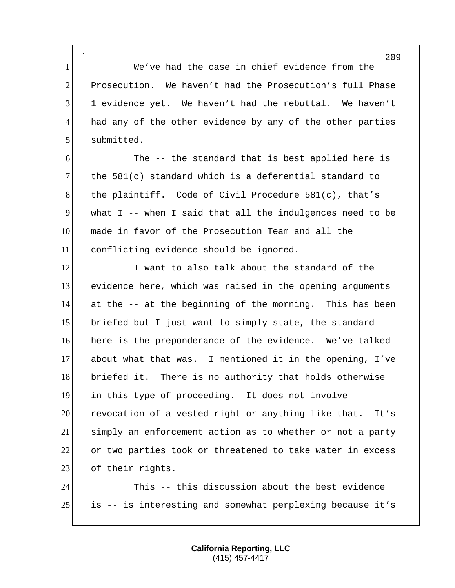` We've had the case in chief evidence from the Prosecution. We haven't had the Prosecution's full Phase 1 evidence yet. We haven't had the rebuttal. We haven't 4 had any of the other evidence by any of the other parties 5 submitted.

 The -- the standard that is best applied here is 7 the 581(c) standard which is a deferential standard to 8 the plaintiff. Code of Civil Procedure 581(c), that's what I -- when I said that all the indulgences need to be made in favor of the Prosecution Team and all the conflicting evidence should be ignored.

12 I want to also talk about the standard of the evidence here, which was raised in the opening arguments at the -- at the beginning of the morning. This has been briefed but I just want to simply state, the standard here is the preponderance of the evidence. We've talked about what that was. I mentioned it in the opening, I've briefed it. There is no authority that holds otherwise in this type of proceeding. It does not involve 20 revocation of a vested right or anything like that. It's simply an enforcement action as to whether or not a party or two parties took or threatened to take water in excess 23 of their rights.

 This -- this discussion about the best evidence is -- is interesting and somewhat perplexing because it's

> **California Reporting, LLC** (415) 457-4417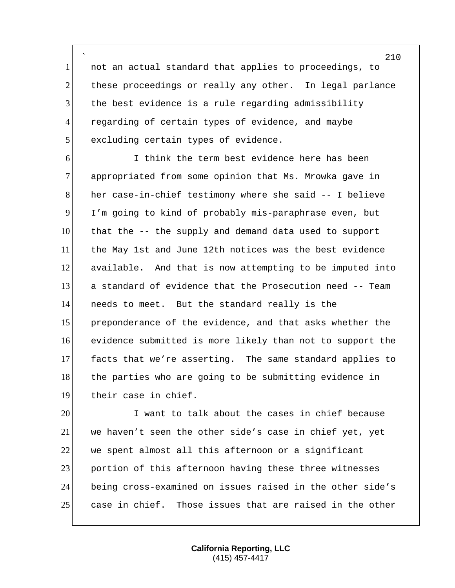` not an actual standard that applies to proceedings, to 2 these proceedings or really any other. In legal parlance the best evidence is a rule regarding admissibility 4 regarding of certain types of evidence, and maybe 5 excluding certain types of evidence.

 I think the term best evidence here has been 7 appropriated from some opinion that Ms. Mrowka gave in her case-in-chief testimony where she said -- I believe I'm going to kind of probably mis-paraphrase even, but that the -- the supply and demand data used to support the May 1st and June 12th notices was the best evidence available. And that is now attempting to be imputed into a standard of evidence that the Prosecution need -- Team needs to meet. But the standard really is the preponderance of the evidence, and that asks whether the evidence submitted is more likely than not to support the facts that we're asserting. The same standard applies to 18 the parties who are going to be submitting evidence in 19 their case in chief.

 I want to talk about the cases in chief because 21 we haven't seen the other side's case in chief yet, yet we spent almost all this afternoon or a significant 23 portion of this afternoon having these three witnesses being cross-examined on issues raised in the other side's case in chief. Those issues that are raised in the other

> **California Reporting, LLC** (415) 457-4417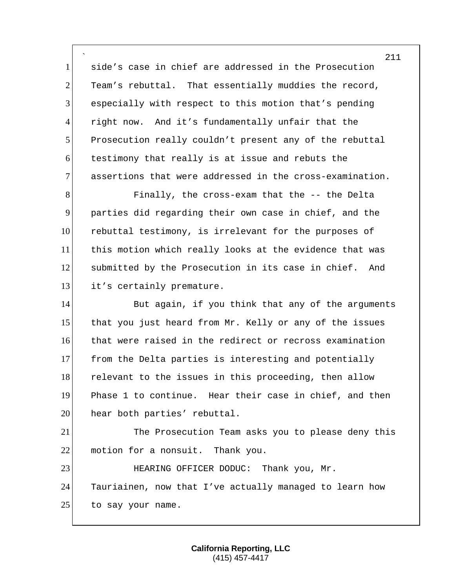` side's case in chief are addressed in the Prosecution Team's rebuttal. That essentially muddies the record, 3 especially with respect to this motion that's pending right now. And it's fundamentally unfair that the Prosecution really couldn't present any of the rebuttal testimony that really is at issue and rebuts the assertions that were addressed in the cross-examination.

8 Finally, the cross-exam that the -- the Delta 9 parties did regarding their own case in chief, and the 10 rebuttal testimony, is irrelevant for the purposes of 11 this motion which really looks at the evidence that was 12 submitted by the Prosecution in its case in chief. And 13 it's certainly premature.

14 But again, if you think that any of the arguments 15 that you just heard from Mr. Kelly or any of the issues 16 that were raised in the redirect or recross examination 17 from the Delta parties is interesting and potentially 18 relevant to the issues in this proceeding, then allow 19 Phase 1 to continue. Hear their case in chief, and then 20 hear both parties' rebuttal.

21 The Prosecution Team asks you to please deny this 22 motion for a nonsuit. Thank you.

23 HEARING OFFICER DODUC: Thank you, Mr. 24 Tauriainen, now that I've actually managed to learn how 25 to say your name.

> **California Reporting, LLC** (415) 457-4417

211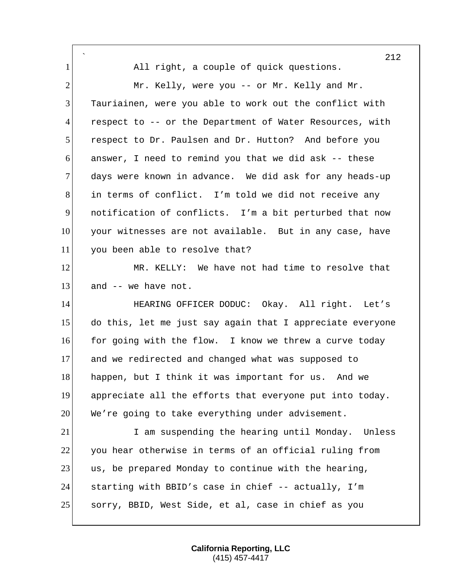` 212 1 All right, a couple of quick questions. 2 Mr. Kelly, were you -- or Mr. Kelly and Mr. 3 Tauriainen, were you able to work out the conflict with 4 respect to -- or the Department of Water Resources, with 5 respect to Dr. Paulsen and Dr. Hutton? And before you 6 answer, I need to remind you that we did ask -- these 7 days were known in advance. We did ask for any heads-up 8 in terms of conflict. I'm told we did not receive any 9 notification of conflicts. I'm a bit perturbed that now 10 your witnesses are not available. But in any case, have 11 you been able to resolve that? 12 MR. KELLY: We have not had time to resolve that  $13$  and  $-$  we have not. 14 HEARING OFFICER DODUC: Okay. All right. Let's 15 do this, let me just say again that I appreciate everyone 16 for going with the flow. I know we threw a curve today 17 and we redirected and changed what was supposed to 18 happen, but I think it was important for us. And we 19 appreciate all the efforts that everyone put into today. 20 We're going to take everything under advisement. 21 I am suspending the hearing until Monday. Unless 22 you hear otherwise in terms of an official ruling from 23 us, be prepared Monday to continue with the hearing, 24 starting with BBID's case in chief -- actually, I'm 25 sorry, BBID, West Side, et al, case in chief as you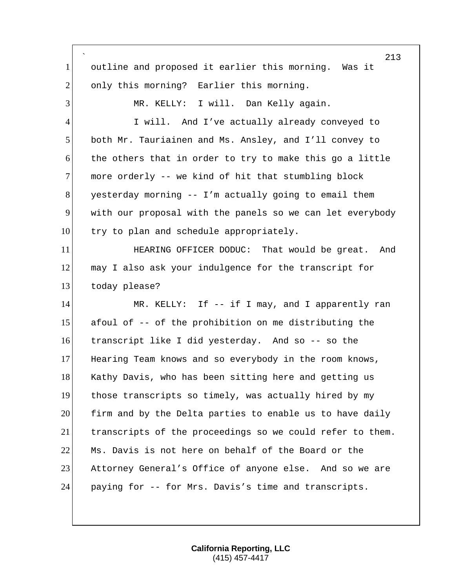` 213 1 outline and proposed it earlier this morning. Was it 2 only this morning? Earlier this morning. 3 MR. KELLY: I will. Dan Kelly again. 4 I will. And I've actually already conveyed to 5 both Mr. Tauriainen and Ms. Ansley, and I'll convey to 6 the others that in order to try to make this go a little 7 more orderly -- we kind of hit that stumbling block  $8$  yesterday morning  $-$  I'm actually going to email them 9 with our proposal with the panels so we can let everybody 10 try to plan and schedule appropriately. 11 **HEARING OFFICER DODUC:** That would be great. And 12 may I also ask your indulgence for the transcript for 13 today please? 14 MR. KELLY: If -- if I may, and I apparently ran 15 afoul of -- of the prohibition on me distributing the 16 transcript like I did yesterday. And so -- so the 17 Hearing Team knows and so everybody in the room knows, 18 Kathy Davis, who has been sitting here and getting us 19 those transcripts so timely, was actually hired by my 20 firm and by the Delta parties to enable us to have daily 21 transcripts of the proceedings so we could refer to them. 22 Ms. Davis is not here on behalf of the Board or the 23 Attorney General's Office of anyone else. And so we are 24 paying for -- for Mrs. Davis's time and transcripts.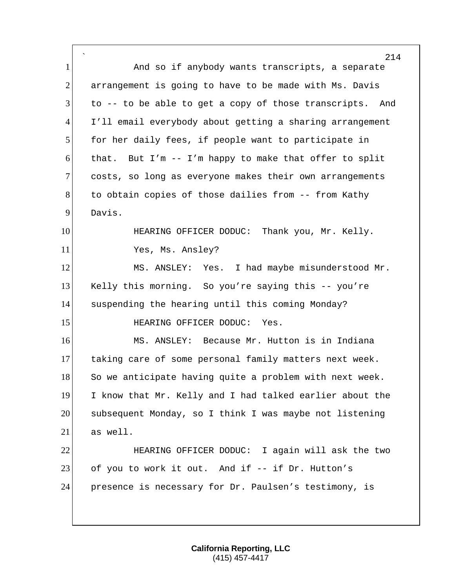` 214 1 And so if anybody wants transcripts, a separate 2 arrangement is going to have to be made with Ms. Davis 3 to -- to be able to get a copy of those transcripts. And 4 I'll email everybody about getting a sharing arrangement 5 for her daily fees, if people want to participate in 6 that. But I'm  $-$  I'm happy to make that offer to split 7 costs, so long as everyone makes their own arrangements 8 to obtain copies of those dailies from -- from Kathy 9 Davis. 10 HEARING OFFICER DODUC: Thank you, Mr. Kelly. 11 Yes, Ms. Ansley? 12 MS. ANSLEY: Yes. I had maybe misunderstood Mr. 13 Kelly this morning. So you're saying this -- you're 14 suspending the hearing until this coming Monday? 15 HEARING OFFICER DODUC: Yes. 16 MS. ANSLEY: Because Mr. Hutton is in Indiana 17 taking care of some personal family matters next week. 18 So we anticipate having quite a problem with next week. 19 I know that Mr. Kelly and I had talked earlier about the 20 subsequent Monday, so I think I was maybe not listening  $21$  as well. 22 **HEARING OFFICER DODUC:** I again will ask the two 23 of you to work it out. And if -- if Dr. Hutton's 24 presence is necessary for Dr. Paulsen's testimony, is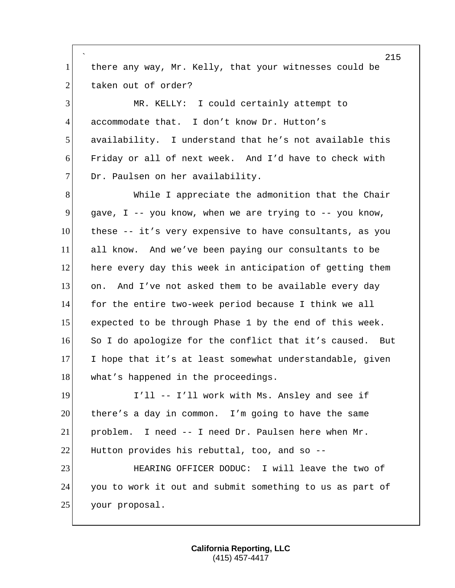` 215 1 there any way, Mr. Kelly, that your witnesses could be 2 taken out of order? 3 MR. KELLY: I could certainly attempt to 4 accommodate that. I don't know Dr. Hutton's 5 availability. I understand that he's not available this 6 Friday or all of next week. And I'd have to check with 7 Dr. Paulsen on her availability. 8 While I appreciate the admonition that the Chair 9 gave, I -- you know, when we are trying to  $-$ - you know, 10 these -- it's very expensive to have consultants, as you 11 all know. And we've been paying our consultants to be 12 here every day this week in anticipation of getting them 13 on. And I've not asked them to be available every day 14 for the entire two-week period because I think we all 15 expected to be through Phase 1 by the end of this week. 16 So I do apologize for the conflict that it's caused. But 17 I hope that it's at least somewhat understandable, given 18 what's happened in the proceedings. 19 I'll -- I'll work with Ms. Ansley and see if 20 there's a day in common. I'm going to have the same 21 problem. I need -- I need Dr. Paulsen here when Mr. 22 Hutton provides his rebuttal, too, and so  $-$ -23 HEARING OFFICER DODUC: I will leave the two of 24 you to work it out and submit something to us as part of 25 your proposal.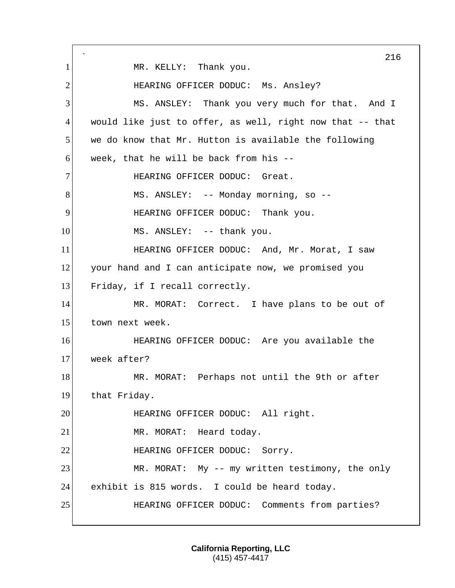` 216 1 MR. KELLY: Thank you. 2 HEARING OFFICER DODUC: Ms. Ansley? 3 MS. ANSLEY: Thank you very much for that. And I 4 would like just to offer, as well, right now that -- that 5 we do know that Mr. Hutton is available the following  $6$  week, that he will be back from his  $-$ 7 HEARING OFFICER DODUC: Great. 8 MS. ANSLEY: -- Monday morning, so --9 HEARING OFFICER DODUC: Thank you. 10 MS. ANSLEY: -- thank you. 11 **HEARING OFFICER DODUC:** And, Mr. Morat, I saw 12 your hand and I can anticipate now, we promised you 13 Friday, if I recall correctly. 14 MR. MORAT: Correct. I have plans to be out of 15 town next week. 16 HEARING OFFICER DODUC: Are you available the 17 week after? 18 MR. MORAT: Perhaps not until the 9th or after 19 that Friday. 20 HEARING OFFICER DODUC: All right. 21 MR. MORAT: Heard today. 22 HEARING OFFICER DODUC: Sorry. 23 MR. MORAT: My -- my written testimony, the only 24 exhibit is 815 words. I could be heard today. 25 HEARING OFFICER DODUC: Comments from parties?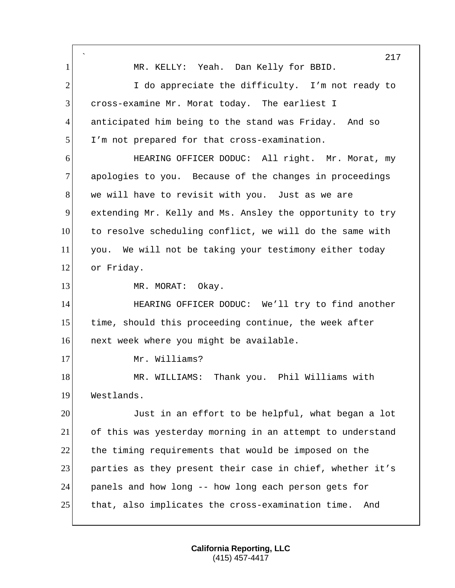` 217 1 MR. KELLY: Yeah. Dan Kelly for BBID. 2 I do appreciate the difficulty. I'm not ready to 3 cross-examine Mr. Morat today. The earliest I 4 anticipated him being to the stand was Friday. And so 5 I'm not prepared for that cross-examination. 6 HEARING OFFICER DODUC: All right. Mr. Morat, my 7 apologies to you. Because of the changes in proceedings 8 we will have to revisit with you. Just as we are 9 extending Mr. Kelly and Ms. Ansley the opportunity to try 10 to resolve scheduling conflict, we will do the same with 11 you. We will not be taking your testimony either today 12 or Friday. 13 MR. MORAT: Okay. 14 **HEARING OFFICER DODUC:** We'll try to find another 15 time, should this proceeding continue, the week after 16 next week where you might be available. 17 Mr. Williams? 18 MR. WILLIAMS: Thank you. Phil Williams with 19 Westlands. 20 Just in an effort to be helpful, what began a lot 21 of this was yesterday morning in an attempt to understand 22 the timing requirements that would be imposed on the 23 parties as they present their case in chief, whether it's 24 panels and how long -- how long each person gets for 25 that, also implicates the cross-examination time. And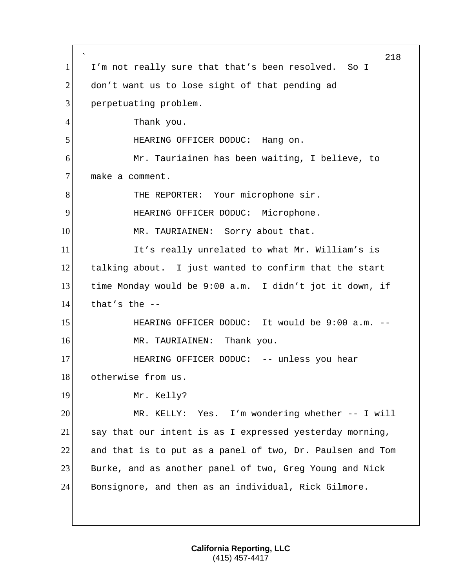` 218 1 I'm not really sure that that's been resolved. So I 2 don't want us to lose sight of that pending ad 3 perpetuating problem. 4 Thank you. 5 HEARING OFFICER DODUC: Hang on. 6 Mr. Tauriainen has been waiting, I believe, to 7 make a comment. 8 THE REPORTER: Your microphone sir. 9 HEARING OFFICER DODUC: Microphone. 10 MR. TAURIAINEN: Sorry about that. 11 It's really unrelated to what Mr. William's is 12 talking about. I just wanted to confirm that the start 13 time Monday would be 9:00 a.m. I didn't jot it down, if  $14$  that's the  $-$ 15 HEARING OFFICER DODUC: It would be 9:00 a.m. --16 MR. TAURIAINEN: Thank you. 17 HEARING OFFICER DODUC: -- unless you hear 18 otherwise from us. 19 Mr. Kelly? 20 MR. KELLY: Yes. I'm wondering whether -- I will 21 say that our intent is as I expressed yesterday morning,  $22$  and that is to put as a panel of two, Dr. Paulsen and Tom 23 Burke, and as another panel of two, Greg Young and Nick 24 Bonsignore, and then as an individual, Rick Gilmore.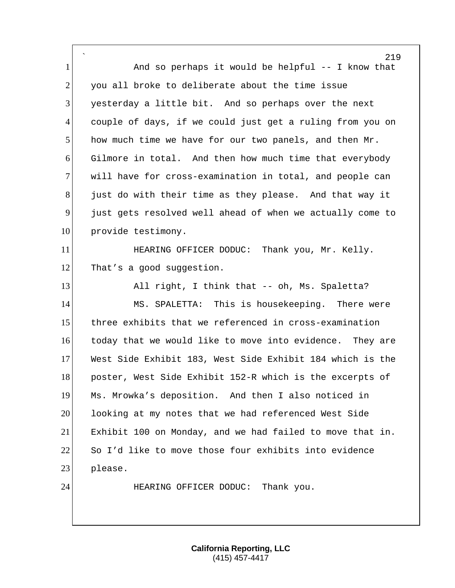` 219 1 and so perhaps it would be helpful -- I know that  $2$  you all broke to deliberate about the time issue 3 yesterday a little bit. And so perhaps over the next 4 couple of days, if we could just get a ruling from you on 5 how much time we have for our two panels, and then Mr. 6 Gilmore in total. And then how much time that everybody 7 will have for cross-examination in total, and people can 8 just do with their time as they please. And that way it 9 just gets resolved well ahead of when we actually come to 10 provide testimony. 11 **HEARING OFFICER DODUC:** Thank you, Mr. Kelly. 12 That's a good suggestion. 13 All right, I think that -- oh, Ms. Spaletta? 14 MS. SPALETTA: This is housekeeping. There were 15 three exhibits that we referenced in cross-examination 16 today that we would like to move into evidence. They are 17 West Side Exhibit 183, West Side Exhibit 184 which is the 18 poster, West Side Exhibit 152-R which is the excerpts of 19 Ms. Mrowka's deposition. And then I also noticed in 20 looking at my notes that we had referenced West Side 21 Exhibit 100 on Monday, and we had failed to move that in. 22 So I'd like to move those four exhibits into evidence 23 please. 24 HEARING OFFICER DODUC: Thank you.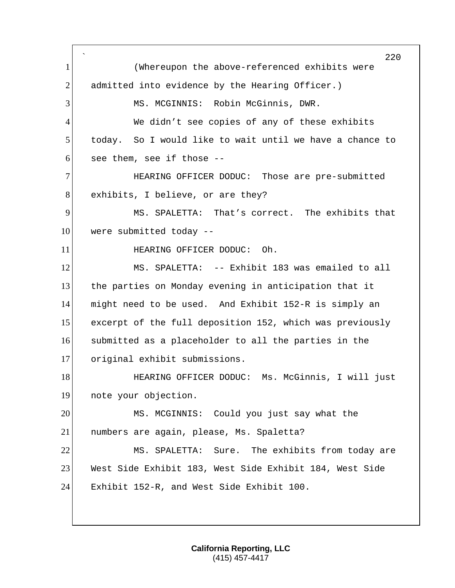` (Whereupon the above-referenced exhibits were 2 admitted into evidence by the Hearing Officer.) 3 MS. MCGINNIS: Robin McGinnis, DWR. 4 We didn't see copies of any of these exhibits today. So I would like to wait until we have a chance to see them, see if those  $-$ -**HEARING OFFICER DODUC:** Those are pre-submitted 8 exhibits, I believe, or are they? MS. SPALETTA: That's correct. The exhibits that were submitted today  $-$ **HEARING OFFICER DODUC:** Oh. MS. SPALETTA: -- Exhibit 183 was emailed to all 13 the parties on Monday evening in anticipation that it might need to be used. And Exhibit 152-R is simply an excerpt of the full deposition 152, which was previously submitted as a placeholder to all the parties in the original exhibit submissions. **HEARING OFFICER DODUC:** Ms. McGinnis, I will just note your objection. MS. MCGINNIS: Could you just say what the numbers are again, please, Ms. Spaletta? MS. SPALETTA: Sure. The exhibits from today are West Side Exhibit 183, West Side Exhibit 184, West Side Exhibit 152-R, and West Side Exhibit 100.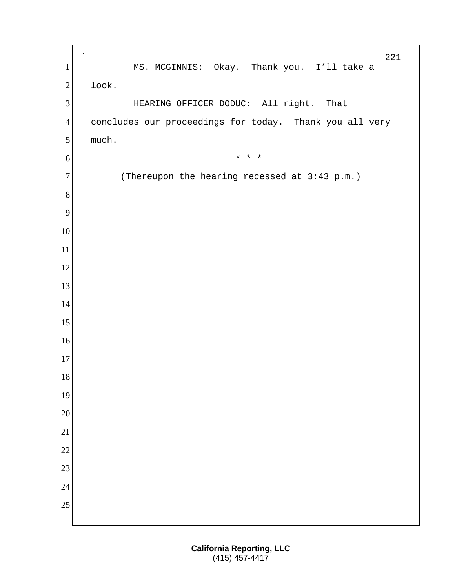` 1 MS. MCGINNIS: Okay. Thank you. I'll take a look. 3 HEARING OFFICER DODUC: All right. That concludes our proceedings for today. Thank you all very 5 much.  $* * * *$  (Thereupon the hearing recessed at 3:43 p.m.)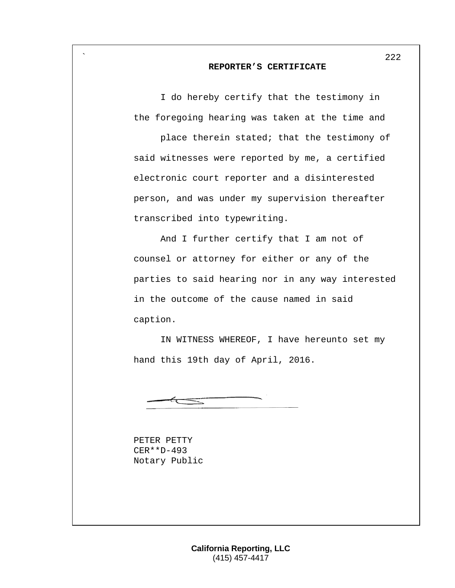## **REPORTER'S CERTIFICATE**

I do hereby certify that the testimony in the foregoing hearing was taken at the time and

place therein stated; that the testimony of said witnesses were reported by me, a certified electronic court reporter and a disinterested person, and was under my supervision thereafter transcribed into typewriting.

And I further certify that I am not of counsel or attorney for either or any of the parties to said hearing nor in any way interested in the outcome of the cause named in said caption.

IN WITNESS WHEREOF, I have hereunto set my hand this 19th day of April, 2016.

PETER PETTY CER\*\*D-493 Notary Public

`

222